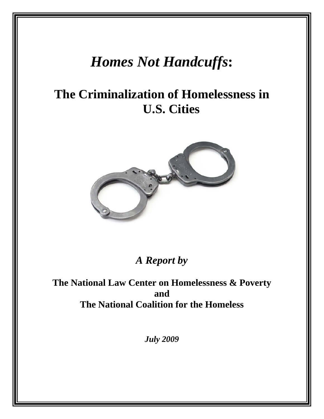# *Homes Not Handcuffs***:**

# **The Criminalization of Homelessness in U.S. Cities**



*A Report by* 

**The National Law Center on Homelessness & Poverty and The National Coalition for the Homeless** 

*July 2009*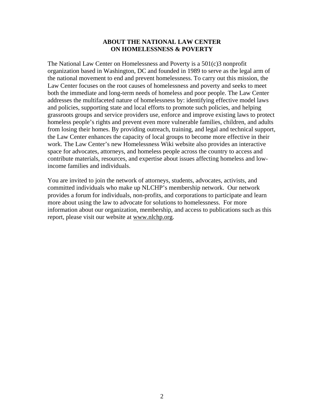#### **ABOUT THE NATIONAL LAW CENTER ON HOMELESSNESS & POVERTY**

The National Law Center on Homelessness and Poverty is a  $501(c)3$  nonprofit organization based in Washington, DC and founded in 1989 to serve as the legal arm of the national movement to end and prevent homelessness. To carry out this mission, the Law Center focuses on the root causes of homelessness and poverty and seeks to meet both the immediate and long-term needs of homeless and poor people. The Law Center addresses the multifaceted nature of homelessness by: identifying effective model laws and policies, supporting state and local efforts to promote such policies, and helping grassroots groups and service providers use, enforce and improve existing laws to protect homeless people's rights and prevent even more vulnerable families, children, and adults from losing their homes. By providing outreach, training, and legal and technical support, the Law Center enhances the capacity of local groups to become more effective in their work. The Law Center's new Homelessness Wiki website also provides an interactive space for advocates, attorneys, and homeless people across the country to access and contribute materials, resources, and expertise about issues affecting homeless and lowincome families and individuals.

You are invited to join the network of attorneys, students, advocates, activists, and committed individuals who make up NLCHP's membership network. Our network provides a forum for individuals, non-profits, and corporations to participate and learn more about using the law to advocate for solutions to homelessness. For more information about our organization, membership, and access to publications such as this report, please visit our website at www.nlchp.org.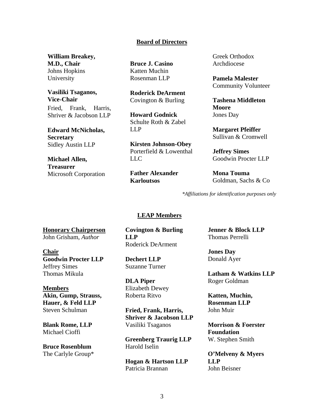#### **Board of Directors**

**William Breakey, M.D., Chair** Johns Hopkins University

# **Vasiliki Tsaganos, Vice-Chair**

Fried, Frank, Harris, Shriver & Jacobson LLP

**Edward McNicholas, Secretary**  Sidley Austin LLP

**Michael Allen, Treasurer**  Microsoft Corporation

#### **Bruce J. Casino**  Katten Muchin Rosenman LLP

**Roderick DeArment** Covington & Burling

**Howard Godnick**  Schulte Roth & Zabel LLP

**Kirsten Johnson-Obey** Porterfield & Lowenthal LLC

**Father Alexander Karloutsos**

Greek Orthodox Archdiocese

**Pamela Malester** Community Volunteer

**Tashena Middleton Moore**  Jones Day

**Margaret Pfeiffer** Sullivan & Cromwell

**Jeffrey Simes** Goodwin Procter LLP

**Mona Touma** Goldman, Sachs & Co

*\*Affiliations for identification purposes only*

#### **LEAP Members**

#### **Honorary Chairperson**  John Grisham, *Author*

**Chair Goodwin Procter LLP**  Jeffrey Simes Thomas Mikula

**Members Akin, Gump, Strauss, Hauer, & Feld LLP**  Steven Schulman

**Blank Rome, LLP**  Michael Cioffi

**Bruce Rosenblum**  The Carlyle Group\* **Covington & Burling LLP**  Roderick DeArment

**Dechert LLP**  Suzanne Turner

**DLA Piper**  Elizabeth Dewey Roberta Ritvo

**Fried, Frank, Harris, Shriver & Jacobson LLP**  Vasiliki Tsaganos

**Greenberg Traurig LLP**  Harold Iselin

**Hogan & Hartson LLP**  Patricia Brannan

**Jenner & Block LLP**  Thomas Perrelli

**Jones Day**  Donald Ayer

**Latham & Watkins LLP**  Roger Goldman

**Katten, Muchin, Rosenman LLP**  John Muir

**Morrison & Foerster Foundation**  W. Stephen Smith

**O'Melveny & Myers LLP**  John Beisner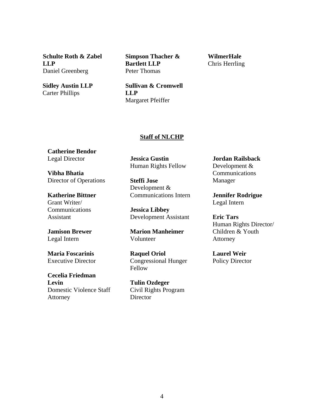**Schulte Roth & Zabel LLP**  Daniel Greenberg

**Sidley Austin LLP** Carter Phillips

**Simpson Thacher & Bartlett LLP**  Peter Thomas

**Sullivan & Cromwell LLP**  Margaret Pfeiffer

**WilmerHale**  Chris Herrling

#### **Staff of NLCHP**

**Catherine Bendor**  Legal Director

**Vibha Bhatia**  Director of Operations

**Katherine Bittner**  Grant Writer/ **Communications** Assistant

**Jamison Brewer**  Legal Intern

**Maria Foscarinis**  Executive Director

**Cecelia Friedman Levin**  Domestic Violence Staff Attorney

**Jessica Gustin**  Human Rights Fellow

**Steffi Jose**  Development & Communications Intern

**Jessica Libbey**  Development Assistant

**Marion Manheimer**  Volunteer

**Raquel Oriol**  Congressional Hunger Fellow

**Tulin Ozdeger**  Civil Rights Program **Director** 

**Jordan Railsback**  Development & **Communications** Manager

**Jennifer Rodrigue**  Legal Intern

**Eric Tars**  Human Rights Director/ Children & Youth Attorney

**Laurel Weir**  Policy Director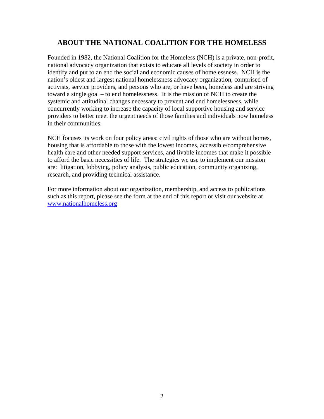# **ABOUT THE NATIONAL COALITION FOR THE HOMELESS**

Founded in 1982, the National Coalition for the Homeless (NCH) is a private, non-profit, national advocacy organization that exists to educate all levels of society in order to identify and put to an end the social and economic causes of homelessness. NCH is the nation's oldest and largest national homelessness advocacy organization, comprised of activists, service providers, and persons who are, or have been, homeless and are striving toward a single goal – to end homelessness. It is the mission of NCH to create the systemic and attitudinal changes necessary to prevent and end homelessness, while concurrently working to increase the capacity of local supportive housing and service providers to better meet the urgent needs of those families and individuals now homeless in their communities.

NCH focuses its work on four policy areas: civil rights of those who are without homes, housing that is affordable to those with the lowest incomes, accessible/comprehensive health care and other needed support services, and livable incomes that make it possible to afford the basic necessities of life. The strategies we use to implement our mission are: litigation, lobbying, policy analysis, public education, community organizing, research, and providing technical assistance.

For more information about our organization, membership, and access to publications such as this report, please see the form at the end of this report or visit our website at www.nationalhomeless.org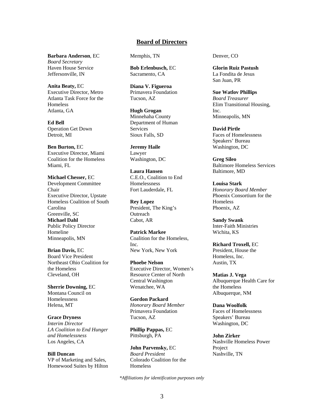#### **Board of Directors**

 **Barbara Anderson**, EC *Board Secretary*  Haven House Service Jeffersonville, IN

**Anita Beaty,** EC Executive Director, Metro Atlanta Task Force for the Homeless Atlanta, GA

**Ed Bell**  Operation Get Down Detroit, MI

**Ben Burton,** EC Executive Director, Miami Coalition for the Homeless Miami, FL

**Michael Chesser,** EC Development Committee Chair Executive Director, Upstate Homeless Coalition of South Carolina Greenville, SC **Michael Dahl**  Public Policy Director Homeline Minneapolis, MN

**Brian Davis,** EC Board Vice President Northeast Ohio Coalition for the Homeless Cleveland, OH

**Sherrie Downing,** EC Montana Council on Homelessness Helena, MT

**Grace Dryness**  *Interim Director LA Coalition to End Hunger and Homelessness*  Los Angeles, CA

**Bill Duncan**  VP of Marketing and Sales, Homewood Suites by Hilton Memphis, TN

**Bob Erlenbusch,** EC Sacramento, CA

**Diana V. Figueroa**  Primavera Foundation Tucson, AZ

**Hugh Grogan**  Minnehaha County Department of Human Services Sioux Falls, SD

**Jeremy Haile**  Lawyer Washington, DC

**Laura Hansen**  C.E.O., Coalition to End Homelessness Fort Lauderdale, FL

**Rey Lopez**  President, The King's **Outreach** Cabot, AR

**Patrick Markee**  Coalition for the Homeless, Inc. New York, New York

**Phoebe Nelson**  Executive Director, Women's Resource Center of North Central Washington Wenatchee, WA

**Gordon Packard**  *Honorary Board Member*  Primavera Foundation Tucson, AZ

**Phillip Pappas,** EC Pittsburgh, PA

**John Parvensky,** EC *Board President*  Colorado Coalition for the Homeless

*\*Affiliations for identification purposes only*

Denver, CO

**Glorin Ruiz Pastush**  La Fondita de Jesus San Juan, PR

**Sue Watlov Phillips**  *Board Treasurer*  Elim Transitional Housing, Inc. Minneapolis, MN

**David Pirtle**  Faces of Homelessness Speakers' Bureau Washington, DC

**Greg Sileo**  Baltimore Homeless Services Baltimore, MD

**Louisa Stark**  *Honorary Board Member*  Phoenix Consortium for the Homeless Phoenix, AZ

**Sandy Swank**  Inter-Faith Ministries Wichita, KS

**Richard Troxell,** EC President, House the Homeless, Inc. Austin, TX

**Matias J. Vega**  Albuquerque Health Care for the Homeless Albuquerque, NM

**Dana Woolfolk**  Faces of Homelessness Speakers' Bureau Washington, DC

**John Zirker**  Nashville Homeless Power Project Nashville, TN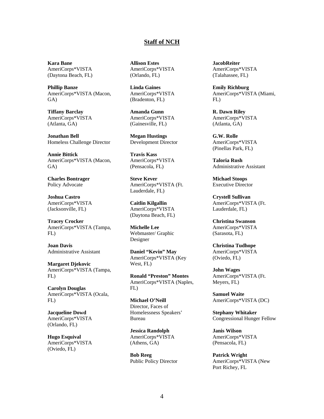#### **Staff of NCH**

**Kara Bane**  AmeriCorps\*VISTA (Daytona Beach, FL)

**Phillip Banze**  AmeriCorps\*VISTA (Macon, GA)

**Tiffany Barclay**  AmeriCorps\*VISTA (Atlanta, GA)

**Jonathan Bell**  Homeless Challenge Director

**Annie Bittick**  AmeriCorps\*VISTA (Macon, GA)

**Charles Bontrager**  Policy Advocate

**Joshua Castro**  AmeriCorps\*VISTA (Jacksonville, FL)

**Tracey Crocker**  AmeriCorps\*VISTA (Tampa, FL)

**Joan Davis**  Administrative Assistant

**Margaret Djekovic**  AmeriCorps\*VISTA (Tampa, FL)

**Carolyn Douglas**  AmeriCorps\*VISTA (Ocala, FL)

**Jacqueline Dowd**  AmeriCorps\*VISTA (Orlando, FL)

**Hugo Esquival**  AmeriCorps\*VISTA (Oviedo, FL)

**Allison Estes**  AmeriCorps\*VISTA (Orlando, FL)

**Linda Gaines**  AmeriCorps\*VISTA (Bradenton, FL)

**Amanda Gunn**  AmeriCorps\*VISTA (Gainesville, FL)

**Megan Hustings**  Development Director

**Travis Kass**  AmeriCorps\*VISTA (Pensacola, FL)

**Steve Kever**  AmeriCorps\*VISTA (Ft. Lauderdale, FL)

**Caitlin Kilgallin**  AmeriCorps\*VISTA (Daytona Beach, FL)

**Michelle Lee**  Webmaster/ Graphic Designer

**Daniel "Kevin" May**  AmeriCorps\*VISTA (Key West, FL)

**Ronald "Preston" Montes**  AmeriCorps\*VISTA (Naples, FL)

**Michael O'Neill**  Director, Faces of Homelessness Speakers' Bureau

**Jessica Randolph**  AmeriCorps\*VISTA (Athens, GA)

**Bob Reeg**  Public Policy Director **JacobReiter**  AmeriCorps\*VISTA (Talahassee, FL)

**Emily Richburg**  AmeriCorps\*VISTA (Miami, FL)

**R. Dawn Riley**  AmeriCorps\*VISTA (Atlanta, GA)

**G.W. Rolle**  AmeriCorps\*VISTA (Pinellas Park, FL)

**Taloria Rush**  Administrative Assistant

**Michael Stoops**  Executive Director

**Crystell Sullivan**  AmeriCorps\*VISTA (Ft. Lauderdale, FL)

**Christina Swanson**  AmeriCorps\*VISTA (Sarasota, FL)

**Christina Tudhope**  AmeriCorps\*VISTA (Oviedo, FL)

**John Wages**  AmeriCorps\*VISTA (Ft. Meyers, FL)

**Samuel Waite**  AmeriCorps\*VISTA (DC)

**Stephany Whitaker**  Congressional Hunger Fellow

**Janis Wilson**  AmeriCorps\*VISTA (Pensacola, FL)

**Patrick Wright**  AmeriCorps\*VISTA (New Port Richey, FL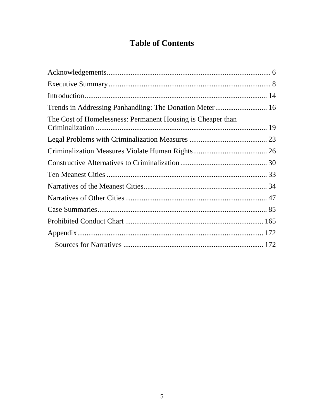# **Table of Contents**

| The Cost of Homelessness: Permanent Housing is Cheaper than |  |
|-------------------------------------------------------------|--|
|                                                             |  |
|                                                             |  |
|                                                             |  |
|                                                             |  |
|                                                             |  |
|                                                             |  |
|                                                             |  |
|                                                             |  |
|                                                             |  |
|                                                             |  |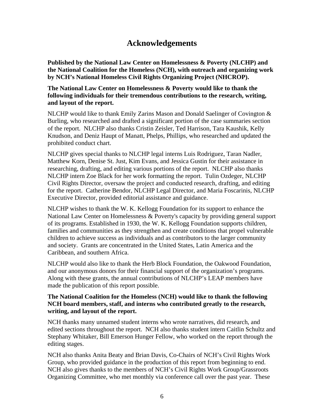# **Acknowledgements**

**Published by the National Law Center on Homelessness & Poverty (NLCHP) and the National Coalition for the Homeless (NCH), with outreach and organizing work by NCH's National Homeless Civil Rights Organizing Project (NHCROP).** 

#### **The National Law Center on Homelessness & Poverty would like to thank the following individuals for their tremendous contributions to the research, writing, and layout of the report.**

NLCHP would like to thank Emily Zarins Mason and Donald Saelinger of Covington & Burling, who researched and drafted a significant portion of the case summaries section of the report. NLCHP also thanks Cristin Zeisler, Ted Harrison, Tara Kaushik, Kelly Knudson, and Deniz Haupt of Manatt, Phelps, Phillips, who researched and updated the prohibited conduct chart.

NLCHP gives special thanks to NLCHP legal interns Luis Rodriguez, Taran Nadler, Matthew Korn, Denise St. Just, Kim Evans, and Jessica Gustin for their assistance in researching, drafting, and editing various portions of the report. NLCHP also thanks NLCHP intern Zoe Black for her work formatting the report. Tulin Ozdeger, NLCHP Civil Rights Director, oversaw the project and conducted research, drafting, and editing for the report. Catherine Bendor, NLCHP Legal Director, and Maria Foscarinis, NLCHP Executive Director, provided editorial assistance and guidance.

NLCHP wishes to thank the W. K. Kellogg Foundation for its support to enhance the National Law Center on Homelessness & Poverty's capacity by providing general support of its programs. Established in 1930, the W. K. Kellogg Foundation supports children, families and communities as they strengthen and create conditions that propel vulnerable children to achieve success as individuals and as contributors to the larger community and society. Grants are concentrated in the United States, Latin America and the Caribbean, and southern Africa.

NLCHP would also like to thank the Herb Block Foundation, the Oakwood Foundation, and our anonymous donors for their financial support of the organization's programs. Along with these grants, the annual contributions of NLCHP's LEAP members have made the publication of this report possible.

# **The National Coalition for the Homeless (NCH) would like to thank the following NCH board members, staff, and interns who contributed greatly to the research, writing, and layout of the report.**

NCH thanks many unnamed student interns who wrote narratives, did research, and edited sections throughout the report. NCH also thanks student intern Caitlin Schultz and Stephany Whitaker, Bill Emerson Hunger Fellow, who worked on the report through the editing stages.

NCH also thanks Anita Beaty and Brian Davis, Co-Chairs of NCH's Civil Rights Work Group, who provided guidance in the production of this report from beginning to end. NCH also gives thanks to the members of NCH's Civil Rights Work Group/Grassroots Organizing Committee, who met monthly via conference call over the past year. These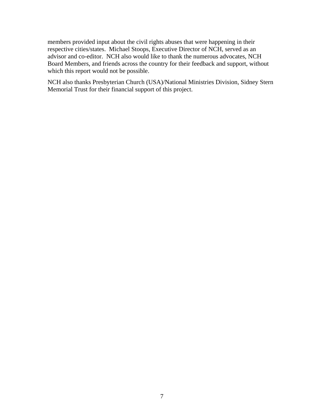members provided input about the civil rights abuses that were happening in their respective cities/states. Michael Stoops, Executive Director of NCH, served as an advisor and co-editor. NCH also would like to thank the numerous advocates, NCH Board Members, and friends across the country for their feedback and support, without which this report would not be possible.

NCH also thanks Presbyterian Church (USA)/National Ministries Division, Sidney Stern Memorial Trust for their financial support of this project.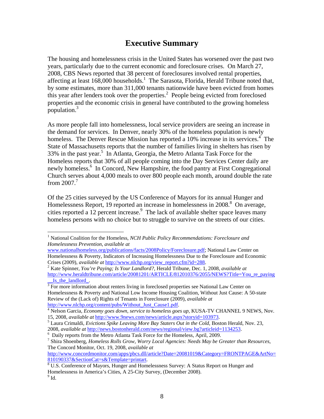# **Executive Summary**

The housing and homelessness crisis in the United States has worsened over the past two years, particularly due to the current economic and foreclosure crises. On March 27, 2008, CBS News reported that 38 percent of foreclosures involved rental properties, affecting at least  $168,000$  households.<sup>1</sup> The Sarasota, Florida, Herald Tribune noted that, by some estimates, more than 311,000 tenants nationwide have been evicted from homes this year after lenders took over the properties.<sup>2</sup> People being evicted from foreclosed properties and the economic crisis in general have contributed to the growing homeless population.<sup>3</sup>

As more people fall into homelessness, local service providers are seeing an increase in the demand for services. In Denver, nearly 30% of the homeless population is newly homeless. The Denver Rescue Mission has reported a 10% increase in its services.<sup>4</sup> The State of Massachusetts reports that the number of families living in shelters has risen by 33% in the past year.<sup>5</sup> In Atlanta, Georgia, the Metro Atlanta Task Force for the Homeless reports that 30% of all people coming into the Day Services Center daily are newly homeless.<sup>6</sup> In Concord, New Hampshire, the food pantry at First Congregational Church serves about 4,000 meals to over 800 people each month, around double the rate from  $2007.<sup>7</sup>$ 

Of the 25 cities surveyed by the US Conference of Mayors for its annual Hunger and Homelessness Report, 19 reported an increase in homelessness in 2008.<sup>8</sup> On average, cities reported a 12 percent increase. The lack of available shelter space leaves many homeless persons with no choice but to struggle to survive on the streets of our cities.

7 Shira Shoenberg, *Homeless Rolls Grow, Worry Local Agencies: Needs May be Greater than Resources*, The Concord Monitor, Oct. 19, 2008, *available at*

http://www.concordmonitor.com/apps/pbcs.dll/article?Date=20081019&Category=FRONTPAGE&ArtNo= 810190337&SectionCat=s&Template=printart. 8

 $\overline{a}$ 

<sup>&</sup>lt;sup>1</sup> National Coalition for the Homeless, *NCH Public Policy Recommendations: Foreclosure and Homelessness Prevention*, *available at* 

www.nationalhomeless.org/publications/facts/2008Policy/Foreclosure.pdf; National Law Center on Homelessness & Poverty, Indicators of Increasing Homelessness Due to the Foreclosure and Economic Crises (2009), *available at* http://www.nlchp.org/view\_report.cfm?id=288. 2

Kate Spinner, *You're Paying; Is Your Landlord?*, Herald Tribune, Dec. 1, 2008, *available at* http://www.heraldtribune.com/article/20081201/ARTICLE/812010376/2055/NEWS?Title=You re paying

Is the landlord.<br><sup>3</sup> For more information about renters living in foreclosed properties see National Law Center on Homelessness & Poverty and National Low Income Housing Coalition, Without Just Cause: A 50-state Review of the (Lack of) Rights of Tenants in Foreclosure (2009), *available at* http://www.nlchp.org/content/pubs/Without Just Cause1.pdf.

<sup>&</sup>lt;sup>4</sup> Nelson Garcia, *Economy goes down, service to homeless goes up,* KUSA-TV CHANNEL 9 NEWS, Nov. 15, 2008, *available at* http://www.9news.com/news/article.aspx?storyid=103973. 5

Laura Crimaldi, *Evictions Spike Leaving More Bay Staters Out in the Cold*, Boston Herald, Nov. 23, 2008, *available at* http://news.bostonherald.com/news/regional/view.bg?articleid=1134253. 6

<sup>&</sup>lt;sup>6</sup> Daily reports from the Metro Atlanta Task Force for the Homeless, April, 2009.

<sup>&</sup>lt;sup>8</sup> U.S. Conference of Mayors, Hunger and Homelessness Survey: A Status Report on Hunger and Homelessness in America's Cities, A 25-City Survey, (December 2008).

 $^9$  Id.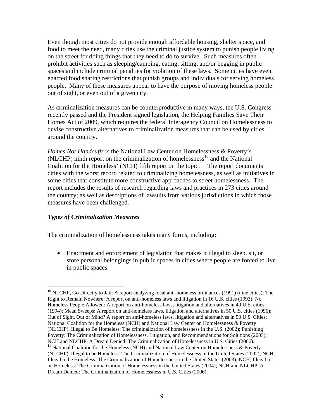Even though most cities do not provide enough affordable housing, shelter space, and food to meet the need, many cities use the criminal justice system to punish people living on the street for doing things that they need to do to survive. Such measures often prohibit activities such as sleeping/camping, eating, sitting, and/or begging in public spaces and include criminal penalties for violation of these laws. Some cities have even enacted food sharing restrictions that punish groups and individuals for serving homeless people. Many of these measures appear to have the purpose of moving homeless people out of sight, or even out of a given city.

As criminalization measures can be counterproductive in many ways, the U.S. Congress recently passed and the President signed legislation, the Helping Families Save Their Homes Act of 2009, which requires the federal Interagency Council on Homelessness to devise constructive alternatives to criminalization measures that can be used by cities around the country.

*Homes Not Handcuffs* is the National Law Center on Homelessness & Poverty's (NLCHP) ninth report on the criminalization of homelessness $^{10}$  and the National Coalition for the Homeless' (NCH) fifth report on the topic.<sup>11</sup> The report documents cities with the worst record related to criminalizing homelessness, as well as initiatives in some cities that constitute more constructive approaches to street homelessness. The report includes the results of research regarding laws and practices in 273 cities around the country; as well as descriptions of lawsuits from various jurisdictions in which those measures have been challenged.

#### *Types of Criminalization Measures*

 $\overline{a}$ 

The criminalization of homelessness takes many forms, including**:** 

• Enactment and enforcement of legislation that makes it illegal to sleep, sit, or store personal belongings in public spaces in cities where people are forced to live in public spaces.

<sup>&</sup>lt;sup>10</sup> NLCHP, Go Directly to Jail: A report analyzing local anti-homeless ordinances (1991) (nine cities); The Right to Remain Nowhere: A report on anti-homeless laws and litigation in 16 U.S. cities (1993); No Homeless People Allowed: A report on anti-homeless laws, litigation and alternatives in 49 U.S. cities (1994); Mean Sweeps: A report on anti-homeless laws, litigation and alternatives in 50 U.S. cities (1996); Out of Sight, Out of Mind? A report on anti-homeless laws, litigation and alternatives in 50 U.S. Cities; National Coalition for the Homeless (NCH) and National Law Center on Homelessness & Poverty (NLCHP), Illegal to Be Homeless: The criminalization of homelessness in the U.S. (2002); Punishing Poverty: The Criminalization of Homelessness, Litigation, and Recommendations for Solutions (2003); NCH and NLCHP, A Dream Denied: The Criminalization of Homelessness in U.S. Cities (2006).  $11$  National Coalition for the Homeless (NCH) and National Law Center on Homelessness & Poverty (NLCHP), Illegal to be Homeless: The Criminalization of Homelessness in the United States (2002); NCH, Illegal to be Homeless: The Criminalization of Homelessness in the United States (2003); NCH, Illegal to be Homeless: The Criminalization of Homelessness in the United States (2004); NCH and NLCHP, A Dream Denied: The Criminalization of Homelessness in U.S. Cities (2006).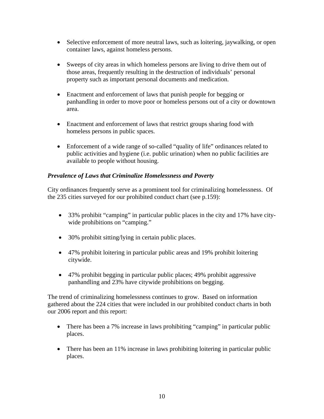- Selective enforcement of more neutral laws, such as loitering, jaywalking, or open container laws, against homeless persons.
- Sweeps of city areas in which homeless persons are living to drive them out of those areas, frequently resulting in the destruction of individuals' personal property such as important personal documents and medication.
- Enactment and enforcement of laws that punish people for begging or panhandling in order to move poor or homeless persons out of a city or downtown area.
- Enactment and enforcement of laws that restrict groups sharing food with homeless persons in public spaces.
- Enforcement of a wide range of so-called "quality of life" ordinances related to public activities and hygiene (i.e. public urination) when no public facilities are available to people without housing.

# *Prevalence of Laws that Criminalize Homelessness and Poverty*

City ordinances frequently serve as a prominent tool for criminalizing homelessness. Of the 235 cities surveyed for our prohibited conduct chart (see p.159):

- 33% prohibit "camping" in particular public places in the city and 17% have citywide prohibitions on "camping."
- 30% prohibit sitting/lying in certain public places.
- 47% prohibit loitering in particular public areas and 19% prohibit loitering citywide.
- 47% prohibit begging in particular public places; 49% prohibit aggressive panhandling and 23% have citywide prohibitions on begging.

The trend of criminalizing homelessness continues to grow. Based on information gathered about the 224 cities that were included in our prohibited conduct charts in both our 2006 report and this report:

- There has been a 7% increase in laws prohibiting "camping" in particular public places.
- There has been an 11% increase in laws prohibiting loitering in particular public places.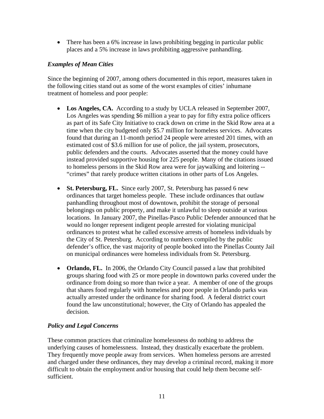• There has been a 6% increase in laws prohibiting begging in particular public places and a 5% increase in laws prohibiting aggressive panhandling.

# *Examples of Mean Cities*

Since the beginning of 2007, among others documented in this report, measures taken in the following cities stand out as some of the worst examples of cities' inhumane treatment of homeless and poor people:

- **Los Angeles, CA.** According to a study by UCLA released in September 2007, Los Angeles was spending \$6 million a year to pay for fifty extra police officers as part of its Safe City Initiative to crack down on crime in the Skid Row area at a time when the city budgeted only \$5.7 million for homeless services. Advocates found that during an 11-month period 24 people were arrested 201 times, with an estimated cost of \$3.6 million for use of police, the jail system, prosecutors, public defenders and the courts. Advocates asserted that the money could have instead provided supportive housing for 225 people. Many of the citations issued to homeless persons in the Skid Row area were for jaywalking and loitering -- "crimes" that rarely produce written citations in other parts of Los Angeles.
- **St. Petersburg, FL.** Since early 2007, St. Petersburg has passed 6 new ordinances that target homeless people. These include ordinances that outlaw panhandling throughout most of downtown, prohibit the storage of personal belongings on public property, and make it unlawful to sleep outside at various locations. In January 2007, the Pinellas-Pasco Public Defender announced that he would no longer represent indigent people arrested for violating municipal ordinances to protest what he called excessive arrests of homeless individuals by the City of St. Petersburg. According to numbers compiled by the public defender's office, the vast majority of people booked into the Pinellas County Jail on municipal ordinances were homeless individuals from St. Petersburg.
- **Orlando, FL.** In 2006, the Orlando City Council passed a law that prohibited groups sharing food with 25 or more people in downtown parks covered under the ordinance from doing so more than twice a year. A member of one of the groups that shares food regularly with homeless and poor people in Orlando parks was actually arrested under the ordinance for sharing food. A federal district court found the law unconstitutional; however, the City of Orlando has appealed the decision.

# *Policy and Legal Concerns*

These common practices that criminalize homelessness do nothing to address the underlying causes of homelessness. Instead, they drastically exacerbate the problem. They frequently move people away from services. When homeless persons are arrested and charged under these ordinances, they may develop a criminal record, making it more difficult to obtain the employment and/or housing that could help them become selfsufficient.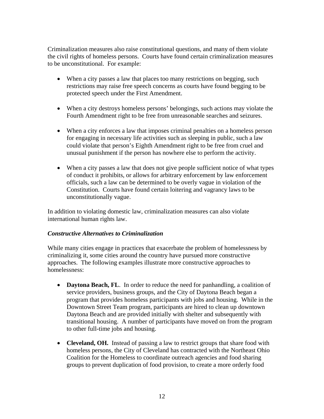Criminalization measures also raise constitutional questions, and many of them violate the civil rights of homeless persons. Courts have found certain criminalization measures to be unconstitutional. For example:

- When a city passes a law that places too many restrictions on begging, such restrictions may raise free speech concerns as courts have found begging to be protected speech under the First Amendment.
- When a city destroys homeless persons' belongings, such actions may violate the Fourth Amendment right to be free from unreasonable searches and seizures.
- When a city enforces a law that imposes criminal penalties on a homeless person for engaging in necessary life activities such as sleeping in public, such a law could violate that person's Eighth Amendment right to be free from cruel and unusual punishment if the person has nowhere else to perform the activity.
- When a city passes a law that does not give people sufficient notice of what types of conduct it prohibits, or allows for arbitrary enforcement by law enforcement officials, such a law can be determined to be overly vague in violation of the Constitution. Courts have found certain loitering and vagrancy laws to be unconstitutionally vague.

In addition to violating domestic law, criminalization measures can also violate international human rights law.

#### *Constructive Alternatives to Criminalization*

While many cities engage in practices that exacerbate the problem of homelessness by criminalizing it, some cities around the country have pursued more constructive approaches. The following examples illustrate more constructive approaches to homelessness:

- **Daytona Beach, FL**. In order to reduce the need for panhandling, a coalition of service providers, business groups, and the City of Daytona Beach began a program that provides homeless participants with jobs and housing. While in the Downtown Street Team program, participants are hired to clean up downtown Daytona Beach and are provided initially with shelter and subsequently with transitional housing. A number of participants have moved on from the program to other full-time jobs and housing.
- **Cleveland, OH.** Instead of passing a law to restrict groups that share food with homeless persons, the City of Cleveland has contracted with the Northeast Ohio Coalition for the Homeless to coordinate outreach agencies and food sharing groups to prevent duplication of food provision, to create a more orderly food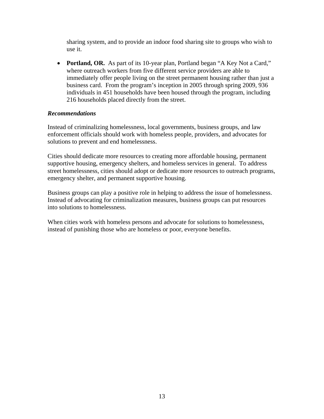sharing system, and to provide an indoor food sharing site to groups who wish to use it.

• **Portland, OR.** As part of its 10-year plan, Portland began "A Key Not a Card," where outreach workers from five different service providers are able to immediately offer people living on the street permanent housing rather than just a business card. From the program's inception in 2005 through spring 2009, 936 individuals in 451 households have been housed through the program, including 216 households placed directly from the street.

#### *Recommendations*

Instead of criminalizing homelessness, local governments, business groups, and law enforcement officials should work with homeless people, providers, and advocates for solutions to prevent and end homelessness.

Cities should dedicate more resources to creating more affordable housing, permanent supportive housing, emergency shelters, and homeless services in general. To address street homelessness, cities should adopt or dedicate more resources to outreach programs, emergency shelter, and permanent supportive housing.

Business groups can play a positive role in helping to address the issue of homelessness. Instead of advocating for criminalization measures, business groups can put resources into solutions to homelessness.

When cities work with homeless persons and advocate for solutions to homelessness, instead of punishing those who are homeless or poor, everyone benefits.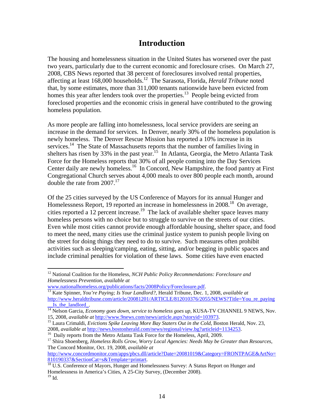# **Introduction**

The housing and homelessness situation in the United States has worsened over the past two years, particularly due to the current economic and foreclosure crises. On March 27, 2008, CBS News reported that 38 percent of foreclosures involved rental properties, affecting at least 168,000 households.12 The Sarasota, Florida, *Herald Tribune* noted that, by some estimates, more than 311,000 tenants nationwide have been evicted from homes this year after lenders took over the properties.<sup>13</sup> People being evicted from foreclosed properties and the economic crisis in general have contributed to the growing homeless population.

As more people are falling into homelessness, local service providers are seeing an increase in the demand for services. In Denver, nearly 30% of the homeless population is newly homeless. The Denver Rescue Mission has reported a 10% increase in its services.<sup>14</sup> The State of Massachusetts reports that the number of families living in shelters has risen by 33% in the past year.<sup>15</sup> In Atlanta, Georgia, the Metro Atlanta Task Force for the Homeless reports that 30% of all people coming into the Day Services Center daily are newly homeless.<sup>16</sup> In Concord, New Hampshire, the food pantry at First Congregational Church serves about 4,000 meals to over 800 people each month, around double the rate from  $2007$ <sup>17</sup>

Of the 25 cities surveyed by the US Conference of Mayors for its annual Hunger and Homelessness Report, 19 reported an increase in homelessness in 2008.<sup>18</sup> On average, cities reported a 12 percent increase.<sup>19</sup> The lack of available shelter space leaves many homeless persons with no choice but to struggle to survive on the streets of our cities. Even while most cities cannot provide enough affordable housing, shelter space, and food to meet the need, many cities use the criminal justice system to punish people living on the street for doing things they need to do to survive. Such measures often prohibit activities such as sleeping/camping, eating, sitting, and/or begging in public spaces and include criminal penalties for violation of these laws. Some cities have even enacted

 $\overline{a}$ 

http://www.concordmonitor.com/apps/pbcs.dll/article?Date=20081019&Category=FRONTPAGE&ArtNo= 810190337&SectionCat=s&Template=printart.<br><sup>18</sup> U.S. Conference of Mayors, Hunger and Homelessness Survey: A Status Report on Hunger and

<sup>&</sup>lt;sup>12</sup> National Coalition for the Homeless, *NCH Public Policy Recommendations: Foreclosure and Homelessness Prevention*, *available at*

www.nationalhomeless.org/publications/facts/2008Policy/Foreclosure.pdf. 13 Kate Spinner, *You're Paying; Is Your Landlord?*, Herald Tribune, Dec. 1, 2008, *available at* http://www.heraldtribune.com/article/20081201/ARTICLE/812010376/2055/NEWS?Title=You\_re\_paying

\_\_Is\_the\_landlord\_. 14 Nelson Garcia, *Economy goes down, service to homeless goes up,* KUSA-TV CHANNEL 9 NEWS, Nov.

<sup>15, 2008,</sup> *available at* http://www.9news.com/news/article.aspx?storyid=103973.<br><sup>15</sup> Laura Crimaldi, *Evictions Spike Leaving More Bay Staters Out in the Cold*, Boston Herald, Nov. 23, 2008, *available at http://news.bosto* 

<sup>&</sup>lt;sup>16</sup> Daily reports from the Metro Atlanta Task Force for the Homeless, April, 2009.

<sup>&</sup>lt;sup>17</sup> Shira Shoenberg, *Homeless Rolls Grow, Worry Local Agencies: Needs May be Greater than Resources*, The Concord Monitor, Oct. 19, 2008, *available at*

Homelessness in America's Cities, A 25-City Survey, (December 2008).  $19$  Id.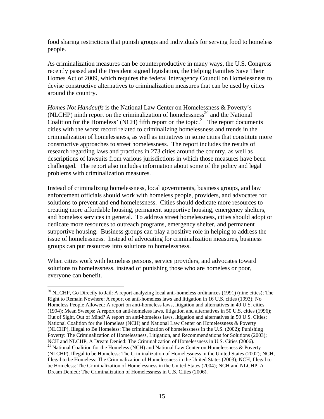food sharing restrictions that punish groups and individuals for serving food to homeless people.

As criminalization measures can be counterproductive in many ways, the U.S. Congress recently passed and the President signed legislation, the Helping Families Save Their Homes Act of 2009, which requires the federal Interagency Council on Homelessness to devise constructive alternatives to criminalization measures that can be used by cities around the country.

*Homes Not Handcuffs* is the National Law Center on Homelessness & Poverty's (NLCHP) ninth report on the criminalization of homelessness<sup>20</sup> and the National Coalition for the Homeless' (NCH) fifth report on the topic.<sup>21</sup> The report documents cities with the worst record related to criminalizing homelessness and trends in the criminalization of homelessness, as well as initiatives in some cities that constitute more constructive approaches to street homelessness. The report includes the results of research regarding laws and practices in 273 cities around the country, as well as descriptions of lawsuits from various jurisdictions in which those measures have been challenged. The report also includes information about some of the policy and legal problems with criminalization measures.

Instead of criminalizing homelessness, local governments, business groups, and law enforcement officials should work with homeless people, providers, and advocates for solutions to prevent and end homelessness. Cities should dedicate more resources to creating more affordable housing, permanent supportive housing, emergency shelters, and homeless services in general. To address street homelessness, cities should adopt or dedicate more resources to outreach programs, emergency shelter, and permanent supportive housing. Business groups can play a positive role in helping to address the issue of homelessness. Instead of advocating for criminalization measures, business groups can put resources into solutions to homelessness.

When cities work with homeless persons, service providers, and advocates toward solutions to homelessness, instead of punishing those who are homeless or poor, everyone can benefit.

 $\overline{a}$ 

<sup>&</sup>lt;sup>20</sup> NLCHP, Go Directly to Jail: A report analyzing local anti-homeless ordinances (1991) (nine cities); The Right to Remain Nowhere: A report on anti-homeless laws and litigation in 16 U.S. cities (1993); No Homeless People Allowed: A report on anti-homeless laws, litigation and alternatives in 49 U.S. cities (1994); Mean Sweeps: A report on anti-homeless laws, litigation and alternatives in 50 U.S. cities (1996); Out of Sight, Out of Mind? A report on anti-homeless laws, litigation and alternatives in 50 U.S. Cities; National Coalition for the Homeless (NCH) and National Law Center on Homelessness & Poverty (NLCHP), Illegal to Be Homeless: The criminalization of homelessness in the U.S. (2002); Punishing Poverty: The Criminalization of Homelessness, Litigation, and Recommendations for Solutions (2003); NCH and NLCHP, A Dream Denied: The Criminalization of Homelessness in U.S. Cities (2006). <sup>21</sup> National Coalition for the Homeless (NCH) and National Law Center on Homelessness & Poverty (NLCHP), Illegal to be Homeless: The Criminalization of Homelessness in the United States (2002); NCH, Illegal to be Homeless: The Criminalization of Homelessness in the United States (2003); NCH, Illegal to be Homeless: The Criminalization of Homelessness in the United States (2004); NCH and NLCHP, A Dream Denied: The Criminalization of Homelessness in U.S. Cities (2006).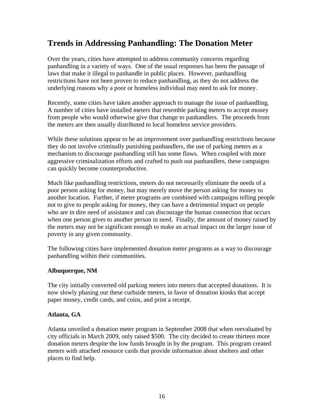# **Trends in Addressing Panhandling: The Donation Meter**

Over the years, cities have attempted to address community concerns regarding panhandling in a variety of ways. One of the usual responses has been the passage of laws that make it illegal to panhandle in public places. However, panhandling restrictions have not been proven to reduce panhandling, as they do not address the underlying reasons why a poor or homeless individual may need to ask for money.

Recently, some cities have taken another approach to manage the issue of panhandling. A number of cities have installed meters that resemble parking meters to accept money from people who would otherwise give that change to panhandlers. The proceeds from the meters are then usually distributed to local homeless service providers.

While these solutions appear to be an improvement over panhandling restrictions because they do not involve criminally punishing panhandlers, the use of parking meters as a mechanism to discourage panhandling still has some flaws. When coupled with more aggressive criminalization efforts and crafted to push out panhandlers, these campaigns can quickly become counterproductive.

Much like panhandling restrictions, meters do not necessarily eliminate the needs of a poor person asking for money, but may merely move the person asking for money to another location. Further, if meter programs are combined with campaigns telling people not to give to people asking for money, they can have a detrimental impact on people who are in dire need of assistance and can discourage the human connection that occurs when one person gives to another person in need. Finally, the amount of money raised by the meters may not be significant enough to make an actual impact on the larger issue of poverty in any given community.

The following cities have implemented donation meter programs as a way to discourage panhandling within their communities.

# **Albuquerque, NM**

The city initially converted old parking meters into meters that accepted donations. It is now slowly phasing out these curbside meters, in favor of donation kiosks that accept paper money, credit cards, and coins, and print a receipt.

# **Atlanta, GA**

Atlanta unveiled a donation meter program in September 2008 that when reevaluated by city officials in March 2009, only raised \$500. The city decided to create thirteen more donation meters despite the low funds brought in by the program. This program created meters with attached resource cards that provide information about shelters and other places to find help.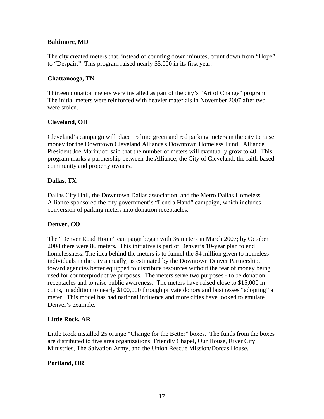#### **Baltimore, MD**

The city created meters that, instead of counting down minutes, count down from "Hope" to "Despair." This program raised nearly \$5,000 in its first year.

#### **Chattanooga, TN**

Thirteen donation meters were installed as part of the city's "Art of Change" program. The initial meters were reinforced with heavier materials in November 2007 after two were stolen.

# **Cleveland, OH**

Cleveland's campaign will place 15 lime green and red parking meters in the city to raise money for the Downtown Cleveland Alliance's Downtown Homeless Fund. Alliance President Joe Marinucci said that the number of meters will eventually grow to 40. This program marks a partnership between the Alliance, the City of Cleveland, the faith-based community and property owners.

#### **Dallas, TX**

Dallas City Hall, the Downtown Dallas association, and the Metro Dallas Homeless Alliance sponsored the city government's "Lend a Hand" campaign, which includes conversion of parking meters into donation receptacles.

# **Denver, CO**

The "Denver Road Home" campaign began with 36 meters in March 2007; by October 2008 there were 86 meters. This initiative is part of Denver's 10-year plan to end homelessness. The idea behind the meters is to funnel the \$4 million given to homeless individuals in the city annually, as estimated by the Downtown Denver Partnership, toward agencies better equipped to distribute resources without the fear of money being used for counterproductive purposes. The meters serve two purposes - to be donation receptacles and to raise public awareness. The meters have raised close to \$15,000 in coins, in addition to nearly \$100,000 through private donors and businesses "adopting" a meter. This model has had national influence and more cities have looked to emulate Denver's example.

#### **Little Rock, AR**

Little Rock installed 25 orange "Change for the Better" boxes. The funds from the boxes are distributed to five area organizations: Friendly Chapel, Our House, River City Ministries, The Salvation Army, and the Union Rescue Mission/Dorcas House.

#### **Portland, OR**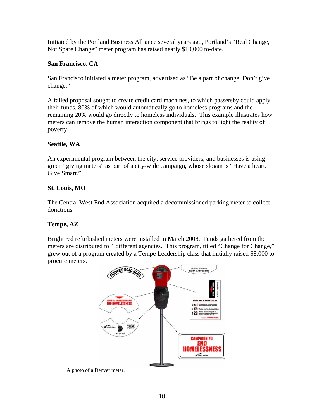Initiated by the Portland Business Alliance several years ago, Portland's "Real Change, Not Spare Change" meter program has raised nearly \$10,000 to-date.

# **San Francisco, CA**

San Francisco initiated a meter program, advertised as "Be a part of change. Don't give change."

A failed proposal sought to create credit card machines, to which passersby could apply their funds, 80% of which would automatically go to homeless programs and the remaining 20% would go directly to homeless individuals. This example illustrates how meters can remove the human interaction component that brings to light the reality of poverty.

# **Seattle, WA**

An experimental program between the city, service providers, and businesses is using green "giving meters" as part of a city-wide campaign, whose slogan is "Have a heart. Give Smart."

# **St. Louis, MO**

The Central West End Association acquired a decommissioned parking meter to collect donations.

# **Tempe, AZ**

Bright red refurbished meters were installed in March 2008. Funds gathered from the meters are distributed to 4 different agencies. This program, titled "Change for Change," grew out of a program created by a Tempe Leadership class that initially raised \$8,000 to procure meters.



A photo of a Denver meter.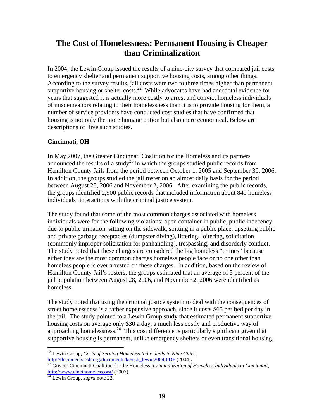# **The Cost of Homelessness: Permanent Housing is Cheaper than Criminalization**

In 2004, the Lewin Group issued the results of a nine-city survey that compared jail costs to emergency shelter and permanent supportive housing costs, among other things. According to the survey results, jail costs were two to three times higher than permanent supportive housing or shelter costs.<sup>22</sup> While advocates have had anecdotal evidence for years that suggested it is actually more costly to arrest and convict homeless individuals of misdemeanors relating to their homelessness than it is to provide housing for them, a number of service providers have conducted cost studies that have confirmed that housing is not only the more humane option but also more economical. Below are descriptions of five such studies.

#### **Cincinnati, OH**

In May 2007, the Greater Cincinnati Coalition for the Homeless and its partners announced the results of a study<sup>23</sup> in which the groups studied public records from Hamilton County Jails from the period between October 1, 2005 and September 30, 2006. In addition, the groups studied the jail roster on an almost daily basis for the period between August 28, 2006 and November 2, 2006. After examining the public records, the groups identified 2,900 public records that included information about 840 homeless individuals' interactions with the criminal justice system.

The study found that some of the most common charges associated with homeless individuals were for the following violations: open container in public, public indecency due to public urination, sitting on the sidewalk, spitting in a public place, upsetting public and private garbage receptacles (dumpster diving), littering, loitering, solicitation (commonly improper solicitation for panhandling), trespassing, and disorderly conduct. The study noted that these charges are considered the big homeless "crimes" because either they are the most common charges homeless people face or no one other than homeless people is ever arrested on these charges. In addition, based on the review of Hamilton County Jail's rosters, the groups estimated that an average of 5 percent of the jail population between August 28, 2006, and November 2, 2006 were identified as homeless.

The study noted that using the criminal justice system to deal with the consequences of street homelessness is a rather expensive approach, since it costs \$65 per bed per day in the jail. The study pointed to a Lewin Group study that estimated permanent supportive housing costs on average only \$30 a day, a much less costly and productive way of approaching homelessness. $24^{\circ}$  This cost difference is particularly significant given that supportive housing is permanent, unlike emergency shelters or even transitional housing,

 $\overline{a}$ 22 Lewin Group, *Costs of Serving Homeless Individuals in Nine Cities*,

http://documents.csh.org/documents/ke/csh\_lewin2004.PDF (2004)**.** 23 Greater Cincinnati Coalition for the Homeless, *Criminalization of Homeless Individuals in Cincinnati*, http://www.cincihomeless.org/ (2007). 24 Lewin Group, *supra* note 22**.**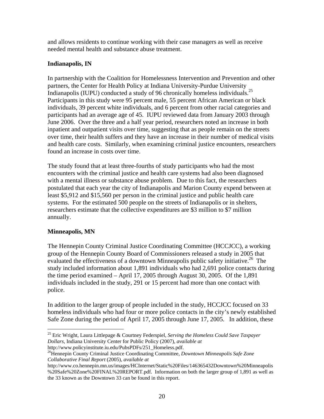and allows residents to continue working with their case managers as well as receive needed mental health and substance abuse treatment.

# **Indianapolis, IN**

In partnership with the Coalition for Homelessness Intervention and Prevention and other partners, the Center for Health Policy at Indiana University-Purdue University Indianapolis (IUPU) conducted a study of 96 chronically homeless individuals.25 Participants in this study were 95 percent male, 55 percent African American or black individuals, 39 percent white individuals, and 6 percent from other racial categories and participants had an average age of 45. IUPU reviewed data from January 2003 through June 2006. Over the three and a half year period, researchers noted an increase in both inpatient and outpatient visits over time, suggesting that as people remain on the streets over time, their health suffers and they have an increase in their number of medical visits and health care costs. Similarly, when examining criminal justice encounters, researchers found an increase in costs over time.

The study found that at least three-fourths of study participants who had the most encounters with the criminal justice and health care systems had also been diagnosed with a mental illness or substance abuse problem. Due to this fact, the researchers postulated that each year the city of Indianapolis and Marion County expend between at least \$5,912 and \$15,560 per person in the criminal justice and public health care systems. For the estimated 500 people on the streets of Indianapolis or in shelters, researchers estimate that the collective expenditures are \$3 million to \$7 million annually.

# **Minneapolis, MN**

 $\overline{a}$ 

The Hennepin County Criminal Justice Coordinating Committee (HCCJCC), a working group of the Hennepin County Board of Commissioners released a study in 2005 that evaluated the effectiveness of a downtown Minneapolis public safety initiative.<sup>26</sup> The study included information about 1,891 individuals who had 2,691 police contacts during the time period examined – April 17, 2005 through August 30, 2005. Of the 1,891 individuals included in the study, 291 or 15 percent had more than one contact with police.

In addition to the larger group of people included in the study, HCCJCC focused on 33 homeless individuals who had four or more police contacts in the city's newly established Safe Zone during the period of April 17, 2005 through June 17, 2005. In addition, these

<sup>25</sup> Eric Wright, Laura Littlepage & Courtney Federspiel, *Serving the Homeless Could Save Taxpayer Dollars,* Indiana University Center for Public Policy (2007), *available at*

http://www.policyinstitute.iu.edu/PubsPDFs/251\_Homeless.pdf.<br><sup>26</sup>Hennepin County Criminal Justice Coordinating Committee, *Downtown Minneapolis Safe Zone Collaborative Final Report* (2005), *available at*

http://www.co.hennepin.mn.us/images/HCInternet/Static%20Files/146365432Downtown%20Minneapolis %20Safe%20Zone%20FINAL%20REPORT.pdf. Information on both the larger group of 1,891 as well as the 33 known as the Downtown 33 can be found in this report.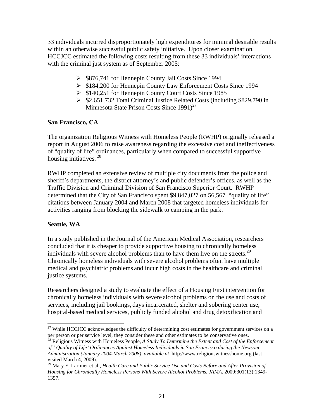33 individuals incurred disproportionately high expenditures for minimal desirable results within an otherwise successful public safety initiative. Upon closer examination, HCCJCC estimated the following costs resulting from these 33 individuals' interactions with the criminal just system as of September 2005:

- ¾ \$876,741 for Hennepin County Jail Costs Since 1994
- ¾ \$184,200 for Hennepin County Law Enforcement Costs Since 1994
- ¾ \$140,251 for Hennepin County Court Costs Since 1985
- ¾ \$2,651,732 Total Criminal Justice Related Costs (including \$829,790 in Minnesota State Prison Costs Since  $1991)^{27}$

# **San Francisco, CA**

The organization Religious Witness with Homeless People (RWHP) originally released a report in August 2006 to raise awareness regarding the excessive cost and ineffectiveness of "quality of life" ordinances, particularly when compared to successful supportive housing initiatives.  $28$ 

RWHP completed an extensive review of multiple city documents from the police and sheriff's departments, the district attorney's and public defender's offices, as well as the Traffic Division and Criminal Division of San Francisco Superior Court. RWHP determined that the City of San Francisco spent \$9,847,027 on 56,567 "quality of life" citations between January 2004 and March 2008 that targeted homeless individuals for activities ranging from blocking the sidewalk to camping in the park.

# **Seattle, WA**

 $\overline{a}$ 

In a study published in the Journal of the American Medical Association, researchers concluded that it is cheaper to provide supportive housing to chronically homeless individuals with severe alcohol problems than to have them live on the streets.<sup>29</sup> Chronically homeless individuals with severe alcohol problems often have multiple medical and psychiatric problems and incur high costs in the healthcare and criminal justice systems.

Researchers designed a study to evaluate the effect of a Housing First intervention for chronically homeless individuals with severe alcohol problems on the use and costs of services, including jail bookings, days incarcerated, shelter and sobering center use, hospital-based medical services, publicly funded alcohol and drug detoxification and

<sup>&</sup>lt;sup>27</sup> While HCCJCC acknowledges the difficulty of determining cost estimates for government services on a per person or per service level, they consider these and other estimates to be conservative ones.<br><sup>28</sup> Religious Witness with Homeless People, *A Study To Determine the Extent and Cost of the Enforcement* 

*of ' Quality of Life' Ordinances Against Homeless Individuals in San Francisco during the Newsom Administration (January 2004-March 2008), available at* http://www.religiouswitnesshome.org (last visited March 4, 2009).

<sup>29</sup> Mary E. Larimer et al., *Health Care and Public Service Use and Costs Before and After Provision of Housing for Chronically Homeless Persons With Severe Alcohol Problems*, *JAMA*. 2009;301(13):1349- 1357.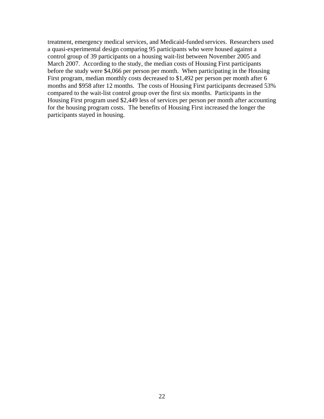treatment, emergency medical services, and Medicaid-funded services. Researchers used a quasi-experimental design comparing 95 participants who were housed against a control group of 39 participants on a housing wait-list between November 2005 and March 2007. According to the study, the median costs of Housing First participants before the study were \$4,066 per person per month. When participating in the Housing First program, median monthly costs decreased to \$1,492 per person per month after 6 months and \$958 after 12 months. The costs of Housing First participants decreased 53% compared to the wait-list control group over the first six months. Participants in the Housing First program used \$2,449 less of services per person per month after accounting for the housing program costs. The benefits of Housing First increased the longer the participants stayed in housing.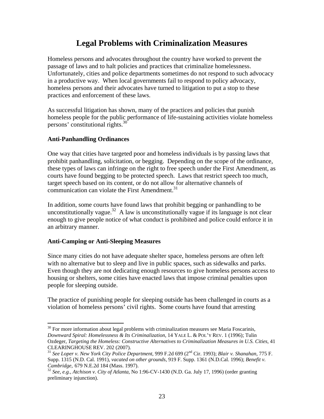# **Legal Problems with Criminalization Measures**

Homeless persons and advocates throughout the country have worked to prevent the passage of laws and to halt policies and practices that criminalize homelessness. Unfortunately, cities and police departments sometimes do not respond to such advocacy in a productive way. When local governments fail to respond to policy advocacy, homeless persons and their advocates have turned to litigation to put a stop to these practices and enforcement of these laws.

As successful litigation has shown, many of the practices and policies that punish homeless people for the public performance of life-sustaining activities violate homeless persons' constitutional rights.<sup>30</sup>

# **Anti-Panhandling Ordinances**

One way that cities have targeted poor and homeless individuals is by passing laws that prohibit panhandling, solicitation, or begging. Depending on the scope of the ordinance, these types of laws can infringe on the right to free speech under the First Amendment, as courts have found begging to be protected speech. Laws that restrict speech too much, target speech based on its content, or do not allow for alternative channels of communication can violate the First Amendment.<sup>31</sup>

In addition, some courts have found laws that prohibit begging or panhandling to be unconstitutionally vague.<sup>32</sup> A law is unconstitutionally vague if its language is not clear enough to give people notice of what conduct is prohibited and police could enforce it in an arbitrary manner.

# **Anti-Camping or Anti-Sleeping Measures**

1

Since many cities do not have adequate shelter space, homeless persons are often left with no alternative but to sleep and live in public spaces, such as sidewalks and parks. Even though they are not dedicating enough resources to give homeless persons access to housing or shelters, some cities have enacted laws that impose criminal penalties upon people for sleeping outside.

The practice of punishing people for sleeping outside has been challenged in courts as a violation of homeless persons' civil rights. Some courts have found that arresting

 $30$  For more information about legal problems with criminalization measures see Maria Foscarinis, *Downward Spiral: Homelessness & Its Criminalization*, 14 YALE L. & POL'Y REV. 1 (1996); Tulin Ozdeger, *Targeting the Homeless: Constructive Alternatives to Criminalization Measures in U.S. Cities*, 41 CLEARINGHOUSE REV. 202 (2007). 31 *See Loper v. New York City Police Department*, 999 F.2d 699 (2nd Cir. 1993); *Blair v. Shanahan*, 775 F.

Supp. 1315 (N.D. Cal. 1991), *vacated on other grounds*, 919 F. Supp. 1361 (N.D.Cal. 1996); *Benefit v. Cambridge*, 679 N.E.2d 184 (Mass. 1997). 32 *See, e.g., Atchison v. City of Atlanta*, No 1:96-CV-1430 (N.D. Ga. July 17, 1996) (order granting

preliminary injunction).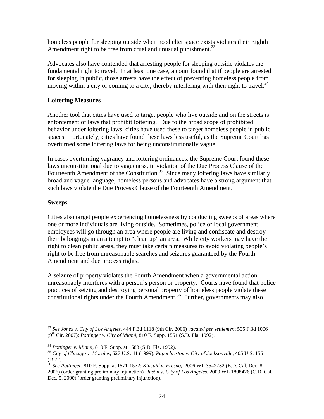homeless people for sleeping outside when no shelter space exists violates their Eighth Amendment right to be free from cruel and unusual punishment.<sup>33</sup>

Advocates also have contended that arresting people for sleeping outside violates the fundamental right to travel. In at least one case, a court found that if people are arrested for sleeping in public, those arrests have the effect of preventing homeless people from moving within a city or coming to a city, thereby interfering with their right to travel.<sup>34</sup>

#### **Loitering Measures**

Another tool that cities have used to target people who live outside and on the streets is enforcement of laws that prohibit loitering. Due to the broad scope of prohibited behavior under loitering laws, cities have used these to target homeless people in public spaces. Fortunately, cities have found these laws less useful, as the Supreme Court has overturned some loitering laws for being unconstitutionally vague.

In cases overturning vagrancy and loitering ordinances, the Supreme Court found these laws unconstitutional due to vagueness, in violation of the Due Process Clause of the Fourteenth Amendment of the Constitution.<sup>35</sup> Since many loitering laws have similarly broad and vague language, homeless persons and advocates have a strong argument that such laws violate the Due Process Clause of the Fourteenth Amendment.

#### **Sweeps**

 $\overline{a}$ 

Cities also target people experiencing homelessness by conducting sweeps of areas where one or more individuals are living outside. Sometimes, police or local government employees will go through an area where people are living and confiscate and destroy their belongings in an attempt to "clean up" an area. While city workers may have the right to clean public areas, they must take certain measures to avoid violating people's right to be free from unreasonable searches and seizures guaranteed by the Fourth Amendment and due process rights.

A seizure of property violates the Fourth Amendment when a governmental action unreasonably interferes with a person's person or property. Courts have found that police practices of seizing and destroying personal property of homeless people violate these constitutional rights under the Fourth Amendment. $36$  Further, governments may also

<sup>33</sup> *See Jones v. City of Los Angeles*, 444 F.3d 1118 (9th Cir. 2006) *vacated per settlement* 505 F.3d 1006 (9th Cir. 2007); *Pottinger v. City of Miami*, 810 F. Supp. 1551 (S.D. Fla. 1992).

<sup>34</sup> *Pottinger v. Miami*, 810 F. Supp. at 1583 (S.D. Fla. 1992). 35 *City of Chicago v. Morales*, 527 U.S. 41 (1999); *Papachristou v. City of Jacksonville*, 405 U.S. 156 (1972).

<sup>36</sup> *See Pottinger*, 810 F. Supp. at 1571-1572; *Kincaid v. Fresno*, 2006 WL 3542732 (E.D. Cal. Dec. 8, 2006) (order granting preliminary injunction); *Justin v. City of Los Angeles*, 2000 WL 1808426 (C.D. Cal. Dec. 5, 2000) (order granting preliminary injunction).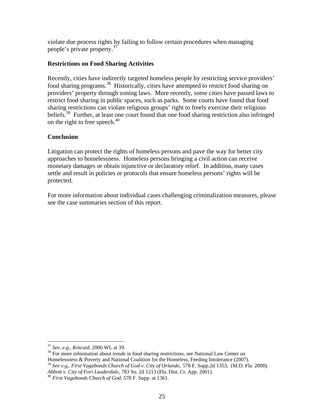violate due process rights by failing to follow certain procedures when managing people's private property.37

# **Restrictions on Food Sharing Activities**

Recently, cities have indirectly targeted homeless people by restricting service providers' food sharing programs.<sup>38</sup> Historically, cities have attempted to restrict food sharing on providers' property through zoning laws. More recently, some cities have passed laws to restrict food sharing in public spaces, such as parks. Some courts have found that food sharing restrictions can violate religious groups' right to freely exercise their religious beliefs.<sup>39</sup> Further, at least one court found that one food sharing restriction also infringed on the right to free speech. $40$ 

# **Conclusion**

Litigation can protect the rights of homeless persons and pave the way for better city approaches to homelessness. Homeless persons bringing a civil action can receive monetary damages or obtain injunctive or declaratory relief. In addition, many cases settle and result in policies or protocols that ensure homeless persons' rights will be protected.

For more information about individual cases challenging criminalization measures, please see the case summaries section of this report.

<sup>&</sup>lt;sup>37</sup> See, e.g., Kincaid, 2006 WL at 39.

<sup>&</sup>lt;sup>38</sup> For more information about trends in food sharing restrictions, see National Law Center on Homelessness & Poverty and National Coalition for the Homeless, Feeding Intolerance (2007).

<sup>39</sup> *See e.g,. First Vagabonds Church of God v. City of Orlando*, 578 F. Supp.2d 1353, (M.D. Fla. 2008); *Abbott v. City of Fort Lauderdale*, 783 So. 2d 1213 (Fla. Dist. Ct. App. 2001). 40 *First Vagabonds Church of God*, 578 F. Supp. at 1361.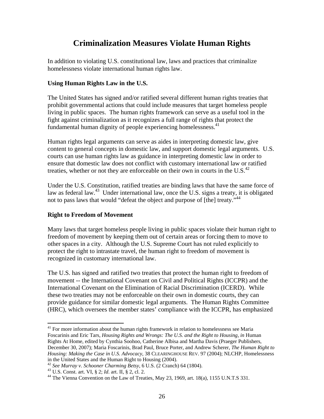# **Criminalization Measures Violate Human Rights**

In addition to violating U.S. constitutional law, laws and practices that criminalize homelessness violate international human rights law.

# **Using Human Rights Law in the U.S.**

The United States has signed and/or ratified several different human rights treaties that prohibit governmental actions that could include measures that target homeless people living in public spaces. The human rights framework can serve as a useful tool in the fight against criminalization as it recognizes a full range of rights that protect the fundamental human dignity of people experiencing homelessness.  $41$ 

Human rights legal arguments can serve as aides in interpreting domestic law, give content to general concepts in domestic law, and support domestic legal arguments. U.S. courts can use human rights law as guidance in interpreting domestic law in order to ensure that domestic law does not conflict with customary international law or ratified treaties, whether or not they are enforceable on their own in courts in the U.S. $^{42}$ 

Under the U.S. Constitution, ratified treaties are binding laws that have the same force of law as federal law.<sup>43</sup> Under international law, once the U.S. signs a treaty, it is obligated not to pass laws that would "defeat the object and purpose of [the] treaty."<sup>44</sup>

#### **Right to Freedom of Movement**

Many laws that target homeless people living in public spaces violate their human right to freedom of movement by keeping them out of certain areas or forcing them to move to other spaces in a city. Although the U.S. Supreme Court has not ruled explicitly to protect the right to intrastate travel, the human right to freedom of movement is recognized in customary international law.

The U.S. has signed and ratified two treaties that protect the human right to freedom of movement -- the International Covenant on Civil and Political Rights (ICCPR) and the International Covenant on the Elimination of Racial Discrimination (ICERD). While these two treaties may not be enforceable on their own in domestic courts, they can provide guidance for similar domestic legal arguments. The Human Rights Committee (HRC), which oversees the member states' compliance with the ICCPR, has emphasized

 $\overline{a}$  $41$  For more information about the human rights framework in relation to homelessness see Maria Foscarinis and Eric Tars, *Housing Rights and Wrongs: The U.S. and the Right to Housing*, *in* Human Rights At Home, edited by Cynthia Soohoo, Catherine Albisa and Martha Davis (Praeger Publishers, December 30, 2007); Maria Foscarinis, Brad Paul, Bruce Porter, and Andrew Scherer, *The Human Right to Housing: Making the Case in U.S. Advocacy*, 38 CLEARINGHOUSE REV. 97 (2004); NLCHP, Homelessness in the United States and the Human Right to Housing (2004).<br><sup>42</sup> See Murray v. Schooner Charming Betsy, 6 U.S. (2 Cranch) 64 (1804).

<sup>&</sup>lt;sup>43</sup> U.S. Const. art. VI, § 2; *Id.* art. II, § 2, cl. 2.<br><sup>44</sup> The Vienna Convention on the Law of Treaties, May 23, 1969, art. 18(a), 1155 U.N.T.S 331.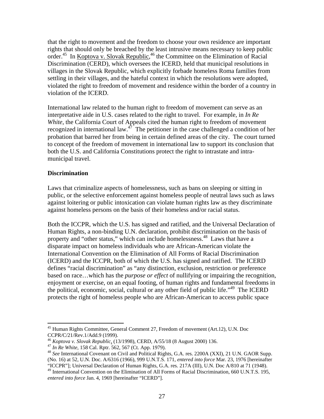that the right to movement and the freedom to choose your own residence are important rights that should only be breached by the least intrusive means necessary to keep public order.<sup>45</sup> In Koptova v. Slovak Republic,<sup>46</sup> the Committee on the Elimination of Racial Discrimination (CERD), which oversees the ICERD, held that municipal resolutions in villages in the Slovak Republic, which explicitly forbade homeless Roma families from settling in their villages, and the hateful context in which the resolutions were adopted, violated the right to freedom of movement and residence within the border of a country in violation of the ICERD.

International law related to the human right to freedom of movement can serve as an interpretative aide in U.S. cases related to the right to travel. For example, in *In Re White*, the California Court of Appeals cited the human right to freedom of movement recognized in international law. $47$  The petitioner in the case challenged a condition of her probation that barred her from being in certain defined areas of the city. The court turned to concept of the freedom of movement in international law to support its conclusion that both the U.S. and California Constitutions protect the right to intrastate and intramunicipal travel.

# **Discrimination**

 $\overline{a}$ 

Laws that criminalize aspects of homelessness, such as bans on sleeping or sitting in public, or the selective enforcement against homeless people of neutral laws such as laws against loitering or public intoxication can violate human rights law as they discriminate against homeless persons on the basis of their homeless and/or racial status.

Both the ICCPR, which the U.S. has signed and ratified, and the Universal Declaration of Human Rights, a non-binding U.N. declaration, prohibit discrimination on the basis of property and "other status," which can include homelessness.<sup>48</sup> Laws that have a disparate impact on homeless individuals who are African-American violate the International Convention on the Elimination of All Forms of Racial Discrimination (ICERD) and the ICCPR, both of which the U.S. has signed and ratified. The ICERD defines "racial discrimination" as "any distinction, exclusion, restriction or preference based on race…which has the *purpose or effect* of nullifying or impairing the recognition, enjoyment or exercise, on an equal footing, of human rights and fundamental freedoms in the political, economic, social, cultural or any other field of public life."<sup>49</sup> The ICERD protects the right of homeless people who are African-American to access public space

<sup>45</sup> Human Rights Committee, General Comment 27, Freedom of movement (Art.12), U.N. Doc CCPR/C/21/Rev.1/Add.9 (1999).<br><sup>46</sup> Koptova v. Slovak Republic, (13/1998), CERD, A/55/18 (8 August 2000) 136.

<sup>&</sup>lt;sup>47</sup> In Re White, 158 Cal. Rptr. 562, 567 (Ct. App. 1979).<br><sup>48</sup> See International Covenant on Civil and Political Rights, G.A. res. 2200A (XXI), 21 U.N. GAOR Supp. (No. 16) at 52, U.N. Doc. A/6316 (1966), 999 U.N.T.S. 171, *entered into force* Mar. 23, 1976 [hereinafter "ICCPR"]; Universal Declaration of Human Rights, G.A. res. 217A (III), U.N. Doc A/810 at 71 (1948).

<sup>&</sup>lt;sup>49</sup> International Convention on the Elimination of All Forms of Racial Discrimination, 660 U.N.T.S. 195, *entered into force* Jan. 4, 1969 [hereinafter "ICERD"].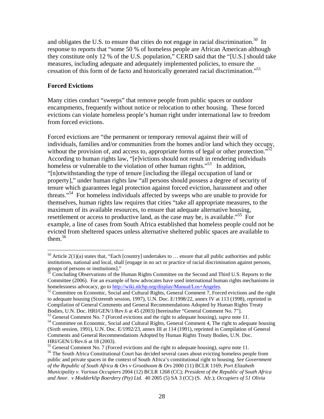and obligates the U.S. to ensure that cities do not engage in racial discrimination.<sup>50</sup> In response to reports that "some 50 % of homeless people are African American although they constitute only 12 % of the U.S. population," CERD said that the "[U.S.] should take measures, including adequate and adequately implemented policies, to ensure the cessation of this form of de facto and historically generated racial discrimination."51

#### **Forced Evictions**

 $\overline{a}$ 

Many cities conduct "sweeps" that remove people from public spaces or outdoor encampments, frequently without notice or relocation to other housing. These forced evictions can violate homeless people's human right under international law to freedom from forced evictions.

Forced evictions are "the permanent or temporary removal against their will of individuals, families and/or communities from the homes and/or land which they occupy, without the provision of, and access to, appropriate forms of legal or other protection." According to human rights law, "[e]victions should not result in rendering individuals homeless or vulnerable to the violation of other human rights.<sup> $53$ </sup> In addition, "[n]otwithstanding the type of tenure [including the illegal occupation of land or property]," under human rights law "all persons should possess a degree of security of tenure which guarantees legal protection against forced eviction, harassment and other threats."<sup>54</sup> For homeless individuals affected by sweeps who are unable to provide for themselves, human rights law requires that cities "take all appropriate measures, to the maximum of its available resources, to ensure that adequate alternative housing, resettlement or access to productive land, as the case may be, is available.<sup>55</sup> For example, a line of cases from South Africa established that homeless people could not be evicted from sheltered spaces unless alternative sheltered public spaces are available to them. $56$ 

 $50$  Article 2(1)(a) states that, "Each [country] undertakes to ... ensure that all public authorities and public institutions, national and local, shall [engage in no act or practice of racial discrimination against persons, groups of persons or institutions]."

 $^{51}$  Concluding Observations of the Human Rights Committee on the Second and Third U.S. Reports to the Committee (2006). For an example of how advocates have used international human rights mechanisms in homelessness advocacy, go to http://wiki.nlchp.org/display/Manual/Los+Angeles.<br><sup>52</sup> Committee on Economic, Social and Cultural Rights, General Comment 7, Forced evictions and the right

to adequate housing (Sixteenth session, 1997), U.N. Doc. E/1998/22, annex IV at 113 (1998), reprinted in Compilation of General Comments and General Recommendations Adopted by Human Rights Treaty

Bodies, U.N. Doc. HRI/GEN/1/Rev.6 at 45 (2003) [hereinafter "General Comment No. 7"].<br><sup>53</sup> General Comment No. 7 (Forced evictions and the right to adequate housing), *supra* note 11.<br><sup>54</sup> Committee on Economic, Social and (Sixth session, 1991), U.N. Doc. E/1992/23, annex III at 114 (1991), reprinted in Compilation of General Comments and General Recommendations Adopted by Human Rights Treaty Bodies, U.N. Doc. HRI/GEN/1/Rev.6 at 18 (2003).<br><sup>55</sup> General Comment No. 7 (Forced evictions and the right to adequate housing), *supra* note 11.

<sup>&</sup>lt;sup>56</sup> The South Africa Constitutional Court has decided several cases about evicting homeless people from public and private spaces in the context of South Africa's constitutional right to housing. *See Government of the Republic of South Africa & Ors v Grootboom & Ors* 2000 (11) BCLR 1169; *Port Elizabeth Municipality v. Various Occupiers* 2004 (12) BCLR 1268 (CC); *President of the Republic of South Africa and Anor. v Modderklip Boerdery (Pty) Ltd.* 40 2005 (5) SA 3 (CC) (S. Afr.); *Occupiers of 51 Olivia*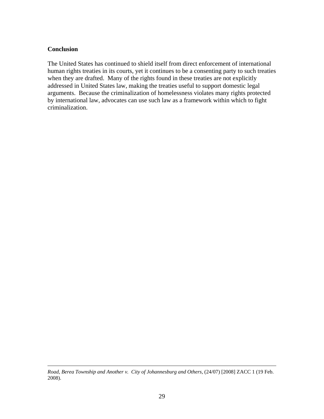#### **Conclusion**

 $\overline{a}$ 

The United States has continued to shield itself from direct enforcement of international human rights treaties in its courts, yet it continues to be a consenting party to such treaties when they are drafted. Many of the rights found in these treaties are not explicitly addressed in United States law, making the treaties useful to support domestic legal arguments. Because the criminalization of homelessness violates many rights protected by international law, advocates can use such law as a framework within which to fight criminalization.

*Road, Berea Township and Another v. City of Johannesburg and Others*, (24/07) [2008] ZACC 1 (19 Feb. 2008).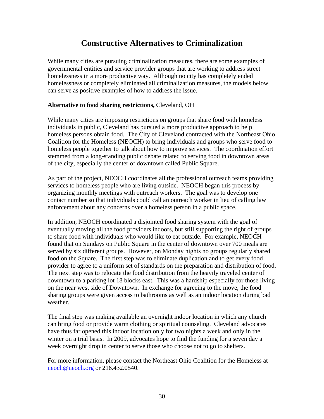# **Constructive Alternatives to Criminalization**

While many cities are pursuing criminalization measures, there are some examples of governmental entities and service provider groups that are working to address street homelessness in a more productive way. Although no city has completely ended homelessness or completely eliminated all criminalization measures, the models below can serve as positive examples of how to address the issue.

#### **Alternative to food sharing restrictions,** Cleveland, OH

While many cities are imposing restrictions on groups that share food with homeless individuals in public, Cleveland has pursued a more productive approach to help homeless persons obtain food. The City of Cleveland contracted with the Northeast Ohio Coalition for the Homeless (NEOCH) to bring individuals and groups who serve food to homeless people together to talk about how to improve services. The coordination effort stemmed from a long-standing public debate related to serving food in downtown areas of the city, especially the center of downtown called Public Square.

As part of the project, NEOCH coordinates all the professional outreach teams providing services to homeless people who are living outside. NEOCH began this process by organizing monthly meetings with outreach workers. The goal was to develop one contact number so that individuals could call an outreach worker in lieu of calling law enforcement about any concerns over a homeless person in a public space.

In addition, NEOCH coordinated a disjointed food sharing system with the goal of eventually moving all the food providers indoors, but still supporting the right of groups to share food with individuals who would like to eat outside. For example, NEOCH found that on Sundays on Public Square in the center of downtown over 700 meals are served by six different groups. However, on Monday nights no groups regularly shared food on the Square. The first step was to eliminate duplication and to get every food provider to agree to a uniform set of standards on the preparation and distribution of food. The next step was to relocate the food distribution from the heavily traveled center of downtown to a parking lot 18 blocks east. This was a hardship especially for those living on the near west side of Downtown. In exchange for agreeing to the move, the food sharing groups were given access to bathrooms as well as an indoor location during bad weather.

The final step was making available an overnight indoor location in which any church can bring food or provide warm clothing or spiritual counseling. Cleveland advocates have thus far opened this indoor location only for two nights a week and only in the winter on a trial basis. In 2009, advocates hope to find the funding for a seven day a week overnight drop in center to serve those who choose not to go to shelters.

For more information, please contact the Northeast Ohio Coalition for the Homeless at neoch@neoch.org or 216.432.0540.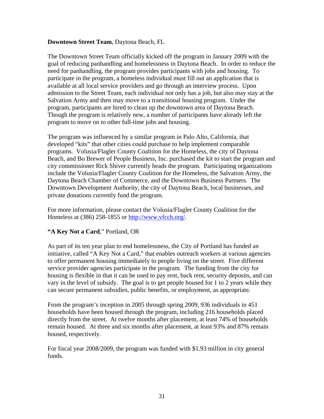#### **Downtown Street Team**, Daytona Beach, FL

The Downtown Street Team officially kicked off the program in January 2009 with the goal of reducing panhandling and homelessness in Daytona Beach. In order to reduce the need for panhandling, the program provides participants with jobs and housing. To participate in the program, a homeless individual must fill out an application that is available at all local service providers and go through an interview process. Upon admission to the Street Team, each individual not only has a job, but also may stay at the Salvation Army and then may move to a transitional housing program. Under the program, participants are hired to clean up the downtown area of Daytona Beach. Though the program is relatively new, a number of participants have already left the program to move on to other full-time jobs and housing.

The program was influenced by a similar program in Palo Alto, California, that developed "kits" that other cities could purchase to help implement comparable programs. Volusia/Flagler County Coalition for the Homeless, the city of Daytona Beach, and Bo Brewer of People Business, Inc. purchased the kit to start the program and city commissioner Rick Shiver currently heads the program. Participating organizations include the Volusia/Flagler County Coalition for the Homeless, the Salvation Army, the Daytona Beach Chamber of Commerce, and the Downtown Business Partners. The Downtown Development Authority, the city of Daytona Beach, local businesses, and private donations currently fund the program.

For more information, please contact the Volusia/Flagler County Coalition for the Homeless at (386) 258-1855 or http://www.vfcch.org/.

# **"A Key Not a Card**," Portland, OR

As part of its ten year plan to end homelessness, the City of Portland has funded an initiative, called "A Key Not a Card," that enables outreach workers at various agencies to offer permanent housing immediately to people living on the street. Five different service provider agencies participate in the program. The funding from the city for housing is flexible in that it can be used to pay rent, back rent, security deposits, and can vary in the level of subsidy. The goal is to get people housed for 1 to 2 years while they can secure permanent subsidies, public benefits, or employment, as appropriate.

From the program's inception in 2005 through spring 2009, 936 individuals in 451 households have been housed through the program, including 216 households placed directly from the street. At twelve months after placement, at least 74% of households remain housed. At three and six months after placement, at least 93% and 87% remain housed, respectively.

For fiscal year 2008/2009, the program was funded with \$1.93 million in city general funds.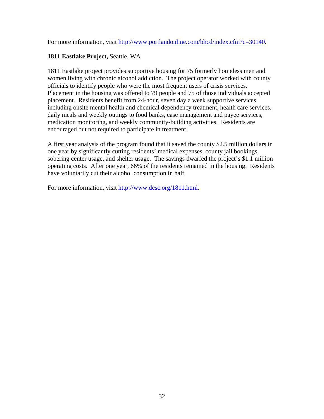For more information, visit http://www.portlandonline.com/bhcd/index.cfm?c=30140.

#### **1811 Eastlake Project,** Seattle, WA

1811 Eastlake project provides supportive housing for 75 formerly homeless men and women living with chronic alcohol addiction. The project operator worked with county officials to identify people who were the most frequent users of crisis services. Placement in the housing was offered to 79 people and 75 of those individuals accepted placement. Residents benefit from 24-hour, seven day a week supportive services including onsite mental health and chemical dependency treatment, health care services, daily meals and weekly outings to food banks, case management and payee services, medication monitoring, and weekly community-building activities. Residents are encouraged but not required to participate in treatment.

A first year analysis of the program found that it saved the county \$2.5 million dollars in one year by significantly cutting residents' medical expenses, county jail bookings, sobering center usage, and shelter usage. The savings dwarfed the project's \$1.1 million operating costs. After one year, 66% of the residents remained in the housing. Residents have voluntarily cut their alcohol consumption in half.

For more information, visit http://www.desc.org/1811.html.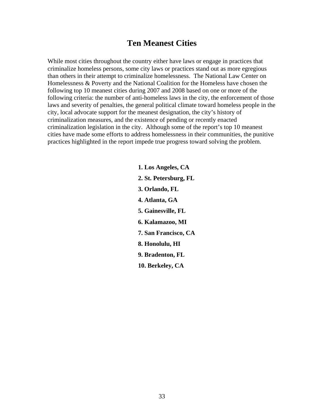# **Ten Meanest Cities**

While most cities throughout the country either have laws or engage in practices that criminalize homeless persons, some city laws or practices stand out as more egregious than others in their attempt to criminalize homelessness. The National Law Center on Homelessness & Poverty and the National Coalition for the Homeless have chosen the following top 10 meanest cities during 2007 and 2008 based on one or more of the following criteria: the number of anti-homeless laws in the city, the enforcement of those laws and severity of penalties, the general political climate toward homeless people in the city, local advocate support for the meanest designation, the city's history of criminalization measures, and the existence of pending or recently enacted criminalization legislation in the city. Although some of the report's top 10 meanest cities have made some efforts to address homelessness in their communities, the punitive practices highlighted in the report impede true progress toward solving the problem.

> **1. Los Angeles, CA 2. St. Petersburg, FL 3. Orlando, FL 4. Atlanta, GA 5. Gainesville, FL 6. Kalamazoo, MI 7. San Francisco, CA 8. Honolulu, HI 9. Bradenton, FL 10. Berkeley, CA**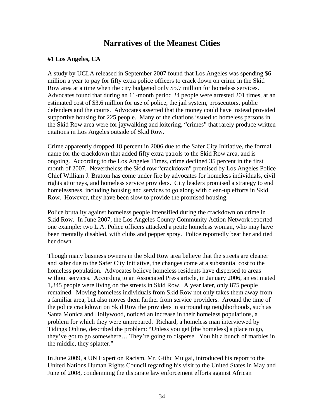# **Narratives of the Meanest Cities**

#### **#1 Los Angeles, CA**

A study by UCLA released in September 2007 found that Los Angeles was spending \$6 million a year to pay for fifty extra police officers to crack down on crime in the Skid Row area at a time when the city budgeted only \$5.7 million for homeless services. Advocates found that during an 11-month period 24 people were arrested 201 times, at an estimated cost of \$3.6 million for use of police, the jail system, prosecutors, public defenders and the courts. Advocates asserted that the money could have instead provided supportive housing for 225 people. Many of the citations issued to homeless persons in the Skid Row area were for jaywalking and loitering, "crimes" that rarely produce written citations in Los Angeles outside of Skid Row.

Crime apparently dropped 18 percent in 2006 due to the Safer City Initiative, the formal name for the crackdown that added fifty extra patrols to the Skid Row area, and is ongoing. According to the Los Angeles Times, crime declined 35 percent in the first month of 2007. Nevertheless the Skid row "crackdown" promised by Los Angeles Police Chief William J. Bratton has come under fire by advocates for homeless individuals, civil rights attorneys, and homeless service providers. City leaders promised a strategy to end homelessness, including housing and services to go along with clean-up efforts in Skid Row. However, they have been slow to provide the promised housing.

Police brutality against homeless people intensified during the crackdown on crime in Skid Row. In June 2007, the Los Angeles County Community Action Network reported one example: two L.A. Police officers attacked a petite homeless woman, who may have been mentally disabled, with clubs and pepper spray. Police reportedly beat her and tied her down.

Though many business owners in the Skid Row area believe that the streets are cleaner and safer due to the Safer City Initiative, the changes come at a substantial cost to the homeless population. Advocates believe homeless residents have dispersed to areas without services. According to an Associated Press article, in January 2006, an estimated 1,345 people were living on the streets in Skid Row. A year later, only 875 people remained. Moving homeless individuals from Skid Row not only takes them away from a familiar area, but also moves them farther from service providers. Around the time of the police crackdown on Skid Row the providers in surrounding neighborhoods, such as Santa Monica and Hollywood, noticed an increase in their homeless populations, a problem for which they were unprepared. Richard, a homeless man interviewed by Tidings Online, described the problem: "Unless you get [the homeless] a place to go, they've got to go somewhere… They're going to disperse. You hit a bunch of marbles in the middle, they splatter."

In June 2009, a UN Expert on Racism, Mr. Githu Muigai, introduced his report to the United Nations Human Rights Council regarding his visit to the United States in May and June of 2008, condemning the disparate law enforcement efforts against African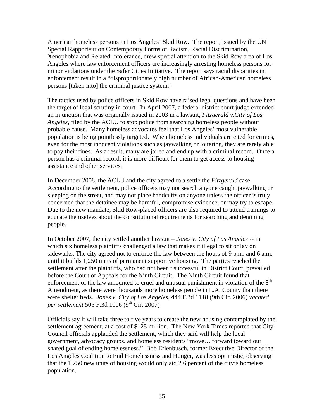American homeless persons in Los Angeles' Skid Row. The report, issued by the UN Special Rapporteur on Contemporary Forms of Racism, Racial Discrimination, Xenophobia and Related Intolerance, drew special attention to the Skid Row area of Los Angeles where law enforcement officers are increasingly arresting homeless persons for minor violations under the Safer Cities Initiative. The report says racial disparities in enforcement result in a "disproportionately high number of African-American homeless persons [taken into] the criminal justice system."

The tactics used by police officers in Skid Row have raised legal questions and have been the target of legal scrutiny in court. In April 2007, a federal district court judge extended an injunction that was originally issued in 2003 in a lawsuit, *Fitzgerald v.City of Los Angeles*, filed by the ACLU to stop police from searching homeless people without probable cause. Many homeless advocates feel that Los Angeles' most vulnerable population is being pointlessly targeted. When homeless individuals are cited for crimes, even for the most innocent violations such as jaywalking or loitering, they are rarely able to pay their fines. As a result, many are jailed and end up with a criminal record. Once a person has a criminal record, it is more difficult for them to get access to housing assistance and other services.

In December 2008, the ACLU and the city agreed to a settle the *Fitzgerald* case. According to the settlement, police officers may not search anyone caught jaywalking or sleeping on the street, and may not place handcuffs on anyone unless the officer is truly concerned that the detainee may be harmful, compromise evidence, or may try to escape. Due to the new mandate, Skid Row-placed officers are also required to attend trainings to educate themselves about the constitutional requirements for searching and detaining people.

In October 2007, the city settled another lawsuit – *Jones v. City of Los Angeles --* in which six homeless plaintiffs challenged a law that makes it illegal to sit or lay on sidewalks. The city agreed not to enforce the law between the hours of 9 p.m. and 6 a.m. until it builds 1,250 units of permanent supportive housing. The parties reached the settlement after the plaintiffs, who had not been t successful in District Court, prevailed before the Court of Appeals for the Ninth Circuit. The Ninth Circuit found that enforcement of the law amounted to cruel and unusual punishment in violation of the  $8<sup>th</sup>$ Amendment, as there were thousands more homeless people in L.A. County than there were shelter beds. *Jones v. City of Los Angeles*, 444 F.3d 1118 (9th Cir. 2006) *vacated per settlement* 505 F.3d 1006 (9<sup>th</sup> Cir. 2007)

Officials say it will take three to five years to create the new housing contemplated by the settlement agreement, at a cost of \$125 million. The New York Times reported that City Council officials applauded the settlement, which they said will help the local government, advocacy groups, and homeless residents "move… forward toward our shared goal of ending homelessness." Bob Erlenbusch, former Executive Director of the Los Angeles Coalition to End Homelessness and Hunger, was less optimistic, observing that the 1,250 new units of housing would only aid 2.6 percent of the city's homeless population.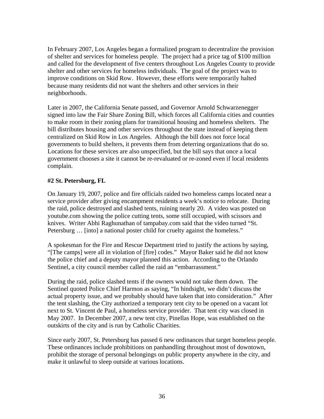In February 2007, Los Angeles began a formalized program to decentralize the provision of shelter and services for homeless people. The project had a price tag of \$100 million and called for the development of five centers throughout Los Angeles County to provide shelter and other services for homeless individuals. The goal of the project was to improve conditions on Skid Row. However, these efforts were temporarily halted because many residents did not want the shelters and other services in their neighborhoods.

Later in 2007, the California Senate passed, and Governor Arnold Schwarzenegger signed into law the Fair Share Zoning Bill, which forces all California cities and counties to make room in their zoning plans for transitional housing and homeless shelters. The bill distributes housing and other services throughout the state instead of keeping them centralized on Skid Row in Los Angeles. Although the bill does not force local governments to build shelters, it prevents them from deterring organizations that do so. Locations for these services are also unspecified, but the bill says that once a local government chooses a site it cannot be re-revaluated or re-zoned even if local residents complain.

# **#2 St. Petersburg, FL**

On January 19, 2007, police and fire officials raided two homeless camps located near a service provider after giving encampment residents a week's notice to relocate. During the raid, police destroyed and slashed tents, ruining nearly 20. A video was posted on youtube.com showing the police cutting tents, some still occupied, with scissors and knives. Writer Abhi Raghunathan of tampabay.com said that the video turned "St. Petersburg … [into] a national poster child for cruelty against the homeless."

A spokesman for the Fire and Rescue Department tried to justify the actions by saying, "[The camps] were all in violation of [fire] codes." Mayor Baker said he did not know the police chief and a deputy mayor planned this action. According to the Orlando Sentinel*,* a city council member called the raid an "embarrassment."

During the raid, police slashed tents if the owners would not take them down. The Sentinel quoted Police Chief Harmon as saying, "In hindsight, we didn't discuss the actual property issue, and we probably should have taken that into consideration." After the tent slashing, the City authorized a temporary tent city to be opened on a vacant lot next to St. Vincent de Paul, a homeless service provider. That tent city was closed in May 2007. In December 2007, a new tent city, Pinellas Hope, was established on the outskirts of the city and is run by Catholic Charities.

Since early 2007, St. Petersburg has passed 6 new ordinances that target homeless people. These ordinances include prohibitions on panhandling throughout most of downtown, prohibit the storage of personal belongings on public property anywhere in the city, and make it unlawful to sleep outside at various locations.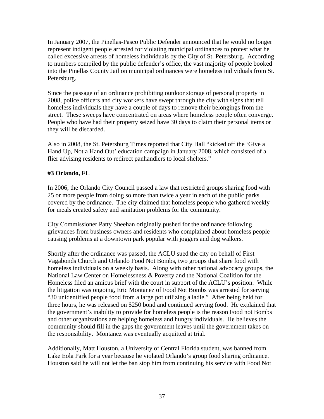In January 2007, the Pinellas-Pasco Public Defender announced that he would no longer represent indigent people arrested for violating municipal ordinances to protest what he called excessive arrests of homeless individuals by the City of St. Petersburg. According to numbers compiled by the public defender's office, the vast majority of people booked into the Pinellas County Jail on municipal ordinances were homeless individuals from St. Petersburg.

Since the passage of an ordinance prohibiting outdoor storage of personal property in 2008, police officers and city workers have swept through the city with signs that tell homeless individuals they have a couple of days to remove their belongings from the street. These sweeps have concentrated on areas where homeless people often converge. People who have had their property seized have 30 days to claim their personal items or they will be discarded.

Also in 2008, the St. Petersburg Times reported that City Hall "kicked off the 'Give a Hand Up, Not a Hand Out' education campaign in January 2008, which consisted of a flier advising residents to redirect panhandlers to local shelters."

### **#3 Orlando, FL**

In 2006, the Orlando City Council passed a law that restricted groups sharing food with 25 or more people from doing so more than twice a year in each of the public parks covered by the ordinance. The city claimed that homeless people who gathered weekly for meals created safety and sanitation problems for the community.

City Commissioner Patty Sheehan originally pushed for the ordinance following grievances from business owners and residents who complained about homeless people causing problems at a downtown park popular with joggers and dog walkers.

Shortly after the ordinance was passed, the ACLU sued the city on behalf of First Vagabonds Church and Orlando Food Not Bombs, two groups that share food with homeless individuals on a weekly basis. Along with other national advocacy groups, the National Law Center on Homelessness & Poverty and the National Coalition for the Homeless filed an amicus brief with the court in support of the ACLU's position. While the litigation was ongoing, Eric Montanez of Food Not Bombs was arrested for serving "30 unidentified people food from a large pot utilizing a ladle." After being held for three hours, he was released on \$250 bond and continued serving food. He explained that the government's inability to provide for homeless people is the reason Food not Bombs and other organizations are helping homeless and hungry individuals. He believes the community should fill in the gaps the government leaves until the government takes on the responsibility. Montanez was eventually acquitted at trial.

Additionally, Matt Houston, a University of Central Florida student, was banned from Lake Eola Park for a year because he violated Orlando's group food sharing ordinance. Houston said he will not let the ban stop him from continuing his service with Food Not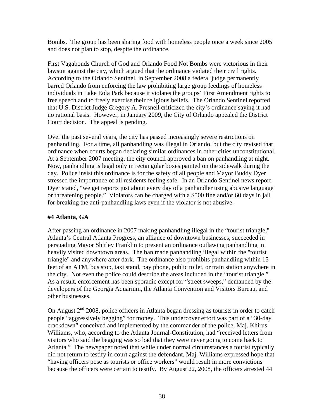Bombs. The group has been sharing food with homeless people once a week since 2005 and does not plan to stop, despite the ordinance.

First Vagabonds Church of God and Orlando Food Not Bombs were victorious in their lawsuit against the city, which argued that the ordinance violated their civil rights. According to the Orlando Sentinel, in September 2008 a federal judge permanently barred Orlando from enforcing the law prohibiting large group feedings of homeless individuals in Lake Eola Park because it violates the groups' First Amendment rights to free speech and to freely exercise their religious beliefs. The Orlando Sentinel reported that U.S. District Judge Gregory A. Presnell criticized the city's ordinance saying it had no rational basis. However, in January 2009, the City of Orlando appealed the District Court decision. The appeal is pending.

Over the past several years, the city has passed increasingly severe restrictions on panhandling. For a time, all panhandling was illegal in Orlando, but the city revised that ordinance when courts began declaring similar ordinances in other cities unconstitutional. At a September 2007 meeting, the city council approved a ban on panhandling at night. Now, panhandling is legal only in rectangular boxes painted on the sidewalk during the day. Police insist this ordinance is for the safety of all people and Mayor Buddy Dyer stressed the importance of all residents feeling safe. In an Orlando Sentinel news report Dyer stated, "we get reports just about every day of a panhandler using abusive language or threatening people." Violators can be charged with a \$500 fine and/or 60 days in jail for breaking the anti-panhandling laws even if the violator is not abusive.

# **#4 Atlanta, GA**

After passing an ordinance in 2007 making panhandling illegal in the "tourist triangle," Atlanta's Central Atlanta Progress, an alliance of downtown businesses, succeeded in persuading Mayor Shirley Franklin to present an ordinance outlawing panhandling in heavily visited downtown areas. The ban made panhandling illegal within the "tourist triangle" and anywhere after dark. The ordinance also prohibits panhandling within 15 feet of an ATM, bus stop, taxi stand, pay phone, public toilet, or train station anywhere in the city. Not even the police could describe the areas included in the "tourist triangle." As a result, enforcement has been sporadic except for "street sweeps," demanded by the developers of the Georgia Aquarium, the Atlanta Convention and Visitors Bureau, and other businesses.

On August  $2<sup>nd</sup>$  2008, police officers in Atlanta began dressing as tourists in order to catch people "aggressively begging" for money. This undercover effort was part of a "30-day crackdown" conceived and implemented by the commander of the police, Maj. Khirus Williams, who, according to the Atlanta Journal-Constitution, had "received letters from visitors who said the begging was so bad that they were never going to come back to Atlanta." The newspaper noted that while under normal circumstances a tourist typically did not return to testify in court against the defendant, Maj. Williams expressed hope that "having officers pose as tourists or office workers" would result in more convictions because the officers were certain to testify. By August 22, 2008, the officers arrested 44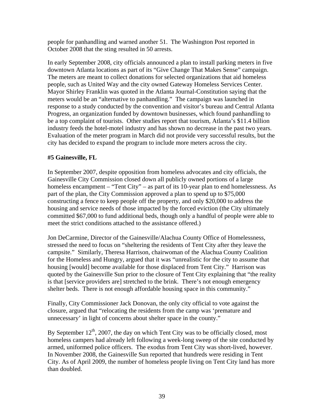people for panhandling and warned another 51. The Washington Post reported in October 2008 that the sting resulted in 50 arrests.

In early September 2008, city officials announced a plan to install parking meters in five downtown Atlanta locations as part of its "Give Change That Makes Sense" campaign. The meters are meant to collect donations for selected organizations that aid homeless people, such as United Way and the city owned Gateway Homeless Services Center. Mayor Shirley Franklin was quoted in the Atlanta Journal-Constitution saying that the meters would be an "alternative to panhandling." The campaign was launched in response to a study conducted by the convention and visitor's bureau and Central Atlanta Progress, an organization funded by downtown businesses, which found panhandling to be a top complaint of tourists. Other studies report that tourism, Atlanta's \$11.4 billion industry feeds the hotel-motel industry and has shown no decrease in the past two years. Evaluation of the meter program in March did not provide very successful results, but the city has decided to expand the program to include more meters across the city.

# **#5 Gainesville, FL**

In September 2007, despite opposition from homeless advocates and city officials, the Gainesville City Commission closed down all publicly owned portions of a large homeless encampment – "Tent City" – as part of its 10-year plan to end homelessness. As part of the plan, the City Commission approved a plan to spend up to \$75,000 constructing a fence to keep people off the property, and only \$20,000 to address the housing and service needs of those impacted by the forced eviction (the City ultimately committed \$67,000 to fund additional beds, though only a handful of people were able to meet the strict conditions attached to the assistance offered.)

Jon DeCarmine, Director of the Gainesville/Alachua County Office of Homelessness, stressed the need to focus on "sheltering the residents of Tent City after they leave the campsite." Similarly, Theresa Harrison, chairwoman of the Alachua County Coalition for the Homeless and Hungry, argued that it was "unrealistic for the city to assume that housing [would] become available for those displaced from Tent City." Harrison was quoted by the Gainesville Sun prior to the closure of Tent City explaining that "the reality is that [service providers are] stretched to the brink. There's not enough emergency shelter beds. There is not enough affordable housing space in this community."

Finally, City Commissioner Jack Donovan, the only city official to vote against the closure, argued that "relocating the residents from the camp was 'premature and unnecessary' in light of concerns about shelter space in the county."

By September  $12<sup>th</sup>$ , 2007, the day on which Tent City was to be officially closed, most homeless campers had already left following a week-long sweep of the site conducted by armed, uniformed police officers. The exodus from Tent City was short-lived, however. In November 2008, the Gainesville Sun reported that hundreds were residing in Tent City. As of April 2009, the number of homeless people living on Tent City land has more than doubled.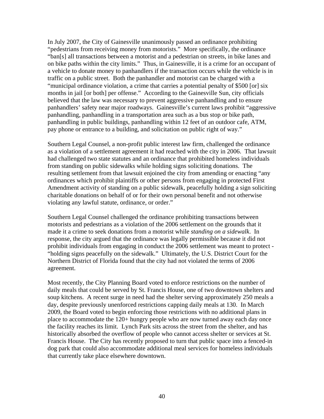In July 2007, the City of Gainesville unanimously passed an ordinance prohibiting "pedestrians from receiving money from motorists." More specifically, the ordinance "ban[s] all transactions between a motorist and a pedestrian on streets, in bike lanes and on bike paths within the city limits." Thus, in Gainesville, it is a crime for an occupant of a vehicle to donate money to panhandlers if the transaction occurs while the vehicle is in traffic on a public street. Both the panhandler and motorist can be charged with a "municipal ordinance violation, a crime that carries a potential penalty of \$500 [or] six months in jail [or both] per offense." According to the Gainesville Sun, city officials believed that the law was necessary to prevent aggressive panhandling and to ensure panhandlers' safety near major roadways. Gainesville's current laws prohibit "aggressive panhandling, panhandling in a transportation area such as a bus stop or bike path, panhandling in public buildings, panhandling within 12 feet of an outdoor cafe, ATM, pay phone or entrance to a building, and solicitation on public right of way."

Southern Legal Counsel, a non-profit public interest law firm, challenged the ordinance as a violation of a settlement agreement it had reached with the city in 2006. That lawsuit had challenged two state statutes and an ordinance that prohibited homeless individuals from standing on public sidewalks while holding signs soliciting donations. The resulting settlement from that lawsuit enjoined the city from amending or enacting "any ordinances which prohibit plaintiffs or other persons from engaging in protected First Amendment activity of standing on a public sidewalk, peacefully holding a sign soliciting charitable donations on behalf of or for their own personal benefit and not otherwise violating any lawful statute, ordinance, or order."

Southern Legal Counsel challenged the ordinance prohibiting transactions between motorists and pedestrians as a violation of the 2006 settlement on the grounds that it made it a crime to seek donations from a motorist while *standing on a sidewalk*. In response, the city argued that the ordinance was legally permissible because it did not prohibit individuals from engaging in conduct the 2006 settlement was meant to protect - "holding signs peacefully on the sidewalk." Ultimately, the U.S. District Court for the Northern District of Florida found that the city had not violated the terms of 2006 agreement.

Most recently, the City Planning Board voted to enforce restrictions on the number of daily meals that could be served by St. Francis House, one of two downtown shelters and soup kitchens. A recent surge in need had the shelter serving approximately 250 meals a day, despite previously unenforced restrictions capping daily meals at 130. In March 2009, the Board voted to begin enforcing those restrictions with no additional plans in place to accommodate the 120+ hungry people who are now turned away each day once the facility reaches its limit. Lynch Park sits across the street from the shelter, and has historically absorbed the overflow of people who cannot access shelter or services at St. Francis House. The City has recently proposed to turn that public space into a fenced-in dog park that could also accommodate additional meal services for homeless individuals that currently take place elsewhere downtown.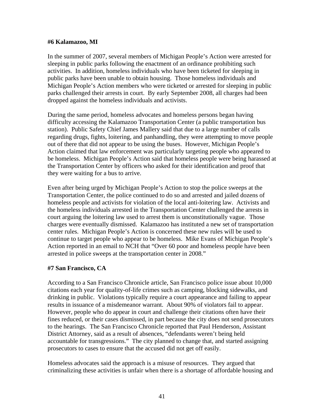#### **#6 Kalamazoo, MI**

In the summer of 2007, several members of Michigan People's Action were arrested for sleeping in public parks following the enactment of an ordinance prohibiting such activities. In addition, homeless individuals who have been ticketed for sleeping in public parks have been unable to obtain housing. Those homeless individuals and Michigan People's Action members who were ticketed or arrested for sleeping in public parks challenged their arrests in court. By early September 2008, all charges had been dropped against the homeless individuals and activists.

During the same period, homeless advocates and homeless persons began having difficulty accessing the Kalamazoo Transportation Center (a public transportation bus station). Public Safety Chief James Mallery said that due to a large number of calls regarding drugs, fights, loitering, and panhandling, they were attempting to move people out of there that did not appear to be using the buses. However, Michigan People's Action claimed that law enforcement was particularly targeting people who appeared to be homeless. Michigan People's Action said that homeless people were being harassed at the Transportation Center by officers who asked for their identification and proof that they were waiting for a bus to arrive.

Even after being urged by Michigan People's Action to stop the police sweeps at the Transportation Center, the police continued to do so and arrested and jailed dozens of homeless people and activists for violation of the local anti-loitering law. Activists and the homeless individuals arrested in the Transportation Center challenged the arrests in court arguing the loitering law used to arrest them is unconstitutionally vague. Those charges were eventually dismissed. Kalamazoo has instituted a new set of transportation center rules. Michigan People's Action is concerned these new rules will be used to continue to target people who appear to be homeless. Mike Evans of Michigan People's Action reported in an email to NCH that "Over 60 poor and homeless people have been arrested in police sweeps at the transportation center in 2008."

#### **#7 San Francisco, CA**

According to a San Francisco Chronicle article, San Francisco police issue about 10,000 citations each year for quality-of-life crimes such as camping, blocking sidewalks, and drinking in public. Violations typically require a court appearance and failing to appear results in issuance of a misdemeanor warrant. About 90% of violators fail to appear. However, people who do appear in court and challenge their citations often have their fines reduced, or their cases dismissed, in part because the city does not send prosecutors to the hearings. The San Francisco Chronicle reported that Paul Henderson, Assistant District Attorney, said as a result of absences, "defendants weren't being held accountable for transgressions." The city planned to change that, and started assigning prosecutors to cases to ensure that the accused did not get off easily.

Homeless advocates said the approach is a misuse of resources. They argued that criminalizing these activities is unfair when there is a shortage of affordable housing and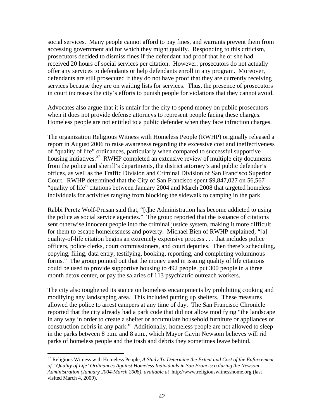social services. Many people cannot afford to pay fines, and warrants prevent them from accessing government aid for which they might qualify. Responding to this criticism, prosecutors decided to dismiss fines if the defendant had proof that he or she had received 20 hours of social services per citation. However, prosecutors do not actually offer any services to defendants or help defendants enroll in any program. Moreover, defendants are still prosecuted if they do not have proof that they are currently receiving services because they are on waiting lists for services. Thus, the presence of prosecutors in court increases the city's efforts to punish people for violations that they cannot avoid.

Advocates also argue that it is unfair for the city to spend money on public prosecutors when it does not provide defense attorneys to represent people facing these charges. Homeless people are not entitled to a public defender when they face infraction charges.

The organization Religious Witness with Homeless People (RWHP) originally released a report in August 2006 to raise awareness regarding the excessive cost and ineffectiveness of "quality of life" ordinances, particularly when compared to successful supportive housing initiatives.<sup>57</sup> RWHP completed an extensive review of multiple city documents from the police and sheriff's departments, the district attorney's and public defender's offices, as well as the Traffic Division and Criminal Division of San Francisco Superior Court. RWHP determined that the City of San Francisco spent \$9,847,027 on 56,567 "quality of life" citations between January 2004 and March 2008 that targeted homeless individuals for activities ranging from blocking the sidewalk to camping in the park.

Rabbi Peretz Wolf-Prusan said that, "[t]he Administration has become addicted to using the police as social service agencies." The group reported that the issuance of citations sent otherwise innocent people into the criminal justice system, making it more difficult for them to escape homelessness and poverty. Michael Bien of RWHP explained, "[a] quality-of-life citation begins an extremely expensive process . . . that includes police officers, police clerks, court commissioners, and court deputies. Then there's scheduling, copying, filing, data entry, testifying, booking, reporting, and completing voluminous forms." The group pointed out that the money used in issuing quality of life citations could be used to provide supportive housing to 492 people, put 300 people in a three month detox center, or pay the salaries of 113 psychiatric outreach workers.

The city also toughened its stance on homeless encampments by prohibiting cooking and modifying any landscaping area. This included putting up shelters. These measures allowed the police to arrest campers at any time of day. The San Francisco Chronicle reported that the city already had a park code that did not allow modifying "the landscape in any way in order to create a shelter or accumulate household furniture or appliances or construction debris in any park." Additionally, homeless people are not allowed to sleep in the parks between 8 p.m. and 8 a.m., which Mayor Gavin Newsom believes will rid parks of homeless people and the trash and debris they sometimes leave behind.

<u>.</u>

<sup>57</sup> Religious Witness with Homeless People, *A Study To Determine the Extent and Cost of the Enforcement of ' Quality of Life' Ordinances Against Homeless Individuals in San Francisco during the Newsom Administration (January 2004-March 2008), available at* http://www.religiouswitnesshome.org (last visited March 4, 2009).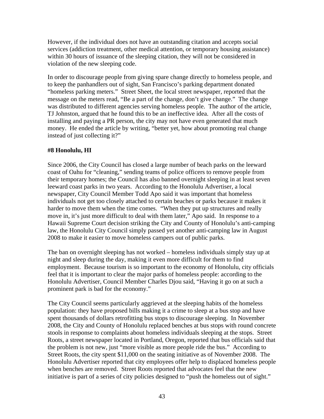However, if the individual does not have an outstanding citation and accepts social services (addiction treatment, other medical attention, or temporary housing assistance) within 30 hours of issuance of the sleeping citation, they will not be considered in violation of the new sleeping code.

In order to discourage people from giving spare change directly to homeless people, and to keep the panhandlers out of sight, San Francisco's parking department donated "homeless parking meters." Street Sheet, the local street newspaper, reported that the message on the meters read, "Be a part of the change, don't give change." The change was distributed to different agencies serving homeless people. The author of the article, TJ Johnston, argued that he found this to be an ineffective idea. After all the costs of installing and paying a PR person, the city may not have even generated that much money. He ended the article by writing, "better yet, how about promoting real change instead of just collecting it?"

# **#8 Honolulu, HI**

Since 2006, the City Council has closed a large number of beach parks on the leeward coast of Oahu for "cleaning," sending teams of police officers to remove people from their temporary homes; the Council has also banned overnight sleeping in at least seven leeward coast parks in two years. According to the Honolulu Advertiser, a local newspaper, City Council Member Todd Apo said it was important that homeless individuals not get too closely attached to certain beaches or parks because it makes it harder to move them when the time comes. "When they put up structures and really move in, it's just more difficult to deal with them later," Apo said. In response to a Hawaii Supreme Court decision striking the City and County of Honolulu's anti-camping law, the Honolulu City Council simply passed yet another anti-camping law in August 2008 to make it easier to move homeless campers out of public parks.

The ban on overnight sleeping has not worked – homeless individuals simply stay up at night and sleep during the day, making it even more difficult for them to find employment. Because tourism is so important to the economy of Honolulu, city officials feel that it is important to clear the major parks of homeless people: according to the Honolulu Advertiser, Council Member Charles Djou said, "Having it go on at such a prominent park is bad for the economy."

The City Council seems particularly aggrieved at the sleeping habits of the homeless population: they have proposed bills making it a crime to sleep at a bus stop and have spent thousands of dollars retrofitting bus stops to discourage sleeping. In November 2008, the City and County of Honolulu replaced benches at bus stops with round concrete stools in response to complaints about homeless individuals sleeping at the stops. Street Roots, a street newspaper located in Portland, Oregon, reported that bus officials said that the problem is not new, just "more visible as more people ride the bus." According to Street Roots, the city spent \$11,000 on the seating initiative as of November 2008. The Honolulu Advertiser reported that city employees offer help to displaced homeless people when benches are removed. Street Roots reported that advocates feel that the new initiative is part of a series of city policies designed to "push the homeless out of sight."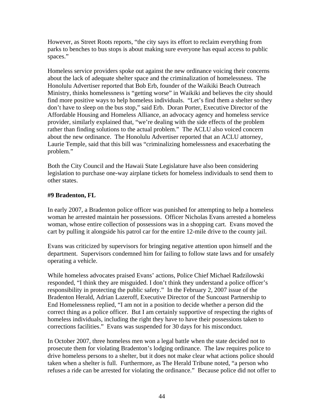However, as Street Roots reports, "the city says its effort to reclaim everything from parks to benches to bus stops is about making sure everyone has equal access to public spaces."

Homeless service providers spoke out against the new ordinance voicing their concerns about the lack of adequate shelter space and the criminalization of homelessness. The Honolulu Advertiser reported that Bob Erb, founder of the Waikiki Beach Outreach Ministry, thinks homelessness is "getting worse" in Waikiki and believes the city should find more positive ways to help homeless individuals. "Let's find them a shelter so they don't have to sleep on the bus stop," said Erb. Doran Porter, Executive Director of the Affordable Housing and Homeless Alliance, an advocacy agency and homeless service provider, similarly explained that, "we're dealing with the side effects of the problem rather than finding solutions to the actual problem." The ACLU also voiced concern about the new ordinance. The Honolulu Advertiser reported that an ACLU attorney, Laurie Temple, said that this bill was "criminalizing homelessness and exacerbating the problem."

Both the City Council and the Hawaii State Legislature have also been considering legislation to purchase one-way airplane tickets for homeless individuals to send them to other states.

### **#9 Bradenton, FL**

In early 2007, a Bradenton police officer was punished for attempting to help a homeless woman he arrested maintain her possessions. Officer Nicholas Evans arrested a homeless woman, whose entire collection of possessions was in a shopping cart. Evans moved the cart by pulling it alongside his patrol car for the entire 12-mile drive to the county jail.

Evans was criticized by supervisors for bringing negative attention upon himself and the department. Supervisors condemned him for failing to follow state laws and for unsafely operating a vehicle.

While homeless advocates praised Evans' actions, Police Chief Michael Radzilowski responded, "I think they are misguided. I don't think they understand a police officer's responsibility in protecting the public safety." In the February 2, 2007 issue of the Bradenton Herald, Adrian Lazeroff, Executive Director of the Suncoast Partnership to End Homelessness replied, "I am not in a position to decide whether a person did the correct thing as a police officer. But I am certainly supportive of respecting the rights of homeless individuals, including the right they have to have their possessions taken to corrections facilities." Evans was suspended for 30 days for his misconduct.

In October 2007, three homeless men won a legal battle when the state decided not to prosecute them for violating Bradenton's lodging ordinance. The law requires police to drive homeless persons to a shelter, but it does not make clear what actions police should taken when a shelter is full. Furthermore, as The Herald Tribune noted, "a person who refuses a ride can be arrested for violating the ordinance." Because police did not offer to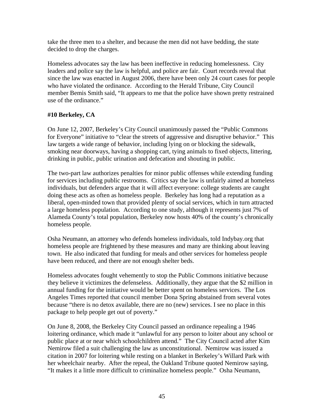take the three men to a shelter, and because the men did not have bedding, the state decided to drop the charges.

Homeless advocates say the law has been ineffective in reducing homelessness. City leaders and police say the law is helpful, and police are fair. Court records reveal that since the law was enacted in August 2006, there have been only 24 court cases for people who have violated the ordinance. According to the Herald Tribune, City Council member Bemis Smith said, "It appears to me that the police have shown pretty restrained use of the ordinance."

# **#10 Berkeley, CA**

On June 12, 2007, Berkeley's City Council unanimously passed the "Public Commons for Everyone" initiative to "clear the streets of aggressive and disruptive behavior." This law targets a wide range of behavior, including lying on or blocking the sidewalk, smoking near doorways, having a shopping cart, tying animals to fixed objects, littering, drinking in public, public urination and defecation and shouting in public.

The two-part law authorizes penalties for minor public offenses while extending funding for services including public restrooms. Critics say the law is unfairly aimed at homeless individuals, but defenders argue that it will affect everyone: college students are caught doing these acts as often as homeless people. Berkeley has long had a reputation as a liberal, open-minded town that provided plenty of social services, which in turn attracted a large homeless population. According to one study, although it represents just 7% of Alameda County's total population, Berkeley now hosts 40% of the county's chronically homeless people.

Osha Neumann, an attorney who defends homeless individuals, told Indybay.org that homeless people are frightened by these measures and many are thinking about leaving town. He also indicated that funding for meals and other services for homeless people have been reduced, and there are not enough shelter beds.

Homeless advocates fought vehemently to stop the Public Commons initiative because they believe it victimizes the defenseless. Additionally, they argue that the \$2 million in annual funding for the initiative would be better spent on homeless services. The Los Angeles Times reported that council member Dona Spring abstained from several votes because "there is no detox available, there are no (new) services. I see no place in this package to help people get out of poverty."

On June 8, 2008, the Berkeley City Council passed an ordinance repealing a 1946 loitering ordinance, which made it "unlawful for any person to loiter about any school or public place at or near which schoolchildren attend." The City Council acted after Kim Nemirow filed a suit challenging the law as unconstitutional. Nemirow was issued a citation in 2007 for loitering while resting on a blanket in Berkeley's Willard Park with her wheelchair nearby. After the repeal, the Oakland Tribune quoted Nemirow saying, "It makes it a little more difficult to criminalize homeless people." Osha Neumann,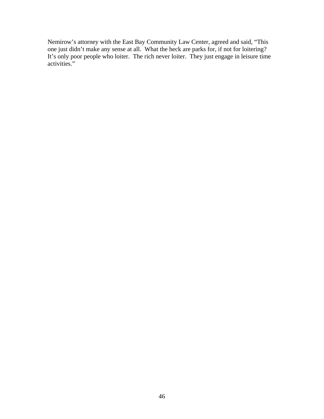Nemirow's attorney with the East Bay Community Law Center, agreed and said, "This one just didn't make any sense at all. What the heck are parks for, if not for loitering? It's only poor people who loiter. The rich never loiter. They just engage in leisure time activities."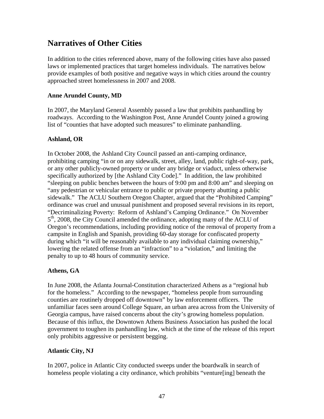# **Narratives of Other Cities**

In addition to the cities referenced above, many of the following cities have also passed laws or implemented practices that target homeless individuals. The narratives below provide examples of both positive and negative ways in which cities around the country approached street homelessness in 2007 and 2008.

# **Anne Arundel County, MD**

In 2007, the Maryland General Assembly passed a law that prohibits panhandling by roadways. According to the Washington Post, Anne Arundel County joined a growing list of "counties that have adopted such measures" to eliminate panhandling.

# **Ashland, OR**

In October 2008, the Ashland City Council passed an anti-camping ordinance, prohibiting camping "in or on any sidewalk, street, alley, land, public right-of-way, park, or any other publicly-owned property or under any bridge or viaduct, unless otherwise specifically authorized by [the Ashland City Code]." In addition, the law prohibited "sleeping on public benches between the hours of 9:00 pm and 8:00 am" and sleeping on "any pedestrian or vehicular entrance to public or private property abutting a public sidewalk." The ACLU Southern Oregon Chapter, argued that the "Prohibited Camping" ordinance was cruel and unusual punishment and proposed several revisions in its report, "Decriminalizing Poverty: Reform of Ashland's Camping Ordinance." On November  $5<sup>th</sup>$ , 2008, the City Council amended the ordinance, adopting many of the ACLU of Oregon's recommendations, including providing notice of the removal of property from a campsite in English and Spanish, providing 60-day storage for confiscated property during which "it will be reasonably available to any individual claiming ownership," lowering the related offense from an "infraction" to a "violation," and limiting the penalty to up to 48 hours of community service.

# **Athens, GA**

In June 2008, the Atlanta Journal-Constitution characterized Athens as a "regional hub for the homeless." According to the newspaper, "homeless people from surrounding counties are routinely dropped off downtown" by law enforcement officers. The unfamiliar faces seen around College Square, an urban area across from the University of Georgia campus, have raised concerns about the city's growing homeless population. Because of this influx, the Downtown Athens Business Association has pushed the local government to toughen its panhandling law, which at the time of the release of this report only prohibits aggressive or persistent begging.

# **Atlantic City, NJ**

In 2007, police in Atlantic City conducted sweeps under the boardwalk in search of homeless people violating a city ordinance, which prohibits "venture[ing] beneath the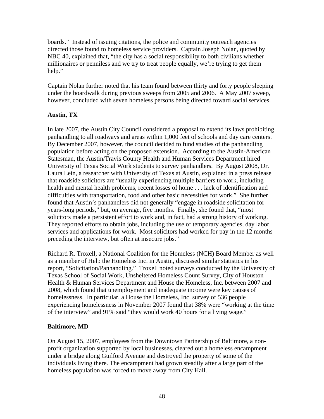boards." Instead of issuing citations, the police and community outreach agencies directed those found to homeless service providers. Captain Joseph Nolan, quoted by NBC 40, explained that, "the city has a social responsibility to both civilians whether millionaires or penniless and we try to treat people equally, we're trying to get them help."

Captain Nolan further noted that his team found between thirty and forty people sleeping under the boardwalk during previous sweeps from 2005 and 2006. A May 2007 sweep, however, concluded with seven homeless persons being directed toward social services.

# **Austin, TX**

In late 2007, the Austin City Council considered a proposal to extend its laws prohibiting panhandling to all roadways and areas within 1,000 feet of schools and day care centers. By December 2007, however, the council decided to fund studies of the panhandling population before acting on the proposed extension. According to the Austin-American Statesman, the Austin/Travis County Health and Human Services Department hired University of Texas Social Work students to survey panhandlers. By August 2008, Dr. Laura Lein, a researcher with University of Texas at Austin, explained in a press release that roadside solicitors are "usually experiencing multiple barriers to work, including health and mental health problems, recent losses of home . . . lack of identification and difficulties with transportation, food and other basic necessities for work." She further found that Austin's panhandlers did not generally "engage in roadside solicitation for years-long periods," but, on average, five months. Finally, she found that, "most solicitors made a persistent effort to work and, in fact, had a strong history of working. They reported efforts to obtain jobs, including the use of temporary agencies, day labor services and applications for work. Most solicitors had worked for pay in the 12 months preceding the interview, but often at insecure jobs."

Richard R. Troxell, a National Coalition for the Homeless (NCH) Board Member as well as a member of Help the Homeless Inc. in Austin, discussed similar statistics in his report, "Solicitation/Panhandling." Troxell noted surveys conducted by the University of Texas School of Social Work, Unsheltered Homeless Count Survey, City of Houston Health & Human Services Department and House the Homeless, Inc. between 2007 and 2008, which found that unemployment and inadequate income were key causes of homelessness. In particular, a House the Homeless, Inc. survey of 536 people experiencing homelessness in November 2007 found that 38% were "working at the time of the interview" and 91% said "they would work 40 hours for a living wage."

# **Baltimore, MD**

On August 15, 2007, employees from the Downtown Partnership of Baltimore, a nonprofit organization supported by local businesses, cleared out a homeless encampment under a bridge along Guilford Avenue and destroyed the property of some of the individuals living there. The encampment had grown steadily after a large part of the homeless population was forced to move away from City Hall.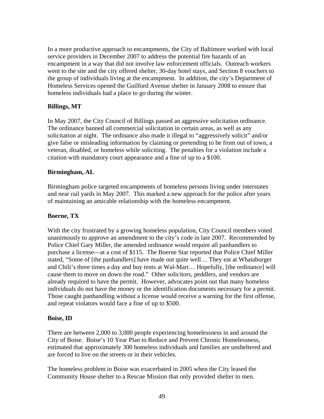In a more productive approach to encampments, the City of Baltimore worked with local service providers in December 2007 to address the potential fire hazards of an encampment in a way that did not involve law enforcement officials. Outreach workers went to the site and the city offered shelter, 30-day hotel stays, and Section 8 vouchers to the group of individuals living at the encampment. In addition, the city's Department of Homeless Services opened the Guilford Avenue shelter in January 2008 to ensure that homeless individuals had a place to go during the winter.

### **Billings, MT**

In May 2007, the City Council of Billings passed an aggressive solicitation ordinance. The ordinance banned all commercial solicitation in certain areas, as well as any solicitation at night. The ordinance also made it illegal to "aggressively solicit" and/or give false or misleading information by claiming or pretending to be from out of town, a veteran, disabled, or homeless while soliciting. The penalties for a violation include a citation with mandatory court appearance and a fine of up to a \$100.

### **Birmingham, AL**

Birmingham police targeted encampments of homeless persons living under interstates and near rail yards in May 2007. This marked a new approach for the police after years of maintaining an amicable relationship with the homeless encampment.

# **Boerne, TX**

With the city frustrated by a growing homeless population, City Council members voted unanimously to approve an amendment to the city's code in late 2007. Recommended by Police Chief Gary Miller, the amended ordinance would require all panhandlers to purchase a license—at a cost of \$115. The Boerne Star reported that Police Chief Miller stated, "Some of [the panhandlers] have made out quite well… They eat at Whataburger and Chili's three times a day and buy tents at Wal-Mart… Hopefully, [the ordinance] will cause them to move on down the road." Other solicitors, peddlers, and vendors are already required to have the permit. However, advocates point out that many homeless individuals do not have the money or the identification documents necessary for a permit. Those caught panhandling without a license would receive a warning for the first offense, and repeat violators would face a fine of up to \$500.

#### **Boise, ID**

There are between 2,000 to 3,000 people experiencing homelessness in and around the City of Boise. Boise's 10 Year Plan to Reduce and Prevent Chronic Homelessness, estimated that approximately 300 homeless individuals and families are unsheltered and are forced to live on the streets or in their vehicles.

The homeless problem in Boise was exacerbated in 2005 when the City leased the Community House shelter to a Rescue Mission that only provided shelter to men.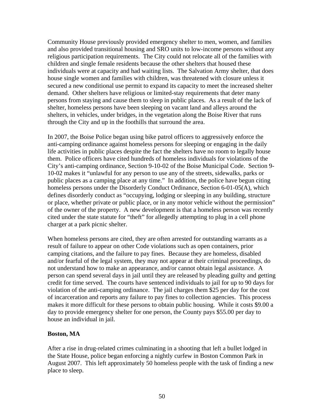Community House previously provided emergency shelter to men, women, and families and also provided transitional housing and SRO units to low-income persons without any religious participation requirements. The City could not relocate all of the families with children and single female residents because the other shelters that housed these individuals were at capacity and had waiting lists. The Salvation Army shelter, that does house single women and families with children, was threatened with closure unless it secured a new conditional use permit to expand its capacity to meet the increased shelter demand. Other shelters have religious or limited-stay requirements that deter many persons from staying and cause them to sleep in public places. As a result of the lack of shelter, homeless persons have been sleeping on vacant land and alleys around the shelters, in vehicles, under bridges, in the vegetation along the Boise River that runs through the City and up in the foothills that surround the area.

In 2007, the Boise Police began using bike patrol officers to aggressively enforce the anti-camping ordinance against homeless persons for sleeping or engaging in the daily life activities in public places despite the fact the shelters have no room to legally house them. Police officers have cited hundreds of homeless individuals for violations of the City's anti-camping ordinance, Section 9-10-02 of the Boise Municipal Code. Section 9- 10-02 makes it "unlawful for any person to use any of the streets, sidewalks, parks or public places as a camping place at any time." In addition, the police have begun citing homeless persons under the Disorderly Conduct Ordinance, Section 6-01-05(A), which defines disorderly conduct as "occupying, lodging or sleeping in any building, structure or place, whether private or public place, or in any motor vehicle without the permission" of the owner of the property. A new development is that a homeless person was recently cited under the state statute for "theft" for allegedly attempting to plug in a cell phone charger at a park picnic shelter.

When homeless persons are cited, they are often arrested for outstanding warrants as a result of failure to appear on other Code violations such as open containers, prior camping citations, and the failure to pay fines. Because they are homeless, disabled and/or fearful of the legal system, they may not appear at their criminal proceedings, do not understand how to make an appearance, and/or cannot obtain legal assistance. A person can spend several days in jail until they are released by pleading guilty and getting credit for time served. The courts have sentenced individuals to jail for up to 90 days for violation of the anti-camping ordinance. The jail charges them \$25 per day for the cost of incarceration and reports any failure to pay fines to collection agencies. This process makes it more difficult for these persons to obtain public housing. While it costs \$9.00 a day to provide emergency shelter for one person, the County pays \$55.00 per day to house an individual in jail.

#### **Boston, MA**

After a rise in drug-related crimes culminating in a shooting that left a bullet lodged in the State House, police began enforcing a nightly curfew in Boston Common Park in August 2007. This left approximately 50 homeless people with the task of finding a new place to sleep.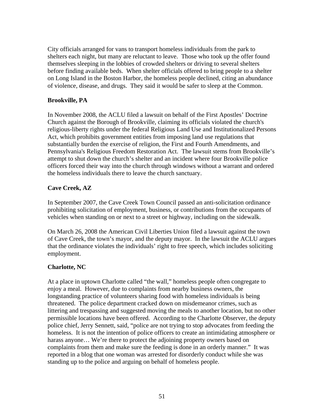City officials arranged for vans to transport homeless individuals from the park to shelters each night, but many are reluctant to leave. Those who took up the offer found themselves sleeping in the lobbies of crowded shelters or driving to several shelters before finding available beds. When shelter officials offered to bring people to a shelter on Long Island in the Boston Harbor, the homeless people declined, citing an abundance of violence, disease, and drugs. They said it would be safer to sleep at the Common.

### **Brookville, PA**

In November 2008, the ACLU filed a lawsuit on behalf of the First Apostles' Doctrine Church against the Borough of Brookville, claiming its officials violated the church's religious-liberty rights under the federal Religious Land Use and Institutionalized Persons Act, which prohibits government entities from imposing land use regulations that substantially burden the exercise of religion, the First and Fourth Amendments, and Pennsylvania's Religious Freedom Restoration Act. The lawsuit stems from Brookville's attempt to shut down the church's shelter and an incident where four Brookville police officers forced their way into the church through windows without a warrant and ordered the homeless individuals there to leave the church sanctuary.

# **Cave Creek, AZ**

In September 2007, the Cave Creek Town Council passed an anti-solicitation ordinance prohibiting solicitation of employment, business, or contributions from the occupants of vehicles when standing on or next to a street or highway, including on the sidewalk.

On March 26, 2008 the American Civil Liberties Union filed a lawsuit against the town of Cave Creek, the town's mayor, and the deputy mayor. In the lawsuit the ACLU argues that the ordinance violates the individuals' right to free speech, which includes soliciting employment.

# **Charlotte, NC**

At a place in uptown Charlotte called "the wall," homeless people often congregate to enjoy a meal. However, due to complaints from nearby business owners, the longstanding practice of volunteers sharing food with homeless individuals is being threatened. The police department cracked down on misdemeanor crimes, such as littering and trespassing and suggested moving the meals to another location, but no other permissible locations have been offered. According to the Charlotte Observer, the deputy police chief, Jerry Sennett, said, "police are not trying to stop advocates from feeding the homeless. It is not the intention of police officers to create an intimidating atmosphere or harass anyone... We're there to protect the adjoining property owners based on complaints from them and make sure the feeding is done in an orderly manner." It was reported in a blog that one woman was arrested for disorderly conduct while she was standing up to the police and arguing on behalf of homeless people.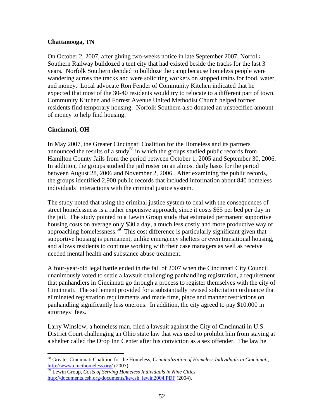### **Chattanooga, TN**

On October 2, 2007, after giving two-weeks notice in late September 2007, Norfolk Southern Railway bulldozed a tent city that had existed beside the tracks for the last 3 years. Norfolk Southern decided to bulldoze the camp because homeless people were wandering across the tracks and were soliciting workers on stopped trains for food, water, and money. Local advocate Ron Fender of Community Kitchen indicated that he expected that most of the 30-40 residents would try to relocate to a different part of town. Community Kitchen and Forrest Avenue United Methodist Church helped former residents find temporary housing. Norfolk Southern also donated an unspecified amount of money to help find housing.

# **Cincinnati, OH**

<u>.</u>

In May 2007, the Greater Cincinnati Coalition for the Homeless and its partners announced the results of a study<sup>58</sup> in which the groups studied public records from Hamilton County Jails from the period between October 1, 2005 and September 30, 2006. In addition, the groups studied the jail roster on an almost daily basis for the period between August 28, 2006 and November 2, 2006. After examining the public records, the groups identified 2,900 public records that included information about 840 homeless individuals' interactions with the criminal justice system.

The study noted that using the criminal justice system to deal with the consequences of street homelessness is a rather expensive approach, since it costs \$65 per bed per day in the jail. The study pointed to a Lewin Group study that estimated permanent supportive housing costs on average only \$30 a day, a much less costly and more productive way of approaching homelessness.<sup>59</sup> This cost difference is particularly significant given that supportive housing is permanent, unlike emergency shelters or even transitional housing, and allows residents to continue working with their case managers as well as receive needed mental health and substance abuse treatment.

A four-year-old legal battle ended in the fall of 2007 when the Cincinnati City Council unanimously voted to settle a lawsuit challenging panhandling registration, a requirement that panhandlers in Cincinnati go through a process to register themselves with the city of Cincinnati. The settlement provided for a substantially revised solicitation ordinance that eliminated registration requirements and made time, place and manner restrictions on panhandling significantly less onerous. In addition, the city agreed to pay \$10,000 in attorneys' fees.

Larry Winslow, a homeless man, filed a lawsuit against the City of Cincinnati in U.S. District Court challenging an Ohio state law that was used to prohibit him from staying at a shelter called the Drop Inn Center after his conviction as a sex offender. The law he

<sup>58</sup> Greater Cincinnati Coalition for the Homeless, *Criminalization of Homeless Individuals in Cincinnati*, http://www.cincihomeless.org/ (2007).

<sup>59</sup> Lewin Group, *Costs of Serving Homeless Individuals in Nine Cities*, http://documents.csh.org/documents/ke/csh\_lewin2004.PDF (2004)**.**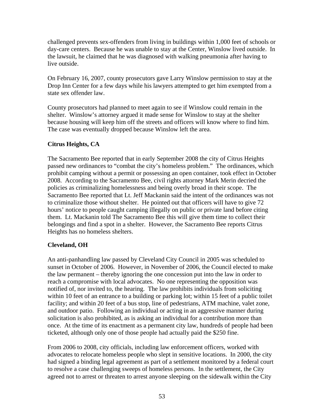challenged prevents sex-offenders from living in buildings within 1,000 feet of schools or day-care centers. Because he was unable to stay at the Center, Winslow lived outside. In the lawsuit, he claimed that he was diagnosed with walking pneumonia after having to live outside.

On February 16, 2007, county prosecutors gave Larry Winslow permission to stay at the Drop Inn Center for a few days while his lawyers attempted to get him exempted from a state sex offender law.

County prosecutors had planned to meet again to see if Winslow could remain in the shelter. Winslow's attorney argued it made sense for Winslow to stay at the shelter because housing will keep him off the streets and officers will know where to find him. The case was eventually dropped because Winslow left the area.

# **Citrus Heights, CA**

The Sacramento Bee reported that in early September 2008 the city of Citrus Heights passed new ordinances to "combat the city's homeless problem." The ordinances, which prohibit camping without a permit or possessing an open container, took effect in October 2008. According to the Sacramento Bee, civil rights attorney Mark Merin decried the policies as criminalizing homelessness and being overly broad in their scope. The Sacramento Bee reported that Lt. Jeff Mackanin said the intent of the ordinances was not to criminalize those without shelter. He pointed out that officers will have to give 72 hours' notice to people caught camping illegally on public or private land before citing them. Lt. Mackanin told The Sacramento Bee this will give them time to collect their belongings and find a spot in a shelter. However, the Sacramento Bee reports Citrus Heights has no homeless shelters.

# **Cleveland, OH**

An anti-panhandling law passed by Cleveland City Council in 2005 was scheduled to sunset in October of 2006. However, in November of 2006, the Council elected to make the law permanent – thereby ignoring the one concession put into the law in order to reach a compromise with local advocates. No one representing the opposition was notified of, nor invited to, the hearing. The law prohibits individuals from soliciting within 10 feet of an entrance to a building or parking lot; within 15 feet of a public toilet facility; and within 20 feet of a bus stop, line of pedestrians, ATM machine, valet zone, and outdoor patio. Following an individual or acting in an aggressive manner during solicitation is also prohibited, as is asking an individual for a contribution more than once. At the time of its enactment as a permanent city law, hundreds of people had been ticketed, although only one of those people had actually paid the \$250 fine.

From 2006 to 2008, city officials, including law enforcement officers, worked with advocates to relocate homeless people who slept in sensitive locations. In 2000, the city had signed a binding legal agreement as part of a settlement monitored by a federal court to resolve a case challenging sweeps of homeless persons. In the settlement, the City agreed not to arrest or threaten to arrest anyone sleeping on the sidewalk within the City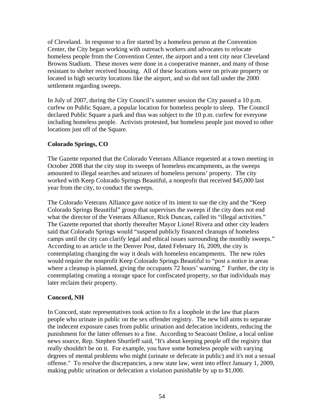of Cleveland. In response to a fire started by a homeless person at the Convention Center, the City began working with outreach workers and advocates to relocate homeless people from the Convention Center, the airport and a tent city near Cleveland Browns Stadium. These moves were done in a cooperative manner, and many of those resistant to shelter received housing. All of these locations were on private property or located in high security locations like the airport, and so did not fall under the 2000 settlement regarding sweeps.

In July of 2007, during the City Council's summer session the City passed a 10 p.m. curfew on Public Square, a popular location for homeless people to sleep. The Council declared Public Square a park and thus was subject to the 10 p.m. curfew for everyone including homeless people. Activists protested, but homeless people just moved to other locations just off of the Square.

# **Colorado Springs, CO**

The Gazette reported that the Colorado Veterans Alliance requested at a town meeting in October 2008 that the city stop its sweeps of homeless encampments, as the sweeps amounted to illegal searches and seizures of homeless persons' property. The city worked with Keep Colorado Springs Beautiful, a nonprofit that received \$45,000 last year from the city, to conduct the sweeps.

The Colorado Veterans Alliance gave notice of its intent to sue the city and the "Keep Colorado Springs Beautiful" group that supervises the sweeps if the city does not end what the director of the Veterans Alliance, Rick Duncan, called its "illegal activities." The Gazette reported that shortly thereafter Mayor Lionel Rivera and other city leaders said that Colorado Springs would "suspend publicly financed cleanups of homeless camps until the city can clarify legal and ethical issues surrounding the monthly sweeps." According to an article in the Denver Post, dated February 16, 2009, the city is contemplating changing the way it deals with homeless encampments. The new rules would require the nonprofit Keep Colorado Springs Beautiful to "post a notice in areas where a cleanup is planned, giving the occupants 72 hours' warning." Further, the city is contemplating creating a storage space for confiscated property, so that individuals may later reclaim their property.

# **Concord, NH**

In Concord, state representatives took action to fix a loophole in the law that places people who urinate in public on the sex offender registry. The new bill aims to separate the indecent exposure cases from public urination and defecation incidents, reducing the punishment for the latter offenses to a fine. According to Seacoast Online, a local online news source, Rep. Stephen Shurtleff said, "It's about keeping people off the registry that really shouldn't be on it. For example, you have some homeless people with varying degrees of mental problems who might (urinate or defecate in public) and it's not a sexual offense." To resolve the discrepancies, a new state law, went into effect January 1, 2009, making public urination or defecation a violation punishable by up to \$1,000.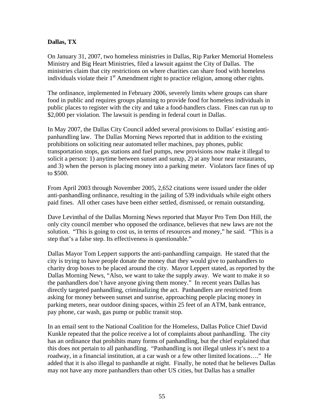# **Dallas, TX**

On January 31, 2007, two homeless ministries in Dallas, Rip Parker Memorial Homeless Ministry and Big Heart Ministries, filed a lawsuit against the City of Dallas. The ministries claim that city restrictions on where charities can share food with homeless individuals violate their  $1<sup>st</sup>$  Amendment right to practice religion, among other rights.

The ordinance, implemented in February 2006, severely limits where groups can share food in public and requires groups planning to provide food for homeless individuals in public places to register with the city and take a food-handlers class. Fines can run up to \$2,000 per violation. The lawsuit is pending in federal court in Dallas.

In May 2007, the Dallas City Council added several provisions to Dallas' existing antipanhandling law. The Dallas Morning News reported that in addition to the existing prohibitions on soliciting near automated teller machines, pay phones, public transportation stops, gas stations and fuel pumps, new provisions now make it illegal to solicit a person: 1) anytime between sunset and sunup, 2) at any hour near restaurants, and 3) when the person is placing money into a parking meter. Violators face fines of up to \$500.

From April 2003 through November 2005, 2,652 citations were issued under the older anti-panhandling ordinance, resulting in the jailing of 539 individuals while eight others paid fines. All other cases have been either settled, dismissed, or remain outstanding.

Dave Levinthal of the Dallas Morning News reported that Mayor Pro Tem Don Hill, the only city council member who opposed the ordinance, believes that new laws are not the solution. "This is going to cost us, in terms of resources and money," he said. "This is a step that's a false step. Its effectiveness is questionable."

Dallas Mayor Tom Leppert supports the anti-panhandling campaign. He stated that the city is trying to have people donate the money that they would give to panhandlers to charity drop boxes to be placed around the city. Mayor Leppert stated, as reported by the Dallas Morning News, "Also, we want to take the supply away. We want to make it so the panhandlers don't have anyone giving them money." In recent years Dallas has directly targeted panhandling, criminalizing the act. Panhandlers are restricted from asking for money between sunset and sunrise, approaching people placing money in parking meters, near outdoor dining spaces, within 25 feet of an ATM, bank entrance, pay phone, car wash, gas pump or public transit stop.

In an email sent to the National Coalition for the Homeless, Dallas Police Chief David Kunkle repeated that the police receive a lot of complaints about panhandling. The city has an ordinance that prohibits many forms of panhandling, but the chief explained that this does not pertain to all panhandling. "Panhandling is not illegal unless it's next to a roadway, in a financial institution, at a car wash or a few other limited locations…." He added that it is also illegal to panhandle at night. Finally, he noted that he believes Dallas may not have any more panhandlers than other US cities, but Dallas has a smaller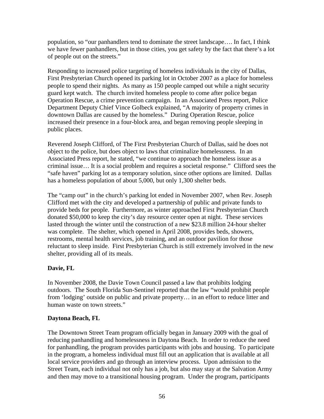population, so "our panhandlers tend to dominate the street landscape…. In fact, I think we have fewer panhandlers, but in those cities, you get safety by the fact that there's a lot of people out on the streets."

Responding to increased police targeting of homeless individuals in the city of Dallas, First Presbyterian Church opened its parking lot in October 2007 as a place for homeless people to spend their nights. As many as 150 people camped out while a night security guard kept watch. The church invited homeless people to come after police began Operation Rescue, a crime prevention campaign. In an Associated Press report, Police Department Deputy Chief Vince Golbeck explained, "A majority of property crimes in downtown Dallas are caused by the homeless." During Operation Rescue, police increased their presence in a four-block area, and began removing people sleeping in public places.

Reverend Joseph Clifford, of The First Presbyterian Church of Dallas, said he does not object to the police, but does object to laws that criminalize homelessness. In an Associated Press report, he stated, "we continue to approach the homeless issue as a criminal issue… It is a social problem and requires a societal response." Clifford sees the "safe haven" parking lot as a temporary solution, since other options are limited. Dallas has a homeless population of about 5,000, but only 1,300 shelter beds.

The "camp out" in the church's parking lot ended in November 2007, when Rev. Joseph Clifford met with the city and developed a partnership of public and private funds to provide beds for people. Furthermore, as winter approached First Presbyterian Church donated \$50,000 to keep the city's day resource center open at night. These services lasted through the winter until the construction of a new \$23.8 million 24-hour shelter was complete. The shelter, which opened in April 2008, provides beds, showers, restrooms, mental health services, job training, and an outdoor pavilion for those reluctant to sleep inside. First Presbyterian Church is still extremely involved in the new shelter, providing all of its meals.

# **Davie, FL**

In November 2008, the Davie Town Council passed a law that prohibits lodging outdoors. The South Florida Sun-Sentinel reported that the law "would prohibit people from 'lodging' outside on public and private property… in an effort to reduce litter and human waste on town streets."

# **Daytona Beach, FL**

The Downtown Street Team program officially began in January 2009 with the goal of reducing panhandling and homelessness in Daytona Beach. In order to reduce the need for panhandling, the program provides participants with jobs and housing. To participate in the program, a homeless individual must fill out an application that is available at all local service providers and go through an interview process. Upon admission to the Street Team, each individual not only has a job, but also may stay at the Salvation Army and then may move to a transitional housing program. Under the program, participants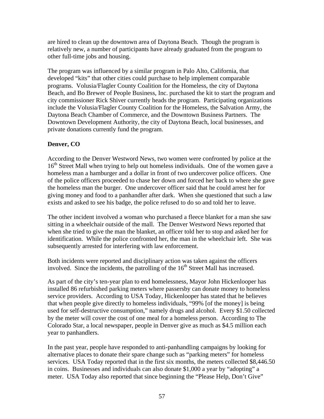are hired to clean up the downtown area of Daytona Beach. Though the program is relatively new, a number of participants have already graduated from the program to other full-time jobs and housing.

The program was influenced by a similar program in Palo Alto, California, that developed "kits" that other cities could purchase to help implement comparable programs. Volusia/Flagler County Coalition for the Homeless, the city of Daytona Beach, and Bo Brewer of People Business, Inc. purchased the kit to start the program and city commissioner Rick Shiver currently heads the program. Participating organizations include the Volusia/Flagler County Coalition for the Homeless, the Salvation Army, the Daytona Beach Chamber of Commerce, and the Downtown Business Partners. The Downtown Development Authority, the city of Daytona Beach, local businesses, and private donations currently fund the program.

# **Denver, CO**

According to the Denver Westword News, two women were confronted by police at the 16<sup>th</sup> Street Mall when trying to help out homeless individuals. One of the women gave a homeless man a hamburger and a dollar in front of two undercover police officers. One of the police officers proceeded to chase her down and forced her back to where she gave the homeless man the burger. One undercover officer said that he could arrest her for giving money and food to a panhandler after dark. When she questioned that such a law exists and asked to see his badge, the police refused to do so and told her to leave.

The other incident involved a woman who purchased a fleece blanket for a man she saw sitting in a wheelchair outside of the mall. The Denver Westword News reported that when she tried to give the man the blanket, an officer told her to stop and asked her for identification. While the police confronted her, the man in the wheelchair left. She was subsequently arrested for interfering with law enforcement.

Both incidents were reported and disciplinary action was taken against the officers involved. Since the incidents, the patrolling of the  $16<sup>th</sup>$  Street Mall has increased.

As part of the city's ten-year plan to end homelessness, Mayor John Hickenlooper has installed 86 refurbished parking meters where passersby can donate money to homeless service providers. According to USA Today, Hickenlooper has stated that he believes that when people give directly to homeless individuals, "99% [of the money] is being used for self-destructive consumption," namely drugs and alcohol. Every \$1.50 collected by the meter will cover the cost of one meal for a homeless person. According to The Colorado Star, a local newspaper, people in Denver give as much as \$4.5 million each year to panhandlers.

In the past year, people have responded to anti-panhandling campaigns by looking for alternative places to donate their spare change such as "parking meters" for homeless services. USA Today reported that in the first six months, the meters collected \$8,446.50 in coins. Businesses and individuals can also donate \$1,000 a year by "adopting" a meter. USA Today also reported that since beginning the "Please Help, Don't Give"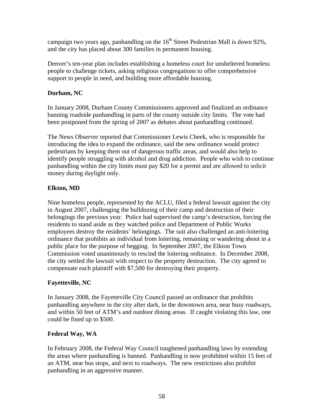campaign two years ago, panhandling on the  $16<sup>th</sup>$  Street Pedestrian Mall is down 92%, and the city has placed about 300 families in permanent housing.

Denver's ten-year plan includes establishing a homeless court for unsheltered homeless people to challenge tickets, asking religious congregations to offer comprehensive support to people in need, and building more affordable housing.

# **Durham, NC**

In January 2008, Durham County Commissioners approved and finalized an ordinance banning roadside panhandling in parts of the county outside city limits. The vote had been postponed from the spring of 2007 as debates about panhandling continued.

The News Observer reported that Commissioner Lewis Cheek, who is responsible for introducing the idea to expand the ordinance, said the new ordinance would protect pedestrians by keeping them out of dangerous traffic areas, and would also help to identify people struggling with alcohol and drug addiction. People who wish to continue panhandling within the city limits must pay \$20 for a permit and are allowed to solicit money during daylight only.

# **Elkton, MD**

Nine homeless people, represented by the ACLU, filed a federal lawsuit against the city in August 2007, challenging the bulldozing of their camp and destruction of their belongings the previous year. Police had supervised the camp's destruction, forcing the residents to stand aside as they watched police and Department of Public Works employees destroy the residents' belongings. The suit also challenged an anti-loitering ordinance that prohibits an individual from loitering, remaining or wandering about in a public place for the purpose of begging. In September 2007, the Elkton Town Commission voted unanimously to rescind the loitering ordinance. In December 2008, the city settled the lawsuit with respect to the property destruction. The city agreed to compensate each plaintiff with \$7,500 for destroying their property.

# **Fayetteville, NC**

In January 2008, the Fayetteville City Council passed an ordinance that prohibits panhandling anywhere in the city after dark, in the downtown area, near busy roadways, and within 50 feet of ATM's and outdoor dining areas. If caught violating this law, one could be fined up to \$500.

# **Federal Way, WA**

In February 2008, the Federal Way Council toughened panhandling laws by extending the areas where panhandling is banned. Panhandling is now prohibited within 15 feet of an ATM, near bus stops, and next to roadways. The new restrictions also prohibit panhandling in an aggressive manner.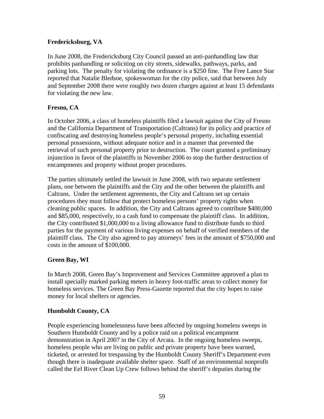# **Fredericksburg, VA**

In June 2008, the Fredericksburg City Council passed an anti-panhandling law that prohibits panhandling or soliciting on city streets, sidewalks, pathways, parks, and parking lots. The penalty for violating the ordinance is a \$250 fine. The Free Lance Star reported that Natalie Bledsoe, spokeswoman for the city police, said that between July and September 2008 there were roughly two dozen charges against at least 15 defendants for violating the new law.

# **Fresno, CA**

In October 2006, a class of homeless plaintiffs filed a lawsuit against the City of Fresno and the California Department of Transportation (Caltrans) for its policy and practice of confiscating and destroying homeless people's personal property, including essential personal possessions, without adequate notice and in a manner that prevented the retrieval of such personal property prior to destruction. The court granted a preliminary injunction in favor of the plaintiffs in November 2006 to stop the further destruction of encampments and property without proper procedures.

The parties ultimately settled the lawsuit in June 2008, with two separate settlement plans, one between the plaintiffs and the City and the other between the plaintiffs and Caltrans. Under the settlement agreements, the City and Caltrans set up certain procedures they must follow that protect homeless persons' property rights when cleaning public spaces. In addition, the City and Caltrans agreed to contribute \$400,000 and \$85,000, respectively, to a cash fund to compensate the plaintiff class. In addition, the City contributed \$1,000,000 to a living allowance fund to distribute funds to third parties for the payment of various living expenses on behalf of verified members of the plaintiff class. The City also agreed to pay attorneys' fees in the amount of \$750,000 and costs in the amount of \$100,000.

# **Green Bay, WI**

In March 2008, Green Bay's Improvement and Services Committee approved a plan to install specially marked parking meters in heavy foot-traffic areas to collect money for homeless services. The Green Bay Press-Gazette reported that the city hopes to raise money for local shelters or agencies.

# **Humboldt County, CA**

People experiencing homelessness have been affected by ongoing homeless sweeps in Southern Humboldt County and by a police raid on a political encampment demonstration in April 2007 in the City of Arcata. In the ongoing homeless sweeps, homeless people who are living on public and private property have been warned, ticketed, or arrested for trespassing by the Humboldt County Sheriff's Department even though there is inadequate available shelter space. Staff of an environmental nonprofit called the Eel River Clean Up Crew follows behind the sheriff's deputies during the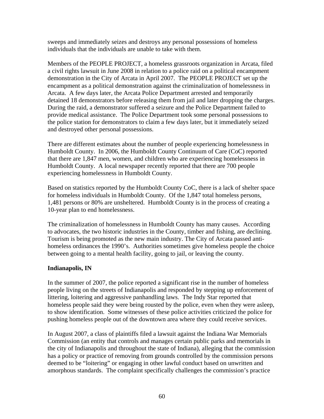sweeps and immediately seizes and destroys any personal possessions of homeless individuals that the individuals are unable to take with them.

Members of the PEOPLE PROJECT, a homeless grassroots organization in Arcata, filed a civil rights lawsuit in June 2008 in relation to a police raid on a political encampment demonstration in the City of Arcata in April 2007. The PEOPLE PROJECT set up the encampment as a political demonstration against the criminalization of homelessness in Arcata. A few days later, the Arcata Police Department arrested and temporarily detained 18 demonstrators before releasing them from jail and later dropping the charges. During the raid, a demonstrator suffered a seizure and the Police Department failed to provide medical assistance. The Police Department took some personal possessions to the police station for demonstrators to claim a few days later, but it immediately seized and destroyed other personal possessions.

There are different estimates about the number of people experiencing homelessness in Humboldt County. In 2006, the Humboldt County Continuum of Care (CoC) reported that there are 1,847 men, women, and children who are experiencing homelessness in Humboldt County. A local newspaper recently reported that there are 700 people experiencing homelessness in Humboldt County.

Based on statistics reported by the Humboldt County CoC, there is a lack of shelter space for homeless individuals in Humboldt County. Of the 1,847 total homeless persons, 1,481 persons or 80% are unsheltered. Humboldt County is in the process of creating a 10-year plan to end homelessness.

The criminalization of homelessness in Humboldt County has many causes. According to advocates, the two historic industries in the County, timber and fishing, are declining. Tourism is being promoted as the new main industry. The City of Arcata passed antihomeless ordinances the 1990's. Authorities sometimes give homeless people the choice between going to a mental health facility, going to jail, or leaving the county.

#### **Indianapolis, IN**

In the summer of 2007, the police reported a significant rise in the number of homeless people living on the streets of Indianapolis and responded by stepping up enforcement of littering, loitering and aggressive panhandling laws. The Indy Star reported that homeless people said they were being rousted by the police, even when they were asleep, to show identification. Some witnesses of these police activities criticized the police for pushing homeless people out of the downtown area where they could receive services.

In August 2007, a class of plaintiffs filed a lawsuit against the Indiana War Memorials Commission (an entity that controls and manages certain public parks and memorials in the city of Indianapolis and throughout the state of Indiana), alleging that the commission has a policy or practice of removing from grounds controlled by the commission persons deemed to be "loitering" or engaging in other lawful conduct based on unwritten and amorphous standards. The complaint specifically challenges the commission's practice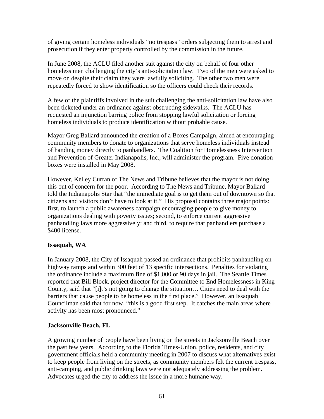of giving certain homeless individuals "no trespass" orders subjecting them to arrest and prosecution if they enter property controlled by the commission in the future.

In June 2008, the ACLU filed another suit against the city on behalf of four other homeless men challenging the city's anti-solicitation law. Two of the men were asked to move on despite their claim they were lawfully soliciting. The other two men were repeatedly forced to show identification so the officers could check their records.

A few of the plaintiffs involved in the suit challenging the anti-solicitation law have also been ticketed under an ordinance against obstructing sidewalks. The ACLU has requested an injunction barring police from stopping lawful solicitation or forcing homeless individuals to produce identification without probable cause.

Mayor Greg Ballard announced the creation of a Boxes Campaign, aimed at encouraging community members to donate to organizations that serve homeless individuals instead of handing money directly to panhandlers. The Coalition for Homelessness Intervention and Prevention of Greater Indianapolis, Inc., will administer the program. Five donation boxes were installed in May 2008.

However, Kelley Curran of The News and Tribune believes that the mayor is not doing this out of concern for the poor. According to The News and Tribune, Mayor Ballard told the Indianapolis Star that "the immediate goal is to get them out of downtown so that citizens and visitors don't have to look at it." His proposal contains three major points: first, to launch a public awareness campaign encouraging people to give money to organizations dealing with poverty issues; second, to enforce current aggressive panhandling laws more aggressively; and third, to require that panhandlers purchase a \$400 license.

# **Issaquah, WA**

In January 2008, the City of Issaquah passed an ordinance that prohibits panhandling on highway ramps and within 300 feet of 13 specific intersections. Penalties for violating the ordinance include a maximum fine of \$1,000 or 90 days in jail. The Seattle Times reported that Bill Block, project director for the Committee to End Homelessness in King County, said that "[i]t's not going to change the situation… Cities need to deal with the barriers that cause people to be homeless in the first place." However, an Issaquah Councilman said that for now, "this is a good first step. It catches the main areas where activity has been most pronounced."

#### **Jacksonville Beach, FL**

A growing number of people have been living on the streets in Jacksonville Beach over the past few years. According to the Florida Times-Union, police, residents, and city government officials held a community meeting in 2007 to discuss what alternatives exist to keep people from living on the streets, as community members felt the current trespass, anti-camping, and public drinking laws were not adequately addressing the problem. Advocates urged the city to address the issue in a more humane way.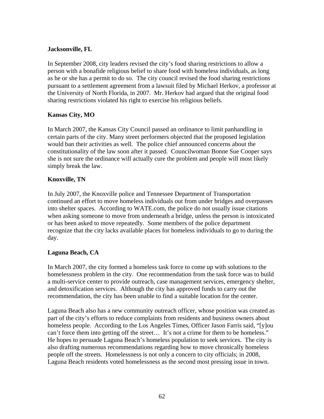# **Jacksonville, FL**

In September 2008, city leaders revised the city's food sharing restrictions to allow a person with a bonafide religious belief to share food with homeless individuals, as long as he or she has a permit to do so. The city council revised the food sharing restrictions pursuant to a settlement agreement from a lawsuit filed by Michael Herkov, a professor at the University of North Florida, in 2007. Mr. Herkov had argued that the original food sharing restrictions violated his right to exercise his religious beliefs.

# **Kansas City, MO**

In March 2007, the Kansas City Council passed an ordinance to limit panhandling in certain parts of the city. Many street performers objected that the proposed legislation would ban their activities as well. The police chief announced concerns about the constitutionality of the law soon after it passed. Councilwoman Bonne Sue Cooper says she is not sure the ordinance will actually cure the problem and people will most likely simply break the law.

# **Knoxville, TN**

In July 2007, the Knoxville police and Tennessee Department of Transportation continued an effort to move homeless individuals out from under bridges and overpasses into shelter spaces. According to WATE.com, the police do not usually issue citations when asking someone to move from underneath a bridge, unless the person is intoxicated or has been asked to move repeatedly. Some members of the police department recognize that the city lacks available places for homeless individuals to go to during the day.

# **Laguna Beach, CA**

In March 2007, the city formed a homeless task force to come up with solutions to the homelessness problem in the city. One recommendation from the task force was to build a multi-service center to provide outreach, case management services, emergency shelter, and detoxification services. Although the city has approved funds to carry out the recommendation, the city has been unable to find a suitable location for the center.

Laguna Beach also has a new community outreach officer, whose position was created as part of the city's efforts to reduce complaints from residents and business owners about homeless people. According to the Los Angeles Times, Officer Jason Farris said, "[y]ou can't force them into getting off the street… It's not a crime for them to be homeless." He hopes to persuade Laguna Beach's homeless population to seek services. The city is also drafting numerous recommendations regarding how to move chronically homeless people off the streets. Homelessness is not only a concern to city officials; in 2008, Laguna Beach residents voted homelessness as the second most pressing issue in town.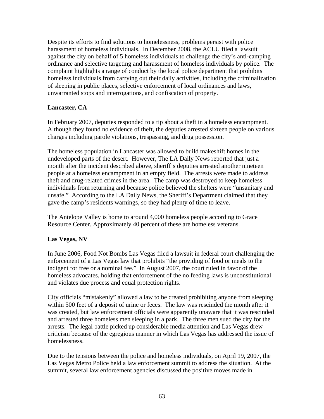Despite its efforts to find solutions to homelessness, problems persist with police harassment of homeless individuals. In December 2008, the ACLU filed a lawsuit against the city on behalf of 5 homeless individuals to challenge the city's anti-camping ordinance and selective targeting and harassment of homeless individuals by police. The complaint highlights a range of conduct by the local police department that prohibits homeless individuals from carrying out their daily activities, including the criminalization of sleeping in public places, selective enforcement of local ordinances and laws, unwarranted stops and interrogations, and confiscation of property.

# **Lancaster, CA**

In February 2007, deputies responded to a tip about a theft in a homeless encampment. Although they found no evidence of theft, the deputies arrested sixteen people on various charges including parole violations, trespassing, and drug possession.

The homeless population in Lancaster was allowed to build makeshift homes in the undeveloped parts of the desert. However, The LA Daily News reported that just a month after the incident described above, sheriff's deputies arrested another nineteen people at a homeless encampment in an empty field. The arrests were made to address theft and drug-related crimes in the area. The camp was destroyed to keep homeless individuals from returning and because police believed the shelters were "unsanitary and unsafe." According to the LA Daily News, the Sheriff's Department claimed that they gave the camp's residents warnings, so they had plenty of time to leave.

The Antelope Valley is home to around 4,000 homeless people according to Grace Resource Center. Approximately 40 percent of these are homeless veterans.

# **Las Vegas, NV**

In June 2006, Food Not Bombs Las Vegas filed a lawsuit in federal court challenging the enforcement of a Las Vegas law that prohibits "the providing of food or meals to the indigent for free or a nominal fee." In August 2007, the court ruled in favor of the homeless advocates, holding that enforcement of the no feeding laws is unconstitutional and violates due process and equal protection rights.

City officials "mistakenly" allowed a law to be created prohibiting anyone from sleeping within 500 feet of a deposit of urine or feces. The law was rescinded the month after it was created, but law enforcement officials were apparently unaware that it was rescinded and arrested three homeless men sleeping in a park. The three men sued the city for the arrests. The legal battle picked up considerable media attention and Las Vegas drew criticism because of the egregious manner in which Las Vegas has addressed the issue of homelessness.

Due to the tensions between the police and homeless individuals, on April 19, 2007, the Las Vegas Metro Police held a law enforcement summit to address the situation. At the summit, several law enforcement agencies discussed the positive moves made in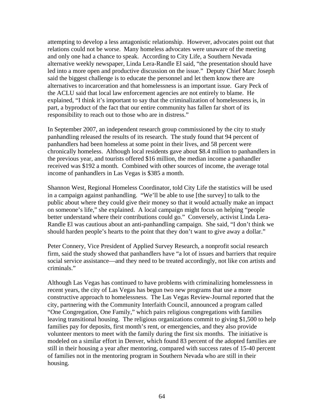attempting to develop a less antagonistic relationship. However, advocates point out that relations could not be worse. Many homeless advocates were unaware of the meeting and only one had a chance to speak. According to City Life, a Southern Nevada alternative weekly newspaper, Linda Lera-Randle El said, "the presentation should have led into a more open and productive discussion on the issue." Deputy Chief Marc Joseph said the biggest challenge is to educate the personnel and let them know there are alternatives to incarceration and that homelessness is an important issue. Gary Peck of the ACLU said that local law enforcement agencies are not entirely to blame. He explained, "I think it's important to say that the criminalization of homelessness is, in part, a byproduct of the fact that our entire community has fallen far short of its responsibility to reach out to those who are in distress."

In September 2007, an independent research group commissioned by the city to study panhandling released the results of its research. The study found that 94 percent of panhandlers had been homeless at some point in their lives, and 58 percent were chronically homeless. Although local residents gave about \$8.4 million to panhandlers in the previous year, and tourists offered \$16 million, the median income a panhandler received was \$192 a month. Combined with other sources of income, the average total income of panhandlers in Las Vegas is \$385 a month.

Shannon West, Regional Homeless Coordinator, told City Life the statistics will be used in a campaign against panhandling. "We'll be able to use [the survey] to talk to the public about where they could give their money so that it would actually make an impact on someone's life," she explained. A local campaign might focus on helping "people better understand where their contributions could go." Conversely, activist Linda Lera-Randle El was cautious about an anti-panhandling campaign. She said, "I don't think we should harden people's hearts to the point that they don't want to give away a dollar."

Peter Connery, Vice President of Applied Survey Research, a nonprofit social research firm, said the study showed that panhandlers have "a lot of issues and barriers that require social service assistance—and they need to be treated accordingly, not like con artists and criminals."

Although Las Vegas has continued to have problems with criminalizing homelessness in recent years, the city of Las Vegas has begun two new programs that use a more constructive approach to homelessness. The Las Vegas Review-Journal reported that the city, partnering with the Community Interfaith Council, announced a program called "One Congregation, One Family," which pairs religious congregations with families leaving transitional housing. The religious organizations commit to giving \$1,500 to help families pay for deposits, first month's rent, or emergencies, and they also provide volunteer mentors to meet with the family during the first six months. The initiative is modeled on a similar effort in Denver, which found 83 percent of the adopted families are still in their housing a year after mentoring, compared with success rates of 15-40 percent of families not in the mentoring program in Southern Nevada who are still in their housing.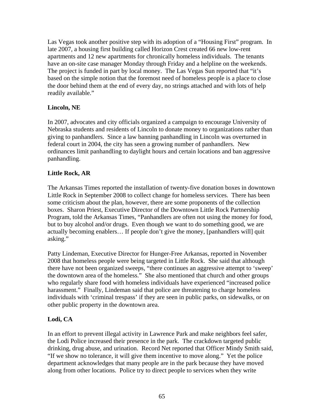Las Vegas took another positive step with its adoption of a "Housing First" program. In late 2007, a housing first building called Horizon Crest created 66 new low-rent apartments and 12 new apartments for chronically homeless individuals. The tenants have an on-site case manager Monday through Friday and a helpline on the weekends. The project is funded in part by local money. The Las Vegas Sun reported that "it's based on the simple notion that the foremost need of homeless people is a place to close the door behind them at the end of every day, no strings attached and with lots of help readily available."

# **Lincoln, NE**

In 2007, advocates and city officials organized a campaign to encourage University of Nebraska students and residents of Lincoln to donate money to organizations rather than giving to panhandlers. Since a law banning panhandling in Lincoln was overturned in federal court in 2004, the city has seen a growing number of panhandlers. New ordinances limit panhandling to daylight hours and certain locations and ban aggressive panhandling.

# **Little Rock, AR**

The Arkansas Times reported the installation of twenty-five donation boxes in downtown Little Rock in September 2008 to collect change for homeless services. There has been some criticism about the plan, however, there are some proponents of the collection boxes. Sharon Priest, Executive Director of the Downtown Little Rock Partnership Program, told the Arkansas Times, "Panhandlers are often not using the money for food, but to buy alcohol and/or drugs. Even though we want to do something good, we are actually becoming enablers… If people don't give the money, [panhandlers will] quit asking."

Patty Lindeman, Executive Director for Hunger-Free Arkansas, reported in November 2008 that homeless people were being targeted in Little Rock. She said that although there have not been organized sweeps, "there continues an aggressive attempt to 'sweep' the downtown area of the homeless." She also mentioned that church and other groups who regularly share food with homeless individuals have experienced "increased police harassment." Finally, Lindeman said that police are threatening to charge homeless individuals with 'criminal trespass' if they are seen in public parks, on sidewalks, or on other public property in the downtown area.

# **Lodi, CA**

In an effort to prevent illegal activity in Lawrence Park and make neighbors feel safer, the Lodi Police increased their presence in the park. The crackdown targeted public drinking, drug abuse, and urination. Record Net reported that Officer Mindy Smith said, "If we show no tolerance, it will give them incentive to move along." Yet the police department acknowledges that many people are in the park because they have moved along from other locations. Police try to direct people to services when they write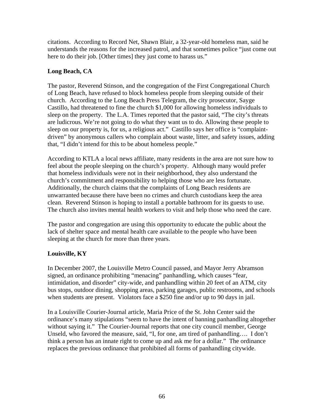citations. According to Record Net, Shawn Blair, a 32-year-old homeless man, said he understands the reasons for the increased patrol, and that sometimes police "just come out here to do their job. [Other times] they just come to harass us."

# **Long Beach, CA**

The pastor, Reverend Stinson, and the congregation of the First Congregational Church of Long Beach, have refused to block homeless people from sleeping outside of their church. According to the Long Beach Press Telegram, the city prosecutor, Sayge Castillo, had threatened to fine the church \$1,000 for allowing homeless individuals to sleep on the property. The L.A. Times reported that the pastor said, "The city's threats are ludicrous. We're not going to do what they want us to do. Allowing these people to sleep on our property is, for us, a religious act." Castillo says her office is "complaintdriven" by anonymous callers who complain about waste, litter, and safety issues, adding that, "I didn't intend for this to be about homeless people."

According to KTLA a local news affiliate, many residents in the area are not sure how to feel about the people sleeping on the church's property. Although many would prefer that homeless individuals were not in their neighborhood, they also understand the church's commitment and responsibility to helping those who are less fortunate. Additionally, the church claims that the complaints of Long Beach residents are unwarranted because there have been no crimes and church custodians keep the area clean. Reverend Stinson is hoping to install a portable bathroom for its guests to use. The church also invites mental health workers to visit and help those who need the care.

The pastor and congregation are using this opportunity to educate the public about the lack of shelter space and mental health care available to the people who have been sleeping at the church for more than three years.

# **Louisville, KY**

In December 2007, the Louisville Metro Council passed, and Mayor Jerry Abramson signed, an ordinance prohibiting "menacing" panhandling, which causes "fear, intimidation, and disorder" city-wide, and panhandling within 20 feet of an ATM, city bus stops, outdoor dining, shopping areas, parking garages, public restrooms, and schools when students are present. Violators face a \$250 fine and/or up to 90 days in jail.

In a Louisville Courier-Journal article, Maria Price of the St. John Center said the ordinance's many stipulations "seem to have the intent of banning panhandling altogether without saying it." The Courier-Journal reports that one city council member, George Unseld, who favored the measure, said, "I, for one, am tired of panhandling…. I don't think a person has an innate right to come up and ask me for a dollar." The ordinance replaces the previous ordinance that prohibited all forms of panhandling citywide.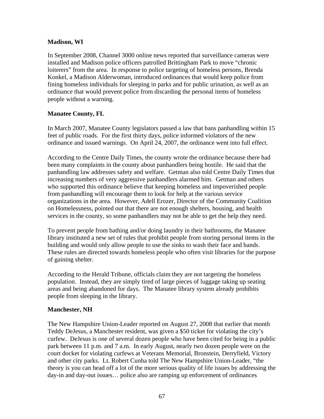### **Madison, WI**

In September 2008, Channel 3000 online news reported that surveillance cameras were installed and Madison police officers patrolled Brittingham Park to move "chronic loiterers" from the area. In response to police targeting of homeless persons, Brenda Konkel, a Madison Alderwoman, introduced ordinances that would keep police from fining homeless individuals for sleeping in parks and for public urination, as well as an ordinance that would prevent police from discarding the personal items of homeless people without a warning.

# **Manatee County, FL**

In March 2007, Manatee County legislators passed a law that bans panhandling within 15 feet of public roads. For the first thirty days, police informed violators of the new ordinance and issued warnings. On April 24, 2007, the ordinance went into full effect.

According to the Centre Daily Times, the county wrote the ordinance because there had been many complaints in the county about panhandlers being hostile. He said that the panhandling law addresses safety and welfare. Getman also told Centre Daily Times that increasing numbers of very aggressive panhandlers alarmed him. Getman and others who supported this ordinance believe that keeping homeless and impoverished people from panhandling will encourage them to look for help at the various service organizations in the area. However, Adell Erozer, Director of the Community Coalition on Homelessness, pointed out that there are not enough shelters, housing, and health services in the county, so some panhandlers may not be able to get the help they need.

To prevent people from bathing and/or doing laundry in their bathrooms, the Manatee library instituted a new set of rules that prohibit people from storing personal items in the building and would only allow people to use the sinks to wash their face and hands. These rules are directed towards homeless people who often visit libraries for the purpose of gaining shelter.

According to the Herald Tribune, officials claim they are not targeting the homeless population. Instead, they are simply tired of large pieces of luggage taking up seating areas and being abandoned for days. The Manatee library system already prohibits people from sleeping in the library.

#### **Manchester, NH**

The New Hampshire Union-Leader reported on August 27, 2008 that earlier that month Teddy DeJesus, a Manchester resident, was given a \$50 ticket for violating the city's curfew. DeJesus is one of several dozen people who have been cited for being in a public park between 11 p.m. and 7 a.m. In early August, nearly two dozen people were on the court docket for violating curfews at Veterans Memorial, Bronstein, Derryfield, Victory and other city parks. Lt. Robert Cunha told The New Hampshire Union-Leader, "the theory is you can head off a lot of the more serious quality of life issues by addressing the day-in and day-out issues… police also are ramping up enforcement of ordinances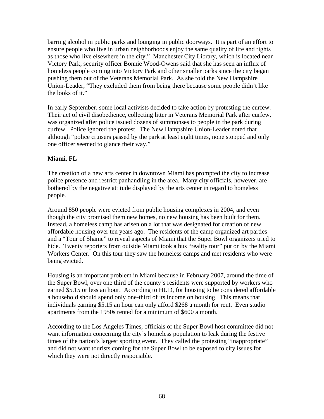barring alcohol in public parks and lounging in public doorways. It is part of an effort to ensure people who live in urban neighborhoods enjoy the same quality of life and rights as those who live elsewhere in the city." Manchester City Library, which is located near Victory Park, security officer Bonnie Wood-Owens said that she has seen an influx of homeless people coming into Victory Park and other smaller parks since the city began pushing them out of the Veterans Memorial Park. As she told the New Hampshire Union-Leader, "They excluded them from being there because some people didn't like the looks of it."

In early September, some local activists decided to take action by protesting the curfew. Their act of civil disobedience, collecting litter in Veterans Memorial Park after curfew, was organized after police issued dozens of summonses to people in the park during curfew. Police ignored the protest. The New Hampshire Union-Leader noted that although "police cruisers passed by the park at least eight times, none stopped and only one officer seemed to glance their way."

# **Miami, FL**

The creation of a new arts center in downtown Miami has prompted the city to increase police presence and restrict panhandling in the area. Many city officials, however, are bothered by the negative attitude displayed by the arts center in regard to homeless people.

Around 850 people were evicted from public housing complexes in 2004, and even though the city promised them new homes, no new housing has been built for them. Instead, a homeless camp has arisen on a lot that was designated for creation of new affordable housing over ten years ago. The residents of the camp organized art parties and a "Tour of Shame" to reveal aspects of Miami that the Super Bowl organizers tried to hide. Twenty reporters from outside Miami took a bus "reality tour" put on by the Miami Workers Center. On this tour they saw the homeless camps and met residents who were being evicted.

Housing is an important problem in Miami because in February 2007, around the time of the Super Bowl, over one third of the county's residents were supported by workers who earned \$5.15 or less an hour. According to HUD, for housing to be considered affordable a household should spend only one-third of its income on housing. This means that individuals earning \$5.15 an hour can only afford \$268 a month for rent. Even studio apartments from the 1950s rented for a minimum of \$600 a month.

According to the Los Angeles Times, officials of the Super Bowl host committee did not want information concerning the city's homeless population to leak during the festive times of the nation's largest sporting event. They called the protesting "inappropriate" and did not want tourists coming for the Super Bowl to be exposed to city issues for which they were not directly responsible.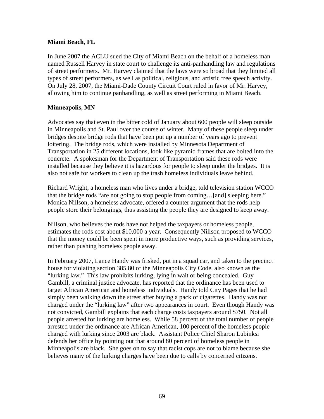### **Miami Beach, FL**

In June 2007 the ACLU sued the City of Miami Beach on the behalf of a homeless man named Russell Harvey in state court to challenge its anti-panhandling law and regulations of street performers. Mr. Harvey claimed that the laws were so broad that they limited all types of street performers, as well as political, religious, and artistic free speech activity. On July 28, 2007, the Miami-Dade County Circuit Court ruled in favor of Mr. Harvey, allowing him to continue panhandling, as well as street performing in Miami Beach.

#### **Minneapolis, MN**

Advocates say that even in the bitter cold of January about 600 people will sleep outside in Minneapolis and St. Paul over the course of winter. Many of these people sleep under bridges despite bridge rods that have been put up a number of years ago to prevent loitering. The bridge rods, which were installed by Minnesota Department of Transportation in 25 different locations, look like pyramid frames that are bolted into the concrete. A spokesman for the Department of Transportation said these rods were installed because they believe it is hazardous for people to sleep under the bridges. It is also not safe for workers to clean up the trash homeless individuals leave behind.

Richard Wright, a homeless man who lives under a bridge, told television station WCCO that the bridge rods "are not going to stop people from coming…[and] sleeping here." Monica Nillson, a homeless advocate, offered a counter argument that the rods help people store their belongings, thus assisting the people they are designed to keep away.

Nillson, who believes the rods have not helped the taxpayers or homeless people, estimates the rods cost about \$10,000 a year. Consequently Nillson proposed to WCCO that the money could be been spent in more productive ways, such as providing services, rather than pushing homeless people away.

In February 2007, Lance Handy was frisked, put in a squad car, and taken to the precinct house for violating section 385.80 of the Minneapolis City Code, also known as the "lurking law." This law prohibits lurking, lying in wait or being concealed. Guy Gambill, a criminal justice advocate, has reported that the ordinance has been used to target African American and homeless individuals. Handy told City Pages that he had simply been walking down the street after buying a pack of cigarettes. Handy was not charged under the "lurking law" after two appearances in court. Even though Handy was not convicted, Gambill explains that each charge costs taxpayers around \$750. Not all people arrested for lurking are homeless. While 58 percent of the total number of people arrested under the ordinance are African American, 100 percent of the homeless people charged with lurking since 2003 are black. Assistant Police Chief Sharon Lubinksi defends her office by pointing out that around 80 percent of homeless people in Minneapolis are black. She goes on to say that racist cops are not to blame because she believes many of the lurking charges have been due to calls by concerned citizens.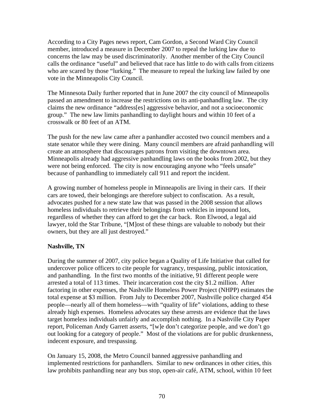According to a City Pages news report, Cam Gordon, a Second Ward City Council member, introduced a measure in December 2007 to repeal the lurking law due to concerns the law may be used discriminatorily. Another member of the City Council calls the ordinance "useful" and believed that race has little to do with calls from citizens who are scared by those "lurking." The measure to repeal the lurking law failed by one vote in the Minneapolis City Council.

The Minnesota Daily further reported that in June 2007 the city council of Minneapolis passed an amendment to increase the restrictions on its anti-panhandling law. The city claims the new ordinance "address[es] aggressive behavior, and not a socioeconomic group." The new law limits panhandling to daylight hours and within 10 feet of a crosswalk or 80 feet of an ATM.

The push for the new law came after a panhandler accosted two council members and a state senator while they were dining. Many council members are afraid panhandling will create an atmosphere that discourages patrons from visiting the downtown area. Minneapolis already had aggressive panhandling laws on the books from 2002, but they were not being enforced. The city is now encouraging anyone who "feels unsafe" because of panhandling to immediately call 911 and report the incident.

A growing number of homeless people in Minneapolis are living in their cars. If their cars are towed, their belongings are therefore subject to confiscation. As a result, advocates pushed for a new state law that was passed in the 2008 session that allows homeless individuals to retrieve their belongings from vehicles in impound lots, regardless of whether they can afford to get the car back. Ron Elwood, a legal aid lawyer, told the Star Tribune, "[M]ost of these things are valuable to nobody but their owners, but they are all just destroyed."

## **Nashville, TN**

During the summer of 2007, city police began a Quality of Life Initiative that called for undercover police officers to cite people for vagrancy, trespassing, public intoxication, and panhandling. In the first two months of the initiative, 91 different people were arrested a total of 113 times. Their incarceration cost the city \$1.2 million. After factoring in other expenses, the Nashville Homeless Power Project (NHPP) estimates the total expense at \$3 million. From July to December 2007, Nashville police charged 454 people—nearly all of them homeless—with "quality of life" violations, adding to these already high expenses. Homeless advocates say these arrests are evidence that the laws target homeless individuals unfairly and accomplish nothing. In a Nashville City Paper report, Policeman Andy Garrett asserts, "[w]e don't categorize people, and we don't go out looking for a category of people." Most of the violations are for public drunkenness, indecent exposure, and trespassing.

On January 15, 2008, the Metro Council banned aggressive panhandling and implemented restrictions for panhandlers. Similar to new ordinances in other cities, this law prohibits panhandling near any bus stop, open-air café, ATM, school, within 10 feet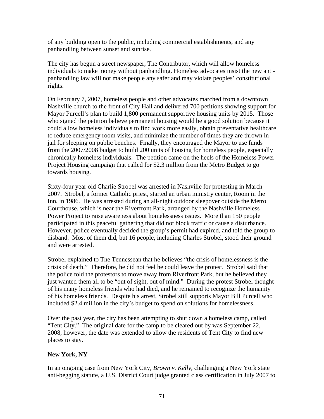of any building open to the public, including commercial establishments, and any panhandling between sunset and sunrise.

The city has begun a street newspaper, The Contributor*,* which will allow homeless individuals to make money without panhandling. Homeless advocates insist the new antipanhandling law will not make people any safer and may violate peoples' constitutional rights.

On February 7, 2007, homeless people and other advocates marched from a downtown Nashville church to the front of City Hall and delivered 700 petitions showing support for Mayor Purcell's plan to build 1,800 permanent supportive housing units by 2015. Those who signed the petition believe permanent housing would be a good solution because it could allow homeless individuals to find work more easily, obtain preventative healthcare to reduce emergency room visits, and minimize the number of times they are thrown in jail for sleeping on public benches. Finally, they encouraged the Mayor to use funds from the 2007/2008 budget to build 200 units of housing for homeless people, especially chronically homeless individuals. The petition came on the heels of the Homeless Power Project Housing campaign that called for \$2.3 million from the Metro Budget to go towards housing.

Sixty-four year old Charlie Strobel was arrested in Nashville for protesting in March 2007. Strobel, a former Catholic priest, started an urban ministry center, Room in the Inn, in 1986. He was arrested during an all-night outdoor sleepover outside the Metro Courthouse, which is near the Riverfront Park, arranged by the Nashville Homeless Power Project to raise awareness about homelessness issues. More than 150 people participated in this peaceful gathering that did not block traffic or cause a disturbance. However, police eventually decided the group's permit had expired, and told the group to disband. Most of them did, but 16 people, including Charles Strobel, stood their ground and were arrested.

Strobel explained to The Tennessean that he believes "the crisis of homelessness is the crisis of death." Therefore, he did not feel he could leave the protest. Strobel said that the police told the protestors to move away from Riverfront Park, but he believed they just wanted them all to be "out of sight, out of mind." During the protest Strobel thought of his many homeless friends who had died, and he remained to recognize the humanity of his homeless friends. Despite his arrest, Strobel still supports Mayor Bill Purcell who included \$2.4 million in the city's budget to spend on solutions for homelessness.

Over the past year, the city has been attempting to shut down a homeless camp, called "Tent City." The original date for the camp to be cleared out by was September 22, 2008, however, the date was extended to allow the residents of Tent City to find new places to stay.

## **New York, NY**

In an ongoing case from New York City, *Brown v. Kelly*, challenging a New York state anti-begging statute, a U.S. District Court judge granted class certification in July 2007 to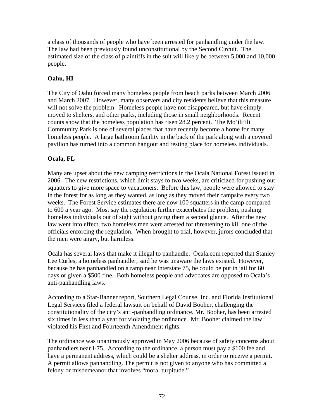a class of thousands of people who have been arrested for panhandling under the law. The law had been previously found unconstitutional by the Second Circuit. The estimated size of the class of plaintiffs in the suit will likely be between 5,000 and 10,000 people.

# **Oahu, HI**

The City of Oahu forced many homeless people from beach parks between March 2006 and March 2007. However, many observers and city residents believe that this measure will not solve the problem. Homeless people have not disappeared, but have simply moved to shelters, and other parks, including those in small neighborhoods. Recent counts show that the homeless population has risen 28.2 percent. The Mo'ili'ili Community Park is one of several places that have recently become a home for many homeless people. A large bathroom facility in the back of the park along with a covered pavilion has turned into a common hangout and resting place for homeless individuals.

## **Ocala, FL**

Many are upset about the new camping restrictions in the Ocala National Forest issued in 2006. The new restrictions, which limit stays to two weeks, are criticized for pushing out squatters to give more space to vacationers. Before this law, people were allowed to stay in the forest for as long as they wanted, as long as they moved their campsite every two weeks. The Forest Service estimates there are now 100 squatters in the camp compared to 600 a year ago. Most say the regulation further exacerbates the problem, pushing homeless individuals out of sight without giving them a second glance. After the new law went into effect, two homeless men were arrested for threatening to kill one of the officials enforcing the regulation. When brought to trial, however, jurors concluded that the men were angry, but harmless.

Ocala has several laws that make it illegal to panhandle. Ocala.com reported that Stanley Lee Curles, a homeless panhandler, said he was unaware the laws existed. However, because he has panhandled on a ramp near Interstate 75, he could be put in jail for 60 days or given a \$500 fine. Both homeless people and advocates are opposed to Ocala's anti-panhandling laws.

According to a Star-Banner report, Southern Legal Counsel Inc. and Florida Institutional Legal Services filed a federal lawsuit on behalf of David Booher, challenging the constitutionality of the city's anti-panhandling ordinance. Mr. Booher, has been arrested six times in less than a year for violating the ordinance. Mr. Booher claimed the law violated his First and Fourteenth Amendment rights.

The ordinance was unanimously approved in May 2006 because of safety concerns about panhandlers near I-75. According to the ordinance, a person must pay a \$100 fee and have a permanent address, which could be a shelter address, in order to receive a permit. A permit allows panhandling. The permit is not given to anyone who has committed a felony or misdemeanor that involves "moral turpitude."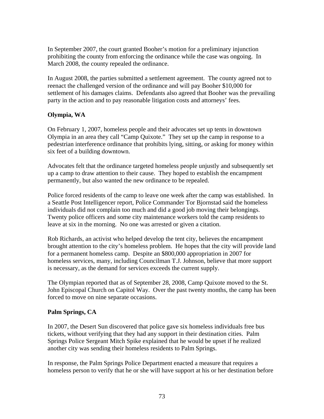In September 2007, the court granted Booher's motion for a preliminary injunction prohibiting the county from enforcing the ordinance while the case was ongoing. In March 2008, the county repealed the ordinance.

In August 2008, the parties submitted a settlement agreement. The county agreed not to reenact the challenged version of the ordinance and will pay Booher \$10,000 for settlement of his damages claims. Defendants also agreed that Booher was the prevailing party in the action and to pay reasonable litigation costs and attorneys' fees.

## **Olympia, WA**

On February 1, 2007, homeless people and their advocates set up tents in downtown Olympia in an area they call "Camp Quixote." They set up the camp in response to a pedestrian interference ordinance that prohibits lying, sitting, or asking for money within six feet of a building downtown.

Advocates felt that the ordinance targeted homeless people unjustly and subsequently set up a camp to draw attention to their cause. They hoped to establish the encampment permanently, but also wanted the new ordinance to be repealed.

Police forced residents of the camp to leave one week after the camp was established. In a Seattle Post Intelligencer report, Police Commander Tor Bjornstad said the homeless individuals did not complain too much and did a good job moving their belongings. Twenty police officers and some city maintenance workers told the camp residents to leave at six in the morning. No one was arrested or given a citation.

Rob Richards, an activist who helped develop the tent city, believes the encampment brought attention to the city's homeless problem. He hopes that the city will provide land for a permanent homeless camp. Despite an \$800,000 appropriation in 2007 for homeless services, many, including Councilman T.J. Johnson, believe that more support is necessary, as the demand for services exceeds the current supply.

The Olympian reported that as of September 28, 2008, Camp Quixote moved to the St. John Episcopal Church on Capitol Way. Over the past twenty months, the camp has been forced to move on nine separate occasions.

## **Palm Springs, CA**

In 2007, the Desert Sun discovered that police gave six homeless individuals free bus tickets, without verifying that they had any support in their destination cities. Palm Springs Police Sergeant Mitch Spike explained that he would be upset if he realized another city was sending their homeless residents to Palm Springs.

In response, the Palm Springs Police Department enacted a measure that requires a homeless person to verify that he or she will have support at his or her destination before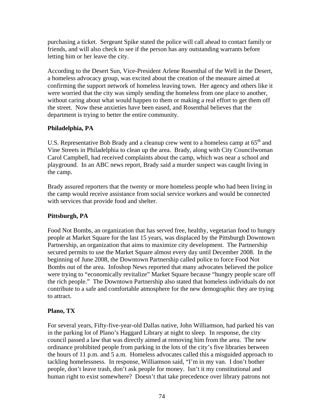purchasing a ticket. Sergeant Spike stated the police will call ahead to contact family or friends, and will also check to see if the person has any outstanding warrants before letting him or her leave the city.

According to the Desert Sun, Vice-President Arlene Rosenthal of the Well in the Desert, a homeless advocacy group, was excited about the creation of the measure aimed at confirming the support network of homeless leaving town. Her agency and others like it were worried that the city was simply sending the homeless from one place to another, without caring about what would happen to them or making a real effort to get them off the street. Now these anxieties have been eased, and Rosenthal believes that the department is trying to better the entire community.

# **Philadelphia, PA**

U.S. Representative Bob Brady and a cleanup crew went to a homeless camp at  $65<sup>th</sup>$  and Vine Streets in Philadelphia to clean up the area. Brady, along with City Councilwoman Carol Campbell, had received complaints about the camp, which was near a school and playground. In an ABC news report, Brady said a murder suspect was caught living in the camp.

Brady assured reporters that the twenty or more homeless people who had been living in the camp would receive assistance from social service workers and would be connected with services that provide food and shelter.

## **Pittsburgh, PA**

Food Not Bombs, an organization that has served free, healthy, vegetarian food to hungry people at Market Square for the last 15 years, was displaced by the Pittsburgh Downtown Partnership, an organization that aims to maximize city development. The Partnership secured permits to use the Market Square almost every day until December 2008. In the beginning of June 2008, the Downtown Partnership called police to force Food Not Bombs out of the area. Infoshop News reported that many advocates believed the police were trying to "economically revitalize" Market Square because "hungry people scare off the rich people." The Downtown Partnership also stated that homeless individuals do not contribute to a safe and comfortable atmosphere for the new demographic they are trying to attract.

## **Plano, TX**

For several years, Fifty-five-year-old Dallas native, John Williamson, had parked his van in the parking lot of Plano's Haggard Library at night to sleep. In response, the city council passed a law that was directly aimed at removing him from the area. The new ordinance prohibited people from parking in the lots of the city's five libraries between the hours of 11 p.m. and 5 a.m. Homeless advocates called this a misguided approach to tackling homelessness. In response, Williamson said, "I'm in my van. I don't bother people, don't leave trash, don't ask people for money. Isn't it my constitutional and human right to exist somewhere? Doesn't that take precedence over library patrons not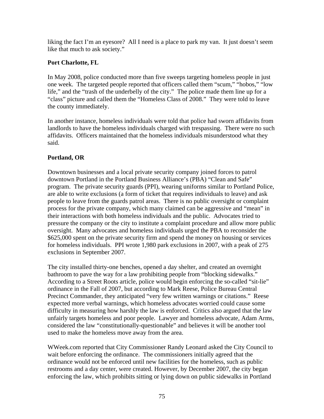liking the fact I'm an eyesore? All I need is a place to park my van. It just doesn't seem like that much to ask society."

# **Port Charlotte, FL**

In May 2008, police conducted more than five sweeps targeting homeless people in just one week. The targeted people reported that officers called them "scum," "hobos," "low life," and the "trash of the underbelly of the city." The police made them line up for a "class" picture and called them the "Homeless Class of 2008." They were told to leave the county immediately.

In another instance, homeless individuals were told that police had sworn affidavits from landlords to have the homeless individuals charged with trespassing. There were no such affidavits. Officers maintained that the homeless individuals misunderstood what they said.

# **Portland, OR**

Downtown businesses and a local private security company joined forces to patrol downtown Portland in the Portland Business Alliance's (PBA) "Clean and Safe" program. The private security guards (PPI), wearing uniforms similar to Portland Police, are able to write exclusions (a form of ticket that requires individuals to leave) and ask people to leave from the guards patrol areas. There is no public oversight or complaint process for the private company, which many claimed can be aggressive and "mean" in their interactions with both homeless individuals and the public. Advocates tried to pressure the company or the city to institute a complaint procedure and allow more public oversight. Many advocates and homeless individuals urged the PBA to reconsider the \$625,000 spent on the private security firm and spend the money on housing or services for homeless individuals. PPI wrote 1,980 park exclusions in 2007, with a peak of 275 exclusions in September 2007.

The city installed thirty-one benches, opened a day shelter, and created an overnight bathroom to pave the way for a law prohibiting people from "blocking sidewalks." According to a Street Roots article, police would begin enforcing the so-called "sit-lie" ordinance in the Fall of 2007, but according to Mark Reese, Police Bureau Central Precinct Commander, they anticipated "very few written warnings or citations." Reese expected more verbal warnings, which homeless advocates worried could cause some difficulty in measuring how harshly the law is enforced. Critics also argued that the law unfairly targets homeless and poor people. Lawyer and homeless advocate, Adam Arms, considered the law "constitutionally-questionable" and believes it will be another tool used to make the homeless move away from the area.

WWeek.com reported that City Commissioner Randy Leonard asked the City Council to wait before enforcing the ordinance. The commissioners initially agreed that the ordinance would not be enforced until new facilities for the homeless, such as public restrooms and a day center, were created. However, by December 2007, the city began enforcing the law, which prohibits sitting or lying down on public sidewalks in Portland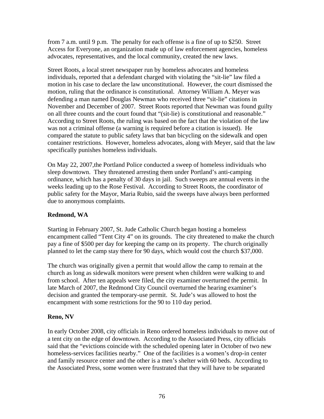from 7 a.m. until 9 p.m. The penalty for each offense is a fine of up to \$250. Street Access for Everyone, an organization made up of law enforcement agencies, homeless advocates, representatives, and the local community, created the new laws.

Street Roots, a local street newspaper run by homeless advocates and homeless individuals, reported that a defendant charged with violating the "sit-lie" law filed a motion in his case to declare the law unconstitutional. However, the court dismissed the motion, ruling that the ordinance is constitutional. Attorney William A. Meyer was defending a man named Douglas Newman who received three "sit-lie" citations in November and December of 2007. Street Roots reported that Newman was found guilty on all three counts and the court found that "(sit-lie) is constitutional and reasonable." According to Street Roots, the ruling was based on the fact that the violation of the law was not a criminal offense (a warning is required before a citation is issued). He compared the statute to public safety laws that ban bicycling on the sidewalk and open container restrictions. However, homeless advocates, along with Meyer, said that the law specifically punishes homeless individuals.

On May 22, 2007,the Portland Police conducted a sweep of homeless individuals who sleep downtown. They threatened arresting them under Portland's anti-camping ordinance, which has a penalty of 30 days in jail. Such sweeps are annual events in the weeks leading up to the Rose Festival. According to Street Roots, the coordinator of public safety for the Mayor, Maria Rubio, said the sweeps have always been performed due to anonymous complaints.

## **Redmond, WA**

Starting in February 2007, St. Jude Catholic Church began hosting a homeless encampment called "Tent City 4" on its grounds. The city threatened to make the church pay a fine of \$500 per day for keeping the camp on its property. The church originally planned to let the camp stay there for 90 days, which would cost the church \$37,000.

The church was originally given a permit that would allow the camp to remain at the church as long as sidewalk monitors were present when children were walking to and from school. After ten appeals were filed, the city examiner overturned the permit. In late March of 2007, the Redmond City Council overturned the hearing examiner's decision and granted the temporary-use permit. St. Jude's was allowed to host the encampment with some restrictions for the 90 to 110 day period.

## **Reno, NV**

In early October 2008, city officials in Reno ordered homeless individuals to move out of a tent city on the edge of downtown. According to the Associated Press, city officials said that the "evictions coincide with the scheduled opening later in October of two new homeless-services facilities nearby." One of the facilities is a women's drop-in center and family resource center and the other is a men's shelter with 60 beds. According to the Associated Press, some women were frustrated that they will have to be separated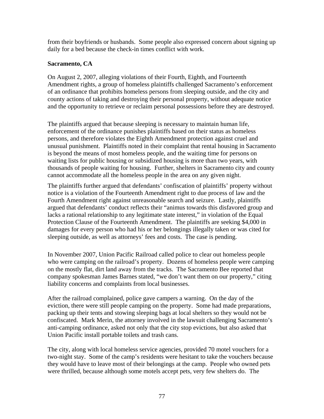from their boyfriends or husbands. Some people also expressed concern about signing up daily for a bed because the check-in times conflict with work.

#### **Sacramento, CA**

On August 2, 2007, alleging violations of their Fourth, Eighth, and Fourteenth Amendment rights, a group of homeless plaintiffs challenged Sacramento's enforcement of an ordinance that prohibits homeless persons from sleeping outside, and the city and county actions of taking and destroying their personal property, without adequate notice and the opportunity to retrieve or reclaim personal possessions before they are destroyed.

The plaintiffs argued that because sleeping is necessary to maintain human life, enforcement of the ordinance punishes plaintiffs based on their status as homeless persons, and therefore violates the Eighth Amendment protection against cruel and unusual punishment. Plaintiffs noted in their complaint that rental housing in Sacramento is beyond the means of most homeless people, and the waiting time for persons on waiting lists for public housing or subsidized housing is more than two years, with thousands of people waiting for housing. Further, shelters in Sacramento city and county cannot accommodate all the homeless people in the area on any given night.

The plaintiffs further argued that defendants' confiscation of plaintiffs' property without notice is a violation of the Fourteenth Amendment right to due process of law and the Fourth Amendment right against unreasonable search and seizure. Lastly, plaintiffs argued that defendants' conduct reflects their "animus towards this disfavored group and lacks a rational relationship to any legitimate state interest," in violation of the Equal Protection Clause of the Fourteenth Amendment. The plaintiffs are seeking \$4,000 in damages for every person who had his or her belongings illegally taken or was cited for sleeping outside, as well as attorneys' fees and costs. The case is pending.

In November 2007, Union Pacific Railroad called police to clear out homeless people who were camping on the railroad's property. Dozens of homeless people were camping on the mostly flat, dirt land away from the tracks. The Sacramento Bee reported that company spokesman James Barnes stated, "we don't want them on our property," citing liability concerns and complaints from local businesses.

After the railroad complained, police gave campers a warning. On the day of the eviction, there were still people camping on the property. Some had made preparations, packing up their tents and stowing sleeping bags at local shelters so they would not be confiscated. Mark Merin, the attorney involved in the lawsuit challenging Sacramento's anti-camping ordinance, asked not only that the city stop evictions, but also asked that Union Pacific install portable toilets and trash cans.

The city, along with local homeless service agencies, provided 70 motel vouchers for a two-night stay. Some of the camp's residents were hesitant to take the vouchers because they would have to leave most of their belongings at the camp. People who owned pets were thrilled, because although some motels accept pets, very few shelters do. The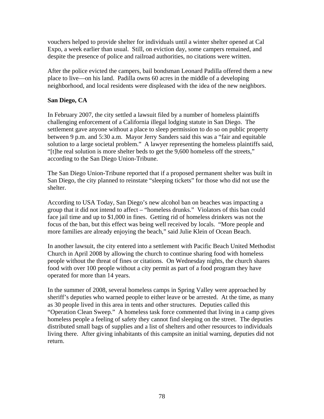vouchers helped to provide shelter for individuals until a winter shelter opened at Cal Expo, a week earlier than usual. Still, on eviction day, some campers remained, and despite the presence of police and railroad authorities, no citations were written.

After the police evicted the campers, bail bondsman Leonard Padilla offered them a new place to live—on his land. Padilla owns 60 acres in the middle of a developing neighborhood, and local residents were displeased with the idea of the new neighbors.

## **San Diego, CA**

In February 2007, the city settled a lawsuit filed by a number of homeless plaintiffs challenging enforcement of a California illegal lodging statute in San Diego. The settlement gave anyone without a place to sleep permission to do so on public property between 9 p.m. and 5:30 a.m. Mayor Jerry Sanders said this was a "fair and equitable solution to a large societal problem." A lawyer representing the homeless plaintiffs said, "[t]he real solution is more shelter beds to get the 9,600 homeless off the streets," according to the San Diego Union-Tribune.

The San Diego Union-Tribune reported that if a proposed permanent shelter was built in San Diego, the city planned to reinstate "sleeping tickets" for those who did not use the shelter.

According to USA Today*,* San Diego's new alcohol ban on beaches was impacting a group that it did not intend to affect – "homeless drunks." Violators of this ban could face jail time and up to \$1,000 in fines. Getting rid of homeless drinkers was not the focus of the ban, but this effect was being well received by locals. "More people and more families are already enjoying the beach," said Julie Klein of Ocean Beach.

In another lawsuit, the city entered into a settlement with Pacific Beach United Methodist Church in April 2008 by allowing the church to continue sharing food with homeless people without the threat of fines or citations. On Wednesday nights, the church shares food with over 100 people without a city permit as part of a food program they have operated for more than 14 years.

In the summer of 2008, several homeless camps in Spring Valley were approached by sheriff's deputies who warned people to either leave or be arrested. At the time, as many as 30 people lived in this area in tents and other structures. Deputies called this "Operation Clean Sweep." A homeless task force commented that living in a camp gives homeless people a feeling of safety they cannot find sleeping on the street. The deputies distributed small bags of supplies and a list of shelters and other resources to individuals living there. After giving inhabitants of this campsite an initial warning, deputies did not return.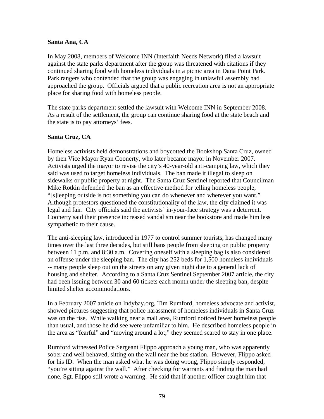#### **Santa Ana, CA**

In May 2008, members of Welcome INN (Interfaith Needs Network) filed a lawsuit against the state parks department after the group was threatened with citations if they continued sharing food with homeless individuals in a picnic area in Dana Point Park. Park rangers who contended that the group was engaging in unlawful assembly had approached the group. Officials argued that a public recreation area is not an appropriate place for sharing food with homeless people.

The state parks department settled the lawsuit with Welcome INN in September 2008. As a result of the settlement, the group can continue sharing food at the state beach and the state is to pay attorneys' fees.

# **Santa Cruz, CA**

Homeless activists held demonstrations and boycotted the Bookshop Santa Cruz, owned by then Vice Mayor Ryan Coonerty, who later became mayor in November 2007. Activists urged the mayor to revise the city's 40-year-old anti-camping law, which they said was used to target homeless individuals. The ban made it illegal to sleep on sidewalks or public property at night. The Santa Cruz Sentinel reported that Councilman Mike Rotkin defended the ban as an effective method for telling homeless people, "[s]leeping outside is not something you can do whenever and wherever you want." Although protestors questioned the constitutionality of the law, the city claimed it was legal and fair. City officials said the activists' in-your-face strategy was a deterrent. Coonerty said their presence increased vandalism near the bookstore and made him less sympathetic to their cause.

The anti-sleeping law, introduced in 1977 to control summer tourists, has changed many times over the last three decades, but still bans people from sleeping on public property between 11 p.m. and 8:30 a.m. Covering oneself with a sleeping bag is also considered an offense under the sleeping ban. The city has 252 beds for 1,500 homeless individuals -- many people sleep out on the streets on any given night due to a general lack of housing and shelter. According to a Santa Cruz Sentinel September 2007 article, the city had been issuing between 30 and 60 tickets each month under the sleeping ban, despite limited shelter accommodations.

In a February 2007 article on Indybay.org, Tim Rumford, homeless advocate and activist, showed pictures suggesting that police harassment of homeless individuals in Santa Cruz was on the rise. While walking near a mall area, Rumford noticed fewer homeless people than usual, and those he did see were unfamiliar to him. He described homeless people in the area as "fearful" and "moving around a lot;" they seemed scared to stay in one place.

Rumford witnessed Police Sergeant Flippo approach a young man, who was apparently sober and well behaved, sitting on the wall near the bus station. However, Flippo asked for his ID. When the man asked what he was doing wrong, Flippo simply responded, "you're sitting against the wall." After checking for warrants and finding the man had none, Sgt. Flippo still wrote a warning. He said that if another officer caught him that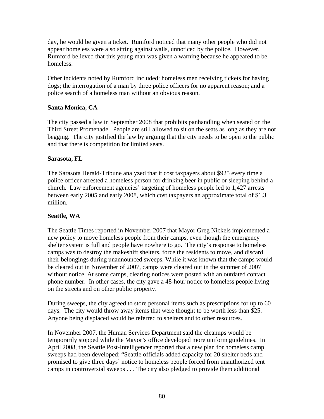day, he would be given a ticket. Rumford noticed that many other people who did not appear homeless were also sitting against walls, unnoticed by the police. However, Rumford believed that this young man was given a warning because he appeared to be homeless.

Other incidents noted by Rumford included: homeless men receiving tickets for having dogs; the interrogation of a man by three police officers for no apparent reason; and a police search of a homeless man without an obvious reason.

## **Santa Monica, CA**

The city passed a law in September 2008 that prohibits panhandling when seated on the Third Street Promenade. People are still allowed to sit on the seats as long as they are not begging. The city justified the law by arguing that the city needs to be open to the public and that there is competition for limited seats.

#### **Sarasota, FL**

The Sarasota Herald-Tribune analyzed that it cost taxpayers about \$925 every time a police officer arrested a homeless person for drinking beer in public or sleeping behind a church. Law enforcement agencies' targeting of homeless people led to 1,427 arrests between early 2005 and early 2008, which cost taxpayers an approximate total of \$1.3 million.

## **Seattle, WA**

The Seattle Times reported in November 2007 that Mayor Greg Nickels implemented a new policy to move homeless people from their camps, even though the emergency shelter system is full and people have nowhere to go. The city's response to homeless camps was to destroy the makeshift shelters, force the residents to move, and discard their belongings during unannounced sweeps. While it was known that the camps would be cleared out in November of 2007, camps were cleared out in the summer of 2007 without notice. At some camps, clearing notices were posted with an outdated contact phone number. In other cases, the city gave a 48-hour notice to homeless people living on the streets and on other public property.

During sweeps, the city agreed to store personal items such as prescriptions for up to 60 days. The city would throw away items that were thought to be worth less than \$25. Anyone being displaced would be referred to shelters and to other resources.

In November 2007, the Human Services Department said the cleanups would be temporarily stopped while the Mayor's office developed more uniform guidelines. In April 2008, the Seattle Post-Intelligencer reported that a new plan for homeless camp sweeps had been developed: "Seattle officials added capacity for 20 shelter beds and promised to give three days' notice to homeless people forced from unauthorized tent camps in controversial sweeps . . . The city also pledged to provide them additional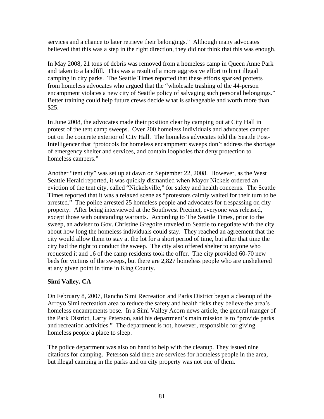services and a chance to later retrieve their belongings." Although many advocates believed that this was a step in the right direction, they did not think that this was enough.

In May 2008, 21 tons of debris was removed from a homeless camp in Queen Anne Park and taken to a landfill. This was a result of a more aggressive effort to limit illegal camping in city parks. The Seattle Times reported that these efforts sparked protests from homeless advocates who argued that the "wholesale trashing of the 44-person encampment violates a new city of Seattle policy of salvaging such personal belongings." Better training could help future crews decide what is salvageable and worth more than \$25.

In June 2008, the advocates made their position clear by camping out at City Hall in protest of the tent camp sweeps. Over 200 homeless individuals and advocates camped out on the concrete exterior of City Hall. The homeless advocates told the Seattle Post-Intelligencer that "protocols for homeless encampment sweeps don't address the shortage of emergency shelter and services, and contain loopholes that deny protection to homeless campers."

Another "tent city" was set up at dawn on September 22, 2008. However, as the West Seattle Herald reported, it was quickly dismantled when Mayor Nickels ordered an eviction of the tent city, called "Nickelsville," for safety and health concerns. The Seattle Times reported that it was a relaxed scene as "protestors calmly waited for their turn to be arrested." The police arrested 25 homeless people and advocates for trespassing on city property. After being interviewed at the Southwest Precinct, everyone was released, except those with outstanding warrants. According to The Seattle Times, prior to the sweep, an adviser to Gov. Christine Gregoire traveled to Seattle to negotiate with the city about how long the homeless individuals could stay. They reached an agreement that the city would allow them to stay at the lot for a short period of time, but after that time the city had the right to conduct the sweep. The city also offered shelter to anyone who requested it and 16 of the camp residents took the offer. The city provided 60-70 new beds for victims of the sweeps, but there are 2,827 homeless people who are unsheltered at any given point in time in King County.

## **Simi Valley, CA**

On February 8, 2007, Rancho Simi Recreation and Parks District began a cleanup of the Arroyo Simi recreation area to reduce the safety and health risks they believe the area's homeless encampments pose. In a Simi Valley Acorn news article, the general manger of the Park District, Larry Peterson, said his department's main mission is to "provide parks and recreation activities." The department is not, however, responsible for giving homeless people a place to sleep.

The police department was also on hand to help with the cleanup. They issued nine citations for camping. Peterson said there are services for homeless people in the area, but illegal camping in the parks and on city property was not one of them.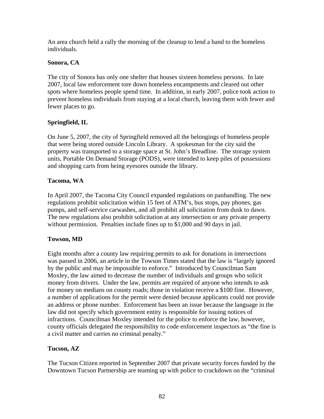An area church held a rally the morning of the cleanup to lend a hand to the homeless individuals.

# **Sonora, CA**

The city of Sonora has only one shelter that houses sixteen homeless persons. In late 2007, local law enforcement tore down homeless encampments and cleared out other spots where homeless people spend time. In addition, in early 2007, police took action to prevent homeless individuals from staying at a local church, leaving them with fewer and fewer places to go.

# **Springfield, IL**

On June 5, 2007, the city of Springfield removed all the belongings of homeless people that were being stored outside Lincoln Library. A spokesman for the city said the property was transported to a storage space at St. John's Breadline. The storage system units, Portable On Demand Storage (PODS), were intended to keep piles of possessions and shopping carts from being eyesores outside the library.

# **Tacoma, WA**

In April 2007, the Tacoma City Council expanded regulations on panhandling. The new regulations prohibit solicitation within 15 feet of ATM's, bus stops, pay phones, gas pumps, and self-service carwashes, and all prohibit all solicitation from dusk to dawn. The new regulations also prohibit solicitation at any intersection or any private property without permission. Penalties include fines up to \$1,000 and 90 days in jail.

## **Towson, MD**

Eight months after a county law requiring permits to ask for donations in intersections was passed in 2006, an article in the Towson Times stated that the law is "largely ignored by the public and may be impossible to enforce." Introduced by Councilman Sam Moxley, the law aimed to decrease the number of individuals and groups who solicit money from drivers. Under the law, permits are required of anyone who intends to ask for money on medians on county roads; those in violation receive a \$100 fine. However, a number of applications for the permit were denied because applicants could not provide an address or phone number. Enforcement has been an issue because the language in the law did not specify which government entity is responsible for issuing notices of infractions. Councilman Moxley intended for the police to enforce the law, however, county officials delegated the responsibility to code enforcement inspectors as "the fine is a civil matter and carries no criminal penalty."

## **Tucson, AZ**

The Tucson Citizen reported in September 2007 that private security forces funded by the Downtown Tucson Partnership are teaming up with police to crackdown on the "criminal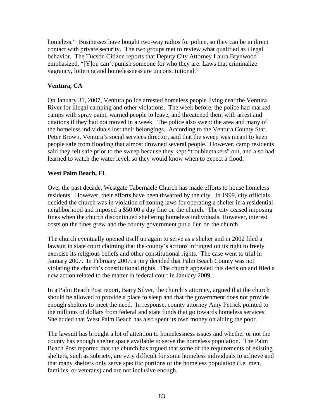homeless." Businesses have bought two-way radios for police, so they can be in direct contact with private security. The two groups met to review what qualified as illegal behavior. The Tucson Citizen reports that Deputy City Attorney Laura Brynwood emphasized, "[Y]ou can't punish someone for who they are. Laws that criminalize vagrancy, loitering and homelessness are unconstitutional."

## **Ventura, CA**

On January 31, 2007, Ventura police arrested homeless people living near the Ventura River for illegal camping and other violations. The week before, the police had marked camps with spray paint, warned people to leave, and threatened them with arrest and citations if they had not moved in a week. The police also swept the area and many of the homeless individuals lost their belongings. According to the Ventura County Star, Peter Brown, Ventura's social services director, said that the sweep was meant to keep people safe from flooding that almost drowned several people. However, camp residents said they felt safe prior to the sweep because they kept "troublemakers" out, and also had learned to watch the water level, so they would know when to expect a flood.

## **West Palm Beach, FL**

Over the past decade, Westgate Tabernacle Church has made efforts to house homeless residents. However, their efforts have been thwarted by the city. In 1999, city officials decided the church was in violation of zoning laws for operating a shelter in a residential neighborhood and imposed a \$50.00 a day fine on the church. The city ceased imposing fines when the church discontinued sheltering homeless individuals. However, interest costs on the fines grew and the county government put a lien on the church.

The church eventually opened itself up again to serve as a shelter and in 2002 filed a lawsuit in state court claiming that the county's actions infringed on its right to freely exercise its religious beliefs and other constitutional rights. The case went to trial in January 2007. In February 2007, a jury decided that Palm Beach County was not violating the church's constitutional rights. The church appealed this decision and filed a new action related to the matter in federal court in January 2009.

In a Palm Beach Post report, Barry Silver, the church's attorney, argued that the church should be allowed to provide a place to sleep and that the government does not provide enough shelters to meet the need. In response, county attorney Amy Petrick pointed to the millions of dollars from federal and state funds that go towards homeless services. She added that West Palm Beach has also spent its own money on aiding the poor.

The lawsuit has brought a lot of attention to homelessness issues and whether or not the county has enough shelter space available to serve the homeless population. The Palm Beach Post reported that the church has argued that some of the requirements of existing shelters, such as sobriety, are very difficult for some homeless individuals to achieve and that many shelters only serve specific portions of the homeless population (i.e. men, families, or veterans) and are not inclusive enough.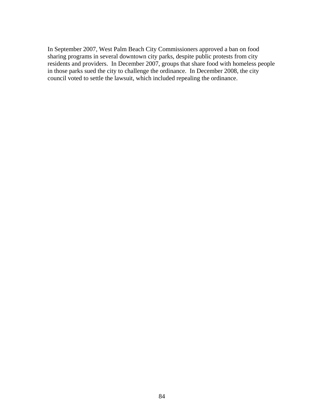In September 2007, West Palm Beach City Commissioners approved a ban on food sharing programs in several downtown city parks, despite public protests from city residents and providers. In December 2007, groups that share food with homeless people in those parks sued the city to challenge the ordinance. In December 2008, the city council voted to settle the lawsuit, which included repealing the ordinance.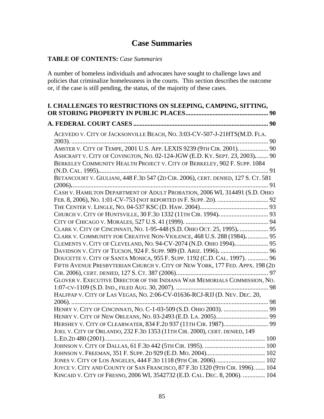# **Case Summaries**

# **TABLE OF CONTENTS:** *Case Summaries*

A number of homeless individuals and advocates have sought to challenge laws and policies that criminalize homelessness in the courts. This section describes the outcome or, if the case is still pending, the status, of the majority of these cases.

| I. CHALLENGES TO RESTRICTIONS ON SLEEPING, CAMPING, SITTING,                      |  |
|-----------------------------------------------------------------------------------|--|
|                                                                                   |  |
| ACEVEDO V. CITY OF JACKSONVILLE BEACH, NO. 3:03-CV-507-J-21HTS(M.D. FLA.          |  |
|                                                                                   |  |
| AMSTER V. CITY OF TEMPE, 2001 U.S. APP. LEXIS 9239 (9TH CIR. 2001) 90             |  |
| ASHCRAFT V. CITY OF COVINGTON, NO. 02-124-JGW (E.D. KY. SEPT. 23, 2003) 90        |  |
| BERKELEY COMMUNITY HEALTH PROJECT V. CITY OF BERKELEY, 902 F. SUPP. 1084          |  |
|                                                                                   |  |
| BETANCOURT V. GIULIANI, 448 F.3D 547 (2D CIR. 2006), CERT. DENIED, 127 S. CT. 581 |  |
|                                                                                   |  |
| CASH V. HAMILTON DEPARTMENT OF ADULT PROBATION, 2006 WL 314491 (S.D. OHIO         |  |
|                                                                                   |  |
|                                                                                   |  |
|                                                                                   |  |
|                                                                                   |  |
| CLARK V. CITY OF CINCINNATI, NO. 1-95-448 (S.D. OHIO OCT. 25, 1995).  95          |  |
| CLARK V. COMMUNITY FOR CREATIVE NON-VIOLENCE, 468 U.S. 288 (1984) 95              |  |
| CLEMENTS V. CITY OF CLEVELAND, NO. 94-CV-2074 (N.D. OHIO 1994).  95               |  |
| DAVIDSON V. CITY OF TUCSON, 924 F. SUPP. 989 (D. ARIZ. 1996).  96                 |  |
| DOUCETTE V. CITY OF SANTA MONICA, 955 F. SUPP. 1192 (C.D. CAL. 1997).  96         |  |
| FIFTH AVENUE PRESBYTERIAN CHURCH V. CITY OF NEW YORK, 177 FED. APPX. 198 (2D      |  |
|                                                                                   |  |
| GLOVER V. EXECUTIVE DIRECTOR OF THE INDIANA WAR MEMORIALS COMMISSION, NO.         |  |
|                                                                                   |  |
| HALFPAP V. CITY OF LAS VEGAS, NO. 2:06-CV-01636-RCJ-RJJ (D. NEV. DEC. 20,         |  |
|                                                                                   |  |
|                                                                                   |  |
|                                                                                   |  |
| HERSHEY V. CITY OF CLEARWATER, 834 F.2D 937 (11TH CIR. 1987) 99                   |  |
| JOEL V. CITY OF ORLANDO, 232 F.3D 1353 (11TH CIR. 2000), CERT. DENIED, 149        |  |
|                                                                                   |  |
|                                                                                   |  |
|                                                                                   |  |
| JONES V. CITY OF LOS ANGELES, 444 F.3D 1118 (9TH CIR. 2006).  102                 |  |
| JOYCE V. CITY AND COUNTY OF SAN FRANCISCO, 87 F.3D 1320 (9TH CIR. 1996) 104       |  |
| KINCAID V. CITY OF FRESNO, 2006 WL 3542732 (E.D. CAL. DEC. 8, 2006).  104         |  |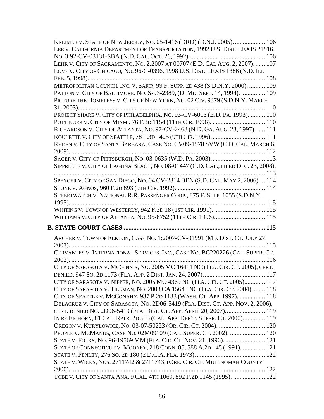| KREIMER V. STATE OF NEW JERSEY, NO. 05-1416 (DRD) (D.N.J. 2005).  106             |  |
|-----------------------------------------------------------------------------------|--|
| LEE V. CALIFORNIA DEPARTMENT OF TRANSPORTATION, 1992 U.S. DIST. LEXIS 21916,      |  |
|                                                                                   |  |
| LEHR V. CITY OF SACRAMENTO, NO. 2:2007 AT 00707 (E.D. CAL AUG. 2, 2007).  107     |  |
| LOVE V. CITY OF CHICAGO, NO. 96-C-0396, 1998 U.S. DIST. LEXIS 1386 (N.D. ILL.     |  |
|                                                                                   |  |
| METROPOLITAN COUNCIL INC. V. SAFIR, 99 F. SUPP. 2D 438 (S.D.N.Y. 2000).  109      |  |
| PATTON V. CITY OF BALTIMORE, NO. S-93-2389, (D. MD. SEPT. 14, 1994).  109         |  |
| PICTURE THE HOMELESS V. CITY OF NEW YORK, NO. 02 CIV. 9379 (S.D.N.Y. MARCH        |  |
|                                                                                   |  |
|                                                                                   |  |
| POTTINGER V. CITY OF MIAMI, 76 F.3D 1154 (11TH CIR. 1996).  110                   |  |
| RICHARDSON V. CITY OF ATLANTA, NO. 97-CV-2468 (N.D. GA. AUG. 28, 1997).  111      |  |
| ROULETTE V. CITY OF SEATTLE, 78 F.3D 1425 (9TH CIR. 1996).  111                   |  |
| RYDEN V. CITY OF SANTA BARBARA, CASE NO. CV09-1578 SVW (C.D. CAL. MARCH 6,        |  |
|                                                                                   |  |
|                                                                                   |  |
| SIPPRELLE V. CITY OF LAGUNA BEACH, NO. 08-01447 (C.D. CAL., FILED DEC. 23, 2008). |  |
|                                                                                   |  |
| SPENCER V. CITY OF SAN DIEGO, NO. 04 CV-2314 BEN (S.D. CAL. MAY 2, 2006) 114      |  |
|                                                                                   |  |
| STREETWATCH V. NATIONAL R.R. PASSENGER CORP., 875 F. SUPP. 1055 (S.D.N.Y.         |  |
|                                                                                   |  |
|                                                                                   |  |
| WILLIAMS V. CITY OF ATLANTA, NO. 95-8752 (11TH CIR. 1996) 115                     |  |
|                                                                                   |  |
|                                                                                   |  |
| ARCHER V. TOWN OF ELKTON, CASE NO. 1:2007-CV-01991 (MD. DIST. CT. JULY 27,        |  |
|                                                                                   |  |
| CERVANTES V. INTERNATIONAL SERVICES, INC., CASE NO. BC220226 (CAL. SUPER. CT.     |  |
|                                                                                   |  |
| CITY OF SARASOTA V. MCGINNIS, NO. 2005 MO 16411 NC (FLA. CIR. CT. 2005), CERT.    |  |
|                                                                                   |  |
| CITY OF SARASOTA V. NIPPER, NO. 2005 MO 4369 NC (FLA. CIR. CT. 2005) 117          |  |
| CITY OF SARASOTA V. TILLMAN, NO. 2003 CA 15645 NC (FLA. CIR. CT. 2004).  118      |  |
| CITY OF SEATTLE V. MCCONAHY, 937 P.2D 1133 (WASH. CT. APP. 1997).  118            |  |
| DELACRUZ V. CITY OF SARASOTA, NO. 2D06-5419 (FLA. DIST. CT. APP. NOV. 2, 2006),   |  |
| CERT. DENIED NO. 2D06-5419 (FLA. DIST. CT. APP. APRIL 20, 2007) 119               |  |
| IN RE EICHORN, 81 CAL. RPTR. 2D 535 (CAL. APP. DEP'T. SUPER. CT. 2000) 119        |  |
| OREGON V. KURYLOWICZ, NO. 03-07-50223 (OR. CIR. CT. 2004).  120                   |  |
| PEOPLE V. MCMANUS, CASE NO. 02M09109 (CAL. SUPER. CT. 2002).  120                 |  |
| STATE V. FOLKS, NO. 96-19569 MM (FLA. CIR. CT. NOV. 21, 1996).  121               |  |
|                                                                                   |  |
| STATE OF CONNECTICUT V. MOONEY, 218 CONN. 85, 588 A.2D 145 (1991).  121           |  |
|                                                                                   |  |
| STATE V. WICKS, NOS. 2711742 & 2711743, (ORE. CIR. CT. MULTNOMAH COUNTY           |  |
| TOBE V. CITY OF SANTA ANA, 9 CAL. 4TH 1069, 892 P.2D 1145 (1995).  122            |  |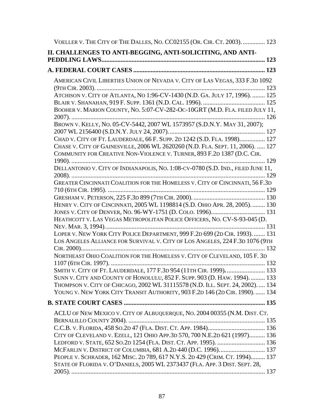| VOELLER V. THE CITY OF THE DALLES, NO. CC02155 (OR. CIR. CT. 2003).  123         |  |
|----------------------------------------------------------------------------------|--|
| II. CHALLENGES TO ANTI-BEGGING, ANTI-SOLICITING, AND ANTI-                       |  |
|                                                                                  |  |
|                                                                                  |  |
| AMERICAN CIVIL LIBERTIES UNION OF NEVADA V. CITY OF LAS VEGAS, 333 F.3D 1092     |  |
|                                                                                  |  |
| ATCHISON V. CITY OF ATLANTA, NO 1:96-CV-1430 (N.D. GA. JULY 17, 1996).  125      |  |
|                                                                                  |  |
| BOOHER V. MARION COUNTY, NO. 5:07-CV-282-OC-10GRT (M.D. FLA. FILED JULY 11,      |  |
|                                                                                  |  |
| BROWN V. KELLY, NO. 05-CV-5442, 2007 WL 1573957 (S.D.N.Y. MAY 31, 2007);         |  |
|                                                                                  |  |
| CHAD V. CITY OF FT. LAUDERDALE, 66 F. SUPP. 2D 1242 (S.D. FLA. 1998) 127         |  |
| CHASE V. CITY OF GAINESVILLE, 2006 WL 2620260 (N.D. FLA. SEPT. 11, 2006).  127   |  |
| COMMUNITY FOR CREATIVE NON-VIOLENCE V. TURNER, 893 F.2D 1387 (D.C. CIR.          |  |
|                                                                                  |  |
| DELLANTONIO V. CITY OF INDIANAPOLIS, NO. 1:08-CV-0780 (S.D. IND., FILED JUNE 11, |  |
| GREATER CINCINNATI COALITION FOR THE HOMELESS V. CITY OF CINCINNATI, 56 F.3D     |  |
|                                                                                  |  |
|                                                                                  |  |
| HENRY V. CITY OF CINCINNATI, 2005 WL 1198814 (S.D. OHIO APR. 28, 2005) 130       |  |
|                                                                                  |  |
| HEATHCOTT V. LAS VEGAS METROPOLITAN POLICE OFFICERS, NO. CV-S-93-045 (D.         |  |
|                                                                                  |  |
| LOPER V. NEW YORK CITY POLICE DEPARTMENT, 999 F.2D 699 (2D CIR. 1993).  131      |  |
| LOS ANGELES ALLIANCE FOR SURVIVAL V. CITY OF LOS ANGELES, 224 F.3D 1076 (9TH     |  |
|                                                                                  |  |
| NORTHEAST OHIO COALITION FOR THE HOMELESS V. CITY OF CLEVELAND, 105 F. 3D        |  |
|                                                                                  |  |
| SMITH V. CITY OF FT. LAUDERDALE, 177 F.3D 954 (11TH CIR. 1999).  133             |  |
| SUNN V. CITY AND COUNTY OF HONOLULU, 852 F. SUPP. 903 (D. HAW. 1994).  133       |  |
| THOMPSON V. CITY OF CHICAGO, 2002 WL 31115578 (N.D. ILL. SEPT. 24, 2002).  134   |  |
| YOUNG V. NEW YORK CITY TRANSIT AUTHORITY, 903 F.2D 146 (2D CIR. 1990).  134      |  |
|                                                                                  |  |
| ACLU OF NEW MEXICO V. CITY OF ALBUQUERQUE, NO. 2004 00355 (N.M. DIST. CT.        |  |
|                                                                                  |  |
|                                                                                  |  |
| CITY OF CLEVELAND V. EZELL, 121 OHIO APP.3D 570, 700 N.E.2D 621 (1997) 136       |  |
| LEDFORD V. STATE, 652 SO.2D 1254 (FLA. DIST. CT. APP. 1995).  136                |  |
| MCFARLIN V. DISTRICT OF COLUMBIA, 681 A.2D 440 (D.C. 1996) 137                   |  |
| PEOPLE V. SCHRADER, 162 MISC. 2D 789, 617 N.Y.S. 2D 429 (CRIM. CT. 1994) 137     |  |
| STATE OF FLORIDA V. O'DANIELS, 2005 WL 2373437 (FLA. APP. 3 DIST. SEPT. 28,      |  |
|                                                                                  |  |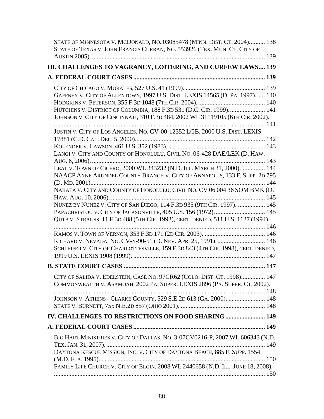| STATE OF MINNESOTA V. MCDONALD, NO. 03085478 (MINN. DIST. CT. 2004) 138<br>STATE OF TEXAS V. JOHN FRANCIS CURRAN, NO. 553926 (TEX. MUN. CT. CITY OF                                                                                                                                                                                                                                                                                                                                                                                                                                                                                                                                            |  |
|------------------------------------------------------------------------------------------------------------------------------------------------------------------------------------------------------------------------------------------------------------------------------------------------------------------------------------------------------------------------------------------------------------------------------------------------------------------------------------------------------------------------------------------------------------------------------------------------------------------------------------------------------------------------------------------------|--|
| III. CHALLENGES TO VAGRANCY, LOITERING, AND CURFEW LAWS 139                                                                                                                                                                                                                                                                                                                                                                                                                                                                                                                                                                                                                                    |  |
|                                                                                                                                                                                                                                                                                                                                                                                                                                                                                                                                                                                                                                                                                                |  |
| GAFFNEY V. CITY OF ALLENTOWN, 1997 U.S. DIST. LEXIS 14565 (D. PA. 1997) 140<br>HUTCHINS V. DISTRICT OF COLUMBIA, 188 F.3D 531 (D.C. CIR. 1999) 141<br>JOHNSON V. CITY OF CINCINNATI, 310 F.3D 484, 2002 WL 31119105 (6TH CIR. 2002).                                                                                                                                                                                                                                                                                                                                                                                                                                                           |  |
| JUSTIN V. CITY OF LOS ANGELES, NO. CV-00-12352 LGB, 2000 U.S. DIST. LEXIS<br>LANGI V. CITY AND COUNTY OF HONOLULU, CIVIL NO. 06-428 DAE/LEK (D. HAW.<br>LEAL V. TOWN OF CICERO, 2000 WL 343232 (N.D. ILL. MARCH 31, 2000) 144<br>NAACP ANNE ARUNDEL COUNTY BRANCH V. CITY OF ANNAPOLIS, 133 F. SUPP. 2D 795<br>NAKATA V. CITY AND COUNTY OF HONOLULU, CIVIL NO. CV 06 004 36 SOM BMK (D.<br>NUNEZ BY NUNEZ V. CITY OF SAN DIEGO, 114 F.3D 935 (9TH CIR. 1997).  145<br>PAPACHRISTOU V. CITY OF JACKSONVILLE, 405 U.S. 156 (1972).  145<br>QUTB V. STRAUSS, 11 F.3D 488 (5TH CIR. 1993), CERT. DENIED, 511 U.S. 1127 (1994).<br>RICHARD V. NEVADA, NO. CV-S-90-51 (D. NEV. APR. 25, 1991).  146 |  |
| SCHLEIFER V. CITY OF CHARLOTTESVILLE, 159 F.3D 843 (4TH CIR. 1998), CERT. DENIED,                                                                                                                                                                                                                                                                                                                                                                                                                                                                                                                                                                                                              |  |
|                                                                                                                                                                                                                                                                                                                                                                                                                                                                                                                                                                                                                                                                                                |  |
| CITY OF SALIDA V. EDELSTEIN, CASE NO. 97CR62 (COLO. DIST. CT. 1998) 147<br>COMMONWEALTH V. ASAMOAH, 2002 PA. SUPER. LEXIS 2896 (PA. SUPER. CT. 2002).<br>JOHNSON V. ATHENS - CLARKE COUNTY, 529 S.E.2D 613 (GA. 2000).  148                                                                                                                                                                                                                                                                                                                                                                                                                                                                    |  |
| IV. CHALLENGES TO RESTRICTIONS ON FOOD SHARING  149                                                                                                                                                                                                                                                                                                                                                                                                                                                                                                                                                                                                                                            |  |
|                                                                                                                                                                                                                                                                                                                                                                                                                                                                                                                                                                                                                                                                                                |  |
| BIG HART MINISTRIES V. CITY OF DALLAS, NO. 3-07CV0216-P, 2007 WL 606343 (N.D.<br>DAYTONA RESCUE MISSION, INC. V. CITY OF DAYTONA BEACH, 885 F. SUPP. 1554<br>FAMILY LIFE CHURCH V. CITY OF ELGIN, 2008 WL 2440658 (N.D. ILL. JUNE 18, 2008).                                                                                                                                                                                                                                                                                                                                                                                                                                                   |  |
|                                                                                                                                                                                                                                                                                                                                                                                                                                                                                                                                                                                                                                                                                                |  |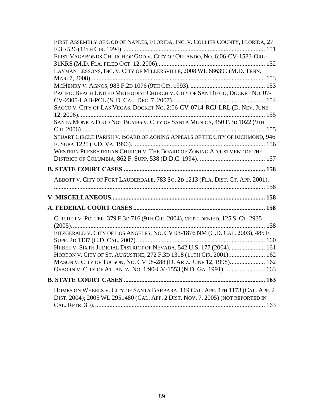| FIRST ASSEMBLY OF GOD OF NAPLES, FLORIDA, INC. V. COLLIER COUNTY, FLORIDA, 27  |  |
|--------------------------------------------------------------------------------|--|
| FIRST VAGABONDS CHURCH OF GOD V. CITY OF ORLANDO, NO. 6:06-CV-1583-ORL-        |  |
|                                                                                |  |
| LAYMAN LESSONS, INC. V. CITY OF MILLERSVILLE, 2008 WL 686399 (M.D. TENN.       |  |
|                                                                                |  |
|                                                                                |  |
| PACIFIC BEACH UNITED METHODIST CHURCH V. CITY OF SAN DIEGO, DOCKET NO. 07-     |  |
|                                                                                |  |
| SACCO V. CITY OF LAS VEGAS, DOCKET NO. 2:06-CV-0714-RCJ-LRL (D. NEV. JUNE      |  |
|                                                                                |  |
| SANTA MONICA FOOD NOT BOMBS V. CITY OF SANTA MONICA, 450 F.3D 1022 (9TH        |  |
|                                                                                |  |
| STUART CIRCLE PARISH V. BOARD OF ZONING APPEALS OF THE CITY OF RICHMOND, 946   |  |
|                                                                                |  |
| WESTERN PRESBYTERIAN CHURCH V. THE BOARD OF ZONING ADJUSTMENT OF THE           |  |
|                                                                                |  |
|                                                                                |  |
|                                                                                |  |
| ABBOTT V. CITY OF FORT LAUDERDALE, 783 SO. 2D 1213 (FLA. DIST. CT. APP. 2001). |  |
|                                                                                |  |
|                                                                                |  |
|                                                                                |  |
|                                                                                |  |
| CURRIER V. POTTER, 379 F.3D 716 (9TH CIR. 2004), CERT. DENIED, 125 S. CT. 2935 |  |
| FITZGERALD V. CITY OF LOS ANGELES, NO. CV 03-1876 NM (C.D. CAL. 2003), 485 F.  |  |
|                                                                                |  |
| HIIBEL V. SIXTH JUDICIAL DISTRICT OF NEVADA, 542 U.S. 177 (2004).  161         |  |
| HORTON V. CITY OF ST. AUGUSTINE, 272 F.3D 1318 (11TH CIR. 2001) 162            |  |
| MASON V. CITY OF TUCSON, NO. CV 98-288 (D. ARIZ. JUNE 12, 1998) 162            |  |
| OSBORN V. CITY OF ATLANTA, NO. 1:90-CV-1553 (N.D. GA. 1991).  163              |  |
|                                                                                |  |
| HOMES ON WHEELS V. CITY OF SANTA BARBARA, 119 CAL. APP. 4TH 1173 (CAL. APP. 2  |  |
| DIST. 2004); 2005 WL 2951480 (CAL. APP. 2 DIST. NOV. 7, 2005) (NOT REPORTED IN |  |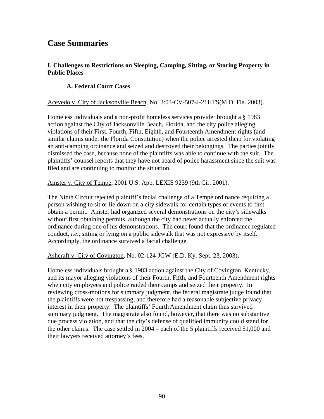# **Case Summaries**

## **I. Challenges to Restrictions on Sleeping, Camping, Sitting, or Storing Property in Public Places**

# **A. Federal Court Cases**

#### Acevedo v. City of Jacksonville Beach, No. 3:03-CV-507-J-21HTS(M.D. Fla. 2003).

Homeless individuals and a non-profit homeless services provider brought a § 1983 action against the City of Jacksonville Beach, Florida, and the city police alleging violations of their First, Fourth, Fifth, Eighth, and Fourteenth Amendment rights (and similar claims under the Florida Constitution) when the police arrested them for violating an anti-camping ordinance and seized and destroyed their belongings. The parties jointly dismissed the case, because none of the plaintiffs was able to continue with the suit. The plaintiffs' counsel reports that they have not heard of police harassment since the suit was filed and are continuing to monitor the situation.

Amster v. City of Tempe, 2001 U.S. App. LEXIS 9239 (9th Cir. 2001).

The Ninth Circuit rejected plaintiff's facial challenge of a Tempe ordinance requiring a person wishing to sit or lie down on a city sidewalk for certain types of events to first obtain a permit. Amster had organized several demonstrations on the city's sidewalks without first obtaining permits, although the city had never actually enforced the ordinance during one of his demonstrations. The court found that the ordinance regulated conduct, *i.e*., sitting or lying on a public sidewalk that was not expressive by itself. Accordingly, the ordinance survived a facial challenge.

Ashcraft v. City of Covington, No. 02-124-JGW (E.D. Ky. Sept. 23, 2003)**.**

Homeless individuals brought a § 1983 action against the City of Covington, Kentucky, and its mayor alleging violations of their Fourth, Fifth, and Fourteenth Amendment rights when city employees and police raided their camps and seized their property. In reviewing cross-motions for summary judgment, the federal magistrate judge found that the plaintiffs were not trespassing, and therefore had a reasonable subjective privacy interest in their property. The plaintiffs' Fourth Amendment claim thus survived summary judgment. The magistrate also found, however, that there was no substantive due process violation, and that the city's defense of qualified immunity could stand for the other claims. The case settled in 2004 – each of the 5 plaintiffs received \$1,000 and their lawyers received attorney's fees.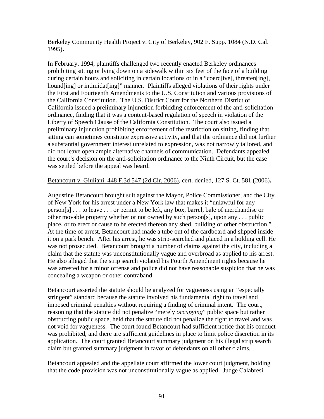Berkeley Community Health Project v. City of Berkeley, 902 F. Supp. 1084 (N.D. Cal. 1995)**.**

In February, 1994, plaintiffs challenged two recently enacted Berkeley ordinances prohibiting sitting or lying down on a sidewalk within six feet of the face of a building during certain hours and soliciting in certain locations or in a "coerc[ive], threaten[ing], hound[ing] or intimidat[ing]" manner. Plaintiffs alleged violations of their rights under the First and Fourteenth Amendments to the U.S. Constitution and various provisions of the California Constitution. The U.S. District Court for the Northern District of California issued a preliminary injunction forbidding enforcement of the anti-solicitation ordinance, finding that it was a content-based regulation of speech in violation of the Liberty of Speech Clause of the California Constitution. The court also issued a preliminary injunction prohibiting enforcement of the restriction on sitting, finding that sitting can sometimes constitute expressive activity, and that the ordinance did not further a substantial government interest unrelated to expression, was not narrowly tailored, and did not leave open ample alternative channels of communication. Defendants appealed the court's decision on the anti-solicitation ordinance to the Ninth Circuit, but the case was settled before the appeal was heard.

#### Betancourt v. Giuliani, 448 F.3d 547 (2d Cir. 2006), cert. denied, 127 S. Ct. 581 (2006)**.**

Augustine Betancourt brought suit against the Mayor, Police Commissioner, and the City of New York for his arrest under a New York law that makes it "unlawful for any person[s] . . . to leave . . . or permit to be left, any box, barrel, bale of merchandise or other movable property whether or not owned by such person[s], upon any . . . public place, or to erect or cause to be erected thereon any shed, building or other obstruction." . At the time of arrest, Betancourt had made a tube out of the cardboard and slipped inside it on a park bench. After his arrest, he was strip-searched and placed in a holding cell. He was not prosecuted. Betancourt brought a number of claims against the city, including a claim that the statute was unconstitutionally vague and overbroad as applied to his arrest. He also alleged that the strip search violated his Fourth Amendment rights because he was arrested for a minor offense and police did not have reasonable suspicion that he was concealing a weapon or other contraband.

Betancourt asserted the statute should be analyzed for vagueness using an "especially stringent" standard because the statute involved his fundamental right to travel and imposed criminal penalties without requiring a finding of criminal intent. The court, reasoning that the statute did not penalize "merely *occupying*" public space but rather obstructing public space, held that the statute did not penalize the right to travel and was not void for vagueness. The court found Betancourt had sufficient notice that his conduct was prohibited, and there are sufficient guidelines in place to limit police discretion in its application. The court granted Betancourt summary judgment on his illegal strip search claim but granted summary judgment in favor of defendants on all other claims.

Betancourt appealed and the appellate court affirmed the lower court judgment, holding that the code provision was not unconstitutionally vague as applied. Judge Calabresi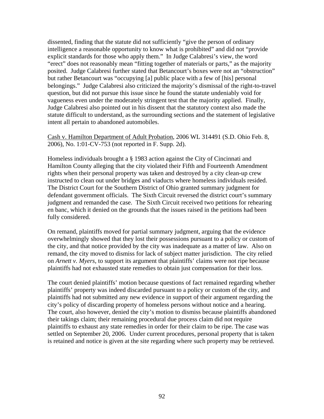dissented, finding that the statute did not sufficiently "give the person of ordinary intelligence a reasonable opportunity to know what is prohibited" and did not "provide explicit standards for those who apply them." In Judge Calabresi's view, the word "erect" does not reasonably mean "fitting together of materials or parts," as the majority posited. Judge Calabresi further stated that Betancourt's boxes were not an "obstruction" but rather Betancourt was "occupying [a] public place with a few of [his] personal belongings." Judge Calabresi also criticized the majority's dismissal of the right-to-travel question, but did not pursue this issue since he found the statute undeniably void for vagueness even under the moderately stringent test that the majority applied. Finally, Judge Calabresi also pointed out in his dissent that the statutory context also made the statute difficult to understand, as the surrounding sections and the statement of legislative intent all pertain to abandoned automobiles.

Cash v. Hamilton Department of Adult Probation, 2006 WL 314491 (S.D. Ohio Feb. 8, 2006), No. 1:01-CV-753 (not reported in F. Supp. 2d).

Homeless individuals brought a § 1983 action against the City of Cincinnati and Hamilton County alleging that the city violated their Fifth and Fourteenth Amendment rights when their personal property was taken and destroyed by a city clean-up crew instructed to clean out under bridges and viaducts where homeless individuals resided. The District Court for the Southern District of Ohio granted summary judgment for defendant government officials. The Sixth Circuit reversed the district court's summary judgment and remanded the case. The Sixth Circuit received two petitions for rehearing en banc, which it denied on the grounds that the issues raised in the petitions had been fully considered.

On remand, plaintiffs moved for partial summary judgment, arguing that the evidence overwhelmingly showed that they lost their possessions pursuant to a policy or custom of the city, and that notice provided by the city was inadequate as a matter of law. Also on remand, the city moved to dismiss for lack of subject matter jurisdiction. The city relied on *Arnett v. Myers*, to support its argument that plaintiffs' claims were not ripe because plaintiffs had not exhausted state remedies to obtain just compensation for their loss.

The court denied plaintiffs' motion because questions of fact remained regarding whether plaintiffs' property was indeed discarded pursuant to a policy or custom of the city, and plaintiffs had not submitted any new evidence in support of their argument regarding the city's policy of discarding property of homeless persons without notice and a hearing. The court, also however, denied the city's motion to dismiss because plaintiffs abandoned their takings claim; their remaining procedural due process claim did not require plaintiffs to exhaust any state remedies in order for their claim to be ripe. The case was settled on September 20, 2006. Under current procedures, personal property that is taken is retained and notice is given at the site regarding where such property may be retrieved.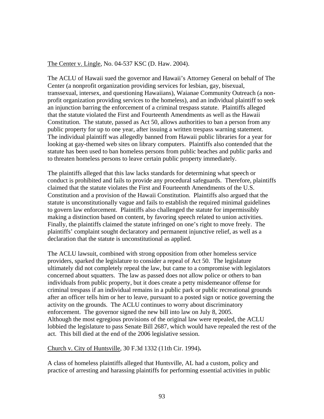#### The Center v. Lingle, No. 04-537 KSC (D. Haw. 2004).

The ACLU of Hawaii sued the governor and Hawaii's Attorney General on behalf of The Center (a nonprofit organization providing services for lesbian, gay, bisexual, transsexual, intersex, and questioning Hawaiians), Waianae Community Outreach (a nonprofit organization providing services to the homeless), and an individual plaintiff to seek an injunction barring the enforcement of a criminal trespass statute. Plaintiffs alleged that the statute violated the First and Fourteenth Amendments as well as the Hawaii Constitution. The statute, passed as Act 50, allows authorities to ban a person from any public property for up to one year, after issuing a written trespass warning statement. The individual plaintiff was allegedly banned from Hawaii public libraries for a year for looking at gay-themed web sites on library computers. Plaintiffs also contended that the statute has been used to ban homeless persons from public beaches and public parks and to threaten homeless persons to leave certain public property immediately.

The plaintiffs alleged that this law lacks standards for determining what speech or conduct is prohibited and fails to provide any procedural safeguards. Therefore, plaintiffs claimed that the statute violates the First and Fourteenth Amendments of the U.S. Constitution and a provision of the Hawaii Constitution. Plaintiffs also argued that the statute is unconstitutionally vague and fails to establish the required minimal guidelines to govern law enforcement. Plaintiffs also challenged the statute for impermissibly making a distinction based on content, by favoring speech related to union activities. Finally, the plaintiffs claimed the statute infringed on one's right to move freely. The plaintiffs' complaint sought declaratory and permanent injunctive relief, as well as a declaration that the statute is unconstitutional as applied.

The ACLU lawsuit, combined with strong opposition from other homeless service providers, sparked the legislature to consider a repeal of Act 50. The legislature ultimately did not completely repeal the law, but came to a compromise with legislators concerned about squatters. The law as passed does not allow police or others to ban individuals from public property, but it does create a petty misdemeanor offense for criminal trespass if an individual remains in a public park or public recreational grounds after an officer tells him or her to leave, pursuant to a posted sign or notice governing the activity on the grounds. The ACLU continues to worry about discriminatory enforcement. The governor signed the new bill into law on July 8, 2005. Although the most egregious provisions of the original law were repealed, the ACLU lobbied the legislature to pass Senate Bill 2687, which would have repealed the rest of the act. This bill died at the end of the 2006 legislative session.

Church v. City of Huntsville, 30 F.3d 1332 (11th Cir. 1994)**.**

A class of homeless plaintiffs alleged that Huntsville, AL had a custom, policy and practice of arresting and harassing plaintiffs for performing essential activities in public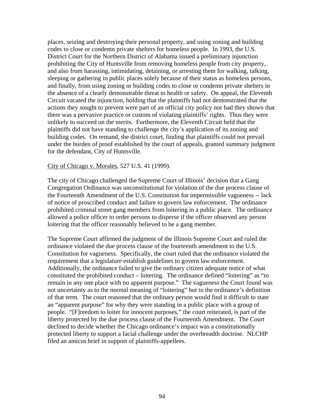places, seizing and destroying their personal property, and using zoning and building codes to close or condemn private shelters for homeless people. In 1993, the U.S. District Court for the Northern District of Alabama issued a preliminary injunction prohibiting the City of Huntsville from removing homeless people from city property, and also from harassing, intimidating, detaining, or arresting them for walking, talking, sleeping or gathering in public places solely because of their status as homeless persons, and finally, from using zoning or building codes to close or condemn private shelters in the absence of a clearly demonstrable threat to health or safety. On appeal, the Eleventh Circuit vacated the injunction, holding that the plaintiffs had not demonstrated that the actions they sought to prevent were part of an official city policy nor had they shown that there was a pervasive practice or custom of violating plaintiffs' rights. Thus they were unlikely to succeed on the merits. Furthermore, the Eleventh Circuit held that the plaintiffs did not have standing to challenge the city's application of its zoning and building codes. On remand, the district court, finding that plaintiffs could not prevail under the burden of proof established by the court of appeals, granted summary judgment for the defendant, City of Huntsville.

#### City of Chicago v. Morales, 527 U.S. 41 (1999).

The city of Chicago challenged the Supreme Court of Illinois' decision that a Gang Congregation Ordinance was unconstitutional for violation of the due process clause of the Fourteenth Amendment of the U.S. Constitution for impermissible vagueness -- lack of notice of proscribed conduct and failure to govern law enforcement. The ordinance prohibited criminal street gang members from loitering in a public place. The ordinance allowed a police officer to order persons to disperse if the officer observed any person loitering that the officer reasonably believed to be a gang member.

The Supreme Court affirmed the judgment of the Illinois Supreme Court and ruled the ordinance violated the due process clause of the fourteenth amendment to the U.S. Constitution for vagueness. Specifically, the court ruled that the ordinance violated the requirement that a legislature establish guidelines to govern law enforcement. Additionally, the ordinance failed to give the ordinary citizen adequate notice of what constituted the prohibited conduct – loitering. The ordinance defined "loitering" as "to remain in any one place with no apparent purpose." The vagueness the Court found was not uncertainty as to the normal meaning of "loitering" but to the ordinance's definition of that term. The court reasoned that the ordinary person would find it difficult to state an "apparent purpose" for why they were standing in a public place with a group of people. "[F]reedom to loiter for innocent purposes," the court reiterated, is part of the liberty protected by the due process clause of the Fourteenth Amendment. The Court declined to decide whether the Chicago ordinance's impact was a constitutionally protected liberty to support a facial challenge under the overbreadth doctrine. NLCHP filed an amicus brief in support of plaintiffs-appellees.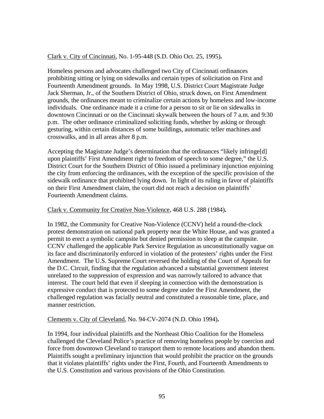#### Clark v. City of Cincinnati, No. 1-95-448 (S.D. Ohio Oct. 25, 1995)**.**

Homeless persons and advocates challenged two City of Cincinnati ordinances prohibiting sitting or lying on sidewalks and certain types of solicitation on First and Fourteenth Amendment grounds. In May 1998, U.S. District Court Magistrate Judge Jack Sherman, Jr., of the Southern District of Ohio, struck down, on First Amendment grounds, the ordinances meant to criminalize certain actions by homeless and low-income individuals. One ordinance made it a crime for a person to sit or lie on sidewalks in downtown Cincinnati or on the Cincinnati skywalk between the hours of 7 a.m. and 9:30 p.m. The other ordinance criminalized soliciting funds, whether by asking or through gesturing, within certain distances of some buildings, automatic teller machines and crosswalks, and in all areas after 8 p.m.

Accepting the Magistrate Judge's determination that the ordinances "likely infringe[d] upon plaintiffs' First Amendment right to freedom of speech to some degree," the U.S. District Court for the Southern District of Ohio issued a preliminary injunction enjoining the city from enforcing the ordinances, with the exception of the specific provision of the sidewalk ordinance that prohibited lying down. In light of its ruling in favor of plaintiffs on their First Amendment claim, the court did not reach a decision on plaintiffs' Fourteenth Amendment claims.

#### Clark v. Community for Creative Non-Violence, 468 U.S. 288 (1984)**.**

In 1982, the Community for Creative Non-Violence (CCNV) held a round-the-clock protest demonstration on national park property near the White House, and was granted a permit to erect a symbolic campsite but denied permission to sleep at the campsite. CCNV challenged the applicable Park Service Regulation as unconstitutionally vague on its face and discriminatorily enforced in violation of the protesters' rights under the First Amendment. The U.S. Supreme Court reversed the holding of the Court of Appeals for the D.C. Circuit, finding that the regulation advanced a substantial government interest unrelated to the suppression of expression and was narrowly tailored to advance that interest. The court held that even if sleeping in connection with the demonstration is expressive conduct that is protected to some degree under the First Amendment, the challenged regulation was facially neutral and constituted a reasonable time, place, and manner restriction.

#### Clements v. City of Cleveland, No. 94-CV-2074 (N.D. Ohio 1994)**.**

In 1994, four individual plaintiffs and the Northeast Ohio Coalition for the Homeless challenged the Cleveland Police's practice of removing homeless people by coercion and force from downtown Cleveland to transport them to remote locations and abandon them. Plaintiffs sought a preliminary injunction that would prohibit the practice on the grounds that it violates plaintiffs' rights under the First, Fourth, and Fourteenth Amendments to the U.S. Constitution and various provisions of the Ohio Constitution.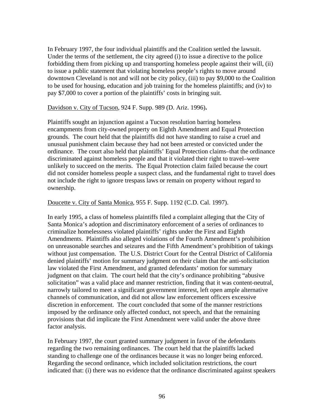In February 1997, the four individual plaintiffs and the Coalition settled the lawsuit. Under the terms of the settlement, the city agreed (i) to issue a directive to the police forbidding them from picking up and transporting homeless people against their will, (ii) to issue a public statement that violating homeless people's rights to move around downtown Cleveland is not and will not be city policy, (iii) to pay \$9,000 to the Coalition to be used for housing, education and job training for the homeless plaintiffs; and (iv) to pay \$7,000 to cover a portion of the plaintiffs' costs in bringing suit.

#### Davidson v. City of Tucson, 924 F. Supp. 989 (D. Ariz. 1996)**.**

Plaintiffs sought an injunction against a Tucson resolution barring homeless encampments from city-owned property on Eighth Amendment and Equal Protection grounds. The court held that the plaintiffs did not have standing to raise a cruel and unusual punishment claim because they had not been arrested or convicted under the ordinance. The court also held that plaintiffs' Equal Protection claims–that the ordinance discriminated against homeless people and that it violated their right to travel–were unlikely to succeed on the merits. The Equal Protection claim failed because the court did not consider homeless people a suspect class, and the fundamental right to travel does not include the right to ignore trespass laws or remain on property without regard to ownership.

#### Doucette v. City of Santa Monica, 955 F. Supp. 1192 (C.D. Cal. 1997).

In early 1995, a class of homeless plaintiffs filed a complaint alleging that the City of Santa Monica's adoption and discriminatory enforcement of a series of ordinances to criminalize homelessness violated plaintiffs' rights under the First and Eighth Amendments. Plaintiffs also alleged violations of the Fourth Amendment's prohibition on unreasonable searches and seizures and the Fifth Amendment's prohibition of takings without just compensation. The U.S. District Court for the Central District of California denied plaintiffs' motion for summary judgment on their claim that the anti-solicitation law violated the First Amendment, and granted defendants' motion for summary judgment on that claim. The court held that the city's ordinance prohibiting "abusive solicitation" was a valid place and manner restriction, finding that it was content-neutral, narrowly tailored to meet a significant government interest, left open ample alternative channels of communication, and did not allow law enforcement officers excessive discretion in enforcement. The court concluded that some of the manner restrictions imposed by the ordinance only affected conduct, not speech, and that the remaining provisions that did implicate the First Amendment were valid under the above three factor analysis.

In February 1997, the court granted summary judgment in favor of the defendants regarding the two remaining ordinances. The court held that the plaintiffs lacked standing to challenge one of the ordinances because it was no longer being enforced. Regarding the second ordinance, which included solicitation restrictions, the court indicated that: (i) there was no evidence that the ordinance discriminated against speakers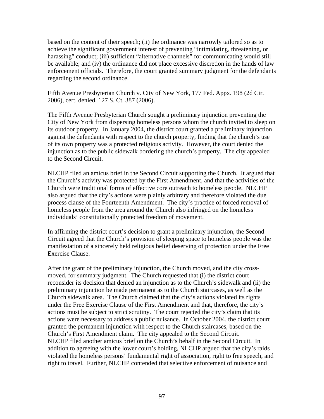based on the content of their speech; (ii) the ordinance was narrowly tailored so as to achieve the significant government interest of preventing "intimidating, threatening, or harassing" conduct; (iii) sufficient "alternative channels" for communicating would still be available; and (iv) the ordinance did not place excessive discretion in the hands of law enforcement officials. Therefore, the court granted summary judgment for the defendants regarding the second ordinance.

Fifth Avenue Presbyterian Church v. City of New York, 177 Fed. Appx. 198 (2d Cir. 2006), cert. denied, 127 S. Ct. 387 (2006).

The Fifth Avenue Presbyterian Church sought a preliminary injunction preventing the City of New York from dispersing homeless persons whom the church invited to sleep on its outdoor property. In January 2004, the district court granted a preliminary injunction against the defendants with respect to the church property, finding that the church's use of its own property was a protected religious activity. However, the court denied the injunction as to the public sidewalk bordering the church's property. The city appealed to the Second Circuit.

NLCHP filed an amicus brief in the Second Circuit supporting the Church. It argued that the Church's activity was protected by the First Amendment, and that the activities of the Church were traditional forms of effective core outreach to homeless people. NLCHP also argued that the city's actions were plainly arbitrary and therefore violated the due process clause of the Fourteenth Amendment. The city's practice of forced removal of homeless people from the area around the Church also infringed on the homeless individuals' constitutionally protected freedom of movement.

In affirming the district court's decision to grant a preliminary injunction, the Second Circuit agreed that the Church's provision of sleeping space to homeless people was the manifestation of a sincerely held religious belief deserving of protection under the Free Exercise Clause.

After the grant of the preliminary injunction, the Church moved, and the city crossmoved, for summary judgment. The Church requested that (i) the district court reconsider its decision that denied an injunction as to the Church's sidewalk and (ii) the preliminary injunction be made permanent as to the Church staircases, as well as the Church sidewalk area. The Church claimed that the city's actions violated its rights under the Free Exercise Clause of the First Amendment and that, therefore, the city's actions must be subject to strict scrutiny. The court rejected the city's claim that its actions were necessary to address a public nuisance. In October 2004, the district court granted the permanent injunction with respect to the Church staircases, based on the Church's First Amendment claim. The city appealed to the Second Circuit. NLCHP filed another amicus brief on the Church's behalf in the Second Circuit. In addition to agreeing with the lower court's holding, NLCHP argued that the city's raids violated the homeless persons' fundamental right of association, right to free speech, and right to travel. Further, NLCHP contended that selective enforcement of nuisance and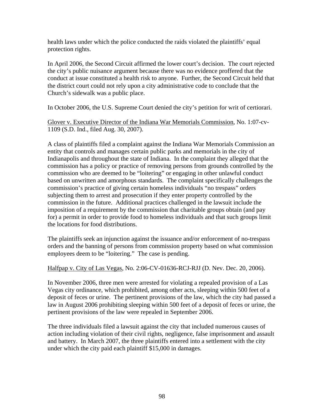health laws under which the police conducted the raids violated the plaintiffs' equal protection rights.

In April 2006, the Second Circuit affirmed the lower court's decision. The court rejected the city's public nuisance argument because there was no evidence proffered that the conduct at issue constituted a health risk to anyone. Further, the Second Circuit held that the district court could not rely upon a city administrative code to conclude that the Church's sidewalk was a public place.

In October 2006, the U.S. Supreme Court denied the city's petition for writ of certiorari.

Glover v. Executive Director of the Indiana War Memorials Commission, No. 1:07-cv-1109 (S.D. Ind., filed Aug. 30, 2007).

A class of plaintiffs filed a complaint against the Indiana War Memorials Commission an entity that controls and manages certain public parks and memorials in the city of Indianapolis and throughout the state of Indiana. In the complaint they alleged that the commission has a policy or practice of removing persons from grounds controlled by the commission who are deemed to be "loitering" or engaging in other unlawful conduct based on unwritten and amorphous standards. The complaint specifically challenges the commission's practice of giving certain homeless individuals "no trespass" orders subjecting them to arrest and prosecution if they enter property controlled by the commission in the future. Additional practices challenged in the lawsuit include the imposition of a requirement by the commission that charitable groups obtain (and pay for) a permit in order to provide food to homeless individuals and that such groups limit the locations for food distributions.

The plaintiffs seek an injunction against the issuance and/or enforcement of no-trespass orders and the banning of persons from commission property based on what commission employees deem to be "loitering." The case is pending.

Halfpap v. City of Las Vegas, No. 2:06-CV-01636-RCJ-RJJ (D. Nev. Dec. 20, 2006).

In November 2006, three men were arrested for violating a repealed provision of a Las Vegas city ordinance, which prohibited, among other acts, sleeping within 500 feet of a deposit of feces or urine. The pertinent provisions of the law, which the city had passed a law in August 2006 prohibiting sleeping within 500 feet of a deposit of feces or urine, the pertinent provisions of the law were repealed in September 2006.

The three individuals filed a lawsuit against the city that included numerous causes of action including violation of their civil rights, negligence, false imprisonment and assault and battery. In March 2007, the three plaintiffs entered into a settlement with the city under which the city paid each plaintiff \$15,000 in damages.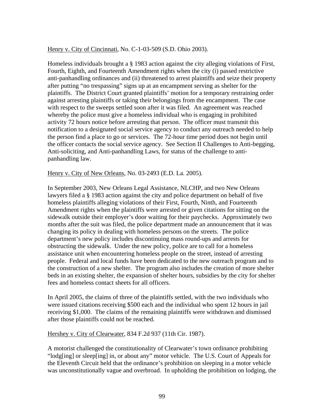Henry v. City of Cincinnati, No. C-1-03-509 (S.D. Ohio 2003).

Homeless individuals brought a § 1983 action against the city alleging violations of First, Fourth, Eighth, and Fourteenth Amendment rights when the city (i) passed restrictive anti-panhandling ordinances and (ii) threatened to arrest plaintiffs and seize their property after putting "no trespassing" signs up at an encampment serving as shelter for the plaintiffs. The District Court granted plaintiffs' motion for a temporary restraining order against arresting plaintiffs or taking their belongings from the encampment. The case with respect to the sweeps settled soon after it was filed. An agreement was reached whereby the police must give a homeless individual who is engaging in prohibited activity 72 hours notice before arresting that person. The officer must transmit this notification to a designated social service agency to conduct any outreach needed to help the person find a place to go or services. The 72-hour time period does not begin until the officer contacts the social service agency. See Section II Challenges to Anti-begging, Anti-soliciting, and Anti-panhandling Laws, for status of the challenge to antipanhandling law.

Henry v. City of New Orleans, No. 03-2493 (E.D. La. 2005).

In September 2003, New Orleans Legal Assistance, NLCHP, and two New Orleans lawyers filed a § 1983 action against the city and police department on behalf of five homeless plaintiffs alleging violations of their First, Fourth, Ninth, and Fourteenth Amendment rights when the plaintiffs were arrested or given citations for sitting on the sidewalk outside their employer's door waiting for their paychecks. Approximately two months after the suit was filed, the police department made an announcement that it was changing its policy in dealing with homeless persons on the streets. The police department's new policy includes discontinuing mass round-ups and arrests for obstructing the sidewalk. Under the new policy, police are to call for a homeless assistance unit when encountering homeless people on the street, instead of arresting people. Federal and local funds have been dedicated to the new outreach program and to the construction of a new shelter. The program also includes the creation of more shelter beds in an existing shelter, the expansion of shelter hours, subsidies by the city for shelter fees and homeless contact sheets for all officers.

In April 2005, the claims of three of the plaintiffs settled, with the two individuals who were issued citations receiving \$500 each and the individual who spent 12 hours in jail receiving \$1,000. The claims of the remaining plaintiffs were withdrawn and dismissed after those plaintiffs could not be reached.

#### Hershey v. City of Clearwater, 834 F.2d 937 (11th Cir. 1987).

A motorist challenged the constitutionality of Clearwater's town ordinance prohibiting "lodg[ing] or sleep[ing] in, or about any" motor vehicle. The U.S. Court of Appeals for the Eleventh Circuit held that the ordinance's prohibition on sleeping in a motor vehicle was unconstitutionally vague and overbroad. In upholding the prohibition on lodging, the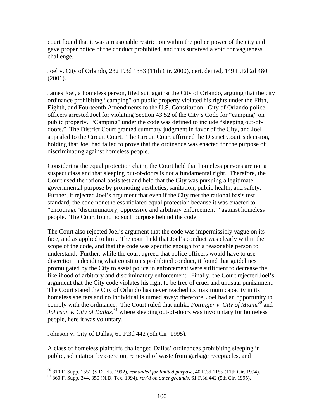court found that it was a reasonable restriction within the police power of the city and gave proper notice of the conduct prohibited, and thus survived a void for vagueness challenge.

#### Joel v. City of Orlando, 232 F.3d 1353 (11th Cir. 2000), cert. denied, 149 L.Ed.2d 480 (2001).

James Joel, a homeless person, filed suit against the City of Orlando, arguing that the city ordinance prohibiting "camping" on public property violated his rights under the Fifth, Eighth, and Fourteenth Amendments to the U.S. Constitution. City of Orlando police officers arrested Joel for violating Section 43.52 of the City's Code for "camping" on public property. "Camping" under the code was defined to include "sleeping out-ofdoors." The District Court granted summary judgment in favor of the City, and Joel appealed to the Circuit Court. The Circuit Court affirmed the District Court's decision, holding that Joel had failed to prove that the ordinance was enacted for the purpose of discriminating against homeless people.

Considering the equal protection claim, the Court held that homeless persons are not a suspect class and that sleeping out-of-doors is not a fundamental right. Therefore, the Court used the rational basis test and held that the City was pursuing a legitimate governmental purpose by promoting aesthetics, sanitation, public health, and safety. Further, it rejected Joel's argument that even if the City met the rational basis test standard, the code nonetheless violated equal protection because it was enacted to "encourage 'discriminatory, oppressive and arbitrary enforcement'" against homeless people. The Court found no such purpose behind the code.

The Court also rejected Joel's argument that the code was impermissibly vague on its face, and as applied to him. The court held that Joel's conduct was clearly within the scope of the code, and that the code was specific enough for a reasonable person to understand. Further, while the court agreed that police officers would have to use discretion in deciding what constitutes prohibited conduct, it found that guidelines promulgated by the City to assist police in enforcement were sufficient to decrease the likelihood of arbitrary and discriminatory enforcement. Finally, the Court rejected Joel's argument that the City code violates his right to be free of cruel and unusual punishment. The Court stated the City of Orlando has never reached its maximum capacity in its homeless shelters and no individual is turned away; therefore, Joel had an opportunity to comply with the ordinance. The Court ruled that unlike *Pottinger v. City of Miami*<sup>60</sup> and Johnson v. City of Dallas, <sup>61</sup> where sleeping out-of-doors was involuntary for homeless people, here it was voluntary.

Johnson v. City of Dallas, 61 F.3d 442 (5th Cir. 1995).

1

A class of homeless plaintiffs challenged Dallas' ordinances prohibiting sleeping in public, solicitation by coercion, removal of waste from garbage receptacles, and

<sup>60 810</sup> F. Supp. 1551 (S.D. Fla. 1992), *remanded for limited purpose*, 40 F.3d 1155 (11th Cir. 1994). 61 860 F. Supp. 344, 350 (N.D. Tex. 1994), *rev'd on other grounds*, 61 F.3d 442 (5th Cir. 1995).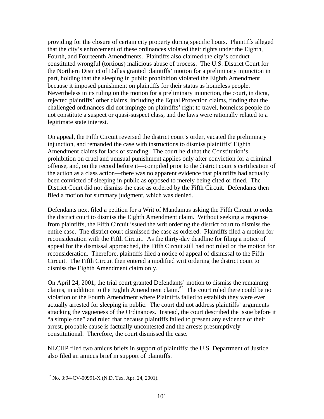providing for the closure of certain city property during specific hours. Plaintiffs alleged that the city's enforcement of these ordinances violated their rights under the Eighth, Fourth, and Fourteenth Amendments. Plaintiffs also claimed the city's conduct constituted wrongful (tortious) malicious abuse of process. The U.S. District Court for the Northern District of Dallas granted plaintiffs' motion for a preliminary injunction in part, holding that the sleeping in public prohibition violated the Eighth Amendment because it imposed punishment on plaintiffs for their status as homeless people. Nevertheless in its ruling on the motion for a preliminary injunction, the court, in dicta, rejected plaintiffs' other claims, including the Equal Protection claims, finding that the challenged ordinances did not impinge on plaintiffs' right to travel, homeless people do not constitute a suspect or quasi-suspect class, and the laws were rationally related to a legitimate state interest.

On appeal, the Fifth Circuit reversed the district court's order, vacated the preliminary injunction, and remanded the case with instructions to dismiss plaintiffs' Eighth Amendment claims for lack of standing. The court held that the Constitution's prohibition on cruel and unusual punishment applies only after conviction for a criminal offense, and, on the record before it—compiled prior to the district court's certification of the action as a class action—there was no apparent evidence that plaintiffs had actually been convicted of sleeping in public as opposed to merely being cited or fined. The District Court did not dismiss the case as ordered by the Fifth Circuit. Defendants then filed a motion for summary judgment, which was denied.

Defendants next filed a petition for a Writ of Mandamus asking the Fifth Circuit to order the district court to dismiss the Eighth Amendment claim. Without seeking a response from plaintiffs, the Fifth Circuit issued the writ ordering the district court to dismiss the entire case. The district court dismissed the case as ordered. Plaintiffs filed a motion for reconsideration with the Fifth Circuit. As the thirty-day deadline for filing a notice of appeal for the dismissal approached, the Fifth Circuit still had not ruled on the motion for reconsideration. Therefore, plaintiffs filed a notice of appeal of dismissal to the Fifth Circuit. The Fifth Circuit then entered a modified writ ordering the district court to dismiss the Eighth Amendment claim only.

On April 24, 2001, the trial court granted Defendants' motion to dismiss the remaining claims, in addition to the Eighth Amendment claim.62 The court ruled there could be no violation of the Fourth Amendment where Plaintiffs failed to establish they were ever actually arrested for sleeping in public. The court did not address plaintiffs' arguments attacking the vagueness of the Ordinances. Instead, the court described the issue before it "a simple one" and ruled that because plaintiffs failed to present any evidence of their arrest, probable cause is factually uncontested and the arrests presumptively constitutional. Therefore, the court dismissed the case.

NLCHP filed two amicus briefs in support of plaintiffs; the U.S. Department of Justice also filed an amicus brief in support of plaintiffs.

 $\overline{a}$ 

<sup>62</sup> No. 3:94-CV-00991-X (N.D. Tex. Apr. 24, 2001).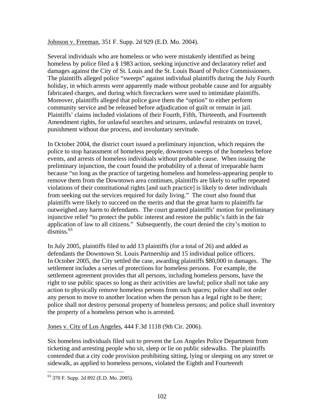Johnson v. Freeman, 351 F. Supp. 2d 929 (E.D. Mo. 2004).

Several individuals who are homeless or who were mistakenly identified as being homeless by police filed a § 1983 action, seeking injunctive and declaratory relief and damages against the City of St. Louis and the St. Louis Board of Police Commissioners. The plaintiffs alleged police "sweeps" against individual plaintiffs during the July Fourth holiday, in which arrests were apparently made without probable cause and for arguably fabricated charges, and during which firecrackers were used to intimidate plaintiffs. Moreover, plaintiffs alleged that police gave them the "option" to either perform community service and be released before adjudication of guilt or remain in jail. Plaintiffs' claims included violations of their Fourth, Fifth, Thirteenth, and Fourteenth Amendment rights, for unlawful searches and seizures, unlawful restraints on travel, punishment without due process, and involuntary servitude.

In October 2004, the district court issued a preliminary injunction, which requires the police to stop harassment of homeless people, downtown sweeps of the homeless before events, and arrests of homeless individuals without probable cause. When issuing the preliminary injunction, the court found the probability of a threat of irreparable harm because "so long as the practice of targeting homeless and homeless-appearing people to remove them from the Downtown area continues, plaintiffs are likely to suffer repeated violations of their constitutional rights [and such practice] is likely to deter individuals from seeking out the services required for daily living." The court also found that plaintiffs were likely to succeed on the merits and that the great harm to plaintiffs far outweighed any harm to defendants. The court granted plaintiffs' motion for preliminary injunctive relief "to protect the public interest and restore the public's faith in the fair application of law to all citizens." Subsequently, the court denied the city's motion to  $dismiss.<sup>63</sup>$ 

In July 2005, plaintiffs filed to add 13 plaintiffs (for a total of 26) and added as defendants the Downtown St. Louis Partnership and 15 individual police officers. In October 2005, the City settled the case, awarding plaintiffs \$80,000 in damages. The settlement includes a series of protections for homeless persons. For example, the settlement agreement provides that all persons, including homeless persons, have the right to use public spaces so long as their activities are lawful; police shall not take any action to physically remove homeless persons from such spaces; police shall not order any person to move to another location when the person has a legal right to be there; police shall not destroy personal property of homeless persons; and police shall inventory the property of a homeless person who is arrested.

Jones v. City of Los Angeles, 444 F.3d 1118 (9th Cir. 2006).

Six homeless individuals filed suit to prevent the Los Angeles Police Department from ticketing and arresting people who sit, sleep or lie on public sidewalks. The plaintiffs contended that a city code provision prohibiting sitting, lying or sleeping on any street or sidewalk, as applied to homeless persons, violated the Eighth and Fourteenth

 $\overline{a}$ 63 370 F. Supp. 2d 892 (E.D. Mo. 2005).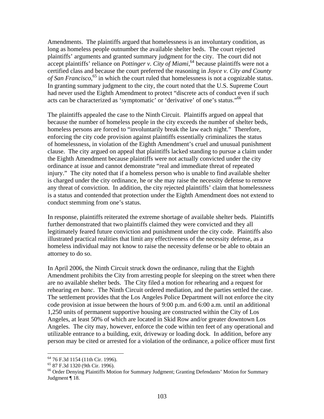Amendments. The plaintiffs argued that homelessness is an involuntary condition, as long as homeless people outnumber the available shelter beds. The court rejected plaintiffs' arguments and granted summary judgment for the city. The court did not accept plaintiffs' reliance on *Pottinger v. City of Miami*,<sup>64</sup> because plaintiffs were not a certified class and because the court preferred the reasoning in *Joyce v. City and County of San Francisco*, 65 in which the court ruled that homelessness is not a cognizable status. In granting summary judgment to the city, the court noted that the U.S. Supreme Court had never used the Eighth Amendment to protect "discrete acts of conduct even if such acts can be characterized as 'symptomatic' or 'derivative' of one's status."<sup>66</sup>

The plaintiffs appealed the case to the Ninth Circuit. Plaintiffs argued on appeal that because the number of homeless people in the city exceeds the number of shelter beds, homeless persons are forced to "involuntarily break the law each night." Therefore, enforcing the city code provision against plaintiffs essentially criminalizes the status of homelessness, in violation of the Eighth Amendment's cruel and unusual punishment clause. The city argued on appeal that plaintiffs lacked standing to pursue a claim under the Eighth Amendment because plaintiffs were not actually convicted under the city ordinance at issue and cannot demonstrate "real and immediate threat of repeated injury." The city noted that if a homeless person who is unable to find available shelter is charged under the city ordinance, he or she may raise the necessity defense to remove any threat of conviction. In addition, the city rejected plaintiffs' claim that homelessness is a status and contended that protection under the Eighth Amendment does not extend to conduct stemming from one's status.

In response, plaintiffs reiterated the extreme shortage of available shelter beds. Plaintiffs further demonstrated that two plaintiffs claimed they were convicted and they all legitimately feared future conviction and punishment under the city code. Plaintiffs also illustrated practical realities that limit any effectiveness of the necessity defense, as a homeless individual may not know to raise the necessity defense or be able to obtain an attorney to do so.

In April 2006, the Ninth Circuit struck down the ordinance, ruling that the Eighth Amendment prohibits the City from arresting people for sleeping on the street when there are no available shelter beds. The City filed a motion for rehearing and a request for rehearing *en banc*. The Ninth Circuit ordered mediation, and the parties settled the case. The settlement provides that the Los Angeles Police Department will not enforce the city code provision at issue between the hours of 9:00 p.m. and 6:00 a.m. until an additional 1,250 units of permanent supportive housing are constructed within the City of Los Angeles, at least 50% of which are located in Skid Row and/or greater downtown Los Angeles. The city may, however, enforce the code within ten feet of any operational and utilizable entrance to a building, exit, driveway or loading dock. In addition, before any person may be cited or arrested for a violation of the ordinance, a police officer must first

 $\overline{a}$ 

<sup>64 76</sup> F.3d 1154 (11th Cir. 1996).

<sup>65 87</sup> F.3d 1320 (9th Cir. 1996).

<sup>&</sup>lt;sup>66</sup> Order Denying Plaintiffs Motion for Summary Judgment; Granting Defendants' Motion for Summary Judgment ¶ 18.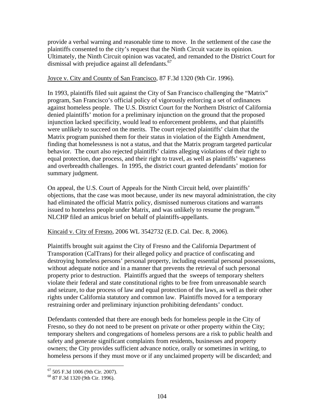provide a verbal warning and reasonable time to move. In the settlement of the case the plaintiffs consented to the city's request that the Ninth Circuit vacate its opinion. Ultimately, the Ninth Circuit opinion was vacated, and remanded to the District Court for dismissal with prejudice against all defendants.<sup>67</sup>

#### Joyce v. City and County of San Francisco, 87 F.3d 1320 (9th Cir. 1996).

In 1993, plaintiffs filed suit against the City of San Francisco challenging the "Matrix" program, San Francisco's official policy of vigorously enforcing a set of ordinances against homeless people. The U.S. District Court for the Northern District of California denied plaintiffs' motion for a preliminary injunction on the ground that the proposed injunction lacked specificity, would lead to enforcement problems, and that plaintiffs were unlikely to succeed on the merits. The court rejected plaintiffs' claim that the Matrix program punished them for their status in violation of the Eighth Amendment, finding that homelessness is not a status, and that the Matrix program targeted particular behavior. The court also rejected plaintiffs' claims alleging violations of their right to equal protection, due process, and their right to travel, as well as plaintiffs' vagueness and overbreadth challenges. In 1995, the district court granted defendants' motion for summary judgment.

On appeal, the U.S. Court of Appeals for the Ninth Circuit held, over plaintiffs' objections, that the case was moot because, under its new mayoral administration, the city had eliminated the official Matrix policy, dismissed numerous citations and warrants issued to homeless people under Matrix, and was unlikely to resume the program.<sup>68</sup> NLCHP filed an amicus brief on behalf of plaintiffs-appellants.

#### Kincaid v. City of Fresno, 2006 WL 3542732 (E.D. Cal. Dec. 8, 2006).

Plaintiffs brought suit against the City of Fresno and the California Department of Transporation (CalTrans) for their alleged policy and practice of confiscating and destroying homeless persons' personal property, including essential personal possessions, without adequate notice and in a manner that prevents the retrieval of such personal property prior to destruction. Plaintiffs argued that the sweeps of temporary shelters violate their federal and state constitutional rights to be free from unreasonable search and seizure, to due process of law and equal protection of the laws, as well as their other rights under California statutory and common law. Plaintiffs moved for a temporary restraining order and preliminary injunction prohibiting defendants' conduct.

Defendants contended that there are enough beds for homeless people in the City of Fresno, so they do not need to be present on private or other property within the City; temporary shelters and congregations of homeless persons are a risk to public health and safety and generate significant complaints from residents, businesses and property owners; the City provides sufficient advance notice, orally or sometimes in writing, to homeless persons if they must move or if any unclaimed property will be discarded; and

 $\overline{a}$ 

<sup>67 505</sup> F.3d 1006 (9th Cir. 2007).

<sup>68 87</sup> F.3d 1320 (9th Cir. 1996).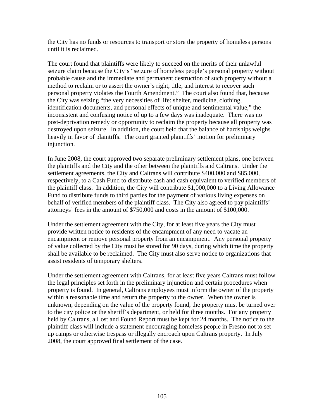the City has no funds or resources to transport or store the property of homeless persons until it is reclaimed.

The court found that plaintiffs were likely to succeed on the merits of their unlawful seizure claim because the City's "seizure of homeless people's personal property without probable cause and the immediate and permanent destruction of such property without a method to reclaim or to assert the owner's right, title, and interest to recover such personal property violates the Fourth Amendment." The court also found that, because the City was seizing "the very necessities of life: shelter, medicine, clothing, identification documents, and personal effects of unique and sentimental value," the inconsistent and confusing notice of up to a few days was inadequate. There was no post-deprivation remedy or opportunity to reclaim the property because all property was destroyed upon seizure. In addition, the court held that the balance of hardships weighs heavily in favor of plaintiffs. The court granted plaintiffs' motion for preliminary injunction.

In June 2008, the court approved two separate preliminary settlement plans, one between the plaintiffs and the City and the other between the plaintiffs and Caltrans. Under the settlement agreements, the City and Caltrans will contribute \$400,000 and \$85,000, respectively, to a Cash Fund to distribute cash and cash equivalent to verified members of the plaintiff class. In addition, the City will contribute \$1,000,000 to a Living Allowance Fund to distribute funds to third parties for the payment of various living expenses on behalf of verified members of the plaintiff class. The City also agreed to pay plaintiffs' attorneys' fees in the amount of \$750,000 and costs in the amount of \$100,000.

Under the settlement agreement with the City, for at least five years the City must provide written notice to residents of the encampment of any need to vacate an encampment or remove personal property from an encampment. Any personal property of value collected by the City must be stored for 90 days, during which time the property shall be available to be reclaimed. The City must also serve notice to organizations that assist residents of temporary shelters.

Under the settlement agreement with Caltrans, for at least five years Caltrans must follow the legal principles set forth in the preliminary injunction and certain procedures when property is found. In general, Caltrans employees must inform the owner of the property within a reasonable time and return the property to the owner. When the owner is unknown, depending on the value of the property found, the property must be turned over to the city police or the sheriff's department, or held for three months. For any property held by Caltrans, a Lost and Found Report must be kept for 24 months. The notice to the plaintiff class will include a statement encouraging homeless people in Fresno not to set up camps or otherwise trespass or illegally encroach upon Caltrans property. In July 2008, the court approved final settlement of the case.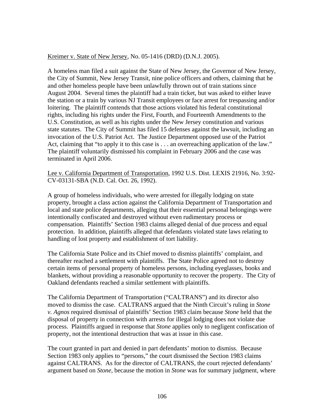### Kreimer v. State of New Jersey, No. 05-1416 (DRD) (D.N.J. 2005).

A homeless man filed a suit against the State of New Jersey, the Governor of New Jersey, the City of Summit, New Jersey Transit, nine police officers and others, claiming that he and other homeless people have been unlawfully thrown out of train stations since August 2004. Several times the plaintiff had a train ticket, but was asked to either leave the station or a train by various NJ Transit employees or face arrest for trespassing and/or loitering. The plaintiff contends that those actions violated his federal constitutional rights, including his rights under the First, Fourth, and Fourteenth Amendments to the U.S. Constitution, as well as his rights under the New Jersey constitution and various state statutes. The City of Summit has filed 15 defenses against the lawsuit, including an invocation of the U.S. Patriot Act. The Justice Department opposed use of the Patriot Act, claiming that "to apply it to this case is . . . an overreaching application of the law." The plaintiff voluntarily dismissed his complaint in February 2006 and the case was terminated in April 2006.

Lee v. California Department of Transportation, 1992 U.S. Dist. LEXIS 21916, No. 3:92- CV-03131-SBA (N.D. Cal. Oct. 26, 1992).

A group of homeless individuals, who were arrested for illegally lodging on state property, brought a class action against the California Department of Transportation and local and state police departments, alleging that their essential personal belongings were intentionally confiscated and destroyed without even rudimentary process or compensation. Plaintiffs' Section 1983 claims alleged denial of due process and equal protection. In addition, plaintiffs alleged that defendants violated state laws relating to handling of lost property and establishment of tort liability.

The California State Police and its Chief moved to dismiss plaintiffs' complaint, and thereafter reached a settlement with plaintiffs. The State Police agreed not to destroy certain items of personal property of homeless persons, including eyeglasses, books and blankets, without providing a reasonable opportunity to recover the property. The City of Oakland defendants reached a similar settlement with plaintiffs.

The California Department of Transportation ("CALTRANS") and its director also moved to dismiss the case. CALTRANS argued that the Ninth Circuit's ruling in *Stone v. Agnos* required dismissal of plaintiffs' Section 1983 claim because *Stone* held that the disposal of property in connection with arrests for illegal lodging does not violate due process. Plaintiffs argued in response that *Stone* applies only to negligent confiscation of property, not the intentional destruction that was at issue in this case.

The court granted in part and denied in part defendants' motion to dismiss. Because Section 1983 only applies to "persons," the court dismissed the Section 1983 claims against CALTRANS. As for the director of CALTRANS, the court rejected defendants' argument based on *Stone*, because the motion in *Stone* was for summary judgment, where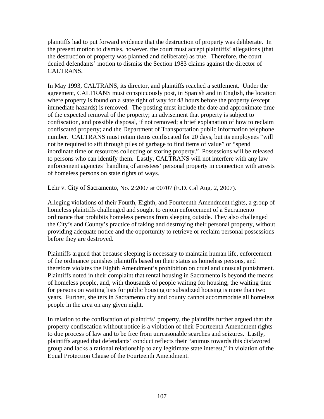plaintiffs had to put forward evidence that the destruction of property was deliberate. In the present motion to dismiss, however, the court must accept plaintiffs' allegations (that the destruction of property was planned and deliberate) as true. Therefore, the court denied defendants' motion to dismiss the Section 1983 claims against the director of CALTRANS.

In May 1993, CALTRANS, its director, and plaintiffs reached a settlement. Under the agreement, CALTRANS must conspicuously post, in Spanish and in English, the location where property is found on a state right of way for 48 hours before the property (except immediate hazards) is removed. The posting must include the date and approximate time of the expected removal of the property; an advisement that property is subject to confiscation, and possible disposal, if not removed; a brief explanation of how to reclaim confiscated property; and the Department of Transportation public information telephone number. CALTRANS must retain items confiscated for 20 days, but its employees "will not be required to sift through piles of garbage to find items of value" or "spend inordinate time or resources collecting or storing property." Possessions will be released to persons who can identify them. Lastly, CALTRANS will not interfere with any law enforcement agencies' handling of arrestees' personal property in connection with arrests of homeless persons on state rights of ways.

Lehr v. City of Sacramento, No. 2:2007 at 00707 (E.D. Cal Aug. 2, 2007).

Alleging violations of their Fourth, Eighth, and Fourteenth Amendment rights, a group of homeless plaintiffs challenged and sought to enjoin enforcement of a Sacramento ordinance that prohibits homeless persons from sleeping outside. They also challenged the City's and County's practice of taking and destroying their personal property, without providing adequate notice and the opportunity to retrieve or reclaim personal possessions before they are destroyed.

Plaintiffs argued that because sleeping is necessary to maintain human life, enforcement of the ordinance punishes plaintiffs based on their status as homeless persons, and therefore violates the Eighth Amendment's prohibition on cruel and unusual punishment. Plaintiffs noted in their complaint that rental housing in Sacramento is beyond the means of homeless people, and, with thousands of people waiting for housing, the waiting time for persons on waiting lists for public housing or subsidized housing is more than two years. Further, shelters in Sacramento city and county cannot accommodate all homeless people in the area on any given night.

In relation to the confiscation of plaintiffs' property, the plaintiffs further argued that the property confiscation without notice is a violation of their Fourteenth Amendment rights to due process of law and to be free from unreasonable searches and seizures. Lastly, plaintiffs argued that defendants' conduct reflects their "animus towards this disfavored group and lacks a rational relationship to any legitimate state interest," in violation of the Equal Protection Clause of the Fourteenth Amendment.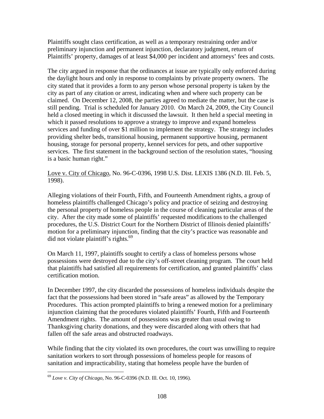Plaintiffs sought class certification, as well as a temporary restraining order and/or preliminary injunction and permanent injunction, declaratory judgment, return of Plaintiffs' property, damages of at least \$4,000 per incident and attorneys' fees and costs.

The city argued in response that the ordinances at issue are typically only enforced during the daylight hours and only in response to complaints by private property owners. The city stated that it provides a form to any person whose personal property is taken by the city as part of any citation or arrest, indicating when and where such property can be claimed. On December 12, 2008, the parties agreed to mediate the matter, but the case is still pending. Trial is scheduled for January 2010. On March 24, 2009, the City Council held a closed meeting in which it discussed the lawsuit. It then held a special meeting in which it passed resolutions to approve a strategy to improve and expand homeless services and funding of over \$1 million to implement the strategy. The strategy includes providing shelter beds, transitional housing, permanent supportive housing, permanent housing, storage for personal property, kennel services for pets, and other supportive services. The first statement in the background section of the resolution states, "housing is a basic human right."

Love v. City of Chicago, No. 96-C-0396, 1998 U.S. Dist. LEXIS 1386 (N.D. Ill. Feb. 5, 1998).

Alleging violations of their Fourth, Fifth, and Fourteenth Amendment rights, a group of homeless plaintiffs challenged Chicago's policy and practice of seizing and destroying the personal property of homeless people in the course of cleaning particular areas of the city. After the city made some of plaintiffs' requested modifications to the challenged procedures, the U.S. District Court for the Northern District of Illinois denied plaintiffs' motion for a preliminary injunction, finding that the city's practice was reasonable and did not violate plaintiff's rights. $^{69}$ 

On March 11, 1997, plaintiffs sought to certify a class of homeless persons whose possessions were destroyed due to the city's off-street cleaning program. The court held that plaintiffs had satisfied all requirements for certification, and granted plaintiffs' class certification motion.

In December 1997, the city discarded the possessions of homeless individuals despite the fact that the possessions had been stored in "safe areas" as allowed by the Temporary Procedures. This action prompted plaintiffs to bring a renewed motion for a preliminary injunction claiming that the procedures violated plaintiffs' Fourth, Fifth and Fourteenth Amendment rights. The amount of possessions was greater than usual owing to Thanksgiving charity donations, and they were discarded along with others that had fallen off the safe areas and obstructed roadways.

While finding that the city violated its own procedures, the court was unwilling to require sanitation workers to sort through possessions of homeless people for reasons of sanitation and impracticability, stating that homeless people have the burden of

<sup>69</sup> *Love v. City of Chicago*, No. 96-C-0396 (N.D. Ill. Oct. 10, 1996).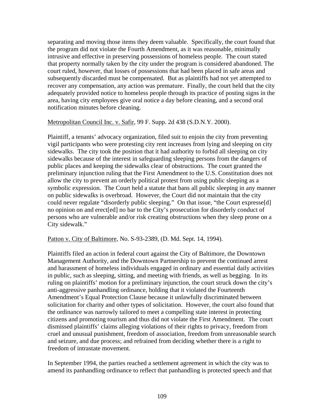separating and moving those items they deem valuable. Specifically, the court found that the program did not violate the Fourth Amendment, as it was reasonable, minimally intrusive and effective in preserving possessions of homeless people. The court stated that property normally taken by the city under the program is considered abandoned. The court ruled, however, that losses of possessions that had been placed in safe areas and subsequently discarded must be compensated. But as plaintiffs had not yet attempted to recover any compensation, any action was premature. Finally, the court held that the city adequately provided notice to homeless people through its practice of posting signs in the area, having city employees give oral notice a day before cleaning, and a second oral notification minutes before cleaning.

### Metropolitan Council Inc. v. Safir, 99 F. Supp. 2d 438 (S.D.N.Y. 2000).

Plaintiff, a tenants' advocacy organization, filed suit to enjoin the city from preventing vigil participants who were protesting city rent increases from lying and sleeping on city sidewalks. The city took the position that it had authority to forbid all sleeping on city sidewalks because of the interest in safeguarding sleeping persons from the dangers of public places and keeping the sidewalks clear of obstructions. The court granted the preliminary injunction ruling that the First Amendment to the U.S. Constitution does not allow the city to prevent an orderly political protest from using public sleeping as a symbolic expression. The Court held a statute that bans all public sleeping in any manner on public sidewalks is overbroad. However, the Court did not maintain that the city could never regulate "disorderly public sleeping." On that issue, "the Court expresse[d] no opinion on and erect[ed] no bar to the City's prosecution for disorderly conduct of persons who are vulnerable and/or risk creating obstructions when they sleep prone on a City sidewalk."

### Patton v. City of Baltimore, No. S-93-2389, (D. Md. Sept. 14, 1994).

Plaintiffs filed an action in federal court against the City of Baltimore, the Downtown Management Authority, and the Downtown Partnership to prevent the continued arrest and harassment of homeless individuals engaged in ordinary and essential daily activities in public, such as sleeping, sitting, and meeting with friends, as well as begging. In its ruling on plaintiffs' motion for a preliminary injunction, the court struck down the city's anti-aggressive panhandling ordinance, holding that it violated the Fourteenth Amendment's Equal Protection Clause because it unlawfully discriminated between solicitation for charity and other types of solicitation. However, the court also found that the ordinance was narrowly tailored to meet a compelling state interest in protecting citizens and promoting tourism and thus did not violate the First Amendment. The court dismissed plaintiffs' claims alleging violations of their rights to privacy, freedom from cruel and unusual punishment, freedom of association, freedom from unreasonable search and seizure, and due process; and refrained from deciding whether there is a right to freedom of intrastate movement.

In September 1994, the parties reached a settlement agreement in which the city was to amend its panhandling ordinance to reflect that panhandling is protected speech and that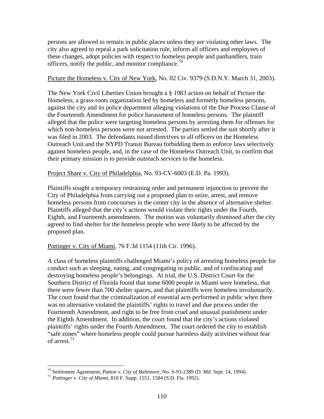persons are allowed to remain in public places unless they are violating other laws. The city also agreed to repeal a park solicitation rule, inform all officers and employees of these changes, adopt policies with respect to homeless people and panhandlers, train officers, notify the public, and monitor compliance.<sup>70</sup>

### Picture the Homeless v. City of New York, No. 02 Civ. 9379 (S.D.N.Y. March 31, 2003).

The New York Civil Liberties Union brought a § 1983 action on behalf of Picture the Homeless, a grass-roots organization led by homeless and formerly homeless persons, against the city and its police department alleging violations of the Due Process Clause of the Fourteenth Amendment for police harassment of homeless persons. The plaintiff alleged that the police were targeting homeless persons by arresting them for offenses for which non-homeless persons were not arrested. The parties settled the suit shortly after it was filed in 2003. The defendants issued directives to all officers on the Homeless Outreach Unit and the NYPD Transit Bureau forbidding them to enforce laws selectively against homeless people, and, in the case of the Homeless Outreach Unit, to confirm that their primary mission is to provide outreach services to the homeless.

### Project Share v. City of Philadelphia, No. 93-CV-6003 (E.D. Pa. 1993).

Plaintiffs sought a temporary restraining order and permanent injunction to prevent the City of Philadelphia from carrying out a proposed plan to seize, arrest, and remove homeless persons from concourses in the center city in the absence of alternative shelter. Plaintiffs alleged that the city's actions would violate their rights under the Fourth, Eighth, and Fourteenth amendments. The motion was voluntarily dismissed after the city agreed to find shelter for the homeless people who were likely to be affected by the proposed plan.

Pottinger v. City of Miami, 76 F.3d 1154 (11th Cir. 1996).

A class of homeless plaintiffs challenged Miami's policy of arresting homeless people for conduct such as sleeping, eating, and congregating in public, and of confiscating and destroying homeless people's belongings. At trial, the U.S. District Court for the Southern District of Florida found that some 6000 people in Miami were homeless, that there were fewer than 700 shelter spaces, and that plaintiffs were homeless involuntarily. The court found that the criminalization of essential acts performed in public when there was no alternative violated the plaintiffs' rights to travel and due process under the Fourteenth Amendment, and right to be free from cruel and unusual punishment under the Eighth Amendment. In addition, the court found that the city's actions violated plaintiffs' rights under the Fourth Amendment. The court ordered the city to establish "safe zones" where homeless people could pursue harmless daily activities without fear of arrest.<sup>71</sup>

 $\overline{a}$ <sup>70</sup> Settlement Agreement, *Patton v. City of Baltimore*, No. S-93-2389 (D. Md. Sept. 14, 1994).<br><sup>71</sup> *Pottinger v. City of Miami*, 810 F. Supp. 1551, 1584 (S.D. Fla. 1992).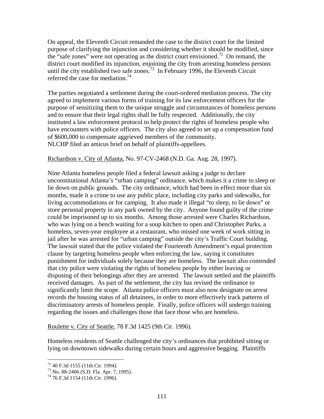On appeal, the Eleventh Circuit remanded the case to the district court for the limited purpose of clarifying the injunction and considering whether it should be modified, since the "safe zones" were not operating as the district court envisioned.<sup>72</sup> On remand, the district court modified its injunction, enjoining the city from arresting homeless persons until the city established two safe zones.<sup>73</sup> In February 1996, the Eleventh Circuit referred the case for mediation.74

The parties negotiated a settlement during the court-ordered mediation process. The city agreed to implement various forms of training for its law enforcement officers for the purpose of sensitizing them to the unique struggle and circumstances of homeless persons and to ensure that their legal rights shall be fully respected. Additionally, the city instituted a law enforcement protocol to help protect the rights of homeless people who have encounters with police officers. The city also agreed to set up a compensation fund of \$600,000 to compensate aggrieved members of the community. NLCHP filed an amicus brief on behalf of plaintiffs-appellees.

#### Richardson v. City of Atlanta, No. 97-CV-2468 (N.D. Ga. Aug. 28, 1997).

Nine Atlanta homeless people filed a federal lawsuit asking a judge to declare unconstitutional Atlanta's "urban camping" ordinance, which makes it a crime to sleep or lie down on public grounds. The city ordinance, which had been in effect more than six months, made it a crime to use any public place, including city parks and sidewalks, for living accommodations or for camping. It also made it illegal "to sleep, to lie down" or store personal property in any park owned by the city. Anyone found guilty of the crime could be imprisoned up to six months. Among those arrested were Charles Richardson, who was lying on a bench waiting for a soup kitchen to open and Christopher Parks, a homeless, seven-year employee at a restaurant, who missed one week of work sitting in jail after he was arrested for "urban camping" outside the city's Traffic Court building. The lawsuit stated that the police violated the Fourteenth Amendment's equal protection clause by targeting homeless people when enforcing the law, saying it constitutes punishment for individuals solely because they are homeless. The lawsuit also contended that city police were violating the rights of homeless people by either leaving or disposing of their belongings after they are arrested. The lawsuit settled and the plaintiffs received damages. As part of the settlement, the city has revised the ordinance to significantly limit the scope. Atlanta police officers must also now designate on arrest records the housing status of all detainees, in order to more effectively track patterns of discriminatory arrests of homeless people. Finally, police officers will undergo training regarding the issues and challenges those that face those who are homeless.

Roulette v. City of Seattle, 78 F.3d 1425 (9th Cir. 1996).

Homeless residents of Seattle challenged the city's ordinances that prohibited sitting or lying on downtown sidewalks during certain hours and aggressive begging. Plaintiffs

1

<sup>72 40</sup> F.3d 1155 (11th Cir. 1994).

<sup>73</sup> No. 88-2406 (S.D. Fla. Apr. 7, 1995).

<sup>74 76</sup> F.3d 1154 (11th Cir. 1996).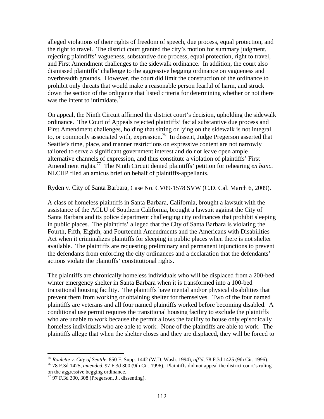alleged violations of their rights of freedom of speech, due process, equal protection, and the right to travel. The district court granted the city's motion for summary judgment, rejecting plaintiffs' vagueness, substantive due process, equal protection, right to travel, and First Amendment challenges to the sidewalk ordinance. In addition, the court also dismissed plaintiffs' challenge to the aggressive begging ordinance on vagueness and overbreadth grounds. However, the court did limit the construction of the ordinance to prohibit only threats that would make a reasonable person fearful of harm, and struck down the section of the ordinance that listed criteria for determining whether or not there was the intent to intimidate.<sup>75</sup>

On appeal, the Ninth Circuit affirmed the district court's decision, upholding the sidewalk ordinance. The Court of Appeals rejected plaintiffs' facial substantive due process and First Amendment challenges, holding that sitting or lying on the sidewalk is not integral to, or commonly associated with, expression.<sup>76</sup> In dissent, Judge Pregerson asserted that Seattle's time, place, and manner restrictions on expressive content are not narrowly tailored to serve a significant government interest and do not leave open ample alternative channels of expression, and thus constitute a violation of plaintiffs' First Amendment rights.<sup>77</sup> The Ninth Circuit denied plaintiffs' petition for rehearing *en banc*. NLCHP filed an amicus brief on behalf of plaintiffs-appellants.

Ryden v. City of Santa Barbara, Case No. CV09-1578 SVW (C.D. Cal. March 6, 2009).

A class of homeless plaintiffs in Santa Barbara, California, brought a lawsuit with the assistance of the ACLU of Southern California, brought a lawsuit against the City of Santa Barbara and its police department challenging city ordinances that prohibit sleeping in public places. The plaintiffs' alleged that the City of Santa Barbara is violating the Fourth, Fifth, Eighth, and Fourteenth Amendments and the Americans with Disabilities Act when it criminalizes plaintiffs for sleeping in public places when there is not shelter available. The plaintiffs are requesting preliminary and permanent injunctions to prevent the defendants from enforcing the city ordinances and a declaration that the defendants' actions violate the plaintiffs' constitutional rights.

The plaintiffs are chronically homeless individuals who will be displaced from a 200-bed winter emergency shelter in Santa Barbara when it is transformed into a 100-bed transitional housing facility. The plaintiffs have mental and/or physical disabilities that prevent them from working or obtaining shelter for themselves. Two of the four named plaintiffs are veterans and all four named plaintiffs worked before becoming disabled. A conditional use permit requires the transitional housing facility to exclude the plaintiffs who are unable to work because the permit allows the facility to house only episodically homeless individuals who are able to work. None of the plaintiffs are able to work. The plaintiffs allege that when the shelter closes and they are displaced, they will be forced to

<sup>&</sup>lt;sup>75</sup> Roulette v. City of Seattle, 850 F. Supp. 1442 (W.D. Wash. 1994), aff'd, 78 F.3d 1425 (9th Cir. 1996).

<sup>&</sup>lt;sup>76</sup> 78 F.3d 1425, amended, 97 F.3d 300 (9th Cir. 1996). Plaintiffs did not appeal the district court's ruling on the aggressive begging ordinance.

<sup>77 97</sup> F.3d 300, 308 (Pregerson, J., dissenting).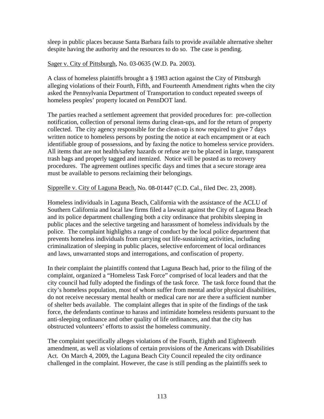sleep in public places because Santa Barbara fails to provide available alternative shelter despite having the authority and the resources to do so. The case is pending.

Sager v. City of Pittsburgh, No. 03-0635 (W.D. Pa. 2003).

A class of homeless plaintiffs brought a § 1983 action against the City of Pittsburgh alleging violations of their Fourth, Fifth, and Fourteenth Amendment rights when the city asked the Pennsylvania Department of Transportation to conduct repeated sweeps of homeless peoples' property located on PennDOT land.

The parties reached a settlement agreement that provided procedures for: pre-collection notification, collection of personal items during clean-ups, and for the return of property collected. The city agency responsible for the clean-up is now required to give 7 days written notice to homeless persons by posting the notice at each encampment or at each identifiable group of possessions, and by faxing the notice to homeless service providers. All items that are not health/safety hazards or refuse are to be placed in large, transparent trash bags and properly tagged and itemized. Notice will be posted as to recovery procedures. The agreement outlines specific days and times that a secure storage area must be available to persons reclaiming their belongings.

Sipprelle v. City of Laguna Beach, No. 08-01447 (C.D. Cal., filed Dec. 23, 2008).

Homeless individuals in Laguna Beach, California with the assistance of the ACLU of Southern California and local law firms filed a lawsuit against the City of Laguna Beach and its police department challenging both a city ordinance that prohibits sleeping in public places and the selective targeting and harassment of homeless individuals by the police. The complaint highlights a range of conduct by the local police department that prevents homeless individuals from carrying out life-sustaining activities, including criminalization of sleeping in public places, selective enforcement of local ordinances and laws, unwarranted stops and interrogations, and confiscation of property.

In their complaint the plaintiffs contend that Laguna Beach had, prior to the filing of the complaint, organized a "Homeless Task Force" comprised of local leaders and that the city council had fully adopted the findings of the task force. The task force found that the city's homeless population, most of whom suffer from mental and/or physical disabilities, do not receive necessary mental health or medical care nor are there a sufficient number of shelter beds available. The complaint alleges that in spite of the findings of the task force, the defendants continue to harass and intimidate homeless residents pursuant to the anti-sleeping ordinance and other quality of life ordinances, and that the city has obstructed volunteers' efforts to assist the homeless community.

The complaint specifically alleges violations of the Fourth, Eighth and Eighteenth amendment, as well as violations of certain provisions of the Americans with Disabilities Act. On March 4, 2009, the Laguna Beach City Council repealed the city ordinance challenged in the complaint. However, the case is still pending as the plaintiffs seek to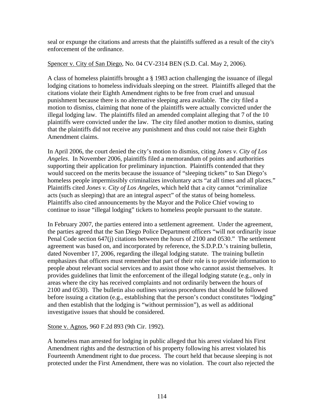seal or expunge the citations and arrests that the plaintiffs suffered as a result of the city's enforcement of the ordinance.

### Spencer v. City of San Diego, No. 04 CV-2314 BEN (S.D. Cal. May 2, 2006).

A class of homeless plaintiffs brought a § 1983 action challenging the issuance of illegal lodging citations to homeless individuals sleeping on the street. Plaintiffs alleged that the citations violate their Eighth Amendment rights to be free from cruel and unusual punishment because there is no alternative sleeping area available. The city filed a motion to dismiss, claiming that none of the plaintiffs were actually convicted under the illegal lodging law. The plaintiffs filed an amended complaint alleging that 7 of the 10 plaintiffs were convicted under the law. The city filed another motion to dismiss, stating that the plaintiffs did not receive any punishment and thus could not raise their Eighth Amendment claims.

In April 2006, the court denied the city's motion to dismiss, citing *Jones v. City of Los Angeles*. In November 2006, plaintiffs filed a memorandum of points and authorities supporting their application for preliminary injunction. Plaintiffs contended that they would succeed on the merits because the issuance of "sleeping tickets" to San Diego's homeless people impermissibly criminalizes involuntary acts "at all times and all places." Plaintiffs cited *Jones v. City of Los Angeles*, which held that a city cannot "criminalize acts (such as sleeping) that are an integral aspect" of the status of being homeless. Plaintiffs also cited announcements by the Mayor and the Police Chief vowing to continue to issue "illegal lodging" tickets to homeless people pursuant to the statute.

In February 2007, the parties entered into a settlement agreement. Under the agreement, the parties agreed that the San Diego Police Department officers "will not ordinarily issue Penal Code section 647(j) citations between the hours of 2100 and 0530." The settlement agreement was based on, and incorporated by reference, the S.D.P.D.'s training bulletin, dated November 17, 2006, regarding the illegal lodging statute. The training bulletin emphasizes that officers must remember that part of their role is to provide information to people about relevant social services and to assist those who cannot assist themselves. It provides guidelines that limit the enforcement of the illegal lodging statute (e.g., only in areas where the city has received complaints and not ordinarily between the hours of 2100 and 0530). The bulletin also outlines various procedures that should be followed before issuing a citation (e.g., establishing that the person's conduct constitutes "lodging" and then establish that the lodging is "without permission"), as well as additional investigative issues that should be considered.

# Stone v. Agnos, 960 F.2d 893 (9th Cir. 1992).

A homeless man arrested for lodging in public alleged that his arrest violated his First Amendment rights and the destruction of his property following his arrest violated his Fourteenth Amendment right to due process. The court held that because sleeping is not protected under the First Amendment, there was no violation. The court also rejected the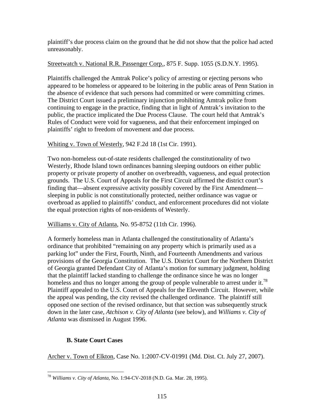plaintiff's due process claim on the ground that he did not show that the police had acted unreasonably.

# Streetwatch v. National R.R. Passenger Corp., 875 F. Supp. 1055 (S.D.N.Y. 1995).

Plaintiffs challenged the Amtrak Police's policy of arresting or ejecting persons who appeared to be homeless or appeared to be loitering in the public areas of Penn Station in the absence of evidence that such persons had committed or were committing crimes. The District Court issued a preliminary injunction prohibiting Amtrak police from continuing to engage in the practice, finding that in light of Amtrak's invitation to the public, the practice implicated the Due Process Clause. The court held that Amtrak's Rules of Conduct were void for vagueness, and that their enforcement impinged on plaintiffs' right to freedom of movement and due process.

# Whiting v. Town of Westerly, 942 F.2d 18 (1st Cir. 1991).

Two non-homeless out-of-state residents challenged the constitutionality of two Westerly, Rhode Island town ordinances banning sleeping outdoors on either public property or private property of another on overbreadth, vagueness, and equal protection grounds. The U.S. Court of Appeals for the First Circuit affirmed the district court's finding that—absent expressive activity possibly covered by the First Amendment sleeping in public is not constitutionally protected, neither ordinance was vague or overbroad as applied to plaintiffs' conduct, and enforcement procedures did not violate the equal protection rights of non-residents of Westerly.

Williams v. City of Atlanta, No. 95-8752 (11th Cir. 1996).

A formerly homeless man in Atlanta challenged the constitutionality of Atlanta's ordinance that prohibited "remaining on any property which is primarily used as a parking lot" under the First, Fourth, Ninth, and Fourteenth Amendments and various provisions of the Georgia Constitution. The U.S. District Court for the Northern District of Georgia granted Defendant City of Atlanta's motion for summary judgment, holding that the plaintiff lacked standing to challenge the ordinance since he was no longer homeless and thus no longer among the group of people vulnerable to arrest under it.<sup>78</sup> Plaintiff appealed to the U.S. Court of Appeals for the Eleventh Circuit. However, while the appeal was pending, the city revised the challenged ordinance. The plaintiff still opposed one section of the revised ordinance, but that section was subsequently struck down in the later case, *Atchison v. City of Atlanta* (see below), and *Williams v. City of Atlanta* was dismissed in August 1996.

# **B. State Court Cases**

Archer v. Town of Elkton, Case No. 1:2007-CV-01991 (Md. Dist. Ct. July 27, 2007).

 $\overline{a}$ <sup>78</sup> *Williams v. City of Atlanta*, No. 1:94-CV-2018 (N.D. Ga. Mar. 28, 1995).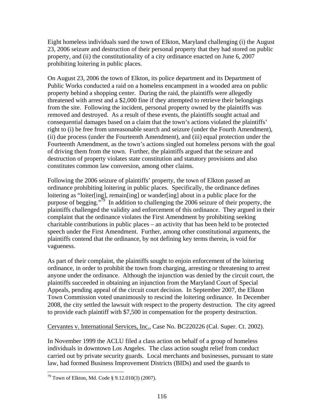Eight homeless individuals sued the town of Elkton, Maryland challenging (i) the August 23, 2006 seizure and destruction of their personal property that they had stored on public property, and (ii) the constitutionality of a city ordinance enacted on June 6, 2007 prohibiting loitering in public places.

On August 23, 2006 the town of Elkton, its police department and its Department of Public Works conducted a raid on a homeless encampment in a wooded area on public property behind a shopping center. During the raid, the plaintiffs were allegedly threatened with arrest and a \$2,000 fine if they attempted to retrieve their belongings from the site. Following the incident, personal property owned by the plaintiffs was removed and destroyed. As a result of these events, the plaintiffs sought actual and consequential damages based on a claim that the town's actions violated the plaintiffs' right to (i) be free from unreasonable search and seizure (under the Fourth Amendment), (ii) due process (under the Fourteenth Amendment), and (iii) equal protection under the Fourteenth Amendment, as the town's actions singled out homeless persons with the goal of driving them from the town. Further, the plaintiffs argued that the seizure and destruction of property violates state constitution and statutory provisions and also constitutes common law conversion, among other claims.

Following the 2006 seizure of plaintiffs' property, the town of Elkton passed an ordinance prohibiting loitering in public places. Specifically, the ordinance defines loitering as "loiter[ing], remain[ing] or wander[ing] about in a public place for the purpose of begging."<sup>79</sup> In addition to challenging the 2006 seizure of their property, the plaintiffs challenged the validity and enforcement of this ordinance. They argued in their complaint that the ordinance violates the First Amendment by prohibiting seeking charitable contributions in public places – an activity that has been held to be protected speech under the First Amendment. Further, among other constitutional arguments, the plaintiffs contend that the ordinance, by not defining key terms therein, is void for vagueness.

As part of their complaint, the plaintiffs sought to enjoin enforcement of the loitering ordinance, in order to prohibit the town from charging, arresting or threatening to arrest anyone under the ordinance. Although the injunction was denied by the circuit court, the plaintiffs succeeded in obtaining an injunction from the Maryland Court of Special Appeals, pending appeal of the circuit court decision. In September 2007, the Elkton Town Commission voted unanimously to rescind the loitering ordinance. In December 2008, the city settled the lawsuit with respect to the property destruction. The city agreed to provide each plaintiff with \$7,500 in compensation for the property destruction.

### Cervantes v. International Services, Inc., Case No. BC220226 (Cal. Super. Ct. 2002).

In November 1999 the ACLU filed a class action on behalf of a group of homeless individuals in downtown Los Angeles. The class action sought relief from conduct carried out by private security guards. Local merchants and businesses, pursuant to state law, had formed Business Improvement Districts (BIDs) and used the guards to

 $\overline{a}$ 79 Town of Elkton, Md. Code § 9.12.010(3) (2007).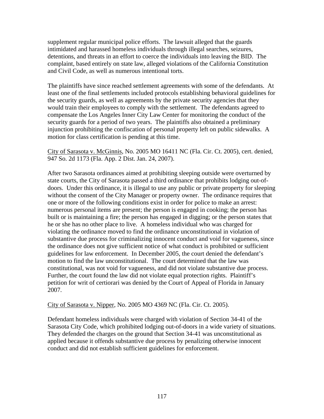supplement regular municipal police efforts. The lawsuit alleged that the guards intimidated and harassed homeless individuals through illegal searches, seizures, detentions, and threats in an effort to coerce the individuals into leaving the BID. The complaint, based entirely on state law, alleged violations of the California Constitution and Civil Code, as well as numerous intentional torts.

The plaintiffs have since reached settlement agreements with some of the defendants. At least one of the final settlements included protocols establishing behavioral guidelines for the security guards, as well as agreements by the private security agencies that they would train their employees to comply with the settlement. The defendants agreed to compensate the Los Angeles Inner City Law Center for monitoring the conduct of the security guards for a period of two years. The plaintiffs also obtained a preliminary injunction prohibiting the confiscation of personal property left on public sidewalks. A motion for class certification is pending at this time.

City of Sarasota v. McGinnis, No. 2005 MO 16411 NC (Fla. Cir. Ct. 2005), cert. denied, 947 So. 2d 1173 (Fla. App. 2 Dist. Jan. 24, 2007).

After two Sarasota ordinances aimed at prohibiting sleeping outside were overturned by state courts, the City of Sarasota passed a third ordinance that prohibits lodging out-ofdoors. Under this ordinance, it is illegal to use any public or private property for sleeping without the consent of the City Manager or property owner. The ordinance requires that one or more of the following conditions exist in order for police to make an arrest: numerous personal items are present; the person is engaged in cooking; the person has built or is maintaining a fire; the person has engaged in digging; or the person states that he or she has no other place to live. A homeless individual who was charged for violating the ordinance moved to find the ordinance unconstitutional in violation of substantive due process for criminalizing innocent conduct and void for vagueness, since the ordinance does not give sufficient notice of what conduct is prohibited or sufficient guidelines for law enforcement. In December 2005, the court denied the defendant's motion to find the law unconstitutional. The court determined that the law was constitutional, was not void for vagueness, and did not violate substantive due process. Further, the court found the law did not violate equal protection rights. Plaintiff's petition for writ of certiorari was denied by the Court of Appeal of Florida in January 2007.

City of Sarasota v. Nipper, No. 2005 MO 4369 NC (Fla. Cir. Ct. 2005).

Defendant homeless individuals were charged with violation of Section 34-41 of the Sarasota City Code, which prohibited lodging out-of-doors in a wide variety of situations. They defended the charges on the ground that Section 34-41 was unconstitutional as applied because it offends substantive due process by penalizing otherwise innocent conduct and did not establish sufficient guidelines for enforcement.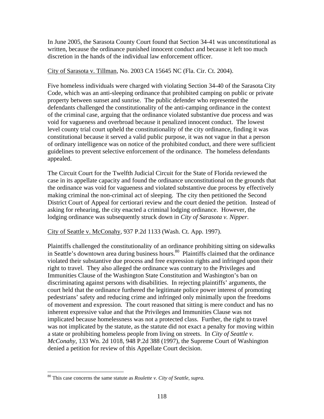In June 2005, the Sarasota County Court found that Section 34-41 was unconstitutional as written, because the ordinance punished innocent conduct and because it left too much discretion in the hands of the individual law enforcement officer.

### City of Sarasota v. Tillman, No. 2003 CA 15645 NC (Fla. Cir. Ct. 2004).

Five homeless individuals were charged with violating Section 34-40 of the Sarasota City Code, which was an anti-sleeping ordinance that prohibited camping on public or private property between sunset and sunrise. The public defender who represented the defendants challenged the constitutionality of the anti-camping ordinance in the context of the criminal case, arguing that the ordinance violated substantive due process and was void for vagueness and overbroad because it penalized innocent conduct. The lowest level county trial court upheld the constitutionality of the city ordinance, finding it was constitutional because it served a valid public purpose, it was not vague in that a person of ordinary intelligence was on notice of the prohibited conduct, and there were sufficient guidelines to prevent selective enforcement of the ordinance. The homeless defendants appealed.

The Circuit Court for the Twelfth Judicial Circuit for the State of Florida reviewed the case in its appellate capacity and found the ordinance unconstitutional on the grounds that the ordinance was void for vagueness and violated substantive due process by effectively making criminal the non-criminal act of sleeping. The city then petitioned the Second District Court of Appeal for certiorari review and the court denied the petition. Instead of asking for rehearing, the city enacted a criminal lodging ordinance. However, the lodging ordinance was subsequently struck down in *City of Sarasota v. Nipper*.

### City of Seattle v. McConahy, 937 P.2d 1133 (Wash. Ct. App. 1997).

Plaintiffs challenged the constitutionality of an ordinance prohibiting sitting on sidewalks in Seattle's downtown area during business hours.<sup>80</sup> Plaintiffs claimed that the ordinance violated their substantive due process and free expression rights and infringed upon their right to travel. They also alleged the ordinance was contrary to the Privileges and Immunities Clause of the Washington State Constitution and Washington's ban on discriminating against persons with disabilities. In rejecting plaintiffs' arguments, the court held that the ordinance furthered the legitimate police power interest of promoting pedestrians' safety and reducing crime and infringed only minimally upon the freedoms of movement and expression. The court reasoned that sitting is mere conduct and has no inherent expressive value and that the Privileges and Immunities Clause was not implicated because homelessness was not a protected class. Further, the right to travel was not implicated by the statute, as the statute did not exact a penalty for moving within a state or prohibiting homeless people from living on streets. In *City of Seattle v. McConahy*, 133 Wn. 2d 1018, 948 P.2d 388 (1997), the Supreme Court of Washington denied a petition for review of this Appellate Court decision.

<sup>80</sup> This case concerns the same statute as *Roulette v. City of Seattle*, *supra.*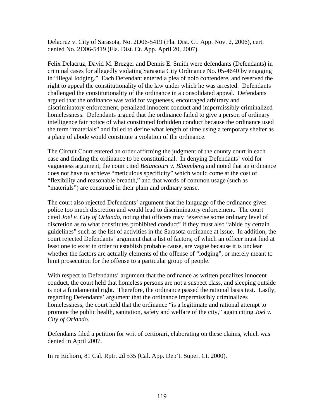Delacruz v. City of Sarasota, No. 2D06-5419 (Fla. Dist. Ct. App. Nov. 2, 2006), cert. denied No. 2D06-5419 (Fla. Dist. Ct. App. April 20, 2007).

Felix Delacruz, David M. Brezger and Dennis E. Smith were defendants (Defendants) in criminal cases for allegedly violating Sarasota City Ordinance No. 05-4640 by engaging in "illegal lodging." Each Defendant entered a plea of nolo contendere, and reserved the right to appeal the constitutionality of the law under which he was arrested. Defendants challenged the constitutionality of the ordinance in a consolidated appeal. Defendants argued that the ordinance was void for vagueness, encouraged arbitrary and discriminatory enforcement, penalized innocent conduct and impermissibly criminalized homelessness. Defendants argued that the ordinance failed to give a person of ordinary intelligence fair notice of what constituted forbidden conduct because the ordinance used the term "materials" and failed to define what length of time using a temporary shelter as a place of abode would constitute a violation of the ordinance.

The Circuit Court entered an order affirming the judgment of the county court in each case and finding the ordinance to be constitutional. In denying Defendants' void for vagueness argument, the court cited *Betancourt v. Bloomberg* and noted that an ordinance does not have to achieve "meticulous specificity" which would come at the cost of "flexibility and reasonable breadth," and that words of common usage (such as "materials") are construed in their plain and ordinary sense.

The court also rejected Defendants' argument that the language of the ordinance gives police too much discretion and would lead to discriminatory enforcement. The court cited *Joel v. City of Orlando*, noting that officers may "exercise some ordinary level of discretion as to what constitutes prohibited conduct" if they must also "abide by certain guidelines" such as the list of activities in the Sarasota ordinance at issue. In addition, the court rejected Defendants' argument that a list of factors, of which an officer must find at least one to exist in order to establish probable cause, are vague because it is unclear whether the factors are actually elements of the offense of "lodging", or merely meant to limit prosecution for the offense to a particular group of people.

With respect to Defendants' argument that the ordinance as written penalizes innocent conduct, the court held that homeless persons are not a suspect class, and sleeping outside is not a fundamental right. Therefore, the ordinance passed the rational basis test. Lastly, regarding Defendants' argument that the ordinance impermissibly criminalizes homelessness, the court held that the ordinance "is a legitimate and rational attempt to promote the public health, sanitation, safety and welfare of the city," again citing *Joel v. City of Orlando*.

Defendants filed a petition for writ of certiorari, elaborating on these claims, which was denied in April 2007.

In re Eichorn, 81 Cal. Rptr. 2d 535 (Cal. App. Dep't. Super. Ct. 2000).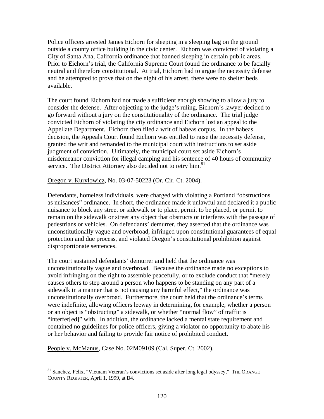Police officers arrested James Eichorn for sleeping in a sleeping bag on the ground outside a county office building in the civic center. Eichorn was convicted of violating a City of Santa Ana, California ordinance that banned sleeping in certain public areas. Prior to Eichorn's trial, the California Supreme Court found the ordinance to be facially neutral and therefore constitutional. At trial, Eichorn had to argue the necessity defense and he attempted to prove that on the night of his arrest, there were no shelter beds available.

The court found Eichorn had not made a sufficient enough showing to allow a jury to consider the defense. After objecting to the judge's ruling, Eichorn's lawyer decided to go forward without a jury on the constitutionality of the ordinance. The trial judge convicted Eichorn of violating the city ordinance and Eichorn lost an appeal to the Appellate Department. Eichorn then filed a writ of habeas corpus. In the habeas decision, the Appeals Court found Eichorn was entitled to raise the necessity defense, granted the writ and remanded to the municipal court with instructions to set aside judgment of conviction. Ultimately, the municipal court set aside Eichorn's misdemeanor conviction for illegal camping and his sentence of 40 hours of community service. The District Attorney also decided not to retry him.<sup>81</sup>

Oregon v. Kurylowicz, No. 03-07-50223 (Or. Cir. Ct. 2004).

Defendants, homeless individuals, were charged with violating a Portland "obstructions as nuisances" ordinance. In short, the ordinance made it unlawful and declared it a public nuisance to block any street or sidewalk or to place, permit to be placed, or permit to remain on the sidewalk or street any object that obstructs or interferes with the passage of pedestrians or vehicles. On defendants' demurrer, they asserted that the ordinance was unconstitutionally vague and overbroad, infringed upon constitutional guarantees of equal protection and due process, and violated Oregon's constitutional prohibition against disproportionate sentences.

The court sustained defendants' demurrer and held that the ordinance was unconstitutionally vague and overbroad. Because the ordinance made no exceptions to avoid infringing on the right to assemble peacefully, or to exclude conduct that "merely causes others to step around a person who happens to be standing on any part of a sidewalk in a manner that is not causing any harmful effect," the ordinance was unconstitutionally overbroad. Furthermore, the court held that the ordinance's terms were indefinite, allowing officers leeway in determining, for example, whether a person or an object is "obstructing" a sidewalk, or whether "normal flow" of traffic is "interfer[ed]" with. In addition, the ordinance lacked a mental state requirement and contained no guidelines for police officers, giving a violator no opportunity to abate his or her behavior and failing to provide fair notice of prohibited conduct.

People v. McManus, Case No. 02M09109 (Cal. Super. Ct. 2002).

<sup>&</sup>lt;sup>81</sup> Sanchez, Felix, "Vietnam Veteran's convictions set aside after long legal odyssey," THE ORANGE COUNTY REGISTER, April 1, 1999, at B4.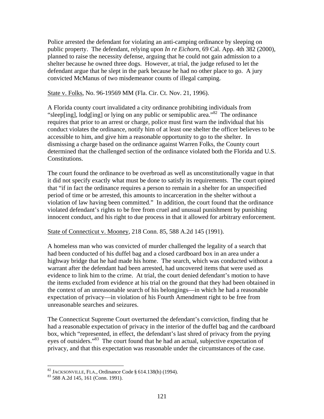Police arrested the defendant for violating an anti-camping ordinance by sleeping on public property. The defendant, relying upon *In re Eichorn*, 69 Cal. App. 4th 382 (2000), planned to raise the necessity defense, arguing that he could not gain admission to a shelter because he owned three dogs. However, at trial, the judge refused to let the defendant argue that he slept in the park because he had no other place to go. A jury convicted McManus of two misdemeanor counts of illegal camping.

State v. Folks, No. 96-19569 MM (Fla. Cir. Ct. Nov. 21, 1996).

A Florida county court invalidated a city ordinance prohibiting individuals from "sleep[ing], lodg[ing] or lying on any public or semipublic area."82 The ordinance requires that prior to an arrest or charge, police must first warn the individual that his conduct violates the ordinance, notify him of at least one shelter the officer believes to be accessible to him, and give him a reasonable opportunity to go to the shelter. In dismissing a charge based on the ordinance against Warren Folks, the County court determined that the challenged section of the ordinance violated both the Florida and U.S. Constitutions.

The court found the ordinance to be overbroad as well as unconstitutionally vague in that it did not specify exactly what must be done to satisfy its requirements. The court opined that "if in fact the ordinance requires a person to remain in a shelter for an unspecified period of time or be arrested, this amounts to incarceration in the shelter without a violation of law having been committed." In addition, the court found that the ordinance violated defendant's rights to be free from cruel and unusual punishment by punishing innocent conduct, and his right to due process in that it allowed for arbitrary enforcement.

State of Connecticut v. Mooney, 218 Conn. 85, 588 A.2d 145 (1991).

A homeless man who was convicted of murder challenged the legality of a search that had been conducted of his duffel bag and a closed cardboard box in an area under a highway bridge that he had made his home. The search, which was conducted without a warrant after the defendant had been arrested, had uncovered items that were used as evidence to link him to the crime. At trial, the court denied defendant's motion to have the items excluded from evidence at his trial on the ground that they had been obtained in the context of an unreasonable search of his belongings—in which he had a reasonable expectation of privacy—in violation of his Fourth Amendment right to be free from unreasonable searches and seizures.

The Connecticut Supreme Court overturned the defendant's conviction, finding that he had a reasonable expectation of privacy in the interior of the duffel bag and the cardboard box, which "represented, in effect, the defendant's last shred of privacy from the prying eyes of outsiders."<sup>83</sup> The court found that he had an actual, subjective expectation of privacy, and that this expectation was reasonable under the circumstances of the case.

<sup>&</sup>lt;sup>82</sup> JACKSONVILLE, FLA., Ordinance Code § 614.138(h) (1994).<br><sup>83</sup> 588 A.2d 145, 161 (Conn. 1991).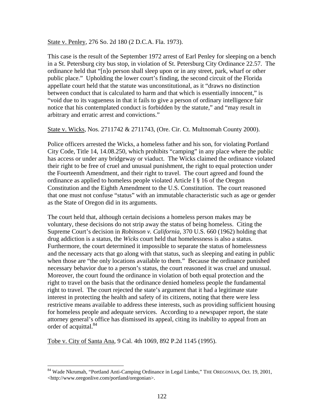State v. Penley, 276 So. 2d 180 (2 D.C.A. Fla. 1973).

This case is the result of the September 1972 arrest of Earl Penley for sleeping on a bench in a St. Petersburg city bus stop, in violation of St. Petersburg City Ordinance 22.57. The ordinance held that "[n]o person shall sleep upon or in any street, park, wharf or other public place." Upholding the lower court's finding, the second circuit of the Florida appellate court held that the statute was unconstitutional, as it "draws no distinction between conduct that is calculated to harm and that which is essentially innocent," is "void due to its vagueness in that it fails to give a person of ordinary intelligence fair notice that his contemplated conduct is forbidden by the statute," and "may result in arbitrary and erratic arrest and convictions."

### State v. Wicks, Nos. 2711742 & 2711743, (Ore. Cir. Ct. Multnomah County 2000).

Police officers arrested the Wicks, a homeless father and his son, for violating Portland City Code, Title 14, 14.08.250, which prohibits "camping" in any place where the public has access or under any bridgeway or viaduct. The Wicks claimed the ordinance violated their right to be free of cruel and unusual punishment, the right to equal protection under the Fourteenth Amendment, and their right to travel. The court agreed and found the ordinance as applied to homeless people violated Article I § 16 of the Oregon Constitution and the Eighth Amendment to the U.S. Constitution. The court reasoned that one must not confuse "status" with an immutable characteristic such as age or gender as the State of Oregon did in its arguments.

The court held that, although certain decisions a homeless person makes may be voluntary, these decisions do not strip away the status of being homeless. Citing the Supreme Court's decision in *Robinson v. California*, 370 U.S. 660 (1962) holding that drug addiction is a status, the *Wicks* court held that homelessness is also a status. Furthermore, the court determined it impossible to separate the status of homelessness and the necessary acts that go along with that status, such as sleeping and eating in public when those are "the only locations available to them." Because the ordinance punished necessary behavior due to a person's status, the court reasoned it was cruel and unusual. Moreover, the court found the ordinance in violation of both equal protection and the right to travel on the basis that the ordinance denied homeless people the fundamental right to travel. The court rejected the state's argument that it had a legitimate state interest in protecting the health and safety of its citizens, noting that there were less restrictive means available to address these interests, such as providing sufficient housing for homeless people and adequate services. According to a newspaper report, the state attorney general's office has dismissed its appeal, citing its inability to appeal from an order of acquittal.84

Tobe v. City of Santa Ana, 9 Cal. 4th 1069, 892 P.2d 1145 (1995).

1

<sup>&</sup>lt;sup>84</sup> Wade Nkrumah, "Portland Anti-Camping Ordinance in Legal Limbo," THE OREGONIAN, Oct. 19, 2001, <http://www.oregonlive.com/portland/oregonian>.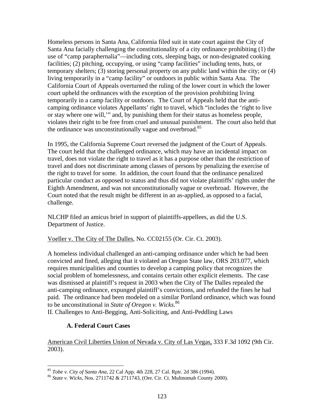Homeless persons in Santa Ana, California filed suit in state court against the City of Santa Ana facially challenging the constitutionality of a city ordinance prohibiting (1) the use of "camp paraphernalia"—including cots, sleeping bags, or non-designated cooking facilities; (2) pitching, occupying, or using "camp facilities" including tents, huts, or temporary shelters; (3) storing personal property on any public land within the city; or (4) living temporarily in a "camp facility" or outdoors in public within Santa Ana. The California Court of Appeals overturned the ruling of the lower court in which the lower court upheld the ordinances with the exception of the provision prohibiting living temporarily in a camp facility or outdoors. The Court of Appeals held that the anticamping ordinance violates Appellants' right to travel, which "includes the 'right to live or stay where one will,'" and, by punishing them for their status as homeless people, violates their right to be free from cruel and unusual punishment. The court also held that the ordinance was unconstitutionally vague and overbroad.<sup>85</sup>

In 1995, the California Supreme Court reversed the judgment of the Court of Appeals. The court held that the challenged ordinance, which may have an incidental impact on travel, does not violate the right to travel as it has a purpose other than the restriction of travel and does not discriminate among classes of persons by penalizing the exercise of the right to travel for some. In addition, the court found that the ordinance penalized particular conduct as opposed to status and thus did not violate plaintiffs' rights under the Eighth Amendment, and was not unconstitutionally vague or overbroad. However, the Court noted that the result might be different in an as-applied, as opposed to a facial, challenge.

NLCHP filed an amicus brief in support of plaintiffs-appellees, as did the U.S. Department of Justice.

Voeller v. The City of The Dalles, No. CC02155 (Or. Cir. Ct. 2003).

A homeless individual challenged an anti-camping ordinance under which he had been convicted and fined, alleging that it violated an Oregon State law, ORS 203.077, which requires municipalities and counties to develop a camping policy that recognizes the social problem of homelessness, and contains certain other explicit elements. The case was dismissed at plaintiff's request in 2003 when the City of The Dalles repealed the anti-camping ordinance, expunged plaintiff's convictions, and refunded the fines he had paid. The ordinance had been modeled on a similar Portland ordinance, which was found to be unconstitutional in *State of Oregon v. Wicks*. 86

II. Challenges to Anti-Begging, Anti-Soliciting, and Anti-Peddling Laws

# **A. Federal Court Cases**

 $\overline{a}$ 

American Civil Liberties Union of Nevada v. City of Las Vegas, 333 F.3d 1092 (9th Cir. 2003).

<sup>85</sup> *Tobe v. City of Santa Ana*, 22 Cal App. 4th 228, 27 Cal. Rptr. 2d 386 (1994). 86 *State v. Wicks*, Nos. 2711742 & 2711743, (Ore. Cir. Ct. Multnomah County 2000).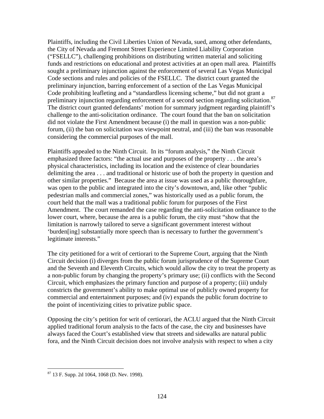Plaintiffs, including the Civil Liberties Union of Nevada, sued, among other defendants, the City of Nevada and Fremont Street Experience Limited Liability Corporation ("FSELLC"), challenging prohibitions on distributing written material and soliciting funds and restrictions on educational and protest activities at an open mall area. Plaintiffs sought a preliminary injunction against the enforcement of several Las Vegas Municipal Code sections and rules and policies of the FSELLC. The district court granted the preliminary injunction, barring enforcement of a section of the Las Vegas Municipal Code prohibiting leafleting and a "standardless licensing scheme," but did not grant a preliminary injunction regarding enforcement of a second section regarding solicitation.<sup>87</sup> The district court granted defendants' motion for summary judgment regarding plaintiff's challenge to the anti-solicitation ordinance. The court found that the ban on solicitation did not violate the First Amendment because (i) the mall in question was a non-public forum, (ii) the ban on solicitation was viewpoint neutral, and (iii) the ban was reasonable considering the commercial purposes of the mall.

Plaintiffs appealed to the Ninth Circuit. In its "forum analysis," the Ninth Circuit emphasized three factors: "the actual use and purposes of the property . . . the area's physical characteristics, including its location and the existence of clear boundaries delimiting the area . . . and traditional or historic use of both the property in question and other similar properties." Because the area at issue was used as a public thoroughfare, was open to the public and integrated into the city's downtown, and, like other "public pedestrian malls and commercial zones," was historically used as a public forum, the court held that the mall was a traditional public forum for purposes of the First Amendment. The court remanded the case regarding the anti-solicitation ordinance to the lower court, where, because the area is a public forum, the city must "show that the limitation is narrowly tailored to serve a significant government interest without 'burden[ing] substantially more speech than is necessary to further the government's legitimate interests."

The city petitioned for a writ of certiorari to the Supreme Court, arguing that the Ninth Circuit decision (i) diverges from the public forum jurisprudence of the Supreme Court and the Seventh and Eleventh Circuits, which would allow the city to treat the property as a non-public forum by changing the property's primary use; (ii) conflicts with the Second Circuit, which emphasizes the primary function and purpose of a property; (iii) unduly constricts the government's ability to make optimal use of publicly owned property for commercial and entertainment purposes; and (iv) expands the public forum doctrine to the point of incentivizing cities to privatize public space.

Opposing the city's petition for writ of certiorari, the ACLU argued that the Ninth Circuit applied traditional forum analysis to the facts of the case, the city and businesses have always faced the Court's established view that streets and sidewalks are natural public fora, and the Ninth Circuit decision does not involve analysis with respect to when a city

 $\overline{a}$  $87$  13 F. Supp. 2d 1064, 1068 (D. Nev. 1998).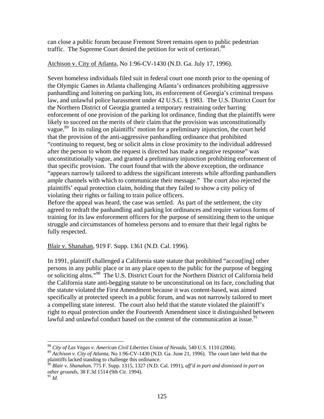can close a public forum because Fremont Street remains open to public pedestrian traffic. The Supreme Court denied the petition for writ of certiorari.<sup>88</sup>

### Atchison v. City of Atlanta, No 1:96-CV-1430 (N.D. Ga. July 17, 1996).

Seven homeless individuals filed suit in federal court one month prior to the opening of the Olympic Games in Atlanta challenging Atlanta's ordinances prohibiting aggressive panhandling and loitering on parking lots, its enforcement of Georgia's criminal trespass law, and unlawful police harassment under 42 U.S.C. § 1983. The U.S. District Court for the Northern District of Georgia granted a temporary restraining order barring enforcement of one provision of the parking lot ordinance, finding that the plaintiffs were likely to succeed on the merits of their claim that the provision was unconstitutionally vague.<sup>89</sup> In its ruling on plaintiffs' motion for a preliminary injunction, the court held that the provision of the anti-aggressive panhandling ordinance that prohibited "continuing to request, beg or solicit alms in close proximity to the individual addressed after the person to whom the request is directed has made a negative response" was unconstitutionally vague, and granted a preliminary injunction prohibiting enforcement of that specific provision. The court found that with the above exception, the ordinance "appears narrowly tailored to address the significant interests while affording panhandlers ample channels with which to communicate their message." The court also rejected the plaintiffs' equal protection claim, holding that they failed to show a city policy of violating their rights or failing to train police officers.

Before the appeal was heard, the case was settled. As part of the settlement, the city agreed to redraft the panhandling and parking lot ordinances and require various forms of training for its law enforcement officers for the purpose of sensitizing them to the unique struggle and circumstances of homeless persons and to ensure that their legal rights be fully respected.

Blair v. Shanahan, 919 F. Supp. 1361 (N.D. Cal. 1996).

In 1991, plaintiff challenged a California state statute that prohibited "accost[ing] other persons in any public place or in any place open to the public for the purpose of begging or soliciting alms."<sup>90</sup> The U.S. District Court for the Northern District of California held the California state anti-begging statute to be unconstitutional on its face, concluding that the statute violated the First Amendment because it was content-based, was aimed specifically at protected speech in a public forum, and was not narrowly tailored to meet a compelling state interest. The court also held that the statute violated the plaintiff's right to equal protection under the Fourteenth Amendment since it distinguished between lawful and unlawful conduct based on the content of the communication at issue.<sup>91</sup>

<sup>1</sup> <sup>88</sup> *City of Las Vegas v. American Civil Liberties Union of Nevada*, 540 U.S. 1110 (2004).

<sup>89</sup> *Atchison v. City of Atlanta*, No 1:96-CV-1430 (N.D. Ga. June 21, 1996). The court later held that the plaintiffs lacked standing to challenge this ordinance.

<sup>90</sup> *Blair v. Shanahan*, 775 F. Supp. 1315, 1327 (N.D. Cal. 1991), *aff'd in part and dismissed in part on other grounds*, 38 F.3d 1514 (9th Cir. 1994).

<sup>91</sup> *Id.*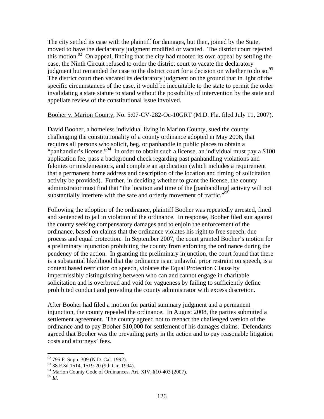The city settled its case with the plaintiff for damages, but then, joined by the State, moved to have the declaratory judgment modified or vacated. The district court rejected this motion.<sup>92</sup> On appeal, finding that the city had mooted its own appeal by settling the case, the Ninth Circuit refused to order the district court to vacate the declaratory judgment but remanded the case to the district court for a decision on whether to do so.<sup>93</sup> The district court then vacated its declaratory judgment on the ground that in light of the specific circumstances of the case, it would be inequitable to the state to permit the order invalidating a state statute to stand without the possibility of intervention by the state and appellate review of the constitutional issue involved.

### Booher v. Marion County, No. 5:07-CV-282-Oc-10GRT (M.D. Fla. filed July 11, 2007).

David Booher, a homeless individual living in Marion County, sued the county challenging the constitutionality of a county ordinance adopted in May 2006, that requires all persons who solicit, beg, or panhandle in public places to obtain a "panhandler's license."94 In order to obtain such a license, an individual must pay a \$100 application fee, pass a background check regarding past panhandling violations and felonies or misdemeanors, and complete an application (which includes a requirement that a permanent home address and description of the location and timing of solicitation activity be provided). Further, in deciding whether to grant the license, the county administrator must find that "the location and time of the [panhandling] activity will not substantially interfere with the safe and orderly movement of traffic."<sup>95</sup>

Following the adoption of the ordinance, plaintiff Booher was repeatedly arrested, fined and sentenced to jail in violation of the ordinance. In response, Booher filed suit against the county seeking compensatory damages and to enjoin the enforcement of the ordinance, based on claims that the ordinance violates his right to free speech, due process and equal protection. In September 2007, the court granted Booher's motion for a preliminary injunction prohibiting the county from enforcing the ordinance during the pendency of the action. In granting the preliminary injunction, the court found that there is a substantial likelihood that the ordinance is an unlawful prior restraint on speech, is a content based restriction on speech, violates the Equal Protection Clause by impermissibly distinguishing between who can and cannot engage in charitable solicitation and is overbroad and void for vagueness by failing to sufficiently define prohibited conduct and providing the county administrator with excess discretion.

After Booher had filed a motion for partial summary judgment and a permanent injunction, the county repealed the ordinance. In August 2008, the parties submitted a settlement agreement. The county agreed not to reenact the challenged version of the ordinance and to pay Booher \$10,000 for settlement of his damages claims. Defendants agreed that Booher was the prevailing party in the action and to pay reasonable litigation costs and attorneys' fees.

<sup>&</sup>lt;sup>92</sup> 795 F. Supp. 309 (N.D. Cal. 1992).

<sup>93 38</sup> F.3d 1514, 1519-20 (9th Cir. 1994).

<sup>94</sup> Marion County Code of Ordinances, Art. XIV, §10-403 (2007).

<sup>95</sup> *Id.*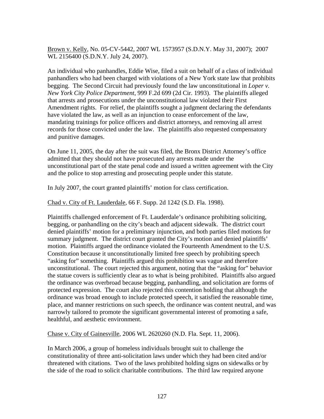Brown v. Kelly, No. 05-CV-5442, 2007 WL 1573957 (S.D.N.Y. May 31, 2007); 2007 WL 2156400 (S.D.N.Y. July 24, 2007).

An individual who panhandles, Eddie Wise, filed a suit on behalf of a class of individual panhandlers who had been charged with violations of a New York state law that prohibits begging. The Second Circuit had previously found the law unconstitutional in *Loper v. New York City Police Department*, 999 F.2d 699 (2d Cir. 1993). The plaintiffs alleged that arrests and prosecutions under the unconstitutional law violated their First Amendment rights. For relief, the plaintiffs sought a judgment declaring the defendants have violated the law, as well as an injunction to cease enforcement of the law, mandating trainings for police officers and district attorneys, and removing all arrest records for those convicted under the law. The plaintiffs also requested compensatory and punitive damages.

On June 11, 2005, the day after the suit was filed, the Bronx District Attorney's office admitted that they should not have prosecuted any arrests made under the unconstitutional part of the state penal code and issued a written agreement with the City and the police to stop arresting and prosecuting people under this statute.

In July 2007, the court granted plaintiffs' motion for class certification.

Chad v. City of Ft. Lauderdale, 66 F. Supp. 2d 1242 (S.D. Fla. 1998).

Plaintiffs challenged enforcement of Ft. Lauderdale's ordinance prohibiting soliciting, begging, or panhandling on the city's beach and adjacent sidewalk. The district court denied plaintiffs' motion for a preliminary injunction, and both parties filed motions for summary judgment. The district court granted the City's motion and denied plaintiffs' motion. Plaintiffs argued the ordinance violated the Fourteenth Amendment to the U.S. Constitution because it unconstitutionally limited free speech by prohibiting speech "asking for" something. Plaintiffs argued this prohibition was vague and therefore unconstitutional. The court rejected this argument, noting that the "asking for" behavior the statue covers is sufficiently clear as to what is being prohibited. Plaintiffs also argued the ordinance was overbroad because begging, panhandling, and solicitation are forms of protected expression. The court also rejected this contention holding that although the ordinance was broad enough to include protected speech, it satisfied the reasonable time, place, and manner restrictions on such speech, the ordinance was content neutral, and was narrowly tailored to promote the significant governmental interest of promoting a safe, healthful, and aesthetic environment.

Chase v. City of Gainesville, 2006 WL 2620260 (N.D. Fla. Sept. 11, 2006).

In March 2006, a group of homeless individuals brought suit to challenge the constitutionality of three anti-solicitation laws under which they had been cited and/or threatened with citations. Two of the laws prohibited holding signs on sidewalks or by the side of the road to solicit charitable contributions. The third law required anyone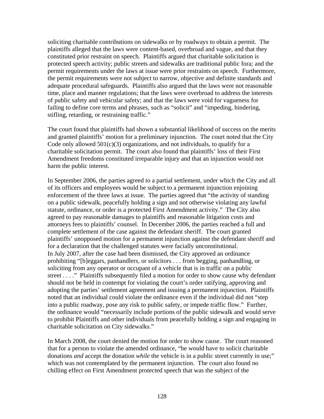soliciting charitable contributions on sidewalks or by roadways to obtain a permit. The plaintiffs alleged that the laws were content-based, overbroad and vague, and that they constituted prior restraint on speech. Plaintiffs argued that charitable solicitation is protected speech activity; public streets and sidewalks are traditional public fora; and the permit requirements under the laws at issue were prior restraints on speech. Furthermore, the permit requirements were not subject to narrow, objective and definite standards and adequate procedural safeguards. Plaintiffs also argued that the laws were not reasonable time, place and manner regulations; that the laws were overbroad to address the interests of public safety and vehicular safety; and that the laws were void for vagueness for failing to define core terms and phrases, such as "solicit" and "impeding, hindering, stifling, retarding, or restraining traffic."

The court found that plaintiffs had shown a substantial likelihood of success on the merits and granted plaintiffs' motion for a preliminary injunction. The court noted that the City Code only allowed  $501(c)(3)$  organizations, and not individuals, to qualify for a charitable solicitation permit. The court also found that plaintiffs' loss of their First Amendment freedoms constituted irreparable injury and that an injunction would not harm the public interest.

In September 2006, the parties agreed to a partial settlement, under which the City and all of its officers and employees would be subject to a permanent injunction enjoining enforcement of the three laws at issue. The parties agreed that "the activity of standing on a public sidewalk, peacefully holding a sign and not otherwise violating any lawful statute, ordinance, or order is a protected First Amendment activity." The City also agreed to pay reasonable damages to plaintiffs and reasonable litigation costs and attorneys fees to plaintiffs' counsel. In December 2006, the parties reached a full and complete settlement of the case against the defendant sheriff. The court granted plaintiffs' unopposed motion for a permanent injunction against the defendant sheriff and for a declaration that the challenged statutes were facially unconstitutional. In July 2007, after the case had been dismissed, the City approved an ordinance prohibiting "[b]eggars, panhandlers, or solicitors . . . from begging, panhandling, or soliciting from any operator or occupant of a vehicle that is in traffic on a public street . . . ." Plaintiffs subsequently filed a motion for order to show cause why defendant should not be held in contempt for violating the court's order ratifying, approving and adopting the parties' settlement agreement and issuing a permanent injunction. Plaintiffs noted that an individual could violate the ordinance even if the individual did not "step into a public roadway, pose any risk to public safety, or impede traffic flow." Further, the ordinance would "necessarily include portions of the public sidewalk and would serve to prohibit Plaintiffs and other individuals from peacefully holding a sign and engaging in charitable solicitation on City sidewalks."

In March 2008, the court denied the motion for order to show cause. The court reasoned that for a person to violate the amended ordinance, "he would have to solicit charitable donations *and* accept the donation *while* the vehicle is in a public street currently in use;" which was not contemplated by the permanent injunction. The court also found no chilling effect on First Amendment protected speech that was the subject of the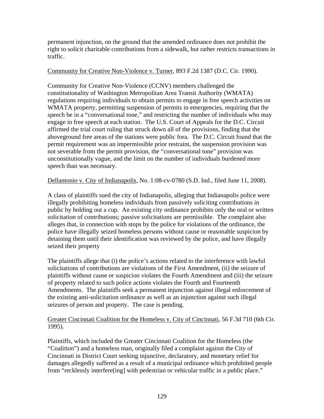permanent injunction, on the ground that the amended ordinance does not prohibit the right to solicit charitable contributions from a sidewalk, but rather restricts transactions in traffic.

### Community for Creative Non-Violence v. Turner, 893 F.2d 1387 (D.C. Cir. 1990).

Community for Creative Non-Violence (CCNV) members challenged the constitutionality of Washington Metropolitan Area Transit Authority (WMATA) regulations requiring individuals to obtain permits to engage in free speech activities on WMATA property, permitting suspension of permits in emergencies, requiring that the speech be in a "conversational tone," and restricting the number of individuals who may engage in free speech at each station. The U.S. Court of Appeals for the D.C. Circuit affirmed the trial court ruling that struck down all of the provisions, finding that the aboveground free areas of the stations were public fora. The D.C. Circuit found that the permit requirement was an impermissible prior restraint, the suspension provision was not severable from the permit provision, the "conversational tone" provision was unconstitutionally vague, and the limit on the number of individuals burdened more speech than was necessary.

Dellantonio v. City of Indianapolis, No. 1:08-cv-0780 (S.D. Ind., filed June 11, 2008).

A class of plaintiffs sued the city of Indianapolis, alleging that Indianapolis police were illegally prohibiting homeless individuals from passively soliciting contributions in public by holding out a cup. An existing city ordinance prohibits only the oral or written solicitation of contributions; passive solicitations are permissible. The complaint also alleges that, in connection with stops by the police for violations of the ordinance, the police have illegally seized homeless persons without cause or reasonable suspicion by detaining them until their identification was reviewed by the police, and have illegally seized their property

The plaintiffs allege that (i) the police's actions related to the interference with lawful solicitations of contributions are violations of the First Amendment, (ii) the seizure of plaintiffs without cause or suspicion violates the Fourth Amendment and (iii) the seizure of property related to such police actions violates the Fourth and Fourteenth Amendments. The plaintiffs seek a permanent injunction against illegal enforcement of the existing anti-solicitation ordinance as well as an injunction against such illegal seizures of person and property. The case is pending.

### Greater Cincinnati Coalition for the Homeless v. City of Cincinnati, 56 F.3d 710 (6th Cir. 1995).

Plaintiffs, which included the Greater Cincinnati Coalition for the Homeless (the "Coalition") and a homeless man, originally filed a complaint against the City of Cincinnati in District Court seeking injunctive, declaratory, and monetary relief for damages allegedly suffered as a result of a municipal ordinance which prohibited people from "recklessly interfere[ing] with pedestrian or vehicular traffic in a public place."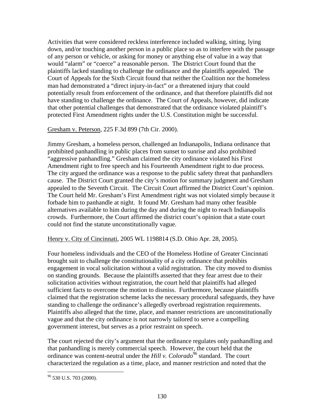Activities that were considered reckless interference included walking, sitting, lying down, and/or touching another person in a public place so as to interfere with the passage of any person or vehicle, or asking for money or anything else of value in a way that would "alarm" or "coerce" a reasonable person. The District Court found that the plaintiffs lacked standing to challenge the ordinance and the plaintiffs appealed. The Court of Appeals for the Sixth Circuit found that neither the Coalition nor the homeless man had demonstrated a "direct injury-in-fact" or a threatened injury that could potentially result from enforcement of the ordinance, and that therefore plaintiffs did not have standing to challenge the ordinance. The Court of Appeals, however, did indicate that other potential challenges that demonstrated that the ordinance violated plaintiff's protected First Amendment rights under the U.S. Constitution might be successful.

Gresham v. Peterson, 225 F.3d 899 (7th Cir. 2000).

Jimmy Gresham, a homeless person, challenged an Indianapolis, Indiana ordinance that prohibited panhandling in public places from sunset to sunrise and also prohibited "aggressive panhandling." Gresham claimed the city ordinance violated his First Amendment right to free speech and his Fourteenth Amendment right to due process. The city argued the ordinance was a response to the public safety threat that panhandlers cause. The District Court granted the city's motion for summary judgment and Gresham appealed to the Seventh Circuit. The Circuit Court affirmed the District Court's opinion. The Court held Mr. Gresham's First Amendment right was not violated simply because it forbade him to panhandle at night. It found Mr. Gresham had many other feasible alternatives available to him during the day and during the night to reach Indianapolis crowds. Furthermore, the Court affirmed the district court's opinion that a state court could not find the statute unconstitutionally vague.

# Henry v. City of Cincinnati, 2005 WL 1198814 (S.D. Ohio Apr. 28, 2005).

Four homeless individuals and the CEO of the Homeless Hotline of Greater Cincinnati brought suit to challenge the constitutionality of a city ordinance that prohibits engagement in vocal solicitation without a valid registration. The city moved to dismiss on standing grounds. Because the plaintiffs asserted that they fear arrest due to their solicitation activities without registration, the court held that plaintiffs had alleged sufficient facts to overcome the motion to dismiss. Furthermore, because plaintiffs claimed that the registration scheme lacks the necessary procedural safeguards, they have standing to challenge the ordinance's allegedly overbroad registration requirements. Plaintiffs also alleged that the time, place, and manner restrictions are unconstitutionally vague and that the city ordinance is not narrowly tailored to serve a compelling government interest, but serves as a prior restraint on speech.

The court rejected the city's argument that the ordinance regulates only panhandling and that panhandling is merely commercial speech. However, the court held that the ordinance was content-neutral under the *Hill v. Colorado*<sup>96</sup> standard. The court characterized the regulation as a time, place, and manner restriction and noted that the

<sup>&</sup>lt;sup>96</sup> 530 U.S. 703 (2000).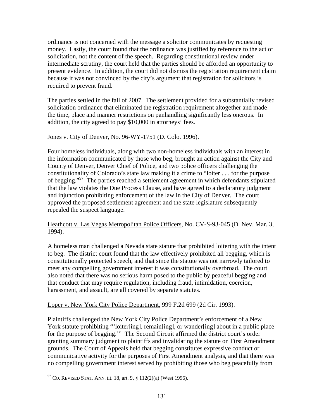ordinance is not concerned with the message a solicitor communicates by requesting money. Lastly, the court found that the ordinance was justified by reference to the act of solicitation, not the content of the speech. Regarding constitutional review under intermediate scrutiny, the court held that the parties should be afforded an opportunity to present evidence. In addition, the court did not dismiss the registration requirement claim because it was not convinced by the city's argument that registration for solicitors is required to prevent fraud.

The parties settled in the fall of 2007. The settlement provided for a substantially revised solicitation ordinance that eliminated the registration requirement altogether and made the time, place and manner restrictions on panhandling significantly less onerous. In addition, the city agreed to pay \$10,000 in attorneys' fees.

Jones v. City of Denver, No. 96-WY-1751 (D. Colo. 1996).

Four homeless individuals, along with two non-homeless individuals with an interest in the information communicated by those who beg, brought an action against the City and County of Denver, Denver Chief of Police, and two police officers challenging the constitutionality of Colorado's state law making it a crime to "loiter . . . for the purpose of begging."97 The parties reached a settlement agreement in which defendants stipulated that the law violates the Due Process Clause, and have agreed to a declaratory judgment and injunction prohibiting enforcement of the law in the City of Denver. The court approved the proposed settlement agreement and the state legislature subsequently repealed the suspect language.

Heathcott v. Las Vegas Metropolitan Police Officers, No. CV-S-93-045 (D. Nev. Mar. 3, 1994).

A homeless man challenged a Nevada state statute that prohibited loitering with the intent to beg. The district court found that the law effectively prohibited all begging, which is constitutionally protected speech, and that since the statute was not narrowly tailored to meet any compelling government interest it was constitutionally overbroad. The court also noted that there was no serious harm posed to the public by peaceful begging and that conduct that may require regulation, including fraud, intimidation, coercion, harassment, and assault, are all covered by separate statutes.

# Loper v. New York City Police Department, 999 F.2d 699 (2d Cir. 1993).

Plaintiffs challenged the New York City Police Department's enforcement of a New York statute prohibiting "'loiter[ing], remain[ing], or wander[ing] about in a public place for the purpose of begging.'" The Second Circuit affirmed the district court's order granting summary judgment to plaintiffs and invalidating the statute on First Amendment grounds. The Court of Appeals held that begging constitutes expressive conduct or communicative activity for the purposes of First Amendment analysis, and that there was no compelling government interest served by prohibiting those who beg peacefully from

<sup>&</sup>lt;sup>97</sup> CO. REVISED STAT. ANN. tit. 18, art. 9,  $\S 112(2)(a)$  (West 1996).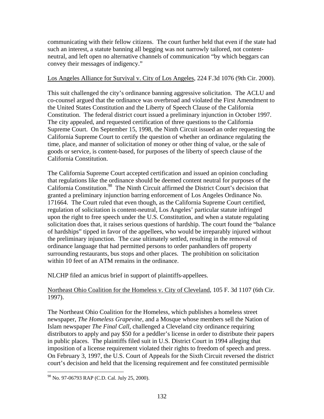communicating with their fellow citizens. The court further held that even if the state had such an interest, a statute banning all begging was not narrowly tailored, not contentneutral, and left open no alternative channels of communication "by which beggars can convey their messages of indigency."

# Los Angeles Alliance for Survival v. City of Los Angeles, 224 F.3d 1076 (9th Cir. 2000).

This suit challenged the city's ordinance banning aggressive solicitation. The ACLU and co-counsel argued that the ordinance was overbroad and violated the First Amendment to the United States Constitution and the Liberty of Speech Clause of the California Constitution. The federal district court issued a preliminary injunction in October 1997. The city appealed, and requested certification of three questions to the California Supreme Court. On September 15, 1998, the Ninth Circuit issued an order requesting the California Supreme Court to certify the question of whether an ordinance regulating the time, place, and manner of solicitation of money or other thing of value, or the sale of goods or service, is content-based, for purposes of the liberty of speech clause of the California Constitution.

The California Supreme Court accepted certification and issued an opinion concluding that regulations like the ordinance should be deemed content neutral for purposes of the California Constitution.<sup>98</sup> The Ninth Circuit affirmed the District Court's decision that granted a preliminary injunction barring enforcement of Los Angeles Ordinance No. 171664. The Court ruled that even though, as the California Supreme Court certified, regulation of solicitation is content-neutral, Los Angeles' particular statute infringed upon the right to free speech under the U.S. Constitution, and when a statute regulating solicitation does that, it raises serious questions of hardship. The court found the "balance of hardships" tipped in favor of the appellees, who would be irreparably injured without the preliminary injunction. The case ultimately settled, resulting in the removal of ordinance language that had permitted persons to order panhandlers off property surrounding restaurants, bus stops and other places. The prohibition on solicitation within 10 feet of an ATM remains in the ordinance.

NLCHP filed an amicus brief in support of plaintiffs-appellees.

# Northeast Ohio Coalition for the Homeless v. City of Cleveland, 105 F. 3d 1107 (6th Cir. 1997).

The Northeast Ohio Coalition for the Homeless, which publishes a homeless street newspaper, *The Homeless Grapevine*, and a Mosque whose members sell the Nation of Islam newspaper *The Final Call*, challenged a Cleveland city ordinance requiring distributors to apply and pay \$50 for a peddler's license in order to distribute their papers in public places. The plaintiffs filed suit in U.S. District Court in 1994 alleging that imposition of a license requirement violated their rights to freedom of speech and press. On February 3, 1997, the U.S. Court of Appeals for the Sixth Circuit reversed the district court's decision and held that the licensing requirement and fee constituted permissible

 $\overline{a}$ 98 No. 97-06793 RAP (C.D. Cal. July 25, 2000).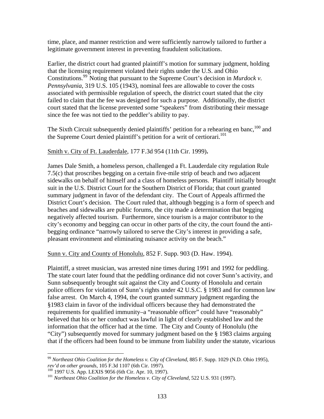time, place, and manner restriction and were sufficiently narrowly tailored to further a legitimate government interest in preventing fraudulent solicitations.

Earlier, the district court had granted plaintiff's motion for summary judgment, holding that the licensing requirement violated their rights under the U.S. and Ohio Constitutions.99 Noting that pursuant to the Supreme Court's decision in *Murdock v. Pennsylvania*, 319 U.S. 105 (1943), nominal fees are allowable to cover the costs associated with permissible regulation of speech, the district court stated that the city failed to claim that the fee was designed for such a purpose. Additionally, the district court stated that the license prevented some "speakers" from distributing their message since the fee was not tied to the peddler's ability to pay.

The Sixth Circuit subsequently denied plaintiffs' petition for a rehearing en banc,<sup>100</sup> and the Supreme Court denied plaintiff's petition for a writ of certiorari.<sup>101</sup>

### Smith v. City of Ft. Lauderdale, 177 F.3d 954 (11th Cir. 1999)**.**

James Dale Smith, a homeless person, challenged a Ft. Lauderdale city regulation Rule 7.5(c) that proscribes begging on a certain five-mile strip of beach and two adjacent sidewalks on behalf of himself and a class of homeless persons. Plaintiff initially brought suit in the U.S. District Court for the Southern District of Florida; that court granted summary judgment in favor of the defendant city. The Court of Appeals affirmed the District Court's decision. The Court ruled that, although begging is a form of speech and beaches and sidewalks are public forums, the city made a determination that begging negatively affected tourism. Furthermore, since tourism is a major contributor to the city's economy and begging can occur in other parts of the city, the court found the antibegging ordinance "narrowly tailored to serve the City's interest in providing a safe, pleasant environment and eliminating nuisance activity on the beach."

### Sunn v. City and County of Honolulu, 852 F. Supp. 903 (D. Haw. 1994).

Plaintiff, a street musician, was arrested nine times during 1991 and 1992 for peddling. The state court later found that the peddling ordinance did not cover Sunn's activity, and Sunn subsequently brought suit against the City and County of Honolulu and certain police officers for violation of Sunn's rights under 42 U.S.C. § 1983 and for common law false arrest. On March 4, 1994, the court granted summary judgment regarding the §1983 claim in favor of the individual officers because they had demonstrated the requirements for qualified immunity–a "reasonable officer" could have "reasonably" believed that his or her conduct was lawful in light of clearly established law and the information that the officer had at the time. The City and County of Honolulu (the "City") subsequently moved for summary judgment based on the § 1983 claims arguing that if the officers had been found to be immune from liability under the statute, vicarious

<sup>&</sup>lt;sup>99</sup> *Northeast Ohio Coalition for the Homeless v. City of Cleveland*, 885 F. Supp. 1029 (N.D. Ohio 1995), *rev'd on other grounds*, 105 F.3d 1107 (6th Cir. 1997).

<sup>&</sup>lt;sup>100</sup> 1997 U.S. App. LEXIS 9056 (6th Cir. Apr. 10, 1997).<br><sup>101</sup> *Northeast Ohio Coalition for the Homeless v. City of Cleveland*, 522 U.S. 931 (1997).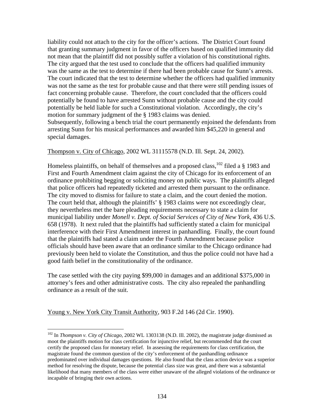liability could not attach to the city for the officer's actions. The District Court found that granting summary judgment in favor of the officers based on qualified immunity did not mean that the plaintiff did not possibly suffer a violation of his constitutional rights. The city argued that the test used to conclude that the officers had qualified immunity was the same as the test to determine if there had been probable cause for Sunn's arrests. The court indicated that the test to determine whether the officers had qualified immunity was not the same as the test for probable cause and that there were still pending issues of fact concerning probable cause. Therefore, the court concluded that the officers could potentially be found to have arrested Sunn without probable cause and the city could potentially be held liable for such a Constitutional violation. Accordingly, the city's motion for summary judgment of the § 1983 claims was denied. Subsequently, following a bench trial the court permanently enjoined the defendants from

arresting Sunn for his musical performances and awarded him \$45,220 in general and special damages.

Thompson v. City of Chicago, 2002 WL 31115578 (N.D. Ill. Sept. 24, 2002).

Homeless plaintiffs, on behalf of themselves and a proposed class,  $^{102}$  filed a § 1983 and First and Fourth Amendment claim against the city of Chicago for its enforcement of an ordinance prohibiting begging or soliciting money on public ways. The plaintiffs alleged that police officers had repeatedly ticketed and arrested them pursuant to the ordinance. The city moved to dismiss for failure to state a claim, and the court denied the motion. The court held that, although the plaintiffs' § 1983 claims were not exceedingly clear, they nevertheless met the bare pleading requirements necessary to state a claim for municipal liability under *Monell v. Dept. of Social Services of City of New York*, 436 U.S. 658 (1978). It next ruled that the plaintiffs had sufficiently stated a claim for municipal interference with their First Amendment interest in panhandling. Finally, the court found that the plaintiffs had stated a claim under the Fourth Amendment because police officials should have been aware that an ordinance similar to the Chicago ordinance had previously been held to violate the Constitution, and thus the police could not have had a good faith belief in the constitutionality of the ordinance.

The case settled with the city paying \$99,000 in damages and an additional \$375,000 in attorney's fees and other administrative costs. The city also repealed the panhandling ordinance as a result of the suit.

Young v. New York City Transit Authority, 903 F.2d 146 (2d Cir. 1990).

<sup>102</sup> In *Thompson v. City of Chicago*, 2002 WL 1303138 (N.D. Ill. 2002), the magistrate judge dismissed as moot the plaintiffs motion for class certification for injunctive relief, but recommended that the court certify the proposed class for monetary relief. In assessing the requirements for class certification, the magistrate found the common question of the city's enforcement of the panhandling ordinance predominated over individual damages questions. He also found that the class action device was a superior method for resolving the dispute, because the potential class size was great, and there was a substantial likelihood that many members of the class were either unaware of the alleged violations of the ordinance or incapable of bringing their own actions.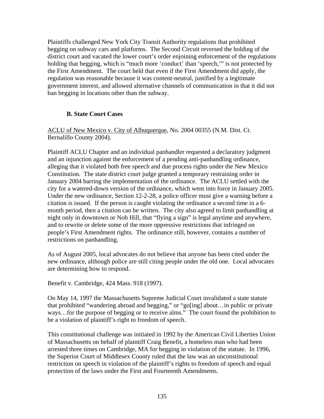Plaintiffs challenged New York City Transit Authority regulations that prohibited begging on subway cars and platforms. The Second Circuit reversed the holding of the district court and vacated the lower court's order enjoining enforcement of the regulations holding that begging, which is "much more 'conduct' than 'speech," is not protected by the First Amendment. The court held that even if the First Amendment did apply, the regulation was reasonable because it was content-neutral, justified by a legitimate government interest, and allowed alternative channels of communication in that it did not ban begging in locations other than the subway.

# **B. State Court Cases**

ACLU of New Mexico v. City of Albuquerque, No. 2004 00355 (N.M. Dist. Ct. Bernalillo County 2004).

Plaintiff ACLU Chapter and an individual panhandler requested a declaratory judgment and an injunction against the enforcement of a pending anti-panhandling ordinance, alleging that it violated both free speech and due process rights under the New Mexico Constitution. The state district court judge granted a temporary restraining order in January 2004 barring the implementation of the ordinance. The ACLU settled with the city for a watered-down version of the ordinance, which went into force in January 2005. Under the new ordinance, Section 12-2-28, a police officer must give a warning before a citation is issued. If the person is caught violating the ordinance a second time in a 6 month period, then a citation can be written. The city also agreed to limit panhandling at night only in downtown or Nob Hill, that "flying a sign" is legal anytime and anywhere, and to rewrite or delete some of the more oppressive restrictions that infringed on people's First Amendment rights. The ordinance still, however, contains a number of restrictions on panhandling.

As of August 2005, local advocates do not believe that anyone has been cited under the new ordinance, although police are still citing people under the old one. Local advocates are determining how to respond.

Benefit v. Cambridge, 424 Mass. 918 (1997).

On May 14, 1997 the Massachusetts Supreme Judicial Court invalidated a state statute that prohibited "wandering abroad and begging," or "go[ing] about…in public or private ways…for the purpose of begging or to receive alms." The court found the prohibition to be a violation of plaintiff's right to freedom of speech.

This constitutional challenge was initiated in 1992 by the American Civil Liberties Union of Massachusetts on behalf of plaintiff Craig Benefit, a homeless man who had been arrested three times on Cambridge, MA for begging in violation of the statute. In 1996, the Superior Court of Middlesex County ruled that the law was an unconstitutional restriction on speech in violation of the plaintiff's rights to freedom of speech and equal protection of the laws under the First and Fourteenth Amendments.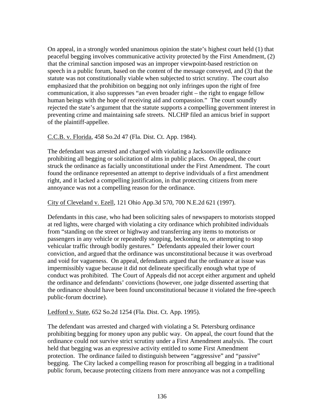On appeal, in a strongly worded unanimous opinion the state's highest court held (1) that peaceful begging involves communicative activity protected by the First Amendment, (2) that the criminal sanction imposed was an improper viewpoint-based restriction on speech in a public forum, based on the content of the message conveyed, and (3) that the statute was not constitutionally viable when subjected to strict scrutiny. The court also emphasized that the prohibition on begging not only infringes upon the right of free communication, it also suppresses "an even broader right – the right to engage fellow human beings with the hope of receiving aid and compassion." The court soundly rejected the state's argument that the statute supports a compelling government interest in preventing crime and maintaining safe streets. NLCHP filed an amicus brief in support of the plaintiff-appellee.

# C.C.B. v. Florida, 458 So.2d 47 (Fla. Dist. Ct. App. 1984).

The defendant was arrested and charged with violating a Jacksonville ordinance prohibiting all begging or solicitation of alms in public places. On appeal, the court struck the ordinance as facially unconstitutional under the First Amendment. The court found the ordinance represented an attempt to deprive individuals of a first amendment right, and it lacked a compelling justification, in that protecting citizens from mere annoyance was not a compelling reason for the ordinance.

# City of Cleveland v. Ezell, 121 Ohio App.3d 570, 700 N.E.2d 621 (1997).

Defendants in this case, who had been soliciting sales of newspapers to motorists stopped at red lights, were charged with violating a city ordinance which prohibited individuals from "standing on the street or highway and transferring any items to motorists or passengers in any vehicle or repeatedly stopping, beckoning to, or attempting to stop vehicular traffic through bodily gestures." Defendants appealed their lower court conviction, and argued that the ordinance was unconstitutional because it was overbroad and void for vagueness. On appeal, defendants argued that the ordinance at issue was impermissibly vague because it did not delineate specifically enough what type of conduct was prohibited. The Court of Appeals did not accept either argument and upheld the ordinance and defendants' convictions (however, one judge dissented asserting that the ordinance should have been found unconstitutional because it violated the free-speech public-forum doctrine).

# Ledford v. State, 652 So.2d 1254 (Fla. Dist. Ct. App. 1995).

The defendant was arrested and charged with violating a St. Petersburg ordinance prohibiting begging for money upon any public way. On appeal, the court found that the ordinance could not survive strict scrutiny under a First Amendment analysis. The court held that begging was an expressive activity entitled to some First Amendment protection. The ordinance failed to distinguish between "aggressive" and "passive" begging. The City lacked a compelling reason for proscribing all begging in a traditional public forum, because protecting citizens from mere annoyance was not a compelling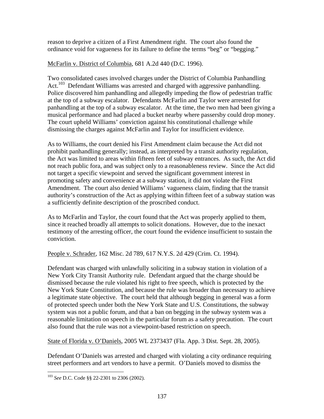reason to deprive a citizen of a First Amendment right. The court also found the ordinance void for vagueness for its failure to define the terms "beg" or "begging."

# McFarlin v. District of Columbia, 681 A.2d 440 (D.C. 1996).

Two consolidated cases involved charges under the District of Columbia Panhandling Act.<sup>103</sup> Defendant Williams was arrested and charged with aggressive panhandling. Police discovered him panhandling and allegedly impeding the flow of pedestrian traffic at the top of a subway escalator. Defendants McFarlin and Taylor were arrested for panhandling at the top of a subway escalator. At the time, the two men had been giving a musical performance and had placed a bucket nearby where passersby could drop money. The court upheld Williams' conviction against his constitutional challenge while dismissing the charges against McFarlin and Taylor for insufficient evidence.

As to Williams, the court denied his First Amendment claim because the Act did not prohibit panhandling generally; instead, as interpreted by a transit authority regulation, the Act was limited to areas within fifteen feet of subway entrances. As such, the Act did not reach public fora, and was subject only to a reasonableness review. Since the Act did not target a specific viewpoint and served the significant government interest in promoting safety and convenience at a subway station, it did not violate the First Amendment. The court also denied Williams' vagueness claim, finding that the transit authority's construction of the Act as applying within fifteen feet of a subway station was a sufficiently definite description of the proscribed conduct.

As to McFarlin and Taylor, the court found that the Act was properly applied to them, since it reached broadly all attempts to solicit donations. However, due to the inexact testimony of the arresting officer, the court found the evidence insufficient to sustain the conviction.

People v. Schrader, 162 Misc. 2d 789, 617 N.Y.S. 2d 429 (Crim. Ct. 1994).

Defendant was charged with unlawfully soliciting in a subway station in violation of a New York City Transit Authority rule. Defendant argued that the charge should be dismissed because the rule violated his right to free speech, which is protected by the New York State Constitution, and because the rule was broader than necessary to achieve a legitimate state objective. The court held that although begging in general was a form of protected speech under both the New York State and U.S. Constitutions, the subway system was not a public forum, and that a ban on begging in the subway system was a reasonable limitation on speech in the particular forum as a safety precaution. The court also found that the rule was not a viewpoint-based restriction on speech.

State of Florida v. O'Daniels, 2005 WL 2373437 (Fla. App. 3 Dist. Sept. 28, 2005).

Defendant O'Daniels was arrested and charged with violating a city ordinance requiring street performers and art vendors to have a permit. O'Daniels moved to dismiss the

<sup>103</sup> *See* D.C. Code §§ 22-2301 to 2306 (2002).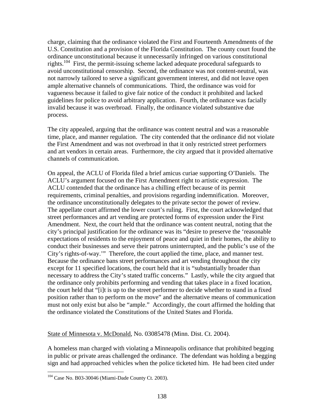charge, claiming that the ordinance violated the First and Fourteenth Amendments of the U.S. Constitution and a provision of the Florida Constitution. The county court found the ordinance unconstitutional because it unnecessarily infringed on various constitutional rights.<sup>104</sup> First, the permit-issuing scheme lacked adequate procedural safeguards to avoid unconstitutional censorship. Second, the ordinance was not content-neutral, was not narrowly tailored to serve a significant government interest, and did not leave open ample alternative channels of communications. Third, the ordinance was void for vagueness because it failed to give fair notice of the conduct it prohibited and lacked guidelines for police to avoid arbitrary application. Fourth, the ordinance was facially invalid because it was overbroad. Finally, the ordinance violated substantive due process.

The city appealed, arguing that the ordinance was content neutral and was a reasonable time, place, and manner regulation. The city contended that the ordinance did not violate the First Amendment and was not overbroad in that it only restricted street performers and art vendors in certain areas. Furthermore, the city argued that it provided alternative channels of communication.

On appeal, the ACLU of Florida filed a brief amicus curiae supporting O'Daniels. The ACLU's argument focused on the First Amendment right to artistic expression. The ACLU contended that the ordinance has a chilling effect because of its permit requirements, criminal penalties, and provisions regarding indemnification. Moreover, the ordinance unconstitutionally delegates to the private sector the power of review. The appellate court affirmed the lower court's ruling. First, the court acknowledged that street performances and art vending are protected forms of expression under the First Amendment. Next, the court held that the ordinance was content neutral, noting that the city's principal justification for the ordinance was its "desire to preserve the 'reasonable expectations of residents to the enjoyment of peace and quiet in their homes, the ability to conduct their businesses and serve their patrons uninterrupted, and the public's use of the City's rights-of-way.'" Therefore, the court applied the time, place, and manner test. Because the ordinance bans street performances and art vending throughout the city except for 11 specified locations, the court held that it is "substantially broader than necessary to address the City's stated traffic concerns." Lastly, while the city argued that the ordinance only prohibits performing and vending that takes place in a fixed location, the court held that "[i]t is up to the street performer to decide whether to stand in a fixed position rather than to perform on the move" and the alternative means of communication must not only exist but also be "ample." Accordingly, the court affirmed the holding that the ordinance violated the Constitutions of the United States and Florida.

### State of Minnesota v. McDonald, No. 03085478 (Minn. Dist. Ct. 2004).

A homeless man charged with violating a Minneapolis ordinance that prohibited begging in public or private areas challenged the ordinance. The defendant was holding a begging sign and had approached vehicles when the police ticketed him. He had been cited under

 $104$  Case No. B03-30046 (Miami-Dade County Ct. 2003).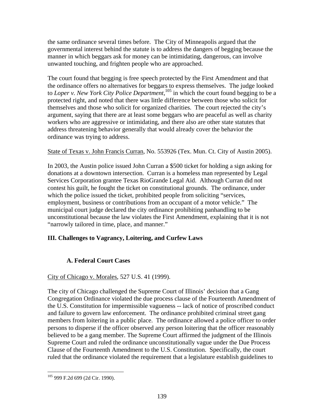the same ordinance several times before. The City of Minneapolis argued that the governmental interest behind the statute is to address the dangers of begging because the manner in which beggars ask for money can be intimidating, dangerous, can involve unwanted touching, and frighten people who are approached.

The court found that begging is free speech protected by the First Amendment and that the ordinance offers no alternatives for beggars to express themselves. The judge looked to *Loper v. New York City Police Department*, 105 in which the court found begging to be a protected right, and noted that there was little difference between those who solicit for themselves and those who solicit for organized charities. The court rejected the city's argument, saying that there are at least some beggars who are peaceful as well as charity workers who are aggressive or intimidating, and there also are other state statutes that address threatening behavior generally that would already cover the behavior the ordinance was trying to address.

State of Texas v. John Francis Curran, No. 553926 (Tex. Mun. Ct. City of Austin 2005).

In 2003, the Austin police issued John Curran a \$500 ticket for holding a sign asking for donations at a downtown intersection. Curran is a homeless man represented by Legal Services Corporation grantee Texas RioGrande Legal Aid. Although Curran did not contest his guilt, he fought the ticket on constitutional grounds. The ordinance, under which the police issued the ticket, prohibited people from soliciting "services, employment, business or contributions from an occupant of a motor vehicle." The municipal court judge declared the city ordinance prohibiting panhandling to be unconstitutional because the law violates the First Amendment, explaining that it is not "narrowly tailored in time, place, and manner."

# **III. Challenges to Vagrancy, Loitering, and Curfew Laws**

# **A. Federal Court Cases**

# City of Chicago v. Morales, 527 U.S. 41 (1999).

The city of Chicago challenged the Supreme Court of Illinois' decision that a Gang Congregation Ordinance violated the due process clause of the Fourteenth Amendment of the U.S. Constitution for impermissible vagueness -- lack of notice of proscribed conduct and failure to govern law enforcement. The ordinance prohibited criminal street gang members from loitering in a public place. The ordinance allowed a police officer to order persons to disperse if the officer observed any person loitering that the officer reasonably believed to be a gang member. The Supreme Court affirmed the judgment of the Illinois Supreme Court and ruled the ordinance unconstitutionally vague under the Due Process Clause of the Fourteenth Amendment to the U.S. Constitution. Specifically, the court ruled that the ordinance violated the requirement that a legislature establish guidelines to

 $\overline{a}$ 105 999 F.2d 699 (2d Cir. 1990).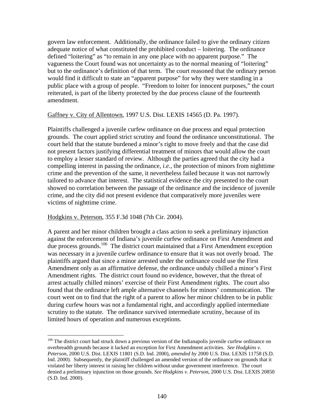govern law enforcement. Additionally, the ordinance failed to give the ordinary citizen adequate notice of what constituted the prohibited conduct – loitering. The ordinance defined "loitering" as "to remain in any one place with no apparent purpose." The vagueness the Court found was not uncertainty as to the normal meaning of "loitering" but to the ordinance's definition of that term. The court reasoned that the ordinary person would find it difficult to state an "apparent purpose" for why they were standing in a public place with a group of people. "Freedom to loiter for innocent purposes," the court reiterated, is part of the liberty protected by the due process clause of the fourteenth amendment.

### Gaffney v. City of Allentown, 1997 U.S. Dist. LEXIS 14565 (D. Pa. 1997).

Plaintiffs challenged a juvenile curfew ordinance on due process and equal protection grounds. The court applied strict scrutiny and found the ordinance unconstitutional. The court held that the statute burdened a minor's right to move freely and that the case did not present factors justifying differential treatment of minors that would allow the court to employ a lesser standard of review. Although the parties agreed that the city had a compelling interest in passing the ordinance, *i.e.*, the protection of minors from nighttime crime and the prevention of the same, it nevertheless failed because it was not narrowly tailored to advance that interest. The statistical evidence the city presented to the court showed no correlation between the passage of the ordinance and the incidence of juvenile crime, and the city did not present evidence that comparatively more juveniles were victims of nighttime crime.

### Hodgkins v. Peterson, 355 F.3d 1048 (7th Cir. 2004).

 $\overline{a}$ 

A parent and her minor children brought a class action to seek a preliminary injunction against the enforcement of Indiana's juvenile curfew ordinance on First Amendment and due process grounds.106 The district court maintained that a First Amendment exception was necessary in a juvenile curfew ordinance to ensure that it was not overly broad. The plaintiffs argued that since a minor arrested under the ordinance could use the First Amendment only as an affirmative defense, the ordinance unduly chilled a minor's First Amendment rights. The district court found no evidence, however, that the threat of arrest actually chilled minors' exercise of their First Amendment rights. The court also found that the ordinance left ample alternative channels for minors' communication. The court went on to find that the right of a parent to allow her minor children to be in public during curfew hours was not a fundamental right, and accordingly applied intermediate scrutiny to the statute. The ordinance survived intermediate scrutiny, because of its limited hours of operation and numerous exceptions.

<sup>&</sup>lt;sup>106</sup> The district court had struck down a previous version of the Indianapolis juvenile curfew ordinance on overbreadth grounds because it lacked an exception for First Amendment activities. *See Hodgkins v. Peterson*, 2000 U.S. Dist. LEXIS 11801 (S.D. Ind. 2000), *amended by* 2000 U.S. Dist. LEXIS 11758 (S.D. Ind. 2000). Subsequently, the plaintiff challenged an amended version of the ordinance on grounds that it violated her liberty interest in raising her children without undue government interference. The court denied a preliminary injunction on those grounds. *See Hodgkins v. Peterson*, 2000 U.S. Dist. LEXIS 20850 (S.D. Ind. 2000).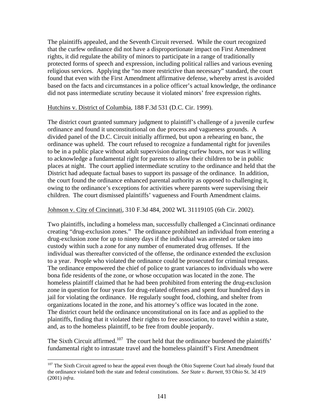The plaintiffs appealed, and the Seventh Circuit reversed. While the court recognized that the curfew ordinance did not have a disproportionate impact on First Amendment rights, it did regulate the ability of minors to participate in a range of traditionally protected forms of speech and expression, including political rallies and various evening religious services. Applying the "no more restrictive than necessary" standard, the court found that even with the First Amendment affirmative defense, whereby arrest is avoided based on the facts and circumstances in a police officer's actual knowledge, the ordinance did not pass intermediate scrutiny because it violated minors' free expression rights.

### Hutchins v. District of Columbia, 188 F.3d 531 (D.C. Cir. 1999).

The district court granted summary judgment to plaintiff's challenge of a juvenile curfew ordinance and found it unconstitutional on due process and vagueness grounds. A divided panel of the D.C. Circuit initially affirmed, but upon a rehearing en banc, the ordinance was upheld. The court refused to recognize a fundamental right for juveniles to be in a public place without adult supervision during curfew hours, nor was it willing to acknowledge a fundamental right for parents to allow their children to be in public places at night. The court applied intermediate scrutiny to the ordinance and held that the District had adequate factual bases to support its passage of the ordinance. In addition, the court found the ordinance enhanced parental authority as opposed to challenging it, owing to the ordinance's exceptions for activities where parents were supervising their children. The court dismissed plaintiffs' vagueness and Fourth Amendment claims.

### Johnson v. City of Cincinnati, 310 F.3d 484, 2002 WL 31119105 (6th Cir. 2002).

Two plaintiffs, including a homeless man, successfully challenged a Cincinnati ordinance creating "drug-exclusion zones." The ordinance prohibited an individual from entering a drug-exclusion zone for up to ninety days if the individual was arrested or taken into custody within such a zone for any number of enumerated drug offenses. If the individual was thereafter convicted of the offense, the ordinance extended the exclusion to a year. People who violated the ordinance could be prosecuted for criminal trespass. The ordinance empowered the chief of police to grant variances to individuals who were bona fide residents of the zone, or whose occupation was located in the zone. The homeless plaintiff claimed that he had been prohibited from entering the drug-exclusion zone in question for four years for drug-related offenses and spent four hundred days in jail for violating the ordinance. He regularly sought food, clothing, and shelter from organizations located in the zone, and his attorney's office was located in the zone. The district court held the ordinance unconstitutional on its face and as applied to the plaintiffs, finding that it violated their rights to free association, to travel within a state, and, as to the homeless plaintiff, to be free from double jeopardy.

The Sixth Circuit affirmed.<sup>107</sup> The court held that the ordinance burdened the plaintiffs' fundamental right to intrastate travel and the homeless plaintiff's First Amendment

<sup>&</sup>lt;sup>107</sup> The Sixth Circuit agreed to hear the appeal even though the Ohio Supreme Court had already found that the ordinance violated both the state and federal constitutions. *See State v. Burnett*, 93 Ohio St. 3d 419 (2001) *infra*.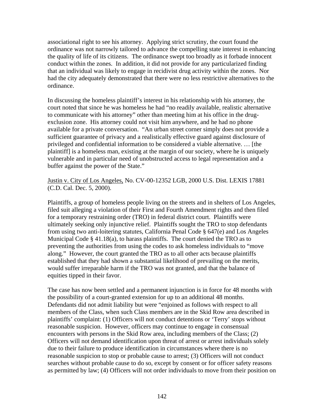associational right to see his attorney. Applying strict scrutiny, the court found the ordinance was not narrowly tailored to advance the compelling state interest in enhancing the quality of life of its citizens. The ordinance swept too broadly as it forbade innocent conduct within the zones. In addition, it did not provide for any particularized finding that an individual was likely to engage in recidivist drug activity within the zones. Nor had the city adequately demonstrated that there were no less restrictive alternatives to the ordinance.

In discussing the homeless plaintiff's interest in his relationship with his attorney, the court noted that since he was homeless he had "no readily available, realistic alternative to communicate with his attorney" other than meeting him at his office in the drugexclusion zone. His attorney could not visit him anywhere, and he had no phone available for a private conversation. "An urban street corner simply does not provide a sufficient guarantee of privacy and a realistically effective guard against disclosure of privileged and confidential information to be considered a viable alternative. … [the plaintiff] is a homeless man, existing at the margin of our society, where he is uniquely vulnerable and in particular need of unobstructed access to legal representation and a buffer against the power of the State."

Justin v. City of Los Angeles, No. CV-00-12352 LGB, 2000 U.S. Dist. LEXIS 17881 (C.D. Cal. Dec. 5, 2000).

Plaintiffs, a group of homeless people living on the streets and in shelters of Los Angeles, filed suit alleging a violation of their First and Fourth Amendment rights and then filed for a temporary restraining order (TRO) in federal district court. Plaintiffs were ultimately seeking only injunctive relief. Plaintiffs sought the TRO to stop defendants from using two anti-loitering statutes, California Penal Code § 647(e) and Los Angeles Municipal Code § 41.18(a), to harass plaintiffs. The court denied the TRO as to preventing the authorities from using the codes to ask homeless individuals to "move along." However, the court granted the TRO as to all other acts because plaintiffs established that they had shown a substantial likelihood of prevailing on the merits, would suffer irreparable harm if the TRO was not granted, and that the balance of equities tipped in their favor.

The case has now been settled and a permanent injunction is in force for 48 months with the possibility of a court-granted extension for up to an additional 48 months. Defendants did not admit liability but were "enjoined as follows with respect to all members of the Class, when such Class members are in the Skid Row area described in plaintiffs' complaint: (1) Officers will not conduct detentions or 'Terry' stops without reasonable suspicion. However, officers may continue to engage in consensual encounters with persons in the Skid Row area, including members of the Class; (2) Officers will not demand identification upon threat of arrest or arrest individuals solely due to their failure to produce identification in circumstances where there is no reasonable suspicion to stop or probable cause to arrest; (3) Officers will not conduct searches without probable cause to do so, except by consent or for officer safety reasons as permitted by law; (4) Officers will not order individuals to move from their position on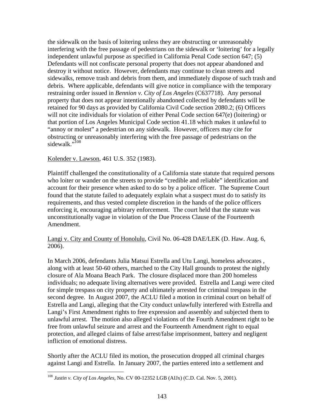the sidewalk on the basis of loitering unless they are obstructing or unreasonably interfering with the free passage of pedestrians on the sidewalk or 'loitering' for a legally independent unlawful purpose as specified in California Penal Code section 647; (5) Defendants will not confiscate personal property that does not appear abandoned and destroy it without notice. However, defendants may continue to clean streets and sidewalks, remove trash and debris from them, and immediately dispose of such trash and debris. Where applicable, defendants will give notice in compliance with the temporary restraining order issued in *Bennion v. City of Los Angeles* (C637718). Any personal property that does not appear intentionally abandoned collected by defendants will be retained for 90 days as provided by California Civil Code section 2080.2; (6) Officers will not cite individuals for violation of either Penal Code section 647(e) (loitering) or that portion of Los Angeles Municipal Code section 41.18 which makes it unlawful to "annoy or molest" a pedestrian on any sidewalk. However, officers may cite for obstructing or unreasonably interfering with the free passage of pedestrians on the sidewalk<sup>"108</sup>

Kolender v. Lawson, 461 U.S. 352 (1983).

Plaintiff challenged the constitutionality of a California state statute that required persons who loiter or wander on the streets to provide "credible and reliable" identification and account for their presence when asked to do so by a police officer. The Supreme Court found that the statute failed to adequately explain what a suspect must do to satisfy its requirements, and thus vested complete discretion in the hands of the police officers enforcing it, encouraging arbitrary enforcement. The court held that the statute was unconstitutionally vague in violation of the Due Process Clause of the Fourteenth Amendment.

Langi v. City and County of Honolulu, Civil No. 06-428 DAE/LEK (D. Haw. Aug. 6, 2006).

In March 2006, defendants Julia Matsui Estrella and Utu Langi, homeless advocates , along with at least 50-60 others, marched to the City Hall grounds to protest the nightly closure of Ala Moana Beach Park. The closure displaced more than 200 homeless individuals; no adequate living alternatives were provided. Estrella and Langi were cited for simple trespass on city property and ultimately arrested for criminal trespass in the second degree. In August 2007, the ACLU filed a motion in criminal court on behalf of Estrella and Langi, alleging that the City conduct unlawfully interfered with Estrella and Langi's First Amendment rights to free expression and assembly and subjected them to unlawful arrest. The motion also alleged violations of the Fourth Amendment right to be free from unlawful seizure and arrest and the Fourteenth Amendment right to equal protection, and alleged claims of false arrest/false imprisonment, battery and negligent infliction of emotional distress.

Shortly after the ACLU filed its motion, the prosecution dropped all criminal charges against Langi and Estrella. In January 2007, the parties entered into a settlement and

 $\overline{a}$ 

<sup>108</sup> *Justin v. City of Los Angeles*, No. CV 00-12352 LGB (AIJx) (C.D. Cal. Nov. 5, 2001).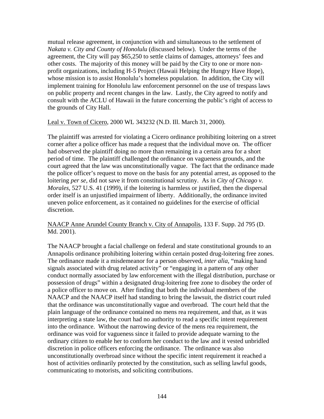mutual release agreement, in conjunction with and simultaneous to the settlement of *Nakata v. City and County of Honolulu* (discussed below). Under the terms of the agreement, the City will pay \$65,250 to settle claims of damages, attorneys' fees and other costs. The majority of this money will be paid by the City to one or more nonprofit organizations, including H-5 Project (Hawaii Helping the Hungry Have Hope), whose mission is to assist Honolulu's homeless population. In addition, the City will implement training for Honolulu law enforcement personnel on the use of trespass laws on public property and recent changes in the law. Lastly, the City agreed to notify and consult with the ACLU of Hawaii in the future concerning the public's right of access to the grounds of City Hall.

Leal v. Town of Cicero, 2000 WL 343232 (N.D. Ill. March 31, 2000).

The plaintiff was arrested for violating a Cicero ordinance prohibiting loitering on a street corner after a police officer has made a request that the individual move on. The officer had observed the plaintiff doing no more than remaining in a certain area for a short period of time. The plaintiff challenged the ordinance on vagueness grounds, and the court agreed that the law was unconstitutionally vague. The fact that the ordinance made the police officer's request to move on the basis for any potential arrest, as opposed to the loitering *per se*, did not save it from constitutional scrutiny. As in *City of Chicago v. Morales*, 527 U.S. 41 (1999), if the loitering is harmless or justified, then the dispersal order itself is an unjustified impairment of liberty. Additionally, the ordinance invited uneven police enforcement, as it contained no guidelines for the exercise of official discretion.

NAACP Anne Arundel County Branch v. City of Annapolis, 133 F. Supp. 2d 795 (D. Md. 2001).

The NAACP brought a facial challenge on federal and state constitutional grounds to an Annapolis ordinance prohibiting loitering within certain posted drug-loitering free zones. The ordinance made it a misdemeanor for a person observed, *inter alia*, "making hand signals associated with drug related activity" or "engaging in a pattern of any other conduct normally associated by law enforcement with the illegal distribution, purchase or possession of drugs" within a designated drug-loitering free zone to disobey the order of a police officer to move on. After finding that both the individual members of the NAACP and the NAACP itself had standing to bring the lawsuit, the district court ruled that the ordinance was unconstitutionally vague and overbroad. The court held that the plain language of the ordinance contained no mens rea requirement, and that, as it was interpreting a state law, the court had no authority to read a specific intent requirement into the ordinance. Without the narrowing device of the mens rea requirement, the ordinance was void for vagueness since it failed to provide adequate warning to the ordinary citizen to enable her to conform her conduct to the law and it vested unbridled discretion in police officers enforcing the ordinance. The ordinance was also unconstitutionally overbroad since without the specific intent requirement it reached a host of activities ordinarily protected by the constitution, such as selling lawful goods, communicating to motorists, and soliciting contributions.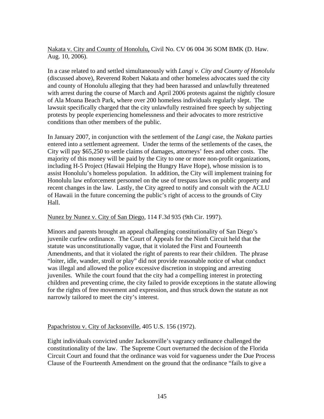Nakata v. City and County of Honolulu, Civil No. CV 06 004 36 SOM BMK (D. Haw. Aug. 10, 2006).

In a case related to and settled simultaneously with *Langi v. City and County of Honolulu* (discussed above), Reverend Robert Nakata and other homeless advocates sued the city and county of Honolulu alleging that they had been harassed and unlawfully threatened with arrest during the course of March and April 2006 protests against the nightly closure of Ala Moana Beach Park, where over 200 homeless individuals regularly slept. The lawsuit specifically charged that the city unlawfully restrained free speech by subjecting protests by people experiencing homelessness and their advocates to more restrictive conditions than other members of the public.

In January 2007, in conjunction with the settlement of the *Langi* case, the *Nakata* parties entered into a settlement agreement. Under the terms of the settlements of the cases, the City will pay \$65,250 to settle claims of damages, attorneys' fees and other costs. The majority of this money will be paid by the City to one or more non-profit organizations, including H-5 Project (Hawaii Helping the Hungry Have Hope), whose mission is to assist Honolulu's homeless population. In addition, the City will implement training for Honolulu law enforcement personnel on the use of trespass laws on public property and recent changes in the law. Lastly, the City agreed to notify and consult with the ACLU of Hawaii in the future concerning the public's right of access to the grounds of City Hall.

Nunez by Nunez v. City of San Diego, 114 F.3d 935 (9th Cir. 1997).

Minors and parents brought an appeal challenging constitutionality of San Diego's juvenile curfew ordinance. The Court of Appeals for the Ninth Circuit held that the statute was unconstitutionally vague, that it violated the First and Fourteenth Amendments, and that it violated the right of parents to rear their children. The phrase "loiter, idle, wander, stroll or play" did not provide reasonable notice of what conduct was illegal and allowed the police excessive discretion in stopping and arresting juveniles. While the court found that the city had a compelling interest in protecting children and preventing crime, the city failed to provide exceptions in the statute allowing for the rights of free movement and expression, and thus struck down the statute as not narrowly tailored to meet the city's interest.

## Papachristou v. City of Jacksonville, 405 U.S. 156 (1972).

Eight individuals convicted under Jacksonville's vagrancy ordinance challenged the constitutionality of the law. The Supreme Court overturned the decision of the Florida Circuit Court and found that the ordinance was void for vagueness under the Due Process Clause of the Fourteenth Amendment on the ground that the ordinance "fails to give a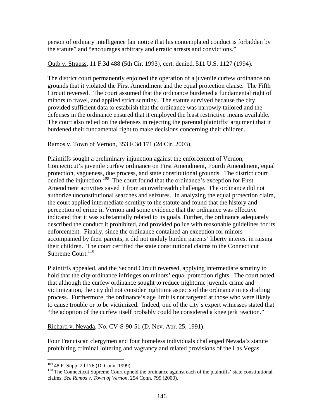person of ordinary intelligence fair notice that his contemplated conduct is forbidden by the statute" and "encourages arbitrary and erratic arrests and convictions."

Qutb v. Strauss, 11 F.3d 488 (5th Cir. 1993), cert. denied, 511 U.S. 1127 (1994).

The district court permanently enjoined the operation of a juvenile curfew ordinance on grounds that it violated the First Amendment and the equal protection clause. The Fifth Circuit reversed. The court assumed that the ordinance burdened a fundamental right of minors to travel, and applied strict scrutiny. The statute survived because the city provided sufficient data to establish that the ordinance was narrowly tailored and the defenses in the ordinance ensured that it employed the least restrictive means available. The court also relied on the defenses in rejecting the parental plaintiffs' argument that it burdened their fundamental right to make decisions concerning their children.

Ramos v. Town of Vernon, 353 F.3d 171 (2d Cir. 2003).

Plaintiffs sought a preliminary injunction against the enforcement of Vernon, Connecticut's juvenile curfew ordinance on First Amendment, Fourth Amendment, equal protection, vagueness, due process, and state constitutional grounds. The district court denied the injunction.<sup>109</sup> The court found that the ordinance's exception for First Amendment activities saved it from an overbreadth challenge. The ordinance did not authorize unconstitutional searches and seizures. In analyzing the equal protection claim, the court applied intermediate scrutiny to the statute and found that the history and perception of crime in Vernon and some evidence that the ordinance was effective indicated that it was substantially related to its goals. Further, the ordinance adequately described the conduct it prohibited, and provided police with reasonable guidelines for its enforcement. Finally, since the ordinance contained an exception for minors accompanied by their parents, it did not unduly burden parents' liberty interest in raising their children. The court certified the state constitutional claims to the Connecticut Supreme Court.<sup>110</sup>

Plaintiffs appealed, and the Second Circuit reversed, applying intermediate scrutiny to hold that the city ordinance infringes on minors' equal protection rights. The court noted that although the curfew ordinance sought to reduce nighttime juvenile crime and victimization, the city did not consider nighttime aspects of the ordinance in its drafting process. Furthermore, the ordinance's age limit is not targeted at those who were likely to cause trouble or to be victimized. Indeed, one of the city's expert witnesses stated that "the adoption of the curfew itself probably could be considered a knee jerk reaction."

Richard v. Nevada, No. CV-S-90-51 (D. Nev. Apr. 25, 1991).

Four Franciscan clergymen and four homeless individuals challenged Nevada's statute prohibiting criminal loitering and vagrancy and related provisions of the Las Vegas

<sup>&</sup>lt;sup>109</sup> 48 F. Supp. 2d 176 (D. Conn. 1999).

 $110$  The Connecticut Supreme Court upheld the ordinance against each of the plaintiffs' state constitutional claims. *See Ramos v. Town of Vernon*, 254 Conn. 799 (2000).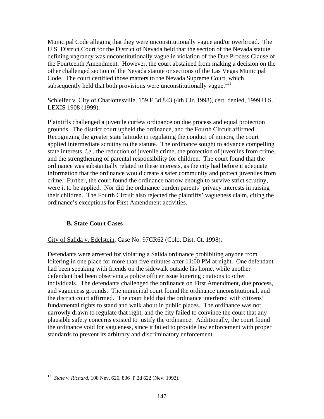Municipal Code alleging that they were unconstitutionally vague and/or overbroad. The U.S. District Court for the District of Nevada held that the section of the Nevada statute defining vagrancy was unconstitutionally vague in violation of the Due Process Clause of the Fourteenth Amendment. However, the court abstained from making a decision on the other challenged section of the Nevada statute or sections of the Las Vegas Municipal Code. The court certified those matters to the Nevada Supreme Court, which subsequently held that both provisions were unconstitutionally vague.<sup>111</sup>

Schleifer v. City of Charlottesville, 159 F.3d 843 (4th Cir. 1998), cert. denied, 1999 U.S. LEXIS 1908 (1999).

Plaintiffs challenged a juvenile curfew ordinance on due process and equal protection grounds. The district court upheld the ordinance, and the Fourth Circuit affirmed. Recognizing the greater state latitude in regulating the conduct of minors, the court applied intermediate scrutiny to the statute. The ordinance sought to advance compelling state interests, *i.e*., the reduction of juvenile crime, the protection of juveniles from crime, and the strengthening of parental responsibility for children. The court found that the ordinance was substantially related to these interests, as the city had before it adequate information that the ordinance would create a safer community and protect juveniles from crime. Further, the court found the ordinance narrow enough to survive strict scrutiny, were it to be applied. Nor did the ordinance burden parents' privacy interests in raising their children. The Fourth Circuit also rejected the plaintiffs' vagueness claim, citing the ordinance's exceptions for First Amendment activities.

## **B. State Court Cases**

City of Salida v. Edelstein, Case No. 97CR62 (Colo. Dist. Ct. 1998).

Defendants were arrested for violating a Salida ordinance prohibiting anyone from loitering in one place for more than five minutes after 11:00 PM at night. One defendant had been speaking with friends on the sidewalk outside his home, while another defendant had been observing a police officer issue loitering citations to other individuals. The defendants challenged the ordinance on First Amendment, due process, and vagueness grounds. The municipal court found the ordinance unconstitutional, and the district court affirmed. The court held that the ordinance interfered with citizens' fundamental rights to stand and walk about in public places. The ordinance was not narrowly drawn to regulate that right, and the city failed to convince the court that any plausible safety concerns existed to justify the ordinance. Additionally, the court found the ordinance void for vagueness, since it failed to provide law enforcement with proper standards to prevent its arbitrary and discriminatory enforcement.

 $\overline{a}$ 

<sup>111</sup> *State v. Richard*, 108 Nev. 626, 836 P.2d 622 (Nev. 1992).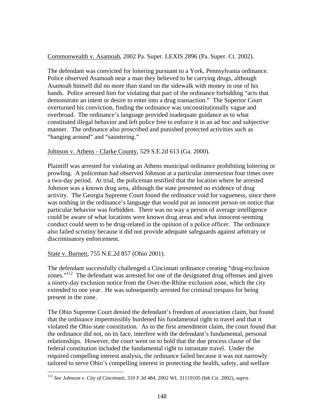## Commonwealth v. Asamoah, 2002 Pa. Super. LEXIS 2896 (Pa. Super. Ct. 2002).

The defendant was convicted for loitering pursuant to a York, Pennsylvania ordinance. Police observed Asamoah near a man they believed to be carrying drugs, although Asamoah himself did no more than stand on the sidewalk with money in one of his hands. Police arrested him for violating that part of the ordinance forbidding "acts that demonstrate an intent or desire to enter into a drug transaction." The Superior Court overturned his conviction, finding the ordinance was unconstitutionally vague and overbroad. The ordinance's language provided inadequate guidance as to what constituted illegal behavior and left police free to enforce it in an ad hoc and subjective manner. The ordinance also proscribed and punished protected activities such as "hanging around" and "sauntering."

## Johnson v. Athens - Clarke County, 529 S.E.2d 613 (Ga. 2000).

Plaintiff was arrested for violating an Athens municipal ordinance prohibiting loitering or prowling. A policeman had observed Johnson at a particular intersection four times over a two-day period. At trial, the policeman testified that the location where he arrested Johnson was a known drug area, although the state presented no evidence of drug activity. The Georgia Supreme Court found the ordinance void for vagueness, since there was nothing in the ordinance's language that would put an innocent person on notice that particular behavior was forbidden. There was no way a person of average intelligence could be aware of what locations were known drug areas and what innocent-seeming conduct could seem to be drug-related in the opinion of a police officer. The ordinance also failed scrutiny because it did not provide adequate safeguards against arbitrary or discriminatory enforcement.

## State v. Burnett, 755 N.E.2d 857 (Ohio 2001).

 $\overline{a}$ 

The defendant successfully challenged a Cincinnati ordinance creating "drug-exclusion zones."<sup>112</sup> The defendant was arrested for one of the designated drug offenses and given a ninety-day exclusion notice from the Over-the-Rhine exclusion zone, which the city extended to one year. He was subsequently arrested for criminal trespass for being present in the zone.

The Ohio Supreme Court denied the defendant's freedom of association claim, but found that the ordinance impermissibly burdened his fundamental right to travel and that it violated the Ohio state constitution. As to the first amendment claim, the court found that the ordinance did not, on its face, interfere with the defendant's fundamental, personal relationships. However, the court went on to hold that the due process clause of the federal constitution included the fundamental right to intrastate travel. Under the required compelling interest analysis, the ordinance failed because it was not narrowly tailored to serve Ohio's compelling interest in protecting the health, safety, and welfare

<sup>112</sup> *See Johnson v. City of Cincinnati*, 310 F.3d 484, 2002 WL 31119105 (6th Cir. 2002), *supra*.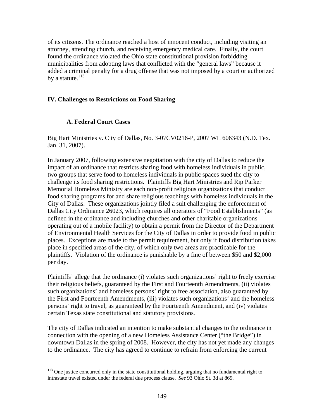of its citizens. The ordinance reached a host of innocent conduct, including visiting an attorney, attending church, and receiving emergency medical care. Finally, the court found the ordinance violated the Ohio state constitutional provision forbidding municipalities from adopting laws that conflicted with the "general laws" because it added a criminal penalty for a drug offense that was not imposed by a court or authorized by a statute. $113$ 

## **IV. Challenges to Restrictions on Food Sharing**

## **A. Federal Court Cases**

 $\overline{a}$ 

Big Hart Ministries v. City of Dallas, No. 3-07CV0216-P, 2007 WL 606343 (N.D. Tex. Jan. 31, 2007).

In January 2007, following extensive negotiation with the city of Dallas to reduce the impact of an ordinance that restricts sharing food with homeless individuals in public, two groups that serve food to homeless individuals in public spaces sued the city to challenge its food sharing restrictions. Plaintiffs Big Hart Ministries and Rip Parker Memorial Homeless Ministry are each non-profit religious organizations that conduct food sharing programs for and share religious teachings with homeless individuals in the City of Dallas. These organizations jointly filed a suit challenging the enforcement of Dallas City Ordinance 26023, which requires all operators of "Food Establishments" (as defined in the ordinance and including churches and other charitable organizations operating out of a mobile facility) to obtain a permit from the Director of the Department of Environmental Health Services for the City of Dallas in order to provide food in public places. Exceptions are made to the permit requirement, but only if food distribution takes place in specified areas of the city, of which only two areas are practicable for the plaintiffs. Violation of the ordinance is punishable by a fine of between \$50 and \$2,000 per day.

Plaintiffs' allege that the ordinance (i) violates such organizations' right to freely exercise their religious beliefs, guaranteed by the First and Fourteenth Amendments, (ii) violates such organizations' and homeless persons' right to free association, also guaranteed by the First and Fourteenth Amendments, (iii) violates such organizations' and the homeless persons' right to travel, as guaranteed by the Fourteenth Amendment, and (iv) violates certain Texas state constitutional and statutory provisions.

The city of Dallas indicated an intention to make substantial changes to the ordinance in connection with the opening of a new Homeless Assistance Center ("the Bridge") in downtown Dallas in the spring of 2008. However, the city has not yet made any changes to the ordinance. The city has agreed to continue to refrain from enforcing the current

 $113$  One justice concurred only in the state constitutional holding, arguing that no fundamental right to intrastate travel existed under the federal due process clause. *See* 93 Ohio St. 3d at 869.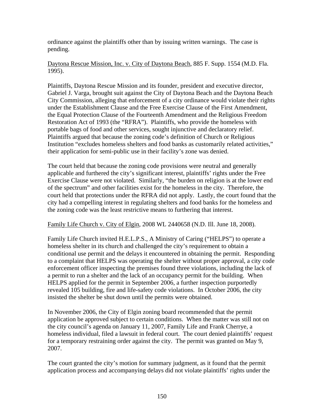ordinance against the plaintiffs other than by issuing written warnings. The case is pending.

Daytona Rescue Mission, Inc. v. City of Daytona Beach, 885 F. Supp. 1554 (M.D. Fla. 1995).

Plaintiffs, Daytona Rescue Mission and its founder, president and executive director, Gabriel J. Varga, brought suit against the City of Daytona Beach and the Daytona Beach City Commission, alleging that enforcement of a city ordinance would violate their rights under the Establishment Clause and the Free Exercise Clause of the First Amendment, the Equal Protection Clause of the Fourteenth Amendment and the Religious Freedom Restoration Act of 1993 (the "RFRA"). Plaintiffs, who provide the homeless with portable bags of food and other services, sought injunctive and declaratory relief. Plaintiffs argued that because the zoning code's definition of Church or Religious Institution "excludes homeless shelters and food banks as customarily related activities," their application for semi-public use in their facility's zone was denied.

The court held that because the zoning code provisions were neutral and generally applicable and furthered the city's significant interest, plaintiffs' rights under the Free Exercise Clause were not violated. Similarly, "the burden on religion is at the lower end of the spectrum" and other facilities exist for the homeless in the city. Therefore, the court held that protections under the RFRA did not apply. Lastly, the court found that the city had a compelling interest in regulating shelters and food banks for the homeless and the zoning code was the least restrictive means to furthering that interest.

Family Life Church v. City of Elgin, 2008 WL 2440658 (N.D. Ill. June 18, 2008).

Family Life Church invited H.E.L.P.S., A Ministry of Caring ("HELPS") to operate a homeless shelter in its church and challenged the city's requirement to obtain a conditional use permit and the delays it encountered in obtaining the permit. Responding to a complaint that HELPS was operating the shelter without proper approval, a city code enforcement officer inspecting the premises found three violations, including the lack of a permit to run a shelter and the lack of an occupancy permit for the building. When HELPS applied for the permit in September 2006, a further inspection purportedly revealed 105 building, fire and life-safety code violations. In October 2006, the city insisted the shelter be shut down until the permits were obtained.

In November 2006, the City of Elgin zoning board recommended that the permit application be approved subject to certain conditions. When the matter was still not on the city council's agenda on January 11, 2007, Family Life and Frank Cherrye, a homeless individual, filed a lawsuit in federal court. The court denied plaintiffs' request for a temporary restraining order against the city. The permit was granted on May 9, 2007.

The court granted the city's motion for summary judgment, as it found that the permit application process and accompanying delays did not violate plaintiffs' rights under the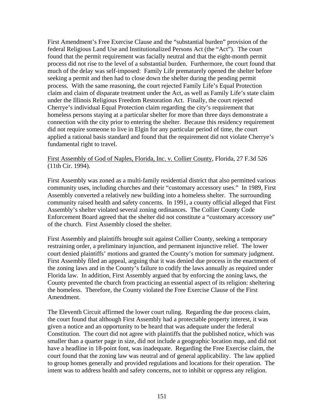First Amendment's Free Exercise Clause and the "substantial burden" provision of the federal Religious Land Use and Institutionalized Persons Act (the "Act"). The court found that the permit requirement was facially neutral and that the eight-month permit process did not rise to the level of a substantial burden. Furthermore, the court found that much of the delay was self-imposed: Family Life prematurely opened the shelter before seeking a permit and then had to close down the shelter during the pending permit process. With the same reasoning, the court rejected Family Life's Equal Protection claim and claim of disparate treatment under the Act, as well as Family Life's state claim under the Illinois Religious Freedom Restoration Act. Finally, the court rejected Cherrye's individual Equal Protection claim regarding the city's requirement that homeless persons staying at a particular shelter for more than three days demonstrate a connection with the city prior to entering the shelter. Because this residency requirement did not require someone to live in Elgin for any particular period of time, the court applied a rational basis standard and found that the requirement did not violate Cherrye's fundamental right to travel.

## First Assembly of God of Naples, Florida, Inc. v. Collier County, Florida, 27 F.3d 526 (11th Cir. 1994).

First Assembly was zoned as a multi-family residential district that also permitted various community uses, including churches and their "customary accessory uses." In 1989, First Assembly converted a relatively new building into a homeless shelter. The surrounding community raised health and safety concerns. In 1991, a county official alleged that First Assembly's shelter violated several zoning ordinances. The Collier County Code Enforcement Board agreed that the shelter did not constitute a "customary accessory use" of the church. First Assembly closed the shelter.

First Assembly and plaintiffs brought suit against Collier County, seeking a temporary restraining order, a preliminary injunction, and permanent injunctive relief. The lower court denied plaintiffs' motions and granted the County's motion for summary judgment. First Assembly filed an appeal, arguing that it was denied due process in the enactment of the zoning laws and in the County's failure to codify the laws annually as required under Florida law. In addition, First Assembly argued that by enforcing the zoning laws, the County prevented the church from practicing an essential aspect of its religion: sheltering the homeless. Therefore, the County violated the Free Exercise Clause of the First Amendment.

The Eleventh Circuit affirmed the lower court ruling. Regarding the due process claim, the court found that although First Assembly had a protectable property interest, it was given a notice and an opportunity to be heard that was adequate under the federal Constitution. The court did not agree with plaintiffs that the published notice, which was smaller than a quarter page in size, did not include a geographic location map, and did not have a headline in 18-point font, was inadequate. Regarding the Free Exercise claim, the court found that the zoning law was neutral and of general applicability. The law applied to group homes generally and provided regulations and locations for their operation. The intent was to address health and safety concerns, not to inhibit or oppress any religion.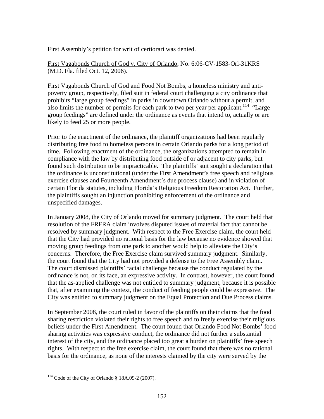First Assembly's petition for writ of certiorari was denied.

First Vagabonds Church of God v. City of Orlando, No. 6:06-CV-1583-Orl-31KRS (M.D. Fla. filed Oct. 12, 2006).

First Vagabonds Church of God and Food Not Bombs, a homeless ministry and antipoverty group, respectively, filed suit in federal court challenging a city ordinance that prohibits "large group feedings" in parks in downtown Orlando without a permit, and also limits the number of permits for each park to two per year per applicant.<sup>114</sup> "Large" group feedings" are defined under the ordinance as events that intend to, actually or are likely to feed 25 or more people.

Prior to the enactment of the ordinance, the plaintiff organizations had been regularly distributing free food to homeless persons in certain Orlando parks for a long period of time. Following enactment of the ordinance, the organizations attempted to remain in compliance with the law by distributing food outside of or adjacent to city parks, but found such distribution to be impracticable. The plaintiffs' suit sought a declaration that the ordinance is unconstitutional (under the First Amendment's free speech and religious exercise clauses and Fourteenth Amendment's due process clause) and in violation of certain Florida statutes, including Florida's Religious Freedom Restoration Act. Further, the plaintiffs sought an injunction prohibiting enforcement of the ordinance and unspecified damages.

In January 2008, the City of Orlando moved for summary judgment. The court held that resolution of the FRFRA claim involves disputed issues of material fact that cannot be resolved by summary judgment. With respect to the Free Exercise claim, the court held that the City had provided no rational basis for the law because no evidence showed that moving group feedings from one park to another would help to alleviate the City's concerns. Therefore, the Free Exercise claim survived summary judgment. Similarly, the court found that the City had not provided a defense to the Free Assembly claim. The court dismissed plaintiffs' facial challenge because the conduct regulated by the ordinance is not, on its face, an expressive activity. In contrast, however, the court found that the as-applied challenge was not entitled to summary judgment, because it is possible that, after examining the context, the conduct of feeding people could be expressive. The City was entitled to summary judgment on the Equal Protection and Due Process claims.

In September 2008, the court ruled in favor of the plaintiffs on their claims that the food sharing restriction violated their rights to free speech and to freely exercise their religious beliefs under the First Amendment. The court found that Orlando Food Not Bombs' food sharing activities was expressive conduct, the ordinance did not further a substantial interest of the city, and the ordinance placed too great a burden on plaintiffs' free speech rights. With respect to the free exercise claim, the court found that there was no rational basis for the ordinance, as none of the interests claimed by the city were served by the

 $\overline{a}$  $114$  Code of the City of Orlando § 18A.09-2 (2007).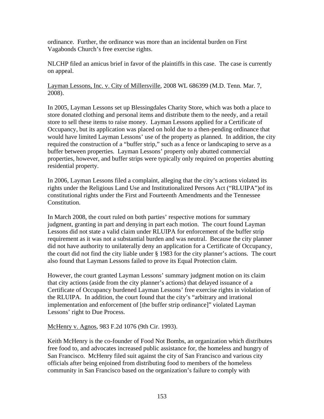ordinance. Further, the ordinance was more than an incidental burden on First Vagabonds Church's free exercise rights.

NLCHP filed an amicus brief in favor of the plaintiffs in this case. The case is currently on appeal.

Layman Lessons, Inc. v. City of Millersville, 2008 WL 686399 (M.D. Tenn. Mar. 7, 2008).

In 2005, Layman Lessons set up Blessingdales Charity Store, which was both a place to store donated clothing and personal items and distribute them to the needy, and a retail store to sell these items to raise money. Layman Lessons applied for a Certificate of Occupancy, but its application was placed on hold due to a then-pending ordinance that would have limited Layman Lessons' use of the property as planned. In addition, the city required the construction of a "buffer strip," such as a fence or landscaping to serve as a buffer between properties. Layman Lessons' property only abutted commercial properties, however, and buffer strips were typically only required on properties abutting residential property.

In 2006, Layman Lessons filed a complaint, alleging that the city's actions violated its rights under the Religious Land Use and Institutionalized Persons Act ("RLUIPA")of its constitutional rights under the First and Fourteenth Amendments and the Tennessee Constitution.

In March 2008, the court ruled on both parties' respective motions for summary judgment, granting in part and denying in part each motion. The court found Layman Lessons did not state a valid claim under RLUIPA for enforcement of the buffer strip requirement as it was not a substantial burden and was neutral. Because the city planner did not have authority to unilaterally deny an application for a Certificate of Occupancy, the court did not find the city liable under § 1983 for the city planner's actions. The court also found that Layman Lessons failed to prove its Equal Protection claim.

However, the court granted Layman Lessons' summary judgment motion on its claim that city actions (aside from the city planner's actions) that delayed issuance of a Certificate of Occupancy burdened Layman Lessons' free exercise rights in violation of the RLUIPA. In addition, the court found that the city's "arbitrary and irrational implementation and enforcement of [the buffer strip ordinance]" violated Layman Lessons' right to Due Process.

McHenry v. Agnos, 983 F.2d 1076 (9th Cir. 1993).

Keith McHenry is the co-founder of Food Not Bombs, an organization which distributes free food to, and advocates increased public assistance for, the homeless and hungry of San Francisco. McHenry filed suit against the city of San Francisco and various city officials after being enjoined from distributing food to members of the homeless community in San Francisco based on the organization's failure to comply with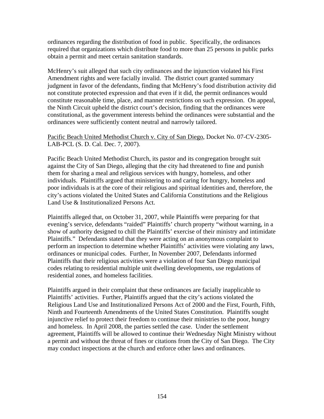ordinances regarding the distribution of food in public. Specifically, the ordinances required that organizations which distribute food to more than 25 persons in public parks obtain a permit and meet certain sanitation standards.

McHenry's suit alleged that such city ordinances and the injunction violated his First Amendment rights and were facially invalid. The district court granted summary judgment in favor of the defendants, finding that McHenry's food distribution activity did not constitute protected expression and that even if it did, the permit ordinances would constitute reasonable time, place, and manner restrictions on such expression. On appeal, the Ninth Circuit upheld the district court's decision, finding that the ordinances were constitutional, as the government interests behind the ordinances were substantial and the ordinances were sufficiently content neutral and narrowly tailored.

## Pacific Beach United Methodist Church v. City of San Diego, Docket No. 07-CV-2305- LAB-PCL (S. D. Cal. Dec. 7, 2007).

Pacific Beach United Methodist Church, its pastor and its congregation brought suit against the City of San Diego, alleging that the city had threatened to fine and punish them for sharing a meal and religious services with hungry, homeless, and other individuals. Plaintiffs argued that ministering to and caring for hungry, homeless and poor individuals is at the core of their religious and spiritual identities and, therefore, the city's actions violated the United States and California Constitutions and the Religious Land Use & Institutionalized Persons Act.

Plaintiffs alleged that, on October 31, 2007, while Plaintiffs were preparing for that evening's service, defendants "raided" Plaintiffs' church property "without warning, in a show of authority designed to chill the Plaintiffs' exercise of their ministry and intimidate Plaintiffs." Defendants stated that they were acting on an anonymous complaint to perform an inspection to determine whether Plaintiffs' activities were violating any laws, ordinances or municipal codes. Further, In November 2007, Defendants informed Plaintiffs that their religious activities were a violation of four San Diego municipal codes relating to residential multiple unit dwelling developments, use regulations of residential zones, and homeless facilities.

Plaintiffs argued in their complaint that these ordinances are facially inapplicable to Plaintiffs' activities. Further, Plaintiffs argued that the city's actions violated the Religious Land Use and Institutionalized Persons Act of 2000 and the First, Fourth, Fifth, Ninth and Fourteenth Amendments of the United States Constitution. Plaintiffs sought injunctive relief to protect their freedom to continue their ministries to the poor, hungry and homeless. In April 2008, the parties settled the case. Under the settlement agreement, Plaintiffs will be allowed to continue their Wednesday Night Ministry without a permit and without the threat of fines or citations from the City of San Diego. The City may conduct inspections at the church and enforce other laws and ordinances.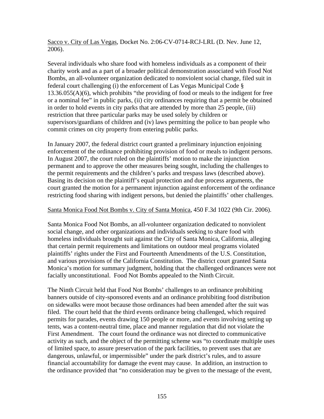Sacco v. City of Las Vegas, Docket No. 2:06-CV-0714-RCJ-LRL (D. Nev. June 12, 2006).

Several individuals who share food with homeless individuals as a component of their charity work and as a part of a broader political demonstration associated with Food Not Bombs, an all-volunteer organization dedicated to nonviolent social change, filed suit in federal court challenging (i) the enforcement of Las Vegas Municipal Code § 13.36.055(A)(6), which prohibits "the providing of food or meals to the indigent for free or a nominal fee" in public parks, (ii) city ordinances requiring that a permit be obtained in order to hold events in city parks that are attended by more than 25 people, (iii) restriction that three particular parks may be used solely by children or supervisors/guardians of children and (iv) laws permitting the police to ban people who commit crimes on city property from entering public parks.

In January 2007, the federal district court granted a preliminary injunction enjoining enforcement of the ordinance prohibiting provision of food or meals to indigent persons. In August 2007, the court ruled on the plaintiffs' motion to make the injunction permanent and to approve the other measures being sought, including the challenges to the permit requirements and the children's parks and trespass laws (described above). Basing its decision on the plaintiff's equal protection and due process arguments, the court granted the motion for a permanent injunction against enforcement of the ordinance restricting food sharing with indigent persons, but denied the plaintiffs' other challenges.

## Santa Monica Food Not Bombs v. City of Santa Monica, 450 F.3d 1022 (9th Cir. 2006).

Santa Monica Food Not Bombs, an all-volunteer organization dedicated to nonviolent social change, and other organizations and individuals seeking to share food with homeless individuals brought suit against the City of Santa Monica, California, alleging that certain permit requirements and limitations on outdoor meal programs violated plaintiffs' rights under the First and Fourteenth Amendments of the U.S. Constitution, and various provisions of the California Constitution. The district court granted Santa Monica's motion for summary judgment, holding that the challenged ordinances were not facially unconstitutional. Food Not Bombs appealed to the Ninth Circuit.

The Ninth Circuit held that Food Not Bombs' challenges to an ordinance prohibiting banners outside of city-sponsored events and an ordinance prohibiting food distribution on sidewalks were moot because those ordinances had been amended after the suit was filed. The court held that the third events ordinance being challenged, which required permits for parades, events drawing 150 people or more, and events involving setting up tents, was a content-neutral time, place and manner regulation that did not violate the First Amendment. The court found the ordinance was not directed to communicative activity as such, and the object of the permitting scheme was "to coordinate multiple uses of limited space, to assure preservation of the park facilities, to prevent uses that are dangerous, unlawful, or impermissible" under the park district's rules, and to assure financial accountability for damage the event may cause. In addition, an instruction to the ordinance provided that "no consideration may be given to the message of the event,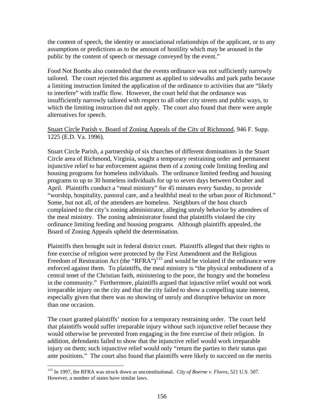the content of speech, the identity or associational relationships of the applicant, or to any assumptions or predictions as to the amount of hostility which may be aroused in the public by the content of speech or message conveyed by the event."

Food Not Bombs also contended that the events ordinance was not sufficiently narrowly tailored. The court rejected this argument as applied to sidewalks and park paths because a limiting instruction limited the application of the ordinance to activities that are "likely to interfere" with traffic flow. However, the court held that the ordinance was insufficiently narrowly tailored with respect to all other city streets and public ways, to which the limiting instruction did not apply. The court also found that there were ample alternatives for speech.

Stuart Circle Parish v. Board of Zoning Appeals of the City of Richmond, 946 F. Supp. 1225 (E.D. Va. 1996).

Stuart Circle Parish, a partnership of six churches of different dominations in the Stuart Circle area of Richmond, Virginia, sought a temporary restraining order and permanent injunctive relief to bar enforcement against them of a zoning code limiting feeding and housing programs for homeless individuals. The ordinance limited feeding and housing programs to up to 30 homeless individuals for up to seven days between October and April. Plaintiffs conduct a "meal ministry" for 45 minutes every Sunday, to provide "worship, hospitality, pastoral care, and a healthful meal to the urban poor of Richmond." Some, but not all, of the attendees are homeless. Neighbors of the host church complained to the city's zoning administrator, alleging unruly behavior by attendees of the meal ministry. The zoning administrator found that plaintiffs violated the city ordinance limiting feeding and housing programs. Although plaintiffs appealed, the Board of Zoning Appeals upheld the determination.

Plaintiffs then brought suit in federal district court. Plaintiffs alleged that their rights to free exercise of religion were protected by the First Amendment and the Religious Freedom of Restoration Act (the "RFRA")<sup>115</sup> and would be violated if the ordinance were enforced against them. To plaintiffs, the meal ministry is "the physical embodiment of a central tenet of the Christian faith, ministering to the poor, the hungry and the homeless in the community." Furthermore, plaintiffs argued that injunctive relief would not work irreparable injury on the city and that the city failed to show a compelling state interest, especially given that there was no showing of unruly and disruptive behavior on more than one occasion.

The court granted plaintiffs' motion for a temporary restraining order. The court held that plaintiffs would suffer irreparable injury without such injunctive relief because they would otherwise be prevented from engaging in the free exercise of their religion. In addition, defendants failed to show that the injunctive relief would work irreparable injury on them; such injunctive relief would only "return the parties to their status quo ante positions." The court also found that plaintiffs were likely to succeed on the merits

 $\overline{a}$ 

<sup>115</sup> In 1997, the RFRA was struck down as unconstitutional. *City of Boerne v. Flores*, 521 U.S. 507. However, a number of states have similar laws.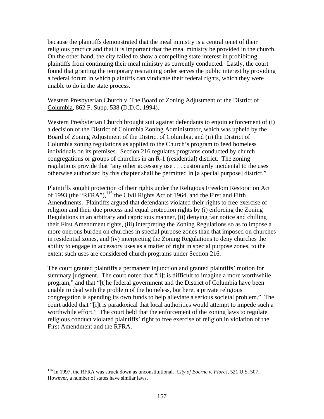because the plaintiffs demonstrated that the meal ministry is a central tenet of their religious practice and that it is important that the meal ministry be provided in the church. On the other hand, the city failed to show a compelling state interest in prohibiting plaintiffs from continuing their meal ministry as currently conducted. Lastly, the court found that granting the temporary restraining order serves the public interest by providing a federal forum in which plaintiffs can vindicate their federal rights, which they were unable to do in the state process.

## Western Presbyterian Church v. The Board of Zoning Adjustment of the District of Columbia, 862 F. Supp. 538 (D.D.C. 1994).

Western Presbyterian Church brought suit against defendants to enjoin enforcement of (i) a decision of the District of Columbia Zoning Administrator, which was upheld by the Board of Zoning Adjustment of the District of Columbia, and (ii) the District of Columbia zoning regulations as applied to the Church's program to feed homeless individuals on its premises. Section 216 regulates programs conducted by church congregations or groups of churches in an R-1 (residential) district. The zoning regulations provide that "any other accessory use . . . customarily incidental to the uses otherwise authorized by this chapter shall be permitted in [a special purpose] district."

Plaintiffs sought protection of their rights under the Religious Freedom Restoration Act of 1993 (the "RFRA"),  $^{116}$  the Civil Rights Act of 1964, and the First and Fifth Amendments. Plaintiffs argued that defendants violated their rights to free exercise of religion and their due process and equal protection rights by (i) enforcing the Zoning Regulations in an arbitrary and capricious manner, (ii) denying fair notice and chilling their First Amendment rights, (iii) interpreting the Zoning Regulations so as to impose a more onerous burden on churches in special purpose zones than that imposed on churches in residential zones, and (iv) interpreting the Zoning Regulations to deny churches the ability to engage in accessory uses as a matter of right in special purpose zones, to the extent such uses are considered church programs under Section 216.

The court granted plaintiffs a permanent injunction and granted plaintiffs' motion for summary judgment. The court noted that "[i]t is difficult to imagine a more worthwhile program," and that "[t]he federal government and the District of Columbia have been unable to deal with the problem of the homeless, but here, a private religious congregation is spending its own funds to help alleviate a serious societal problem." The court added that "[i]t is paradoxical that local authorities would attempt to impede such a worthwhile effort." The court held that the enforcement of the zoning laws to regulate religious conduct violated plaintiffs' right to free exercise of religion in violation of the First Amendment and the RFRA.

 $\overline{a}$ 

<sup>116</sup> In 1997, the RFRA was struck down as unconstitutional. *City of Boerne v. Flores*, 521 U.S. 507. However, a number of states have similar laws.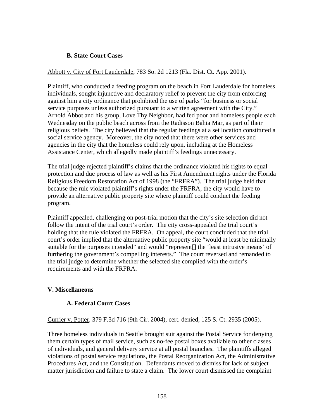## **B. State Court Cases**

Abbott v. City of Fort Lauderdale, 783 So. 2d 1213 (Fla. Dist. Ct. App. 2001).

Plaintiff, who conducted a feeding program on the beach in Fort Lauderdale for homeless individuals, sought injunctive and declaratory relief to prevent the city from enforcing against him a city ordinance that prohibited the use of parks "for business or social service purposes unless authorized pursuant to a written agreement with the City." Arnold Abbot and his group, Love Thy Neighbor, had fed poor and homeless people each Wednesday on the public beach across from the Radisson Bahia Mar, as part of their religious beliefs. The city believed that the regular feedings at a set location constituted a social service agency. Moreover, the city noted that there were other services and agencies in the city that the homeless could rely upon, including at the Homeless Assistance Center, which allegedly made plaintiff's feedings unnecessary.

The trial judge rejected plaintiff's claims that the ordinance violated his rights to equal protection and due process of law as well as his First Amendment rights under the Florida Religious Freedom Restoration Act of 1998 (the "FRFRA"). The trial judge held that because the rule violated plaintiff's rights under the FRFRA, the city would have to provide an alternative public property site where plaintiff could conduct the feeding program.

Plaintiff appealed, challenging on post-trial motion that the city's site selection did not follow the intent of the trial court's order. The city cross-appealed the trial court's holding that the rule violated the FRFRA. On appeal, the court concluded that the trial court's order implied that the alternative public property site "would at least be minimally suitable for the purposes intended" and would "represent[] the 'least intrusive means' of furthering the government's compelling interests." The court reversed and remanded to the trial judge to determine whether the selected site complied with the order's requirements and with the FRFRA.

## **V. Miscellaneous**

## **A. Federal Court Cases**

Currier v. Potter, 379 F.3d 716 (9th Cir. 2004), cert. denied, 125 S. Ct. 2935 (2005).

Three homeless individuals in Seattle brought suit against the Postal Service for denying them certain types of mail service, such as no-fee postal boxes available to other classes of individuals, and general delivery service at all postal branches. The plaintiffs alleged violations of postal service regulations, the Postal Reorganization Act, the Administrative Procedures Act, and the Constitution. Defendants moved to dismiss for lack of subject matter jurisdiction and failure to state a claim. The lower court dismissed the complaint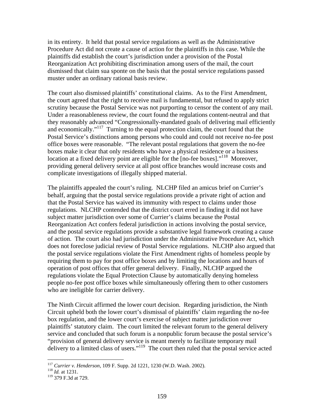in its entirety. It held that postal service regulations as well as the Administrative Procedure Act did not create a cause of action for the plaintiffs in this case. While the plaintiffs did establish the court's jurisdiction under a provision of the Postal Reorganization Act prohibiting discrimination among users of the mail, the court dismissed that claim sua sponte on the basis that the postal service regulations passed muster under an ordinary rational basis review.

The court also dismissed plaintiffs' constitutional claims. As to the First Amendment, the court agreed that the right to receive mail is fundamental, but refused to apply strict scrutiny because the Postal Service was not purporting to censor the content of any mail. Under a reasonableness review, the court found the regulations content-neutral and that they reasonably advanced "Congressionally-mandated goals of delivering mail efficiently and economically."117 Turning to the equal protection claim, the court found that the Postal Service's distinctions among persons who could and could not receive no-fee post office boxes were reasonable. "The relevant postal regulations that govern the no-fee boxes make it clear that only residents who have a physical residence or a business location at a fixed delivery point are eligible for the [no-fee boxes]."<sup>118</sup> Moreover, providing general delivery service at all post office branches would increase costs and complicate investigations of illegally shipped material.

The plaintiffs appealed the court's ruling. NLCHP filed an amicus brief on Currier's behalf, arguing that the postal service regulations provide a private right of action and that the Postal Service has waived its immunity with respect to claims under those regulations. NLCHP contended that the district court erred in finding it did not have subject matter jurisdiction over some of Currier's claims because the Postal Reorganization Act confers federal jurisdiction in actions involving the postal service, and the postal service regulations provide a substantive legal framework creating a cause of action. The court also had jurisdiction under the Administrative Procedure Act, which does not foreclose judicial review of Postal Service regulations. NLCHP also argued that the postal service regulations violate the First Amendment rights of homeless people by requiring them to pay for post office boxes and by limiting the locations and hours of operation of post offices that offer general delivery. Finally, NLCHP argued the regulations violate the Equal Protection Clause by automatically denying homeless people no-fee post office boxes while simultaneously offering them to other customers who are ineligible for carrier delivery.

The Ninth Circuit affirmed the lower court decision. Regarding jurisdiction, the Ninth Circuit upheld both the lower court's dismissal of plaintiffs' claim regarding the no-fee box regulation, and the lower court's exercise of subject matter jurisdiction over plaintiffs' statutory claim. The court limited the relevant forum to the general delivery service and concluded that such forum is a nonpublic forum because the postal service's "provision of general delivery service is meant merely to facilitate temporary mail delivery to a limited class of users."<sup>119</sup> The court then ruled that the postal service acted

1

<sup>117</sup> *Currier v. Henderson*, 109 F. Supp. 2d 1221, 1230 (W.D. Wash. 2002). 118 *Id.* at 1231.

<sup>119 379</sup> F.3d at 729.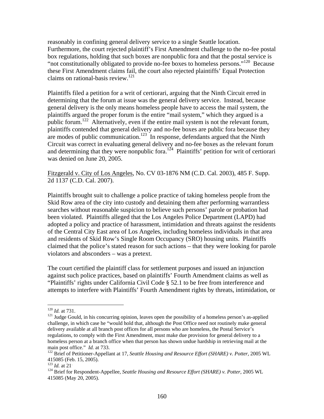reasonably in confining general delivery service to a single Seattle location. Furthermore, the court rejected plaintiff's First Amendment challenge to the no-fee postal box regulations, holding that such boxes are nonpublic fora and that the postal service is "not constitutionally obligated to provide no-fee boxes to homeless persons."<sup>120</sup> Because these First Amendment claims fail, the court also rejected plaintiffs' Equal Protection claims on rational-basis review.<sup>121</sup>

Plaintiffs filed a petition for a writ of certiorari, arguing that the Ninth Circuit erred in determining that the forum at issue was the general delivery service. Instead, because general delivery is the only means homeless people have to access the mail system, the plaintiffs argued the proper forum is the entire "mail system," which they argued is a public forum.<sup>122</sup> Alternatively, even if the entire mail system is not the relevant forum, plaintiffs contended that general delivery and no-fee boxes are public fora because they are modes of public communication.<sup>123</sup> In response, defendants argued that the Ninth Circuit was correct in evaluating general delivery and no-fee boxes as the relevant forum and determining that they were nonpublic fora.<sup>124</sup> Plaintiffs' petition for writ of certiorari was denied on June 20, 2005.

Fitzgerald v. City of Los Angeles, No. CV 03-1876 NM (C.D. Cal. 2003), 485 F. Supp. 2d 1137 (C.D. Cal. 2007).

Plaintiffs brought suit to challenge a police practice of taking homeless people from the Skid Row area of the city into custody and detaining them after performing warrantless searches without reasonable suspicion to believe such persons' parole or probation had been violated. Plaintiffs alleged that the Los Angeles Police Department (LAPD) had adopted a policy and practice of harassment, intimidation and threats against the residents of the Central City East area of Los Angeles, including homeless individuals in that area and residents of Skid Row's Single Room Occupancy (SRO) housing units. Plaintiffs claimed that the police's stated reason for such actions – that they were looking for parole violators and absconders – was a pretext.

The court certified the plaintiff class for settlement purposes and issued an injunction against such police practices, based on plaintiffs' Fourth Amendment claims as well as "Plaintiffs' rights under California Civil Code § 52.1 to be free from interference and attempts to interfere with Plaintiffs' Fourth Amendment rights by threats, intimidation, or

 $120$  *Id.* at 731.

<sup>&</sup>lt;sup>121</sup> Judge Gould, in his concurring opinion, leaves open the possibility of a homeless person's as-applied challenge, in which case he "would hold that, although the Post Office need not routinely make general delivery available at all branch post offices for all persons who are homeless, the Postal Service's regulations, to comply with the First Amendment, must make due provision for general delivery to a homeless person at a branch office when that person has shown undue hardship in retrieving mail at the

main post office." *Id.* at 733.<br><sup>122</sup> Brief of Petitioner-Appellant at 17, *Seattle Housing and Resource Effort (SHARE) v. Potter*, 2005 WL 415085 (Feb. 15, 2005).

<sup>123</sup> *Id.* at 21.

<sup>124</sup> Brief for Respondent-Appellee, *Seattle Housing and Resource Effort (SHARE) v. Potter*, 2005 WL 415085 (May 20, 2005).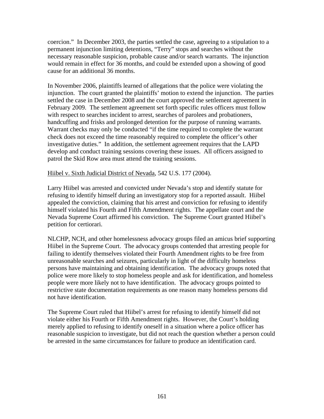coercion." In December 2003, the parties settled the case, agreeing to a stipulation to a permanent injunction limiting detentions, "Terry" stops and searches without the necessary reasonable suspicion, probable cause and/or search warrants. The injunction would remain in effect for 36 months, and could be extended upon a showing of good cause for an additional 36 months.

In November 2006, plaintiffs learned of allegations that the police were violating the injunction. The court granted the plaintiffs' motion to extend the injunction. The parties settled the case in December 2008 and the court approved the settlement agreement in February 2009. The settlement agreement set forth specific rules officers must follow with respect to searches incident to arrest, searches of parolees and probationers, handcuffing and frisks and prolonged detention for the purpose of running warrants. Warrant checks may only be conducted "if the time required to complete the warrant check does not exceed the time reasonably required to complete the officer's other investigative duties." In addition, the settlement agreement requires that the LAPD develop and conduct training sessions covering these issues. All officers assigned to patrol the Skid Row area must attend the training sessions.

## Hiibel v. Sixth Judicial District of Nevada, 542 U.S. 177 (2004).

Larry Hiibel was arrested and convicted under Nevada's stop and identify statute for refusing to identify himself during an investigatory stop for a reported assault. Hiibel appealed the conviction, claiming that his arrest and conviction for refusing to identify himself violated his Fourth and Fifth Amendment rights. The appellate court and the Nevada Supreme Court affirmed his conviction. The Supreme Court granted Hiibel's petition for certiorari.

NLCHP, NCH, and other homelessness advocacy groups filed an amicus brief supporting Hiibel in the Supreme Court. The advocacy groups contended that arresting people for failing to identify themselves violated their Fourth Amendment rights to be free from unreasonable searches and seizures, particularly in light of the difficulty homeless persons have maintaining and obtaining identification. The advocacy groups noted that police were more likely to stop homeless people and ask for identification, and homeless people were more likely not to have identification. The advocacy groups pointed to restrictive state documentation requirements as one reason many homeless persons did not have identification.

The Supreme Court ruled that Hiibel's arrest for refusing to identify himself did not violate either his Fourth or Fifth Amendment rights. However, the Court's holding merely applied to refusing to identify oneself in a situation where a police officer has reasonable suspicion to investigate, but did not reach the question whether a person could be arrested in the same circumstances for failure to produce an identification card.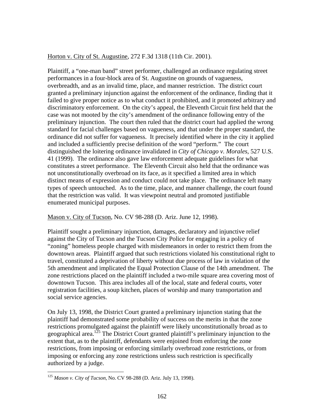## Horton v. City of St. Augustine, 272 F.3d 1318 (11th Cir. 2001).

Plaintiff, a "one-man band" street performer, challenged an ordinance regulating street performances in a four-block area of St. Augustine on grounds of vagueness, overbreadth, and as an invalid time, place, and manner restriction. The district court granted a preliminary injunction against the enforcement of the ordinance, finding that it failed to give proper notice as to what conduct it prohibited, and it promoted arbitrary and discriminatory enforcement. On the city's appeal, the Eleventh Circuit first held that the case was not mooted by the city's amendment of the ordinance following entry of the preliminary injunction. The court then ruled that the district court had applied the wrong standard for facial challenges based on vagueness, and that under the proper standard, the ordinance did not suffer for vagueness. It precisely identified where in the city it applied and included a sufficiently precise definition of the word "perform." The court distinguished the loitering ordinance invalidated in *City of Chicago v. Morales*, 527 U.S. 41 (1999). The ordinance also gave law enforcement adequate guidelines for what constitutes a street performance. The Eleventh Circuit also held that the ordinance was not unconstitutionally overbroad on its face, as it specified a limited area in which distinct means of expression and conduct could not take place. The ordinance left many types of speech untouched. As to the time, place, and manner challenge, the court found that the restriction was valid. It was viewpoint neutral and promoted justifiable enumerated municipal purposes.

Mason v. City of Tucson, No. CV 98-288 (D. Ariz. June 12, 1998).

Plaintiff sought a preliminary injunction, damages, declaratory and injunctive relief against the City of Tucson and the Tucson City Police for engaging in a policy of "zoning" homeless people charged with misdemeanors in order to restrict them from the downtown areas. Plaintiff argued that such restrictions violated his constitutional right to travel, constituted a deprivation of liberty without due process of law in violation of the 5th amendment and implicated the Equal Protection Clause of the 14th amendment. The zone restrictions placed on the plaintiff included a two-mile square area covering most of downtown Tucson. This area includes all of the local, state and federal courts, voter registration facilities, a soup kitchen, places of worship and many transportation and social service agencies.

On July 13, 1998, the District Court granted a preliminary injunction stating that the plaintiff had demonstrated some probability of success on the merits in that the zone restrictions promulgated against the plaintiff were likely unconstitutionally broad as to geographical area.<sup>125</sup> The District Court granted plaintiff's preliminary injunction to the extent that, as to the plaintiff, defendants were enjoined from enforcing the zone restrictions, from imposing or enforcing similarly overbroad zone restrictions, or from imposing or enforcing any zone restrictions unless such restriction is specifically authorized by a judge.

 $\overline{a}$ 

<sup>125</sup> *Mason v. City of Tucson*, No. CV 98-288 (D. Ariz. July 13, 1998).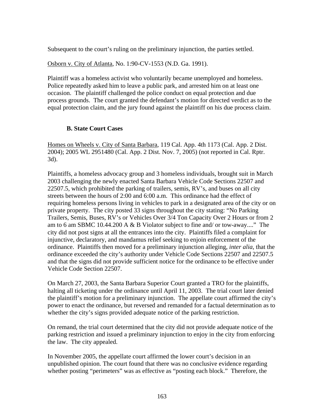Subsequent to the court's ruling on the preliminary injunction, the parties settled.

Osborn v. City of Atlanta, No. 1:90-CV-1553 (N.D. Ga. 1991).

Plaintiff was a homeless activist who voluntarily became unemployed and homeless. Police repeatedly asked him to leave a public park, and arrested him on at least one occasion. The plaintiff challenged the police conduct on equal protection and due process grounds. The court granted the defendant's motion for directed verdict as to the equal protection claim, and the jury found against the plaintiff on his due process claim.

## **B. State Court Cases**

Homes on Wheels v. City of Santa Barbara, 119 Cal. App. 4th 1173 (Cal. App. 2 Dist. 2004); 2005 WL 2951480 (Cal. App. 2 Dist. Nov. 7, 2005) (not reported in Cal. Rptr. 3d).

Plaintiffs, a homeless advocacy group and 3 homeless individuals, brought suit in March 2003 challenging the newly enacted Santa Barbara Vehicle Code Sections 22507 and  $22507.5$ , which prohibited the parking of trailers, semis,  $RV$ 's, and buses on all city streets between the hours of 2:00 and 6:00 a.m. This ordinance had the effect of requiring homeless persons living in vehicles to park in a designated area of the city or on private property. The city posted 33 signs throughout the city stating: "No Parking Trailers, Semis, Buses, RV's or Vehicles Over 3/4 Ton Capacity Over 2 Hours or from 2 am to 6 am SBMC 10.44.200 A & B Violator subject to fine and/ or tow-away...." The city did not post signs at all the entrances into the city. Plaintiffs filed a complaint for injunctive, declaratory, and mandamus relief seeking to enjoin enforcement of the ordinance. Plaintiffs then moved for a preliminary injunction alleging, *inter alia*, that the ordinance exceeded the city's authority under Vehicle Code Sections 22507 and 22507.5 and that the signs did not provide sufficient notice for the ordinance to be effective under Vehicle Code Section 22507.

On March 27, 2003, the Santa Barbara Superior Court granted a TRO for the plaintiffs, halting all ticketing under the ordinance until April 11, 2003. The trial court later denied the plaintiff's motion for a preliminary injunction. The appellate court affirmed the city's power to enact the ordinance, but reversed and remanded for a factual determination as to whether the city's signs provided adequate notice of the parking restriction.

On remand, the trial court determined that the city did not provide adequate notice of the parking restriction and issued a preliminary injunction to enjoy in the city from enforcing the law. The city appealed.

In November 2005, the appellate court affirmed the lower court's decision in an unpublished opinion. The court found that there was no conclusive evidence regarding whether posting "perimeters" was as effective as "posting each block." Therefore, the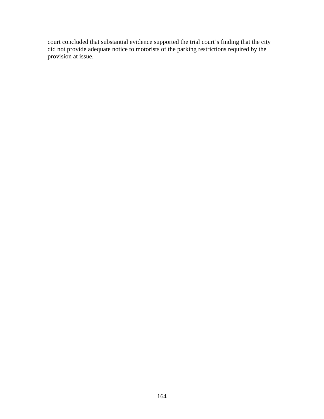court concluded that substantial evidence supported the trial court's finding that the city did not provide adequate notice to motorists of the parking restrictions required by the provision at issue.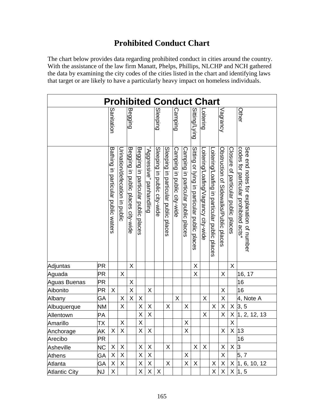# **Prohibited Conduct Chart**

The chart below provides data regarding prohibited conduct in cities around the country. With the assistance of the law firm Manatt, Phelps, Phillips, NLCHP and NCH gathered the data by examining the city codes of the cities listed in the chart and identifying laws that target or are likely to have a particularly heavy impact on homeless individuals.

| <b>Prohibited Conduct Chart</b> |           |                                     |                         |                                    |                                     |                          |                              |                                         |                             |                                     |                                              |                                      |                                               |                                        |                                     |                                                                                  |
|---------------------------------|-----------|-------------------------------------|-------------------------|------------------------------------|-------------------------------------|--------------------------|------------------------------|-----------------------------------------|-----------------------------|-------------------------------------|----------------------------------------------|--------------------------------------|-----------------------------------------------|----------------------------------------|-------------------------------------|----------------------------------------------------------------------------------|
|                                 |           | Sanitation                          |                         | <b>Begging</b>                     |                                     |                          | <b>Sleeping</b>              |                                         | Camping                     |                                     | Sitting/Lying                                | oitering                             |                                               | Vagrancy                               |                                     | Other                                                                            |
|                                 |           | Bathing in particular public waters | Unitation/detecation in | Begging in public places city-wide | Begging in particular public places | "Aggressive" panhandling | Sleeping in public city-wide | Sleeping in particular public<br>places | Camping in public city-wide | Camping in particular public places | Sitting or lying in particular public places | Loitering/Loafing/Vagrancy city-wide | Loitering/Loafing in particular public places | Opatruction of Sidewalks/Public places | Closure of particular public places | See end notes tor explanation of number<br>codes for particular prohibited acts* |
| Adjuntas                        | <b>PR</b> |                                     |                         | X                                  |                                     |                          |                              |                                         |                             |                                     | X                                            |                                      |                                               |                                        | X                                   |                                                                                  |
| Aguada                          | PR        |                                     | Χ                       |                                    |                                     |                          |                              |                                         |                             |                                     | X                                            |                                      |                                               | X                                      |                                     | 16, 17                                                                           |
| Aguas Buenas                    | PR        |                                     |                         | X                                  |                                     |                          |                              |                                         |                             |                                     |                                              |                                      |                                               |                                        |                                     | 16                                                                               |
| Aibonito                        | PR        | X                                   |                         | X                                  |                                     | X                        |                              |                                         |                             |                                     |                                              |                                      |                                               | Χ                                      |                                     | 16                                                                               |
| Albany                          | GА        |                                     | Χ                       | X                                  | Χ                                   |                          |                              |                                         | X                           |                                     |                                              | X                                    |                                               | Χ                                      |                                     | 4, Note A                                                                        |
| Albuquerque                     | NΜ        |                                     | X                       |                                    | X                                   | X                        |                              | X                                       |                             | X                                   |                                              |                                      | X                                             | X                                      | X                                   | 3, 5                                                                             |
| Allentown                       | PA        |                                     |                         |                                    | X                                   | X                        |                              |                                         |                             |                                     |                                              | X                                    |                                               | X                                      | X                                   | 1, 2, 12, 13                                                                     |
| Amarillo                        | TΧ        |                                     | Χ                       |                                    | X                                   |                          |                              |                                         |                             | X                                   |                                              |                                      |                                               |                                        | $\sf X$                             |                                                                                  |
| Anchorage                       | AK        | Χ                                   | $\sf X$                 |                                    | X                                   | X                        |                              |                                         |                             | X                                   |                                              |                                      |                                               | X                                      |                                     | $X$ 13                                                                           |
| Arecibo                         | PR        |                                     |                         |                                    |                                     |                          |                              |                                         |                             |                                     |                                              |                                      |                                               |                                        |                                     | 16                                                                               |
| Asheville                       | <b>NC</b> | X                                   | X                       |                                    | X                                   | X                        |                              | X                                       |                             |                                     | X                                            | X                                    |                                               | X                                      | X                                   | 3                                                                                |
| Athens                          | GА        | Χ                                   | X                       |                                    | Χ                                   | X                        |                              |                                         |                             | X                                   |                                              |                                      |                                               | X                                      |                                     | 5, 7                                                                             |
| Atlanta                         | GА        | X                                   | X                       |                                    | Χ                                   | X                        |                              | X                                       |                             | X                                   | X                                            |                                      | X                                             | X                                      | X                                   | $\vert 1, 6, 10, 12 \vert$                                                       |
| <b>Atlantic City</b>            | <b>NJ</b> | X                                   |                         |                                    | Χ                                   | $\mathsf{X}$             | X                            |                                         |                             |                                     |                                              |                                      | X                                             | X                                      | X                                   | 1, 5                                                                             |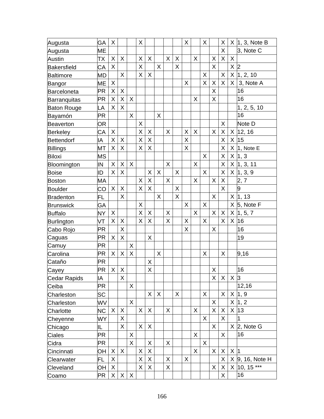| Augusta            | GA        | X |                    |   | X |   |   |   |   | X |   | X |         | X |                | $X$ 1, 3, Note B    |
|--------------------|-----------|---|--------------------|---|---|---|---|---|---|---|---|---|---------|---|----------------|---------------------|
| Augusta            | ME        |   |                    |   |   |   |   |   |   |   |   |   |         | X |                | 3, Note C           |
| <b>Austin</b>      | ТX        | X | X                  |   | X | X |   | X | X |   | X |   | X       | X | X              |                     |
| Bakersfield        | CA        | X |                    |   | X |   | X |   | X |   |   |   | X       |   | X <sub>2</sub> |                     |
| Baltimore          | MD        |   | X                  |   | X | X |   |   |   |   |   | X |         | X |                | $X$ 1, 2, 10        |
| Bangor             | МE        | X |                    |   |   |   |   |   |   | X |   | X | X       | X |                | $X \mid 3$ , Note A |
| Barceloneta        | PR        | Χ | X                  |   |   |   |   |   |   |   |   |   | X       |   |                | 16                  |
| Barranquitas       | PR        | Χ | X                  | X |   |   |   |   |   |   | X |   | X       |   |                | 16                  |
| <b>Baton Rouge</b> | LA        | Χ | $\pmb{\mathsf{X}}$ |   |   |   |   |   |   |   |   |   |         |   |                | 1, 2, 5, 10         |
| Bayamón            | PR        |   |                    | X |   |   | X |   |   |   |   |   |         |   |                | 16                  |
| Beaverton          | OR        |   |                    |   | Χ |   |   |   |   |   |   |   |         | X |                | Note D              |
| Berkeley           | CА        | X |                    |   | Χ | X |   | X |   | X | X |   | X       | Χ |                | $X$ 12, 16          |
| Bettendorf         | ΙA        | Χ | X                  |   | X | X |   |   |   | X |   |   |         | Χ | X              | 15                  |
| Billings           | МT        | Χ | X                  |   | X | X |   |   |   | X |   |   |         | Χ | X              | 1, Note E           |
| Biloxi             | <b>MS</b> |   |                    |   |   |   |   |   |   |   |   | X |         | Χ | X              | 1, 3                |
| Bloomington        | IN        | Χ | Χ                  | X |   |   |   | X |   |   | X |   |         | X | X.             | 1, 3, 11            |
| Boise              | ID        | Χ | X                  |   |   | Χ | X |   | X |   |   | X |         | X | X              | 1, 3, 9             |
| Boston             | МA        |   |                    |   | Χ | X |   | X |   |   | X |   | X       | X |                | 2, 7                |
| Boulder            | CO        | X | X                  |   | Χ | X |   |   | X |   |   |   |         | X |                | 9                   |
| Bradenton          | FL        |   | X                  |   |   |   | X |   | X |   |   |   | X       |   | X              | 1, 13               |
| Brunswick          | GА        |   |                    |   | X |   |   |   |   | X |   | X |         |   |                | $X$ 5, Note F       |
| <b>Buffalo</b>     | NΥ        | X |                    |   | Χ | X |   | X |   |   | X |   | X       | X |                | $X$ 1, 5, 7         |
| Burlington         | VT        | X | X                  |   | Χ | X |   | X |   | X |   | X |         | X | X              | 16                  |
| Cabo Rojo          | <b>PR</b> |   | X                  |   |   |   |   |   |   | X |   |   | X       |   |                | 16                  |
| Caguas             | PR        | Χ | Χ                  |   |   | Χ |   |   |   |   |   |   |         |   |                | 19                  |
| Camuy              | PR        |   |                    | Χ |   |   |   |   |   |   |   |   |         |   |                |                     |
| Carolina           | PR        | X | X                  | X |   |   | X |   |   |   |   | X |         | X |                | 9,16                |
| Cataño             | <b>PR</b> |   |                    |   |   | Χ |   |   |   |   |   |   |         |   |                |                     |
| Cayey              | PR        | X | X                  |   |   | Χ |   |   |   |   |   |   | X       |   |                | 16                  |
| Cedar Rapids       | ΙA        |   | X                  |   |   |   |   |   |   |   |   |   | X       | X | X <sub>3</sub> |                     |
| Ceiba              | PR        |   |                    | X |   |   |   |   |   |   |   |   |         |   |                | 12,16               |
| Charleston         | <b>SC</b> |   |                    |   |   | X | X |   | X |   |   | X |         | X | X              | 1, 9                |
| Charleston         | WV        |   |                    | X |   |   |   |   |   |   |   |   | X       |   | X              | 1, 2                |
| Charlotte          | NC.       | X | X                  |   | X | X |   | X |   |   | X |   | $\sf X$ | Χ | X              | 13                  |
| Cheyenne           | <b>WY</b> |   | X                  |   |   |   |   |   |   |   |   | X |         | X |                | 1                   |
| Chicago            | IL        |   | X                  |   | X | X |   |   |   |   |   |   | X       |   |                | $X$ 2, Note G       |
| Ciales             | <b>PR</b> |   |                    | X |   |   |   |   |   |   | X |   |         | X |                | 16                  |
| Cidra              | PR        |   |                    | X |   | X |   | X |   |   |   | X |         |   |                |                     |
| Cincinnati         | OН        | X | X                  |   | X | X |   |   |   |   | X |   | X       | X | X <sub>1</sub> |                     |
| Clearwater         | FL        | X |                    |   | X | X |   | X |   | X |   |   |         | X | X.             | 9, 16, Note H       |
| Cleveland          | OН        | X |                    |   | Χ | X |   | X |   |   |   |   | Χ       | X | $\mathsf{X}$   | 10, 15 ***          |
| Coamo              | PR        | X | X.                 | X |   |   |   |   |   |   |   |   |         | X |                | 16                  |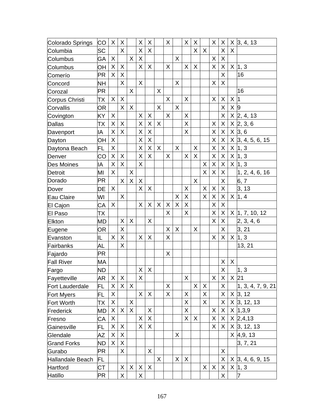| Colorado Springs       | CO        | X | X                  |                    | X | X |   | X |   | X | X |   | X       | X                  |    | $X$ 3, 4, 13       |
|------------------------|-----------|---|--------------------|--------------------|---|---|---|---|---|---|---|---|---------|--------------------|----|--------------------|
| Columbia               | SC        |   | X                  |                    | Χ | X |   |   |   |   | X | X |         | X                  | X  |                    |
| Columbus               | GА        | X |                    | X                  | X |   |   |   | X |   |   |   | X       | X                  |    |                    |
| Columbus               | OН        | Χ | X                  |                    | X | X |   | X |   | X | X |   | X       | X                  |    | $X \vert 1, 3$     |
| Comerío                | PR        | X | X                  |                    |   |   |   |   |   |   |   |   |         | X                  |    | 16                 |
| Concord                | <b>NH</b> |   | X                  |                    | X |   |   |   | X |   |   |   | X       | X                  |    |                    |
| Corozal                | PR        |   |                    | X                  |   |   | X |   |   |   |   |   |         |                    |    | 16                 |
| Corpus Christi         | ТX        | X | X                  |                    |   |   |   | X |   | X |   |   | X       | X                  | X  | 1                  |
| Corvallis              | OR        |   | Χ                  | $\pmb{\mathsf{X}}$ |   |   | X |   | X |   |   |   |         | X                  | X  | 9                  |
| Covington              | KY        | X |                    |                    | X | X |   | X |   | X |   |   |         | X                  |    | $X$ 2, 4, 13       |
| Dallas                 | ТX        | Χ | X                  |                    | X | X | X |   |   | X |   |   | Χ       | X                  |    | $X$ 2, 3, 6        |
| Davenport              | ΙA        | Χ | X                  |                    | Χ | X |   |   |   | X |   |   | X       | Χ                  |    | $X$ 3, 6           |
| Dayton                 | OН        | X |                    |                    | Χ | X |   |   |   |   |   |   | X       | X                  |    | $X$ 3, 4, 5, 6, 15 |
| Daytona Beach          | FL        | X |                    |                    | X | X | X |   | X |   | X |   | X       | X                  | X  | 1, 3               |
| Denver                 | CO        | Χ | X                  |                    | X | X |   | X |   | X | X |   | X       | X                  | X  | 1, 3               |
| Des Moines             | ΙA        | Χ | X                  |                    | X |   |   |   |   |   |   | X | Χ       | $\pmb{\mathsf{X}}$ | X  | 1, 3               |
| Detroit                | MI        | X |                    | Χ                  |   |   |   |   |   |   |   | X | X       | X                  |    | 1, 2, 4, 6, 16     |
| Dorado                 | PR        |   | X                  | Χ                  | X |   |   |   |   |   | X |   |         | Χ                  |    | 6, 7               |
| Dover                  | DE        | X |                    |                    | X | X |   |   |   | X |   | X | X       | X                  |    | 3, 13              |
| Eau Claire             | WI        |   | X                  |                    |   |   |   |   | X | X |   | X | $\sf X$ | Χ                  | X  | 1, 4               |
| El Cajon               | СA        | X |                    |                    | X | X | X | X | X | X |   |   | X       | X                  |    |                    |
| El Paso                | ТX        |   |                    |                    |   |   |   | X |   | X |   |   | X       | X                  |    | $X$   1, 7, 10, 12 |
| Elkton                 | MD        |   | X                  | X                  |   | X |   |   |   |   |   |   | X       | X                  |    | 2, 3, 4, 6         |
| Eugene                 | OR        |   | X                  |                    |   |   |   | X | X |   | X |   |         | Χ                  |    | 3, 21              |
| Evanston               | IL        | Χ | X                  |                    | X | X |   | X |   |   |   |   | Χ       | Χ                  | X  | 1, 3               |
| Fairbanks              | AL        |   | X                  |                    |   |   |   |   |   |   |   |   |         |                    |    | 13, 21             |
| Fajardo                | PR        |   |                    |                    |   |   |   | X |   |   |   |   |         |                    |    |                    |
| <b>Fall River</b>      | МA        |   |                    |                    |   |   |   |   |   |   |   |   |         | X                  | X  |                    |
| Fargo                  | ND        |   |                    |                    | X | X |   |   |   |   |   |   |         | X                  |    | 1, 3               |
| Fayetteville           | AR        | X | X                  |                    | Χ |   |   |   |   | X |   |   | X       | X                  |    | $X$ 21             |
| <b>Fort Lauderdale</b> | FL        | Χ | X                  | X                  |   |   |   | X |   |   | X | X |         | X                  |    | 1, 3, 4, 7, 9, 21  |
| <b>Fort Myers</b>      | FL        | X |                    |                    | X | X |   | X |   | X |   | X |         | X                  |    | $X$ 3, 12          |
| Fort Worth             | ТX        | X |                    | Χ                  |   |   |   |   |   | X |   | X |         | X                  |    | $X$ 3, 12, 13      |
| Frederick              | MD        | Χ | $\pmb{\mathsf{X}}$ | X                  |   | X |   |   |   | X |   |   | Χ       | Χ                  |    | $X$ 1,3,9          |
| Fresno                 | СA        | Χ |                    |                    | X | X |   |   |   | X | X |   | X       | X                  |    | $X$ 2,4,13         |
| Gainesville            | FL        | Χ | X                  |                    | X | X |   |   |   |   |   |   | X       | $\pmb{\times}$     |    | $X$ 3, 12, 13      |
| Glendale               | AZ        | Χ | X                  |                    |   |   |   |   | X |   |   |   |         |                    |    | $X$ 4,9, 13        |
| <b>Grand Forks</b>     | ND        | X | X                  |                    |   |   |   |   |   |   |   |   |         |                    |    | 3, 7, 21           |
| Gurabo                 | <b>PR</b> |   | X                  |                    |   | X |   |   |   |   |   |   |         | X                  |    |                    |
| Hallandale Beach       | FL        |   |                    |                    |   |   | X |   | X | X |   |   |         | X                  |    | $X$ 3, 4, 6, 9, 15 |
| Hartford               | СT        |   | X                  | X                  | Χ | X |   |   |   |   |   | Χ | Χ       | X                  | X. | 1, 3               |
| Hatillo                | PR        |   | X                  |                    | Χ |   |   |   |   |   |   |   |         | X                  |    | 7                  |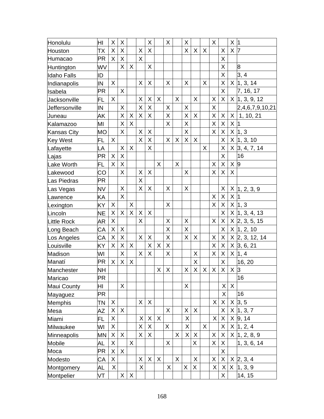| Honolulu           | ΗI        | X | X |    |    | X           |   | X                  |   | X                  |                    |   | X                  |         | X <sub>1</sub> |                   |
|--------------------|-----------|---|---|----|----|-------------|---|--------------------|---|--------------------|--------------------|---|--------------------|---------|----------------|-------------------|
| Houston            | ТX        | X | X |    | Χ  | X           |   |                    |   | X                  | X                  | X |                    | X       | X              | 17                |
| Humacao            | <b>PR</b> | X | X |    | X  |             |   |                    |   |                    |                    |   |                    | X       |                |                   |
| Huntington         | WV        |   | X | X  |    | X           |   |                    |   |                    |                    |   |                    | X       |                | $8\,$             |
| <b>Idaho Falls</b> | ID        |   |   |    |    |             |   |                    |   |                    |                    |   |                    | X       |                | 3, 4              |
| Indianapolis       | IN        | X |   |    | Χ  | X           |   | X                  |   | X                  |                    | X |                    | Χ       |                | $X$   1, 3, 14    |
| Isabela            | <b>PR</b> |   | X |    |    |             |   |                    |   |                    |                    |   |                    | X       |                | 7, 16, 17         |
| Jacksonville       | FL        | X |   |    | Χ  | X           | X |                    | X |                    | X                  |   | X                  | Χ       |                | $X$   1, 3, 9, 12 |
| Jeffersonville     | IN        |   | X |    | Χ  | $\mathsf X$ |   | X                  |   | X                  |                    |   | X                  |         |                | 2,4,6,7,9,10,21   |
| Juneau             | AK        |   | Χ | X  | X  | X           |   | X                  |   | X                  | X                  |   | X                  | Χ       | X.             | 1, 10, 21         |
| Kalamazoo          | MI        |   | Χ | X  |    |             |   | X                  |   | X                  |                    |   | X                  | Χ       | X.             | $\vert$ 1         |
| Kansas City        | <b>MO</b> |   | X |    | Χ  | X           |   |                    |   | X                  |                    |   | X                  | X       |                | $X \,   1, 3$     |
| <b>Key West</b>    | FL        | X |   |    | X  | X           |   | X                  | X | X                  | X                  |   |                    | X       |                | $X$   1, 3, 10    |
| Lafayette          | LA        |   | Χ | X  |    | X           |   |                    |   |                    |                    | X |                    | X       |                | $X$ 3, 4, 7, 14   |
| Lajas              | <b>PR</b> | X | X |    |    |             |   |                    |   |                    |                    |   |                    | X       |                | 16                |
| Lake Worth         | FL        | X | X |    |    |             | X |                    | X |                    |                    |   | X                  | $\sf X$ | X              | $\overline{9}$    |
| Lakewood           | CO        |   | Χ |    | Χ  | X           |   |                    |   | X                  |                    |   | X                  | Χ       | X              |                   |
| Las Piedras        | PR        |   |   |    | X  |             |   |                    |   |                    |                    |   |                    |         |                |                   |
| Las Vegas          | <b>NV</b> |   | X |    | Χ  | X           |   | X                  |   | X                  |                    |   |                    | X       |                | $X$ 1, 2, 3, 9    |
| Lawrence           | ΚA        |   | X |    |    |             |   |                    |   |                    |                    |   | X                  | Χ       | X              | 1                 |
| Lexington          | KY        | X |   | X  |    |             |   | X                  |   |                    |                    |   | X                  | Χ       |                | $X \mid 1, 3$     |
| Lincoln            | <b>NE</b> | X | X | X  | X  | X           |   |                    |   |                    |                    |   |                    | X       |                | $X$   1, 3, 4, 13 |
| <b>Little Rock</b> | AR        | X |   |    | X  |             |   | X                  |   | X                  |                    |   | X                  | X       |                | $X$ 2, 3, 5, 15   |
| Long Beach         | CA        | X | X |    |    |             |   | X                  |   | X                  |                    |   |                    | Χ       |                | $X$ 1, 2, 10      |
| Los Angeles        | СA        | X | X |    | X  | X           |   | $\pmb{\mathsf{X}}$ |   | X                  | X                  |   | X                  | X       |                | $X$ 2, 3, 12, 14  |
| Louisville         | KY        | X | X | X. |    | X           | X | X                  |   |                    |                    |   | X                  | X       |                | $X$ 3, 6, 21      |
| Madison            | WI        |   | X |    | X  | X           |   | X                  |   |                    | X                  |   | X                  | X       | X.             | 1, 4              |
| Manatí             | <b>PR</b> | X | X | X  |    |             |   |                    |   |                    | X                  |   |                    | X       |                | 16, 20            |
| Manchester         | <b>NH</b> |   |   |    |    |             | X | X                  |   | X                  | X                  | X | X                  | X       | X 3            |                   |
| Maricao            | <b>PR</b> |   |   |    |    |             |   |                    |   |                    |                    |   |                    |         |                | 16                |
| Maui County        | HI        |   | X |    |    |             |   |                    |   | X                  |                    |   |                    | Χ       | X              |                   |
| Mayaguez           | <b>PR</b> |   |   |    |    |             |   |                    |   |                    |                    |   |                    | X       |                | 16                |
| Memphis            | ΤN        | X |   |    | Χ  | X           |   |                    |   |                    |                    |   | X                  | Χ       | X              | 3, 5              |
| Mesa               | AΖ        | X | X |    |    |             |   | X                  |   | X                  | X                  |   |                    | X       | X              | 1, 3, 7           |
| Miami              | FL        | X |   |    | X. | X           | X |                    |   | X.                 |                    |   | X                  | X       |                | $X$ 9, 14         |
| Milwaukee          | WI        | X |   |    | X  | X           |   | X                  |   | X                  |                    | X |                    | X       | X              | 1, 2, 4           |
| Minneapolis        | <b>MN</b> | X | X |    | X  | X           |   |                    | X | X                  | X                  |   | X                  | Χ       |                | $X$   1, 2, 8, 9  |
| Mobile             | AL        | X |   | X  |    |             |   | X                  |   |                    | X                  |   | X                  | X       |                | 1, 3, 6, 14       |
| Moca               | PR        | X | X |    |    |             |   |                    |   |                    |                    |   |                    | X       |                |                   |
| Modesto            | СA        | X |   |    | Χ  | X           | X |                    | X |                    | X                  |   | X                  | X       |                | $X$ 2, 3, 4       |
| Montgomery         | AL        | X |   |    | X  |             |   | X                  |   | $\pmb{\mathsf{X}}$ | $\pmb{\mathsf{X}}$ |   | $\pmb{\mathsf{X}}$ | X       | X.             | 1, 3, 9           |
| Montpelier         | VT        |   | Χ | X  |    |             |   |                    |   |                    |                    |   |                    | X       |                | 14, 15            |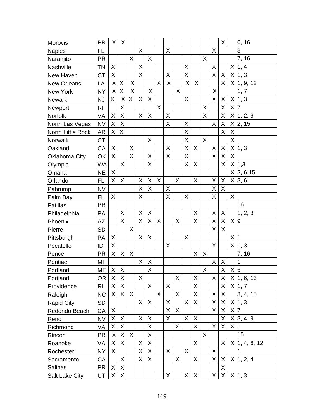| Morovis              | <b>PR</b>      | X | X       |   |   |   |   |   |   |    |   |   |    | X            |                | 6, 16             |
|----------------------|----------------|---|---------|---|---|---|---|---|---|----|---|---|----|--------------|----------------|-------------------|
| Naples               | FL             |   |         |   | X |   |   | X |   |    |   |   | X  |              |                | 3                 |
| Naranjito            | <b>PR</b>      |   |         | X |   | X |   |   |   |    |   | X |    |              |                | 7, 16             |
| Nashville            | ΤN             | X |         |   | X |   |   |   |   | X  |   |   | X  |              | X              | 1, 4              |
| New Haven            | СT             | X |         |   | X |   |   | X |   | X  |   |   | X  | X            |                | $X \,   1, 3$     |
| <b>New Orleans</b>   | LA             | X | X       | X |   |   | X | X |   | X  | X |   |    | X            |                | $X$  1, 9, 12     |
| <b>New York</b>      | <b>NY</b>      | X | $\sf X$ | X |   | X |   |   | X |    |   |   | X  |              |                | 1, 7              |
| <b>Newark</b>        | <b>NJ</b>      | X | X       | X | X | X |   |   |   | X  |   |   | X  | Χ            | X              | 1, 3              |
| Newport              | RI             |   | X       |   |   |   | X |   |   |    |   | X |    | X            | X              | 7                 |
| Norfolk              | VA             | Χ | Χ       |   | Χ | X |   | X |   |    |   | X |    | Χ            |                | $X \vert 1, 2, 6$ |
| North Las Vegas      | <b>NV</b>      | X | X       |   |   |   |   | X |   | X  |   |   | X  | Χ            |                | $X$ 2, 15         |
| North Little Rock    | AR             | X | X       |   |   |   |   |   |   | X  |   |   |    | X            | X              |                   |
| Norwalk              | СT             |   |         |   |   | X |   |   |   | X  |   | X |    |              | X              |                   |
| Oakland              | СA             | X |         | X |   |   |   | X |   | X  | X |   | X  | X            | X              | 1, 3              |
| <b>Oklahoma City</b> | OK             | X |         | X |   | X |   | X |   | X  |   |   | X  | Χ            | X              |                   |
| Olympia              | WA             |   | X       |   |   | Χ |   |   |   | X  | X |   |    | X            | X              | 1,3               |
| Omaha                | <b>NE</b>      | X |         |   |   |   |   |   |   |    |   |   |    |              |                | $X$ 3, 6, 15      |
| Orlando              | FL             | Χ | X       |   | Χ | Χ | X |   | X |    | X |   | X  | X            | X.             | 3, 6              |
| Pahrump              | <b>NV</b>      |   |         |   | Χ | X |   | X |   |    |   |   | X  | X            |                |                   |
| Palm Bay             | FL             | X |         |   | Χ |   |   | X |   | X  |   |   | X  |              | X              |                   |
| Patillas             | <b>PR</b>      |   |         |   |   |   |   |   |   |    |   |   |    |              |                | 16                |
| Philadelphia         | PA             |   | X       |   | Χ | X |   |   |   |    | X |   | X  | X            |                | 1, 2, 3           |
| Phoenix              | AΖ             |   | X       |   | X | X | X |   | X |    | X |   | X  | X            | X              | 9                 |
| Pierre               | SD             |   |         | X |   |   |   |   |   |    |   |   | X  | X            |                |                   |
| Pittsburgh           | PA             | Χ |         |   | Χ | X |   |   |   | X  |   |   |    |              | X.             | $\vert$ 1         |
| Pocatello            | ID             | X |         |   |   |   |   | X |   |    |   |   | X  |              |                | $X \,   1, 3$     |
| Ponce                | <b>PR</b>      | X | X       | X |   |   |   |   |   |    | X | X |    |              |                | 7, 16             |
| Pontiac              | MI             |   |         |   | X | X |   |   |   |    |   |   | X  | X            |                | $\overline{1}$    |
| Portland             | ME             | X | X       |   |   | X |   |   |   |    |   | X |    | Χ            | X <sub>5</sub> |                   |
| Portland             | OR             | X | X       |   | X |   |   |   | X |    | X |   | X. | X            |                | $X$ 1, 6, 13      |
| Providence           | R <sub>l</sub> | X | X       |   |   | X |   | X |   |    | X |   |    | X            |                | $X \mid 1, 7$     |
| Raleigh              | <b>NC</b>      | X | X       | X |   |   | X |   | X |    | X |   | X  | X            |                | 3, 4, 15          |
| Rapid City           | <b>SD</b>      |   |         |   | X | X |   | X |   | X  | X |   | X  | X            |                | $X \mid 1, 3$     |
| Redondo Beach        | СA             | X |         |   |   |   |   | X | X |    |   |   | X  | $\sf X$      | $X$ 7          |                   |
| Reno                 | <b>NV</b>      | X | X       |   | X | X |   | X |   | X  | X |   |    | X            |                | $X$ 3, 4, 9       |
| Richmond             | VA             | X | X       |   |   | X |   |   | X |    | X |   | X  | $\mathsf{X}$ | X              | 1                 |
| Rincón               | PR             | X | X       | X |   | Χ |   |   |   |    |   | X |    |              |                | 15                |
| Roanoke              | VA             | X | X       |   | X | X |   |   |   |    | X |   |    | X            | X.             | 1, 4, 6, 12       |
| Rochester            | NY.            | X |         |   | X | X |   | X |   | X  |   |   | X  |              |                | $\overline{1}$    |
| Sacramento           | СA             |   | X       |   | X | X |   |   | X |    | X |   | X. | X            |                | $X \vert 1, 2, 4$ |
| Salinas              | <b>PR</b>      | X | X       |   |   |   |   |   |   |    |   |   |    | X            |                |                   |
| Salt Lake City       | UT             | X | X       |   |   |   |   | X |   | X. | X |   | X  | X            |                | $X \mid 1, 3$     |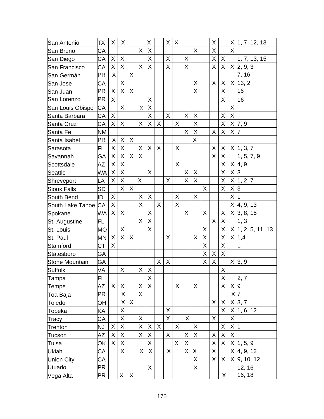| San Antonio           | ТX        | X. | X                  |    |    | X |   | $X$ $X$ |   |   |         |    | X |    |                | $X$ 1, 7, 12, 13      |
|-----------------------|-----------|----|--------------------|----|----|---|---|---------|---|---|---------|----|---|----|----------------|-----------------------|
| San Bruno             | СA        |    |                    |    | X  | X |   |         |   |   | X       |    | X |    | X              |                       |
| San Diego             | СA        | X  | X                  |    |    | X |   | X       |   | X |         |    | X | X  |                | 1, 7, 13, 15          |
| San Francisco         | СA        | X  | X                  |    | X  | X |   | X       |   | X |         |    | X | X  |                | $X$ 2, 9, 3           |
| San Germán            | <b>PR</b> | X  |                    | X  |    |   |   |         |   |   |         |    |   |    |                | 7, 16                 |
| San Jose              | СA        |    | X                  |    |    |   |   |         |   |   | X       |    | X | X  |                | $X$ 13, 2             |
| San Juan              | <b>PR</b> | X  | X                  | X  |    |   |   |         |   |   | X       |    |   | X  |                | 16                    |
| San Lorenzo           | <b>PR</b> | X  |                    |    |    | X |   |         |   |   |         |    |   | X  |                | 16                    |
| San Louis Obispo      | СA        |    | X                  |    | X  | X |   |         |   |   |         |    |   |    | X              |                       |
| Santa Barbara         | СA        | X  |                    |    |    | X |   | X       |   | X | X       |    |   | X  | X              |                       |
| Santa Cruz            | СA        | X  | X                  |    | X  | X | X |         | X |   | X       |    |   | X  |                | $X \,   7, 9$         |
| Santa Fe              | <b>NM</b> |    |                    |    |    |   |   |         |   | X | X       |    | X | X  | X 7            |                       |
| Santa Isabel          | PR        | X  | X                  | X  |    |   |   |         |   |   | X       |    |   |    |                |                       |
| Sarasota              | FL        | X  | X                  |    | X  | X | X |         | X |   |         |    | X | X  |                | $X \vert 1, 3, 7$     |
| Savannah              | GА        | X  | X                  | X  | X  |   |   |         |   |   |         |    | X | X  |                | 1, 5, 7, 9            |
| Scottsdale            | AΖ        | X  | $\pmb{\mathsf{X}}$ |    |    |   |   |         | X |   |         |    |   | X  |                | X 4, 9                |
| <b>Seattle</b>        | <b>WA</b> | X  | X                  |    |    | X |   |         |   | X | X       |    |   | Χ  | X <sub>3</sub> |                       |
| Shreveport            | LA        | X  | X                  |    | X  |   |   | X       |   | X | $\sf X$ |    |   | X  |                | $X \vert 1, 2, 7$     |
| <b>Sioux Falls</b>    | <b>SD</b> |    | X                  | X. |    |   |   |         |   |   |         | X  |   | X  | X <sub>3</sub> |                       |
| South Bend            | ID        | X  |                    |    | X  | X |   |         | X |   | X       |    |   |    | X              | 1                     |
| South Lake Tahoe CA   |           | X  |                    |    | X  |   | X |         | X |   |         |    |   |    |                | $X$ 4, 9, 13          |
| Spokane               | WA        | X  | X                  |    |    | X |   |         |   | X |         | X. |   | X  |                | $X$ 3, 8, 15          |
| St. Augustine         | FL        |    |                    |    | X  | X |   |         |   |   |         |    | X | X  |                | 1, 3                  |
| St. Louis             | <b>MO</b> |    | X                  |    |    | X |   |         |   |   |         | X  |   | X  |                | $X$   1, 2, 5, 11, 13 |
| St. Paul              | <b>MN</b> | X  | X                  | X  |    |   |   | X       |   |   | X       | X  |   | X  | X.             | 1,4                   |
| Stamford              | СT        | X  |                    |    |    |   |   |         |   |   |         | X  |   | X  |                | $\overline{1}$        |
| Statesboro            | GА        |    |                    |    |    |   |   |         |   |   |         | X  | X | X  |                |                       |
| <b>Stone Mountain</b> | GА        |    |                    |    |    |   | X | X       |   |   |         | X  | X |    |                | $X$ 3, 9              |
| Suffolk               | VA        |    | X                  |    | X. | X |   |         |   |   |         |    |   | X  |                |                       |
| Tampa                 | FL        |    |                    |    |    | X |   |         |   |   |         |    |   | X. |                | 2, 7                  |
| Tempe                 | AΖ        | X  | X                  |    | Χ  | X |   |         | X |   | X       |    |   | X. | X.             | $\overline{9}$        |
| Toa Baja              | <b>PR</b> |    | X                  |    | X  |   |   |         |   |   |         |    |   |    | $X$ 7          |                       |
| Toledo                | OН        |    | X                  | X  |    |   |   |         |   |   |         |    | X | X  |                | $X \mid 3, 7$         |
| Topeka                | ΚA        |    | X                  |    |    |   |   | X       |   |   |         |    |   | X  | X              | 1, 6, 12              |
| Tracy                 | СA        |    | Χ                  |    | Χ  |   |   | X       |   | X |         |    | X |    | X              |                       |
| Trenton               | <b>NJ</b> | X  | Χ                  |    | X  | X | X |         | X |   | X       |    |   | X  | X.             | l1                    |
| Tucson                | ΑZ        | X  | X                  |    | X  | X |   | X       |   | X | X       |    | X | X  | X              |                       |
| Tulsa                 | ОK        | X  | X                  |    |    | X |   |         | X | X |         |    | Χ | X  |                | $X$  1, 5, 9          |
| <b>Ukiah</b>          | СA        |    | X                  |    | X  | X |   | X       |   | X | X       |    | X |    |                | $X$ 4, 9, 12          |
| <b>Union City</b>     | СA        |    |                    |    |    |   |   |         |   |   | X       |    | X | X  |                | X 9, 10, 12           |
| Utuado                | PR        |    |                    |    |    | X |   |         |   |   | X       |    |   |    |                | 12, 16                |
| Vega Alta             | PR        |    | X                  | X  |    |   |   |         |   |   |         |    |   | X  |                | 16, 18                |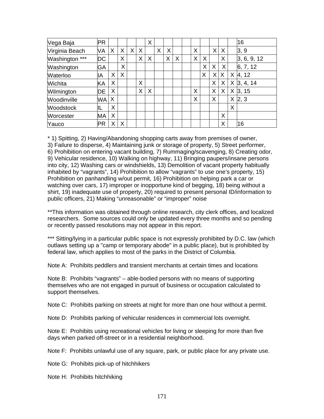| Vega Baja        | <b>PR</b> |   |   |   |   | X |   |   |   |   |   |   |                           |    | 16            |
|------------------|-----------|---|---|---|---|---|---|---|---|---|---|---|---------------------------|----|---------------|
| Virginia Beach   | VA        | Χ | X | X | X |   | X | Χ |   | X |   | Χ | X                         |    | 3, 9          |
| Washington ***   | DC        |   | Χ |   | Χ | X |   | Χ | X | Χ | Χ |   | X                         |    | 3, 6, 9, 12   |
| Washington       | GA        |   | X |   |   |   |   |   |   |   | Χ | Χ | X                         |    | 6, 7, 12      |
| Waterloo         | ΙA        | Χ | X |   |   |   |   |   |   |   | X | X | $\boldsymbol{\mathsf{X}}$ | X  | 4, 12         |
| Wichita          | KA        | X |   |   | X |   |   |   |   |   |   | X | X                         | X. | 3, 4, 14      |
| Wilmington       | DE        | X |   |   | Χ | X |   |   |   | X |   | X | X                         | X  | 3, 15         |
| Woodinville      | <b>WA</b> | X |   |   |   |   |   |   |   | X |   | X |                           |    | $X \,   2, 3$ |
| <b>Woodstock</b> | IL        | X |   |   |   |   |   |   |   |   |   |   |                           | X  |               |
| Worcester        | <b>MA</b> | X |   |   |   |   |   |   |   |   |   |   | X                         |    |               |
| Yauco            | PR        | Χ | X |   |   |   |   |   |   |   |   |   | Χ                         |    | 16            |

\* 1) Spitting, 2) Having/Abandoning shopping carts away from premises of owner,

3) Failure to disperse, 4) Maintaining junk or storage of property, 5) Street performer, 6) Prohibition on entering vacant building, 7) Rummaging/scavenging, 8) Creating odor, 9) Vehicular residence, 10) Walking on highway, 11) Bringing paupers/insane persons into city, 12) Washing cars or windshields, 13) Demolition of vacant property habitually inhabited by "vagrants", 14) Prohibition to allow "vagrants" to use one's property, 15) Prohibition on panhandling w/out permit, 16) Prohibition on helping park a car or watching over cars, 17) improper or inopportune kind of begging, 18) being without a shirt, 19) inadequate use of property, 20) required to present personal ID/information to public officers, 21) Making "unreasonable" or "improper" noise

\*\*This information was obtained through online research, city clerk offices, and localized researchers. Some sources could only be updated every three months and so pending or recently passed resolutions may not appear in this report.

\*\*\* Sitting/lying in a particular public space is not expressly prohibited by D.C. law (which outlaws setting up a "camp or temporary abode" in a public place), but is prohibited by federal law, which applies to most of the parks in the District of Columbia.

Note A: Prohibits peddlers and transient merchants at certain times and locations

Note B: Prohibits "vagrants" – able-bodied persons with no means of supporting themselves who are not engaged in pursuit of business or occupation calculated to support themselves.

Note C: Prohibits parking on streets at night for more than one hour without a permit.

Note D: Prohibits parking of vehicular residences in commercial lots overnight.

Note E: Prohibits using recreational vehicles for living or sleeping for more than five days when parked off-street or in a residential neighborhood.

Note F: Prohibits unlawful use of any square, park, or public place for any private use.

Note G: Prohibits pick-up of hitchhikers

Note H: Prohibits hitchhiking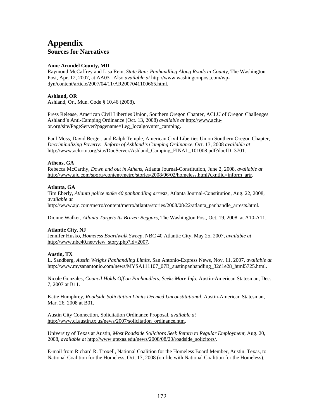## **Appendix Sources for Narratives**

## **Anne Arundel County, MD**

Raymond McCaffrey and Lisa Rein, *State Bans Panhandling Along Roads in County*, The Washington Post*,* Apr. 12, 2007, at AA03. Also *available at* http://www.washingtonpost.com/wpdyn/content/article/2007/04/11/AR2007041100665.html.

## **Ashland, OR**

Ashland, Or., Mun. Code § 10.46 (2008).

Press Release, American Civil Liberties Union, Southern Oregon Chapter, ACLU of Oregon Challenges Ashland's Anti-Camping Ordinance (Oct. 13, 2008) *available at* http://www.acluor.org/site/PageServer?pagename=Leg\_localgovnmt\_camping.

Paul Moss, David Berger, and Ralph Temple, American Civil Liberties Union Southern Oregon Chapter, *Decriminalizing Poverty: Reform of Ashland's Camping Ordinance*, Oct. 13, 2008 *available at* http://www.aclu-or.org/site/DocServer/Ashland\_Camping\_FINAL\_101008.pdf?docID=3701.

## **Athens, GA**

Rebecca McCarthy, *Down and out in Athens*, Atlanta Journal-Constitution, June 2, 2008, *available at*  http://www.ajc.com/sports/content/metro/stories/2008/06/02/homeless.html?cxntlid=inform\_artr.

## **Atlanta, GA**

Tim Eberly, *Atlanta police make 40 panhandling arrests,* Atlanta Journal-Constitution, Aug. 22, 2008, *available at* http://www.ajc.com/metro/content/metro/atlanta/stories/2008/08/22/atlanta\_panhandle\_arrests.html.

Dionne Walker, *Atlanta Targets Its Brazen Beggars,* The Washington Post, Oct. 19, 2008, at A10-A11.

## **Atlantic City, NJ**

Jennifer Husko, *Homeless Boardwalk Sweep*, NBC 40 Atlantic City, May 25, 2007, *available at* http://www.nbc40.net/view\_story.php?id=2007.

## **Austin, TX**

L. Sandberg, *Austin Weighs Panhandling Limits*, San Antonio-Express News, Nov. 11, 2007, *available at*  http://www.mysanantonio.com/news/MYSA111107\_07B\_austinpanhandling\_32d1e28\_html5725.html.

Nicole Gonzales, *Council Holds Off on Panhandlers, Seeks More Info*, Austin-American Statesman, Dec. 7, 2007 at B11.

Katie Humphrey, *Roadside Solicitation Limits Deemed Unconstitutional*, Austin-American Statesman, Mar. 26, 2008 at B01.

Austin City Connection, Solicitation Ordinance Proposal, *available at*  http://www.ci.austin.tx.us/news/2007/solicitation\_ordinance.htm.

University of Texas at Austin, *Most Roadside Solicitors Seek Return to Regular Employment*, Aug. 20, 2008, *available at* http://www.utexas.edu/news/2008/08/20/roadside\_solicitors/.

E-mail from Richard R. Troxell, National Coalition for the Homeless Board Member, Austin, Texas, to National Coalition for the Homeless, Oct. 17, 2008 (on file with National Coalition for the Homeless).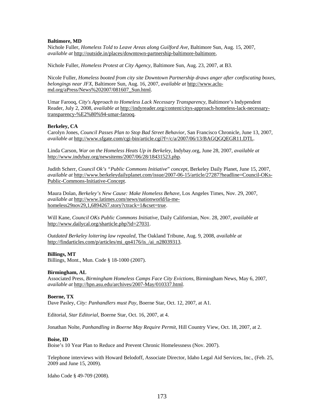#### **Baltimore, MD**

Nichole Fuller, *Homeless Told to Leave Areas along Guilford Ave*, Baltimore Sun, Aug. 15, 2007, *available at* http://outside.in/places/downtown-partnership-baltimore-baltimore,

Nichole Fuller, *Homeless Protest at City Agency*, Baltimore Sun, Aug. 23, 2007, at B3.

Nicole Fuller, *Homeless booted from city site Downtown Partnership draws anger after confiscating boxes, belongings near JFX*, Baltimore Sun, Aug. 16, 2007, *available at* http://www.aclumd.org/aPress/News%202007/081607\_Sun.html.

Umar Farooq, *City's Approach to Homeless Lack Necessary Transparency,* Baltimore's Indypendent Reader, July 2, 2008, *available at* http://indyreader.org/content/citys-approach-homeless-lack-necessarytransparency-%E2%80%94-umar-farooq.

### **Berkeley, CA**

Carolyn Jones, *Council Passes Plan to Stop Bad Street Behavior*, San Francisco Chronicle, June 13, 2007, *available at* http://www.sfgate.com/cgi-bin/article.cgi?f=/c/a/2007/06/13/BAGQGQEGR11.DTL.

Linda Carson, *War on the Homeless Heats Up in Berkeley,* Indybay.org, June 28, 2007, *available at*  http://www.indybay.org/newsitems/2007/06/28/18431523.php*.*

Judith Scherr, *Council Ok's "Public Commons Initiative*" *concept*, Berkeley Daily Planet, June 15, 2007, *available at* http://www.berkeleydailyplanet.com/issue/2007-06-15/article/27287?headline=Council-OKs-Public-Commons-Initiative-Concept.

Maura Dolan, *Berkeley's New Cause: Make Homeless Behave*, Los Angeles Times, Nov. 29, 2007, *available at* http://www.latimes.com/news/nationworld/la-mehomeless29nov29,1,6894267.story?ctrack=1&cset=true.

Will Kane, *Council OKs Public Commons Initiative*, Daily Californian, Nov. 28, 2007, *available at* http://www.dailycal.org/sharticle.php?id=27031.

*Outdated Berkeley loitering law repealed,* The Oakland Tribune, Aug. 9, 2008, *available at* http://findarticles.com/p/articles/mi\_qn4176/is\_/ai\_n28039313.

#### **Billings, MT**

Billings, Mont., Mun. Code § 18-1000 (2007).

#### **Birmingham, AL**

Associated Press, *Birmingham Homeless Camps Face City Evictions*, Birmingham News, May 6, 2007, *available at* http://hpn.asu.edu/archives/2007-May/010337.html.

## **Boerne, TX**

Dave Pasley, *City: Panhandlers must Pay*, Boerne Star, Oct. 12, 2007, at A1.

Editorial, *Star Editorial*, Boerne Star, Oct. 16, 2007, at 4.

Jonathan Nolte, *Panhandling in Boerne May Require Permit*, Hill Country View, Oct. 18, 2007, at 2.

#### **Boise, ID**

Boise's 10 Year Plan to Reduce and Prevent Chronic Homelessness (Nov. 2007).

Telephone interviews with Howard Belodoff, Associate Director, Idaho Legal Aid Services, Inc., (Feb. 25, 2009 and June 15, 2009).

Idaho Code § 49-709 (2008).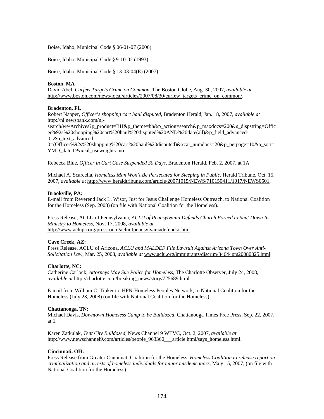Boise, Idaho, Municipal Code § 06-01-07 (2006).

Boise, Idaho, Municipal Code **§** 9-10-02 (1993).

Boise, Idaho, Municipal Code § 13-03-04(E) (2007).

### **Boston, MA**

David Abel, *Curfew Targets Crime on Common*, The Boston Globe, Aug. 30, 2007, *available at*  http://www.boston.com/news/local/articles/2007/08/30/curfew\_targets\_crime\_on\_common/.

### **Bradenton, FL**

Robert Napper, *Officer's shopping cart haul disputed*, Bradenton Herald*,* Jan. 18, 2007, *available at*  http://nl.newsbank.com/nl-

search/we/Archives?p\_product=BH&p\_theme=bh&p\_action=search&p\_maxdocs=200&s\_dispstring=Offic er%92s%20shopping%20cart%20haul%20disputed%20AND%20date(all)&p\_field\_advanced-

0=&p\_text\_advanced-

0=(Officer%92s%20shopping%20cart%20haul%20disputed)&xcal\_numdocs=20&p\_perpage=10&p\_sort= YMD\_date:D&xcal\_useweights=no.

Rebecca Blue, *Officer in Cart Case Suspended 30 Days,* Bradenton Herald, Feb. 2, 2007, at 1A.

Michael A. Scarcella, *Homeless Man Won't Be Persecuted for Sleeping in Public,* Herald Tribune, Oct. 15, 2007, *available at* http://www.heraldtribune.com/article/20071015/NEWS/710150411/1017/NEWS0501.

## **Brookville, PA:**

E-mail from Reverend Jack L. Wisor, Just for Jesus Challenge Homeless Outreach, to National Coalition for the Homeless (Sep. 2008) (on file with National Coalition for the Homeless).

Press Release, ACLU of Pennsylvania, *ACLU of Pennsylvania Defends Church Forced to Shut Down Its Ministry to Homeless*, Nov. 17, 2008, *available at* http://www.aclupa.org/pressroom/acluofpennsylvaniadefendsc.htm.

## **Cave Creek, AZ:**

Press Release, ACLU of Arizona, *ACLU and MALDEF File Lawsuit Against Arizona Town Over Anti-Solicitation Law*, Mar. 25, 2008, *available at* www.aclu.org/immigrants/discrim/34644prs20080325.html.

### **Charlotte, NC:**

Catherine Carlock, *Attorneys May Sue Police for Homeless,* The Charlotte Observer, July 24, 2008, *available at* http://charlotte.com/breaking\_news/story/725689.html.

E-mail from William C. Tinker to, HPN-Homeless Peoples Network, to National Coalition for the Homeless (July 23, 2008) (on file with National Coalition for the Homeless).

### **Chattanooga, TN:**

Michael Davis, *Downtown Homeless Camp to be Bulldozed*, Chattanooga Times Free Press, Sep. 22, 2007, at 1*.* 

Karen Zatkulak, *Tent City Bulldozed,* News Channel 9 WTVC, Oct. 2, 2007, *available at*  http://www.newschannel9.com/articles/people\_963360\_\_\_article.html/says\_homeless.html.

## **Cincinnati, OH:**

Press Release from Greater Cincinnati Coalition for the Homeless, *Homeless Coalition to release report on criminalization and arrests of homeless individuals for minor misdemeanors*, Ma y 15, 2007, (on file with National Coalition for the Homeless).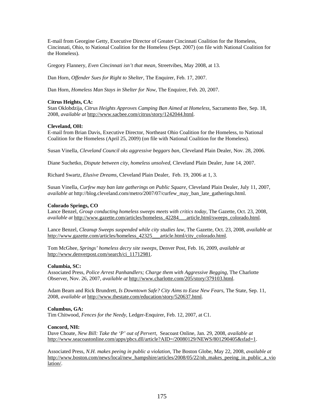E-mail from Georgine Getty, Executive Director of Greater Cincinnati Coalition for the Homeless, Cincinnati, Ohio, to National Coalition for the Homeless (Sept. 2007) (on file with National Coalition for the Homeless).

Gregory Flannery, *Even Cincinnati isn't that mean*, Streetvibes, May 2008, at 13.

Dan Horn, *Offender Sues for Right to Shelter,* The Enquirer, Feb. 17, 2007.

Dan Horn, *Homeless Man Stays in Shelter for Now,* The Enquirer, Feb. 20, 2007.

### **Citrus Heights, CA:**

Stan Oklobdzija, *Citrus Heights Approves Camping Ban Aimed at Homeless,* Sacramento Bee, Sep. 18, 2008, *available at* http://www.sacbee.com/citrus/story/1242044.html.

## **Cleveland, OH:**

E-mail from Brian Davis, Executive Director, Northeast Ohio Coalition for the Homeless, to National Coalition for the Homeless (April 25, 2009) (on file with National Coalition for the Homeless).

Susan Vinella, *Cleveland Council oks aggressive beggars ban*, Cleveland Plain Dealer, Nov. 28, 2006.

Diane Suchetko, *Dispute between city, homeless unsolved*, Cleveland Plain Dealer, June 14, 2007.

Richard Swartz, *Elusive Dreams*, Cleveland Plain Dealer, Feb. 19, 2006 at 1, 3.

Susan Vinella, *Curfew may ban late gatherings on Public Square*, Cleveland Plain Dealer, July 11, 2007, *available at* http://blog.cleveland.com/metro/2007/07/curfew\_may\_ban\_late\_gatherings.html.

## **Colorado Springs, CO**

Lance Benzel, *Group conducting homeless sweeps meets with critics today*, The Gazette, Oct. 23, 2008, *available at* http://www.gazette.com/articles/homeless\_42284\_\_\_article.html/sweeps\_colorado.html.

Lance Benzel, *Cleanup Sweeps suspended while city studies law,* The Gazette, Oct. 23, 2008, *available at*  http://www.gazette.com/articles/homeless 42325\_\_\_article.html/city\_colorado.html.

Tom McGhee, *Springs' homeless decry site sweeps*, Denver Post, Feb. 16, 2009, *available at* http://www.denverpost.com/search/ci\_11712981.

### **Columbia, SC:**

Associated Press, *Police Arrest Panhandlers; Charge them with Aggressive Begging*, The Charlotte Observer, Nov. 26, 2007, *available at* http://www.charlotte.com/205/story/379103.html.

Adam Beam and Rick Brundrett, *Is Downtown Safe? City Aims to Ease New Fears,* The State, Sep. 11, 2008, *available at* http://www.thestate.com/education/story/520637.html.

## **Columbus, GA:**

Tim Chitwood, *Fences for the Needy*, Ledger-Enquirer, Feb. 12, 2007, at C1.

### **Concord, NH:**

Dave Choate, *New Bill: Take the 'P' out of Pervert,* Seacoast Online, Jan. 29, 2008, *available at*  http://www.seacoastonline.com/apps/pbcs.dll/article?AID=/20080129/NEWS/801290405&sfad=1.

Associated Press, *N.H. makes peeing in public a violation*, The Boston Globe, May 22, 2008*, available at*  http://www.boston.com/news/local/new\_hampshire/articles/2008/05/22/nh\_makes\_peeing\_in\_public\_a\_vio lation/.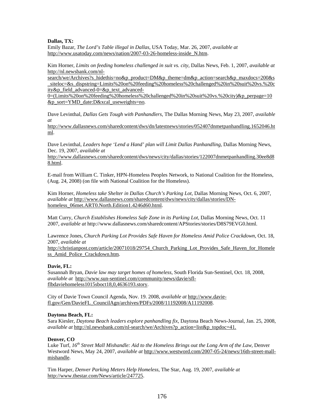## **Dallas, TX:**

Emily Bazar, *The Lord's Table illegal in Dallas*, USA Today, Mar. 26, 2007, *available at*  http://www.usatoday.com/news/nation/2007-03-26-homeless-inside\_N.htm.

Kim Horner, *Limits on feeding homeless challenged in suit vs. city*, Dallas News*,* Feb. 1, 2007, *available at* http://nl.newsbank.com/nl-

search/we/Archives?s\_hidethis=no&p\_product=DM&p\_theme=dm&p\_action=search&p\_maxdocs=200&s \_siteloc=&s\_dispstring=Limits%20on%20feeding%20homeless%20challenged%20in%20suit%20vs.%20c ity&p\_field\_advanced-0=&p\_text\_advanced-

0=(Limits%20on%20feeding%20homeless%20challenged%20in%20suit%20vs.%20city)&p\_perpage=10 &p\_sort=YMD\_date:D&xcal\_useweights=no*.*

Dave Levinthal, *Dallas Gets Tough with Panhandlers,* The Dallas Morning News, May 23, 2007, *available at*

http://www.dallasnews.com/sharedcontent/dws/dn/latestnews/stories/052407dnmetpanhandling.1652046.ht ml.

Dave Levinthal, *Leaders hope 'Lend a Hand' plan will Limit Dallas Panhandling*, Dallas Morning News, Dec. 19, 2007, *available at*

http://www.dallasnews.com/sharedcontent/dws/news/city/dallas/stories/122007dnmetpanhandling.30ee8d8 8.html.

E-mail from William C. Tinker, HPN-Homeless Peoples Network, to National Coalition for the Homeless, (Aug. 24, 2008) (on file with National Coalition for the Homeless).

Kim Horner, *Homeless take Shelter in Dallas Church's Parking Lot*, Dallas Morning News, Oct. 6, 2007, *available at* http://www.dallasnews.com/sharedcontent/dws/news/city/dallas/stories/DNhomeless\_06met.ART0.North.Edition1.4246d60.html.

Matt Curry, *Church Establishes Homeless Safe Zone in its Parking Lot*, Dallas Morning News, Oct. 11 2007, *available at* http://www.dallasnews.com/sharedcontent/APStories/stories/D8S79EVG0.html.

Lawrence Jones, *Church Parking Lot Provides Safe Haven for Homeless Amid Police Crackdown*, Oct. 18, 2007, *available at*

http://christianpost.com/article/20071018/29754\_Church\_Parking\_Lot\_Provides\_Safe\_Haven\_for\_Homele ss\_Amid\_Police\_Crackdown.htm.

## **Davie, FL:**

Susannah Bryan, *Davie law may target homes of homeless,* South Florida Sun-Sentinel, Oct. 18, 2008, *available at* http://www.sun-sentinel.com/community/news/davie/sflflbdaviehomeless1015sboct18,0,4636193.story.

City of Davie Town Council Agenda, Nov. 19. 2008, *available at* http://www.daviefl.gov/Gen/DavieFL\_CouncilAgn/archives/PDFs/2008/11192008/A11192008.

### **Daytona Beach, FL:**

Sara Kiesler, *Daytona Beach leaders explore panhandling fix*, Daytona Beach News-Journal, Jan. 25, 2008, *available at* http://nl.newsbank.com/nl-search/we/Archives?p\_action=list&p\_topdoc=41.

## **Denver, CO**

Luke Turf, *16th Street Mall Mishandle: Aid to the Homeless Brings out the Long Arm of the Law*, Denver Westword News, May 24, 2007, *available at* http://www.westword.com/2007-05-24/news/16th-street-mallmishandle.

Tim Harper, *Denver Parking Meters Help Homeless*, The Star, Aug. 19, 2007, *available at* http://www.thestar.com/News/article/247725.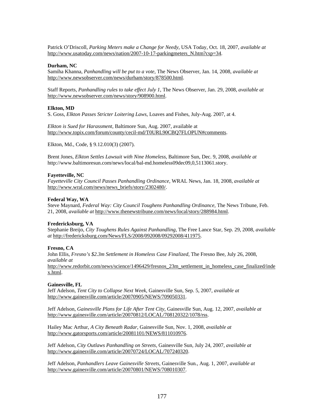Patrick O'Driscoll, *Parking Meters make a Change for Needy*, USA Today, Oct. 18, 2007, *available at* http://www.usatoday.com/news/nation/2007-10-17-parkingmeters N.htm?csp=34.

### **Durham, NC**

Samiha Khanna, *Panhandling will be put to a vote,* The News Observer, Jan. 14, 2008, *available at* http://www.newsobserver.com/news/durham/story/878500.html.

Staff Reports, *Panhandling rules to take effect July 1*, The News Observer, Jan. 29, 2008, *available at*  http://www.newsobserver.com/news/story/908900.html.

## **Elkton, MD**

S. Goss, *Elkton Passes Stricter Loitering Laws*, Loaves and Fishes, July-Aug. 2007, at 4.

*Elkton is Sued for Harassment*, Baltimore Sun, Aug. 2007, available at http://www.topix.com/forum/county/cecil-md/T0URL90CBQ7FLOPUN#comments.

Elkton, Md., Code, § 9.12.010(3) (2007).

Brent Jones, *Elkton Settles Lawsuit with Nine Homeless*, Baltimore Sun, Dec. 9, 2008, *available at* http://www.baltimoresun.com/news/local/bal-md.homeless09dec09,0,5113061.story.

### **Fayetteville, NC**

*Fayetteville City Council Passes Panhandling Ordinance,* WRAL News, Jan. 18, 2008, *available at* http://www.wral.com/news/news\_briefs/story/2302480/.

## **Federal Way, WA**

Steve Maynard, *Federal Way: City Council Toughens Panhandling Ordinance*, The News Tribune, Feb. 21, 2008, *available at* http://www.thenewstribune.com/news/local/story/288984.html.

## **Fredericksburg, VA**

Stephanie Breijo, *City Toughens Rules Against Panhandling,* The Free Lance Star, Sep. 29, 2008, *available at* http://fredericksburg.com/News/FLS/2008/092008/09292008/411975.

## **Fresno, CA**

John Ellis, *Fresno's \$2.3m Settlement in Homeless Case Finalized,* The Fresno Bee, July 26, 2008, *available at* 

http://www.redorbit.com/news/science/1496429/fresnos\_23m\_settlement\_in\_homeless\_case\_finalized/inde x.html.

### **Gainesville, FL**

Jeff Adelson, *Tent City to Collapse Next Week*, Gainesville Sun, Sep. 5, 2007, *available at* http://www.gainesville.com/article/20070905/NEWS/709050331.

Jeff Adelson, *Gainesville Plans for Life After Tent City*, Gainesville Sun, Aug. 12, 2007, *available at*  http://www.gainesville.com/article/20070812/LOCAL/708120322/1078/rss.

Hailey Mac Arthur, *A City Beneath Radar*, Gainesville Sun, Nov. 1, 2008, *available at*  http://www.gatorsports.com/article/20081101/NEWS/811010976.

Jeff Adelson, *City Outlaws Panhandling on Streets,* Gainesville Sun*,* July 24, 2007, *available at* http://www.gainesville.com/article/20070724/LOCAL/707240320.

Jeff Adelson, *Panhandlers Leave Gainesville Streets*, Gainesville Sun*.*, Aug. 1, 2007, *available at* http://www.gainesville.com/article/20070801/NEWS/708010307.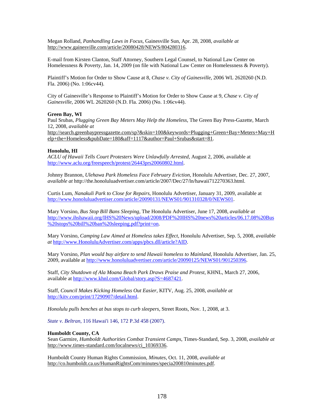Megan Rolland, *Panhandling Laws in Focus,* Gainesville Sun*,* Apr. 28, 2008, *available at* http://www.gainesville.com/article/20080428/NEWS/804280316.

E-mail from Kirsten Clanton, Staff Attorney, Southern Legal Counsel, to National Law Center on Homelessness & Poverty, Jan. 14, 2009 (on file with National Law Center on Homelessness & Poverty).

Plaintiff's Motion for Order to Show Cause at 8, *Chase v. City of Gainesville*, 2006 WL 2620260 (N.D. Fla. 2006) (No. 1:06cv44).

City of Gainesville's Response to Plaintiff's Motion for Order to Show Cause at 9, *Chase v. City of Gainesville*, 2006 WL 2620260 (N.D. Fla. 2006) (No. 1:06cv44).

## **Green Bay, WI**

Paul Srubas, *Plugging Green Bay Meters May Help the Homeless*, The Green Bay Press-Gazette*,* March 12, 2008, *available at*  http://search.greenbaypressgazette.com/sp?&skin=100&keywords=Plugging+Green+Bay+Meters+May+H elp+the+Homeless&pubDate=180&aff=1117&author=Paul+Srubas&start=81.

#### **Honolulu, HI**

*ACLU of Hawaii Tells Court Protesters Were Unlawfully Arrested*, August 2, 2006, available at http://www.aclu.org/freespeech/protest/26443prs20060802.html.

Johnny Brannon, *Ulehawa Park Homeless Face February Eviction,* Honolulu Advertiser, Dec. 27, 2007, *available at* http://the.honoluluadvertiser.com/article/2007/Dec/27/ln/hawaii712270363.html.

Curtis Lum, *Nanakuli Park to Close for Repairs*, Honolulu Advertiser, January 31, 2009, available at http://www.honoluluadvertiser.com/article/20090131/NEWS01/901310328/0/NEWS01.

Mary Vorsino, *Bus Stop Bill Bans Sleeping,* The Honolulu Advertiser, June 17, 2008, *available at* http://www.ihshawaii.org/IHS%20News/upload/2008/PDF%20IHS%20news%20articles/06.17.08%20Bus %20stops%20bill%20ban%20sleeping.pdf?print=on.

Mary Vorsino, *Camping Law Aimed at Homeless takes Effect,* Honolulu Advertiser, Sep. 5, 2008, *available at* http://www.HonoluluAdvertiser.com/apps/pbcs.dll/article?AID.

Mary Vorsino, *Plan would buy airfare to send Hawaii homeless to Mainland*, Honolulu Advertiser, Jan. 25, 2009, available at http://www.honoluluadvertiser.com/article/20090125/NEWS01/901250396.

Staff, *City Shutdown of Ala Moana Beach Park Draws Praise and Protest*, KHNL, March 27, 2006, available at http://www.khnl.com/Global/story.asp?S=4687421.

Staff, *Council Makes Kicking Homeless Out Easier,* KITV, Aug. 25, 2008, *available at* http://kitv.com/print/17290907/detail.html.

*Honolulu pulls benches at bus stops to curb sleepers,* Street Roots, Nov. 1, 2008, at 3.

*State v. Beltran*, 116 Hawai'i 146, 172 P.3d 458 (2007).

#### **Humboldt County, CA**

Sean Garmire, *Humboldt Authorities Combat Transient Camps*, Times-Standard, Sep. 3, 2008, *available at*  http://www.times-standard.com/localnews/ci\_10369336.

Humboldt County Human Rights Commission, *Minutes*, Oct. 11, 2008, *available at* http://co.humboldt.ca.us/HumanRightsCom/minutes/specia200810minutes.pdf.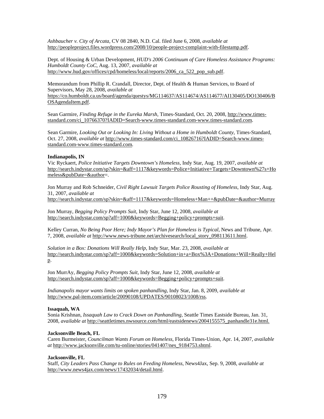*Ashbaucher v. City of Arcata*, CV 08 2840, N.D. Cal. filed June 6, 2008, *available at* http://peopleproject.files.wordpress.com/2008/10/people-project-complaint-with-filestamp.pdf.

Dept. of Housing & Urban Development, *HUD's 2006 Continuum of Care Homeless Assistance Programs: Humboldt County CoC*, Aug. 13, 2007, *available at* http://www.hud.gov/offices/cpd/homeless/local/reports/2006\_ca\_522\_pop\_sub.pdf.

Memorandum from Phillip R. Crandall, Director, Dept. of Health & Human Services, to Board of Supervisors, May 28, 2008, *available at* https://co.humboldt.ca.us/board/agenda/questys/MG114637/AS114674/AS114677/AI130405/DO130406/B OSAgendaItem.pdf.

Sean Garmire, *Finding Refuge in the Eureka Marsh*, Times-Standard, Oct. 20, 2008, http://www.timesstandard.com/ci\_10766370?IADID=Search-www.times-standard.com-www.times-standard.com.

Sean Garmire, *Looking Out or Looking In: Living Without a Home in Humboldt County*, Times-Standard, Oct. 27, 2008, *available at* http://www.times-standard.com/ci\_10826716?IADID=Search-www.timesstandard.com-www.times-standard.com.

## **Indianapolis, IN**

Vic Ryckaert, *Police Initiative Targets Downtown's Homeless*, Indy Star, Aug. 19, 2007, *available at* http://search.indystar.com/sp?skin=&aff=1117&keywords=Police+Initiative+Targets+Downtown%27s+Ho meless&pubDate=&author=.

Jon Murray and Rob Schneider, *Civil Right Lawsuit Targets Police Rousting of Homeless*, Indy Star, Aug. 31, 2007, *available at*  http://search.indystar.com/sp?skin=&aff=1117&keywords=Homeless+Man++&pubDate=&author=Murray

Jon Murray, *Begging Policy Prompts Suit,* Indy Star, June 12, 2008, *available at* http://search.indystar.com/sp?aff=1000&keywords=Begging+policy+prompts+suit.

Kelley Curran, *No Being Poor Here; Indy Mayor's Plan for Homeless is Typical,* News and Tribune, Apr. 7, 2008, *available at* http://www.news-tribune.net/archivesearch/local\_story\_098113611.html.

*Solution in a Box: Donations Will Really Help*, Indy Star, Mar. 23, 2008, *available at* http://search.indystar.com/sp?aff=1000&keywords=Solution+in+a+Box%3A+Donations+Will+Really+Hel p.

Jon MurrAy, *Begging Policy Prompts Suit,* Indy Star, June 12, 2008, *available at*  http://search.indystar.com/sp?aff=1000&keywords=Begging+policy+prompts+suit.

*Indianapolis mayor wants limits on spoken panhandling,* Indy Star, Jan. 8, 2009, *available at* http://www.pal-item.com/article/20090108/UPDATES/90108023/1008/rss.

#### **Issaquah, WA**

Sonia Krishnan, *Issaquah Law to Crack Down on Panhandling,* Seattle Times Eastside Bureau, Jan. 31, 2008, *available at* http://seattletimes.nwsource.com/html/eastsidenews/2004155575\_panhandle31e.html.

## **Jacksonville Beach, FL**

Caren Burmeister, *Councilman Wants Forum on Homeless*, Florida Times-Union*,* Apr. 14, 2007, *available at* http://www.jacksonville.com/tu-online/stories/041407/nes\_9184753.shtml.

#### **Jacksonville, FL**

Staff, *City Leaders Pass Change to Rules on Feeding Homeless*, News4Jax, Sep. 9, 2008, *available at* http://www.news4jax.com/news/17432034/detail.html.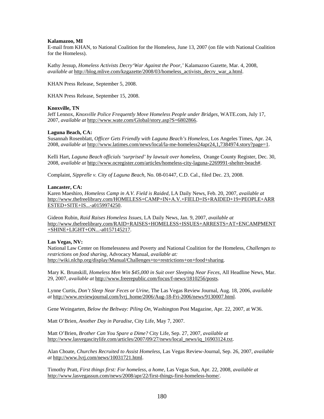### **Kalamazoo, MI**

E-mail from KHAN, to National Coalition for the Homeless, June 13, 2007 (on file with National Coalition for the Homeless).

Kathy Jessup, *Homeless Activists Decry'War Against the Poor,'* Kalamazoo Gazette, Mar. 4, 2008, *available at* http://blog.mlive.com/kzgazette/2008/03/homeless\_activists\_decry\_war\_a.html.

KHAN Press Release, September 5, 2008.

KHAN Press Release, September 15, 2008.

## **Knoxville, TN**

Jeff Lennox, *Knoxville Police Frequently Move Homeless People under Bridges*, WATE.com, July 17, 2007, *available at* http://www.wate.com/Global/story.asp?S=6802866.

## **Laguna Beach, CA:**

Susannah Rosenblatt*, Officer Gets Friendly with Laguna Beach's Homeless*, Los Angeles Times*,* Apr. 24, 2008, *available at* http://www.latimes.com/news/local/la-me-homeless24apr24,1,7384974.story?page=1.

Kelli Hart, *Laguna Beach officials 'surprised' by lawsuit over homeless*, Orange County Register, Dec. 30, 2008, *available at* http://www.ocregister.com/articles/homeless-city-laguna-2269991-shelter-beach#.

Complaint, *Sipprelle v. City of Laguna Beach*, No. 08-01447, C.D. Cal., filed Dec. 23, 2008.

## **Lancaster, CA:**

Karen Maeshiro, *Homeless Camp in A.V. Field is Raided,* LA Daily News, Feb. 20, 2007, *available at* http://www.thefreelibrary.com/HOMELESS+CAMP+IN+A.V.+FIELD+IS+RAIDED+19+PEOPLE+ARR ESTED+SITE+IS...-a0159974250.

Gideon Rubin, *Raid Raises Homeless Issues*, LA Daily News, Jan. 9, 2007, *available at*  http://www.thefreelibrary.com/RAID+RAISES+HOMELESS+ISSUES+ARRESTS+AT+ENCAMPMENT +SHINE+LIGHT+ON...-a0157145217.

#### **Las Vegas, NV:**

National Law Center on Homelessness and Poverty and National Coalition for the Homeless, *Challenges to restrictions on food sharing,* Advocacy Manual, *available at:* http://wiki.nlchp.org/display/Manual/Challenges+to+restrictions+on+food+sharing.

Mary K. Brunskill, *Homeless Men Win \$45,000 in Suit over Sleeping Near Feces*, All Headline News, Mar. 29, 2007, *available at* http://www.freerepublic.com/focus/f-news/1810256/posts.

Lynne Curtis, *Don't Sleep Near Feces or Urine*, The Las Vegas Review Journal*,* Aug. 18, 2006, *available at* http://www.reviewjournal.com/lvrj\_home/2006/Aug-18-Fri-2006/news/9130007.html.

Gene Weingarten, *Below the Beltway: Piling On*, Washington Post Magazine*,* Apr. 22, 2007, at W36.

Matt O'Brien, *Another Day in Paradise*, City Life*,* May 7, 2007.

Matt O'Brien, *Brother Can You Spare a Dime?* City Life, Sep. 27, 2007, *available at* http://www.lasvegascitylife.com/articles/2007/09/27/news/local\_news/iq\_16903124.txt.

Alan Choate, *Churches Recruited to Assist Homeless*, Las Vegas Review-Journal, Sep. 26, 2007, *available at* http://www.lvrj.com/news/10031721.html.

Timothy Pratt, *First things first: For homeless, a home,* Las Vegas Sun, Apr. 22, 2008, *available at*  http://www.lasvegassun.com/news/2008/apr/22/first-things-first-homeless-home/.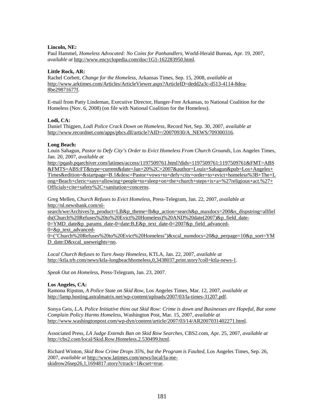## **Lincoln, NE:**

Paul Hammel, *Homeless Advocated: No Coins for Panhandlers*, World-Herald Bureau, Apr. 19, 2007, *available at* http://www.encyclopedia.com/doc/1G1-162283950.html.

### **Little Rock, AR:**

Rachel Corbett, *Change for the Homeless,* Arkansas Times, Sep. 15, 2008, *available at*  http://www.arktimes.com/Articles/ArticleViewer.aspx?ArticleID=dedd2a3c-d513-4114-8dea-8be29871677f.

E-mail from Patty Lindeman, Executive Director, Hunger-Free Arkansas, to National Coalition for the Homeless (Nov. 6, 2008) (on file with National Coalition for the Homeless).

## **Lodi, CA:**

Daniel Thigpen, *Lodi Police Crack Down on Homeless*, Record Net, Sep. 30, 2007, *available at* http://www.recordnet.com/apps/pbcs.dll/article?AID=/20070930/A\_NEWS/709300316.

## **Long Beach:**

Louis Sahagun, *Pastor to Defy City's Order to Evict Homeless From Church Grounds*, Los Angeles Times, Jan. 20, 2007, *available at* 

http://pqasb.pqarchiver.com/latimes/access/1197509761.html?dids=1197509761:1197509761&FMT=ABS &FMTS=ABS:FT&type=current&date=Jan+20%2C+2007&author=Louis+Sahagun&pub=Los+Angeles+ Times&edition=&startpage=B.1&desc=Pastor+vows+to+defy+city+order+to+evict+homeless%3B+The+L ong+Beach+cleric+says+allowing+people+to+sleep+on+the+church+steps+is+a+%27religious+act.%27+ Officials+cite+safety%2C+sanitation+concerns.

Greg Mellen, *Church Refuses to Evict Homeless*, Press-Telegram, Jan. 22, 2007, *available at* http://nl.newsbank.com/nl-

search/we/Archives?p\_product=LB&p\_theme=lb&p\_action=search&p\_maxdocs=200&s\_dispstring=allfiel ds(Church%20Refuses%20to%20Evict%20Homeless)%20AND%20date(2007)&p\_field\_date-0=YMD\_date&p\_params\_date-0=date:B,E&p\_text\_date-0=2007&p\_field\_advanced-0=&p\_text\_advanced-

0=("Church%20Refuses%20to%20Evict%20Homeless")&xcal\_numdocs=20&p\_perpage=10&p\_sort=YM D\_date:D&xcal\_useweights=no.

*Local Church Refuses to Turn Away Homeless*, KTLA, Jan. 22, 2007, *available at* http://ktla.trb.com/news/ktla-longbeachhomeless,0,3438037,print.story?coll=ktla-news-1.

*Speak Out on Homeless*, Press-Telegram, Jan. 23, 2007.

#### **Los Angeles, CA:**

Ramona Ripston, *A Police State on Skid Row*, Los Angeles Times, Mar. 12, 2007, *available at*  http://lamp.hosting.astralmatrix.net/wp-content/uploads/2007/03/la-times-31207.pdf.

Sonya Geis, *L.A. Police Initiative thins out Skid Row: Crime is down and Businesses are Hopeful, But some Complain Policy Harms Homeless*, Washington Post, Mar. 15, 2007, *available at*  http://www.washingtonpost.com/wp-dyn/content/article/2007/03/14/AR2007031402271.html.

Associated Press, *LA Judge Extends Ban on Skid Row Searches*, CBS2.com, Apr. 25, 2007, *available at* http://cbs2.com/local/Skid.Row.Homeless.2.530499.html.

Richard Winton, *Skid Row Crime Drops 35%, but the Program is Faulted*, Los Angeles Times, Sep. 26, 2007, *available at* http://www.latimes.com/news/local/la-meskidrow26sep26,1,1694817.story?ctrack=1&cset=true.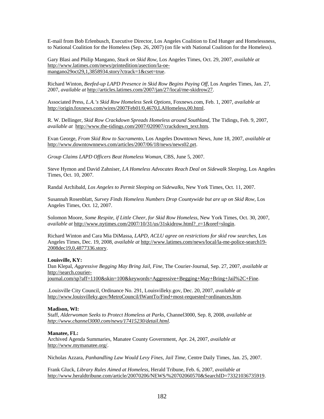E-mail from Bob Erlenbusch, Executive Director, Los Angeles Coalition to End Hunger and Homelessness, to National Coalition for the Homeless (Sep. 26, 2007) (on file with National Coalition for the Homeless).

Gary Blasi and Philip Mangano, *Stuck on Skid Row*, Los Angeles Times, Oct. 29, 2007, *available at* http://www.latimes.com/news/printedition/asection/la-oemangano29oct29,1,3858934.story?ctrack=1&cset=true.

Richard Winton, *Beefed-up LAPD Presence in Skid Row Begins Paying Off,* Los Angeles Times, Jan. 27, 2007, *available at* http://articles.latimes.com/2007/jan/27/local/me-skidrow27.

Associated Press, *L.A.'s Skid Row Homeless Seek Options,* Foxnews.com, Feb. 1, 2007, *available at* http://origin.foxnews.com/wires/2007Feb01/0,4670,LAHomeless,00.html.

R. W. Dellinger, *Skid Row Crackdown Spreads Homeless around Southland,* The Tidings, Feb. 9, 2007, *available at* http://www.the-tidings.com/2007/020907/crackdown\_text.htm.

Evan George, *From Skid Row to Sacramento*, Los Angeles Downtown News, June 18, 2007, *available at*  http://www.downtownnews.com/articles/2007/06/18/news/news02.prt.

*Group Claims LAPD Officers Beat Homeless Woman*, CBS, June 5, 2007.

Steve Hymon and David Zahniser, *LA Homeless Advocates Reach Deal on Sidewalk Sleeping*, Los Angeles Times, Oct. 10, 2007.

Randal Archibald, *Los Angeles to Permit Sleeping on Sidewalks*, New York Times, Oct. 11, 2007.

Susannah Rosenblatt, *Survey Finds Homeless Numbers Drop Countywide but are up on Skid Row*, Los Angeles Times, Oct. 12, 2007.

Solomon Moore, *Some Respite, if Little Cheer, for Skid Row Homeless*, New York Times, Oct. 30, 2007, *available at* http://www.nytimes.com/2007/10/31/us/31skidrow.html?\_r=1&oref=slogin.

Richard Winton and Cara Mia DiMassa, *LAPD, ACLU agree on restrictions for skid row searches*, Los Angeles Times, Dec. 19, 2008, *available at* http://www.latimes.com/news/local/la-me-police-search19- 2008dec19,0,4877336.story.

#### **Louisville, KY:**

Dan Klepal, *Aggressive Begging May Bring Jail, Fine*, The Courier-Journal, Sep. 27, 2007, *available at* http://search.courier-

journal.com/sp?aff=1100&skin=100&keywords=Aggressive+Begging+May+Bring+Jail%2C+Fine.

.Louisville City Council, Ordinance No. 291, Louisvilleky.gov, Dec. 20, 2007, *available at* http://www.louisvilleky.gov/MetroCouncil/IWantTo/Find+most-requested+ordinances.htm.

#### **Madison, WI:**

Staff, *Alderwoman Seeks to Protect Homeless at Parks,* Channel3000, Sep. 8, 2008, *available at http://www.channel3000.com/news/17415230/detail.html.* 

#### **Manatee, FL:**

Archived Agenda Summaries, Manatee County Government, Apr. 24, 2007, *available at* http://www.mymanatee.org/.

Nicholas Azzara, *Panhandling Law Would Levy Fines, Jail Time,* Centre Daily Times, Jan. 25, 2007.

Frank Gluck, *Library Rules Aimed at Homeless,* Herald Tribune, Feb. 6, 2007, *available at*  http://www.heraldtribune.com/article/20070206/NEWS/%20702060570&SearchID=73321036735919.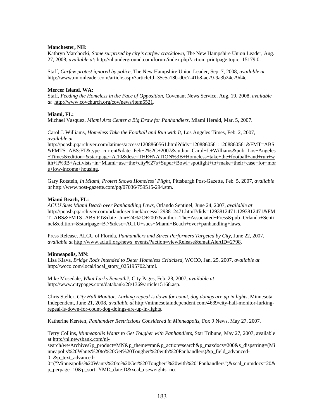## **Manchester, NH:**

Kathryn Marchocki, *Some surprised by city's curfew crackdown,* The New Hampshire Union Leader, Aug. 27, 2008, *available at*: http://nhunderground.com/forum/index.php?action=printpage;topic=15179.0.

Staff, *Curfew protest ignored by police,* The New Hampshire Union Leader, Sep. 7, 2008, *available at*  http://www.unionleader.com/article.aspx?articleId=35c5a18b-d0c7-41b8-ae79-9a3b24c79d4e.

### **Mercer Island, WA:**

Staff, *Feeding the Homeless in the Face of Opposition,* Covenant News Service, Aug. 19, 2008, *available at* http://www.covchurch.org/cov/news/item6521.

## **Miami, FL:**

Michael Vasquez, *Miami Arts Center a Big Draw for Panhandlers*, Miami Herald, Mar. 5, 2007.

Carol J. Williams, *Homeless Take the Football and Run with It,* Los Angeles Times, Feb. 2, 2007, *available at* 

http://pqasb.pqarchiver.com/latimes/access/1208860561.html?dids=1208860561:1208860561&FMT=ABS &FMTS=ABS:FT&type=current&date=Feb+2%2C+2007&author=Carol+J.+Williams&pub=Los+Angeles +Times&edition=&startpage=A.10&desc=THE+NATION%3B+Homeless+take+the+football+and+run+w ith+it%3B+Activists+in+Miami+use+the+city%27s+Super+Bowl+spotlight+to+make+their+case+for+mor e+low-income+housing.

Gary Rotstein, *In Miami, Protest Shows Homeless' Plight,* Pittsburgh Post-Gazette, Feb. 5, 2007, *available at* http://www.post-gazette.com/pg/07036/759515-294.stm.

## **Miami Beach, FL:**

*ACLU Sues Miami Beach over Panhandling Laws*, Orlando Sentinel, June 24, 2007, *available at* http://pqasb.pqarchiver.com/orlandosentinel/access/1293812471.html?dids=1293812471:1293812471&FM T=ABS&FMTS=ABS:FT&date=Jun+24%2C+2007&author=The+Associated+Press&pub=Orlando+Senti nel&edition=&startpage=B.7&desc=ACLU+sues+Miami+Beach+over+panhandling+laws.

Press Release, ALCU of Florida, *Panhandlers and Street Performers Targeted by City*, June 22, 2007, *available at* http://www.aclufl.org/news\_events/?action=viewRelease&emailAlertID=2798.

#### **Minneapolis, MN:**

Lisa Kiava, *Bridge Rods Intended to Deter Homeless Criticized,* WCCO, Jan. 25, 2007, *available at*  http://wcco.com/local/local\_story\_025195702.html.

Mike Mosedale, *What Lurks Beneath?*, City Pages, Feb. 28, 2007, *available at*  http://www.citypages.com/databank/28/1369/article15168.asp.

Chris Steller, *City Hall Monitor: Lurking repeal is down for count, dog doings are up in lights,* Minnesota Independent, June 21, 2008, *available at* http://minnesotaindependent.com/4639/city-hall-monitor-lurkingrepeal-is-down-for-count-dog-doings-are-up-in-lights.

Katherine Kersten, *Panhandler Restrictions Considered in Minneapolis*, Fox 9 News*,* May 27, 2007*.*

Terry Collins, *Minneapolis Wants to Get Tougher with Panhandlers*, Star Tribune*,* May 27, 2007, available at http://nl.newsbank.com/nl-

search/we/Archives?p\_product=MN&p\_theme=mn&p\_action=search&p\_maxdocs=200&s\_dispstring=(Mi nneapolis%20Wants%20to%20Get%20Tougher%20with%20Panhandlers)&p\_field\_advanced-0=&p\_text\_advanced-

0=("Minneapolis%20Wants%20to%20Get%20Tougher"%20with%20"Panhandlers")&xcal\_numdocs=20& p\_perpage=10&p\_sort=YMD\_date:D&xcal\_useweights=no.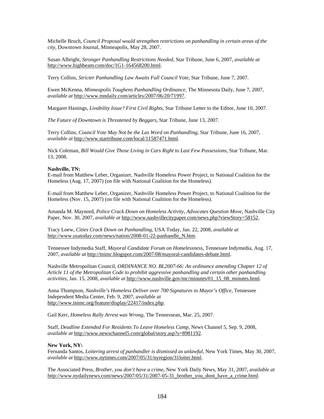Michelle Bruch, *Council Proposal would strengthen restrictions on panhandling in certain areas of the city*, Downtown Journal, Minneapolis, May 28, 2007.

Susan Albright, *Stronger Panhandling Restrictions Needed*, Star Tribune*,* June 6, 2007, *available at*  http://www.highbeam.com/doc/1G1-164568200.html.

Terry Collins, *Stricter Panhandling Law Awaits Full Council Vote*, Star Tribune*,* June 7, 2007.

Ewen McKenna, *Minneapolis Toughens Panhandling Ordinance*, The Minnesota Daily*,* June 7, 2007, *available at* http://www.mndaily.com/articles/2007/06/20/71997.

Margaret Hastings, *Livability Issue? First Civil Rights*, Star Tribune Letter to the Editor*,* June 10, 2007.

*The Future of Downtown is Threatened by Beggars*, Star Tribune*,* June 13, 2007.

Terry Collins, *Council Vote May Not be the Las Word on Panhandling*, Star Tribune, June 16, 2007, *available at* http://www.startribune.com/local/11587471.html.

Nick Coleman, *Bill Would Give Those Living in Cars Right to Last Few Possessions*, Star Tribune, Mar. 13, 2008.

## **Nashville, TN:**

E-mail from Matthew Leber, Organizer, Nashville Homeless Power Project, to National Coalition for the Homeless (Aug. 17, 2007) (on file with National Coalition for the Homeless).

E-mail from Matthew Leber, Organizer, Nashville Homeless Power Project, to National Coalition for the Homeless (Nov. 15, 2007) (on file with National Coalition for the Homeless).

Amanda M. Maynord, *Police Crack Down on Homeless Activity, Advocates Question Move*, Nashville City Paper, Nov. 30, 2007, *available at* http://www.nashvillecitypaper.com/news.php?viewStory=58152.

Tracy Loew, *Cities Crack Down on Panhandling,* USA Today, Jan. 22, 2008, *available at* http://www.usatoday.com/news/nation/2008-01-22-panhandle\_N.htm.

Tennessee Indymedia Staff, *Mayoral Candidate Forum on Homelessness,* Tennessee Indymedia, Aug. 17, 2007, *available at* http://tnimc.blogspot.com/2007/08/mayoral-candidates-debate.html.

Nashville Metropolitan Council, *ORDINANCE NO. BL2007-66: An ordinance amending Chapter 12 of Article 11 of the Metropolitan Code to prohibit aggressive panhandling and certain other panhandling activities,* Jan. 15, 2008, *available at* http://www.nashville.gov/mc/minutes/01\_15\_08\_minutes.html.

Anna Thompson, *Nashville's Homeless Deliver over 700 Signatures to Mayor's Office,* Tennessee Independent Media Center, Feb. 9, 2007, *available at*  http://www.tnimc.org/feature/display/22417/index.php.

Gail Kerr, *Homeless Rally Arrest was Wrong,* The Tennessean, Mar. 25, 2007.

Staff, *Deadline Extended For Residents To Leave Homeless Camp,* News Channel 5, Sep. 9, 2008, *available at* http://www.newschannel5.com/global/story.asp?s=8981192.

### **New York, NY:**

Fernanda Santos, *Loitering arrest of panhandler is dismissed as unlawful*, New York Times*,* May 30, 2007, *available at* http://www.nytimes.com/2007/05/31/nyregion/31loiter.html.

The Associated Press, *Brother, you don't have a crime*, New York Daily News, May 31, 2007, *available at* http://www.nydailynews.com/news/2007/05/31/2007-05-31\_brother\_you\_dont\_have\_a\_crime.html.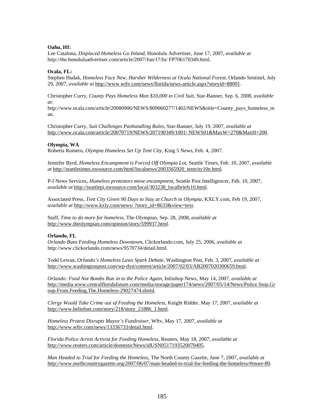## **Oahu, HI:**

Lee Cataluna, *Displaced Homeless Go Inland,* Honolulu Advertiser, June 17, 2007, *available at* http://the.honoluluadvertiser.com/article/2007/Jun/17/ln/ FP706170349.html.

#### **Ocala, FL:**

Stephen Hudak, *Homeless Face New, Harsher Wilderness at Ocala National Forest*, Orlando Sentinel, July 29, 2007, *available at* http://www.wtlv.com/news/florida/news-article.aspx?storyid=88001.

Christopher Curry, *County Pays Homeless Man \$10,000 in Civil Suit*, Star-Banner, Sep. 6, 2008, *available at*:

http://www.ocala.com/article/20080906/NEWS/809060277/1402/NEWS&title=County\_pays\_homeless\_m an.

Christopher Curry, *Suit Challenges Panhandling Rules*, Star-Banner, July 19, 2007, *available at*  http://www.ocala.com/article/20070719/NEWS/207190349/1001/ NEWS01&MaxW=270&MaxH=200.

## **Olympia, WA**

Roberta Romero, *Olympia Homeless Set Up Tent City,* King 5 News, Feb. 4, 2007.

Jennifer Byrd, *Homeless Encampment is Forced Off Olympia Lot,* Seattle Times, Feb. 10, 2007, *available at* http://seattletimes.nwsource.com/html/localnews/2003565920\_tentcity10e.html.

P-I News Services, *Homeless protestors move encampment*, Seattle Post Intelligencer*,* Feb. 10, 2007, *available at* http://seattlepi.nwsource.com/local/303238\_localbriefs10.html.

Associated Press, *Tent City Given 90 Days to Stay at Church in Olympia,* KXLY.com, Feb 19, 2007, *available at* http://www.kxly.com/news/ ?story\_id=8633&view=text.

Staff, *Time to do more for homeless*, The Olympian, Sep. 28, 2008, *available at* http://www.theolympian.com/opinion/story/599937.html.

## **Orlando, FL**

*Orlando Bans Feeding Homeless Downtown,* Clickorlando.com, July 25, 2006, *available at* http://www.clickorlando.com/news/9570734/detail.html.

Todd Lewan, *Orlando's Homeless Laws Spark Debate,* Washington Post*,* Feb. 3, 2007, *available at*  http://www.washingtonpost.com/wp-dyn/content/article/2007/02/03/AR2007020300659.html.

*Orlando: Food Not Bombs Run in to the Police Again,* Infoshop News, May 14, 2007, *available at* http://media.www.centralfloridafuture.com/media/storage/paper174/news/2007/05/14/News/Police.Stop.Gr oup.From.Feeding.The.Homeless-29027474.shtml.

*Clergy Would Take Crime out of Feeding the Homeless*, Knight Ridder*.* May 17, 2007, *available at*  http://www.beliefnet.com/story/218/story\_21886\_1.html.

*Homeless Protest Disrupts Mayor's Fundraiser,* Wftv, May 17, 2007, *available at*  http://www.wftv.com/news/13336733/detail.html.

*Florida Police Arrest Activist for Feeding Homeless,* Reuters*,* May 18, 2007, *available at*  http://www.reuters.com/article/domesticNews/idUSN0517193520070405.

*Man Headed to Trial for Feeding the Homeless*, The North County Gazette, June 7, 2007, *available at*  http://www.northcountrygazette.org/2007/06/07/man-headed-to-trial-for-feeding-the-homeless/#more-80.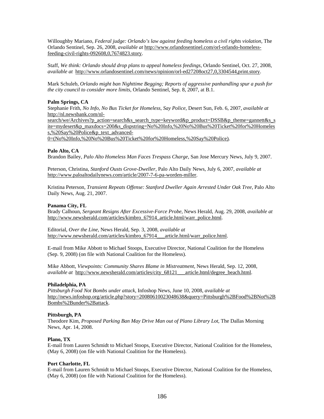Willoughby Mariano, *Federal judge: Orlando's law against feeding homeless a civil rights violation*, The Orlando Sentinel, Sep. 26, 2008, *available at* http://www.orlandosentinel.com/orl-orlando-homelessfeeding-civil-rights-092608,0,7674823.story.

Staff, *We think: Orlando should drop plans to appeal homeless feedings,* Orlando Sentinel, Oct. 27, 2008, *available at* http://www.orlandosentinel.com/news/opinion/orl-ed27208oct27,0,3304544,print.story.

Mark Schuleb, *Orlando might ban Nighttime Begging; Reports of aggressive panhandling spur a push for the city council to consider more limits*, Orlando Sentinel, Sep. 8, 2007, at B.1.

## **Palm Springs, CA**

Stephanie Frith, *No Info, No Bus Ticket for Homeless, Say Police*, Desert Sun, Feb. 6, 2007, *available at* http://nl.newsbank.com/nl-

search/we/Archives?p\_action=search&s\_search\_type=keyword&p\_product=DSSB&p\_theme=gannett&s\_s ite=mydesert&p\_maxdocs=200&s\_dispstring=No%20Info,%20No%20Bus%20Ticket%20for%20Homeles s,%20Say%20Police&p\_text\_advanced-

0=(No%20Info,%20No%20Bus%20Ticket%20for%20Homeless,%20Say%20Police).

#### **Palo Alto, CA**

Brandon Bailey, *Palo Alto Homeless Man Faces Trespass Charge*, San Jose Mercury News, July 9, 2007.

Peterson, Christina, *Stanford Ousts Grove-Dweller,* Palo Alto Daily News, July 6, 2007, *available at*  http://www.paloaltodailynews.com/article/2007-7-6-pa-worden-miller.

Kristina Peterson, *Transient Repeats Offense: Stanford Dweller Again Arrested Under Oak Tree*, Palo Alto Daily News, Aug. 21, 2007.

## **Panama City, FL**

Brady Calhoun, *Sergeant Resigns After Excessive-Force Probe,* News Herald, Aug. 29, 2008, *available at*  http://www.newsherald.com/articles/kimbro\_67914\_article.html/warr\_police.html.

Editorial, *Over the Line,* News Herald, Sep. 3, 2008, *available at* http://www.newsherald.com/articles/kimbro\_67914\_\_\_article.html/warr\_police.html.

E-mail from Mike Abbott to Michael Stoops, Executive Director, National Coalition for the Homeless (Sep. 9, 2008) (on file with National Coalition for the Homeless).

Mike Abbott, *Viewpoints: Community Shares Blame in Mistreatment,* News Herald, Sep. 12, 2008, *available at http://www.newsherald.com/articles/city 68121* article.html/degree\_beach.html.

#### **Philadelphia, PA**

*Pittsburgh Food Not Bombs under attack*, Infoshop News, June 10, 2008, *available at* http://news.infoshop.org/article.php?story=20080610023048638&query=Pittsburgh%2BFood%2BNot%2B Bombs%2Bunder%2Battack.

#### **Pittsburgh, PA**

Theodore Kim, *Proposed Parking Ban May Drive Man out of Plano Library Lot*, The Dallas Morning News*,* Apr. 14, 2008.

## **Plano, TX**

E-mail from Lauren Schmidt to Michael Stoops, Executive Director, National Coalition for the Homeless, (May 6, 2008) (on file with National Coalition for the Homeless).

## **Port Charlotte, FL**

E-mail from Lauren Schmidt to Michael Stoops, Executive Director, National Coalition for the Homeless, (May 6, 2008) (on file with National Coalition for the Homeless).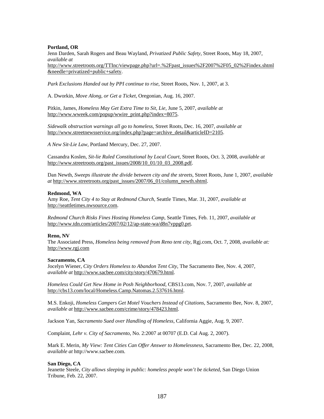### **Portland, OR**

Jenn Darden, Sarah Rogers and Beau Wayland, *Privatized Public Safety*, Street Roots*,* May 18, 2007, *available at* 

http://www.streetroots.org/TTInc/viewpage.php?url=.%2Fpast\_issues%2F2007%2F05\_02%2Findex.shtml &needle=privatized+public+safety.

*Park Exclusions Handed out by PPI continue to rise*, Street Roots, Nov. 1, 2007, at 3.

A. Dworkin, *Move Along, or Get a Ticket*, Oregonian, Aug. 16, 2007.

Pitkin, James, *Homeless May Get Extra Time to Sit, Lie,* June 5, 2007, *available at* http://www.wweek.com/popup/wwire\_print.php?index=8075.

*Sidewalk obstruction warnings all go to homeless,* Street Roots, Dec. 16, 2007, *available at* http://www.streetnewsservice.org/index.php?page=archive\_detail&articleID=2105.

*A New Sit-Lie Law,* Portland Mercury, Dec. 27, 2007.

Cassandra Koslen, *Sit-lie Ruled Constitutional by Local Court,* Street Roots, Oct. 3, 2008, *available at* http://www.streetroots.org/past\_issues/2008/10\_01/10\_03\_2008.pdf.

Dan Newth, *Sweeps illustrate the divide between city and the streets*, Street Roots*,* June 1, 2007, *available at* http://www.streetroots.org/past\_issues/2007/06\_01/column\_newth.shtml.

#### **Redmond, WA**

Amy Roe, *Tent City 4 to Stay at Redmond Church*, Seattle Times, Mar. 31, 2007, *available at* http://seattletimes.nwsource.com.

*Redmond Church Risks Fines Hosting Homeless Camp*, Seattle Times, Feb. 11, 2007, *available at*  http://www.tdn.com/articles/2007/02/12/ap-state-wa/d8n7vppg0.prt.

## **Reno, NV**

The Associated Press, *Homeless being removed from Reno tent city*, Rgj.com, Oct. 7, 2008, *available at:*  http://www.rgj.com

#### **Sacramento, CA**

Jocelyn Wiener, *City Orders Homeless to Abandon Tent City,* The Sacramento Bee*,* Nov. 4, 2007, *available at* http://www.sacbee.com/city/story/470679.html.

*Homeless Could Get New Home in Posh Neighborhood*, CBS13.com, Nov. 7, 2007, *available at* http://cbs13.com/local/Homeless.Camp.Natomas.2.537616.html.

M.S. Enkoji, *Homeless Campers Get Motel Vouchers Instead of Citations*, Sacramento Bee, Nov. 8, 2007, *available at* http://www.sacbee.com/crime/story/478423.html.

Jackson Yan, *Sacramento Sued over Handling of Homeless*, California Aggie, Aug. 9, 2007.

Complaint*, Lehr v. City of Sacramento*, No. 2:2007 at 00707 (E.D. Cal Aug. 2, 2007).

Mark E. Merin, *My View: Tent Cities Can Offer Answer to Homelessness*, Sacramento Bee, Dec. 22, 2008, *available at* http://www.sacbee.com.

#### **San Diego, CA**

Jeanette Steele, *City allows sleeping in public: homeless people won't be ticketed*, San Diego Union Tribune*,* Feb. 22, 2007.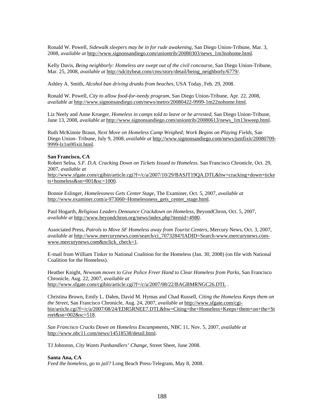Ronald W. Powell, *Sidewalk sleepers may be in for rude awakening*, San Diego Union-Tribune, Mar. 3, 2008, *available at* http://www.signonsandiego.com/uniontrib/20080303/news\_1m3nohome.html.

Kelly Davis, *Being neighborly: Homeless are swept out of the civil concourse*, San Diego Union-Tribune, Mar. 25, 2008, *available at* http://sdcitybeat.com/cms/story/detail/being\_neighborly/6779/.

Ashley A. Smith, *Alcohol ban driving drunks from beaches*, USA Today, Feb. 29, 2008.

Ronald W. Powell, *City to allow food-for-needy program*, San Diego Union-Tribune, Apr. 22, 2008, *available at* http://www.signonsandiego.com/news/metro/20080422-9999-1m22nohome.html.

Liz Neely and Anne Krueger, *Homeless in camps told to leave or be arrested*, San Diego Union-Tribune, June 13, 2008, *available at* http://www.signonsandiego.com/uniontrib/20080613/news\_1m13sweep.html.

Ruth McKinnie Braun, *Next Move on Homeless Camp Weighed; Work Begins on Playing Fields,* San Diego Union- Tribune, July 9, 2008, *available at* http://www.signonsandiego.com/news/justfixit/20080709- 9999-lz1m9fixit.html.

## **San Francisco, CA**

Robert Selna, *S.F. D.A. Cracking Down on Tickets Issued to Homeless*. San Francisco Chronicle, Oct. 29, 2007, *available at*

http://www.sfgate.com/cgibin/article.cgi?f=/c/a/2007/10/29/BASJT19QA.DTL&hw=cracking+down+ticke ts+homeless&sn=001&sc=1000.

Bonnie Eslinger, *Homelessness Gets Center Stage*, The Examiner, Oct. 5, 2007, *available at* http://www.examiner.com/a-973060~Homelessness\_gets\_center\_stage.html.

Paul Hogarth, *Religious Leaders Denounce Crackdown on Homeless*, BeyondChron, Oct. 5, 2007, *available at* http://www.beyondchron.org/news/index.php?itemid=4980.

Associated Press, *Patrols to Move SF Homeless away from Tourist Centers*, Mercury News, Oct. 3, 2007, *available at* http://www.mercurynews.com/search/ci\_7073284?IADID=Search-www.mercurynews.comwww.mercurynews.com&nclick\_check=1.

E-mail from William Tinker to National Coalition for the Homeless (Jan. 30, 2008) (on file with National Coalition for the Homeless).

Heather Knight, *Newsom moves to Give Police Freer Hand to Clear Homeless from Parks*, San Francisco Chronicle, Aug. 22, 2007, *available at* http://www.sfgate.com/cgibin/article.cgi?f=/c/a/2007/08/22/BAGBMRNGC26.DTL.

Christina Brown, Emily L. Dahm, David M. Hymas and Chad Russell, *Citing the Homeless Keeps them on the Street*, San Francisco Chronicle, Aug. 24, 2007, *available at* http://www.sfgate.com/cgibin/article.cgi?f=/c/a/2007/08/24/EDR5RNEE7.DTL&hw=Citing+the+Homeless+Keeps+them+on+the+St reet&sn=002&sc=518.

*San Francisco Cracks Down on Homeless Encampments*, NBC 11, Nov. 5, 2007, *available at* http://www.nbc11.com/news/14518538/detail.html.

TJ Johnston, *City Wants Panhandlers' Change,* Street Sheet, June 2008.

#### **Santa Ana, CA**

*Feed the homeless, go to jail?* Long Beach Press-Telegram, May 8, 2008.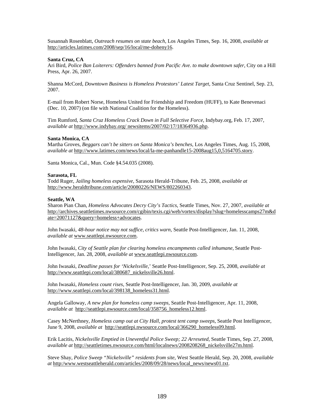Susannah Rosenblatt, *Outreach resumes on state beach*, Los Angeles Times, Sep. 16, 2008, *available at* http://articles.latimes.com/2008/sep/16/local/me-doheny16.

## **Santa Cruz, CA**

Ari Bird, *Police Ban Loiterers: Offenders banned from Pacific Ave. to make downtown safer*, City on a Hill Press, Apr. 26, 2007.

Shanna McCord, *Downtown Business is Homeless Protestors' Latest Target*, Santa Cruz Sentinel, Sep. 23, 2007.

E-mail from Robert Norse, Homeless United for Friendship and Freedom (HUFF), to Kate Benevenaci (Dec. 10, 2007) (on file with National Coalition for the Homeless).

Tim Rumford, *Santa Cruz Homeless Crack Down in Full Selective Force*, Indybay.org, Feb. 17, 2007, *available at* http://www.indybay.org/ newsitems/2007/02/17/18364936.php.

#### **Santa Monica, CA**

Martha Groves, *Beggars can't be sitters on Santa Monica's benches*, Los Angeles Times, Aug. 15, 2008, *available at* http://www.latimes.com/news/local/la-me-panhandle15-2008aug15,0,5164705.story.

Santa Monica, Cal., Mun. Code §4.54.035 (2008).

## **Sarasota, FL**

Todd Ruger, *Jailing homeless expensive*, Sarasota Herald-Tribune, Feb. 25, 2008, *available at* http://www.heraldtribune.com/article/20080226/NEWS/802260343.

#### **Seattle, WA**

Sharon Pian Chan, *Homeless Advocates Decry City's Tactics*, Seattle Times, Nov. 27, 2007, *available at* http://archives.seattletimes.nwsource.com/cgibin/texis.cgi/web/vortex/display?slug=homelesscamps27m&d ate=20071127&query=homeless+advocates.

John Iwasaki, *48-hour notice may not suffice, critics warn,* Seattle Post-Intelligencer, Jan. 11, 2008, *available at* www.seattlepi.nwsource.com.

John Iwasaki, *City of Seattle plan for clearing homeless encampments called inhumane*, Seattle Post-Intelligencer, Jan. 28, 2008, *available at* www.seattlepi.nwsource.com.

John Iwasaki, *Deadline passes for 'Nickelsville*,' Seattle Post-Intelligencer, Sep. 25, 2008, *available at* http://www.seattlepi.com/local/380687\_nickelsville26.html.

John Iwasaki, *Homeless count rises*, Seattle Post-Intelligencer, Jan. 30, 2009, *available at* http://www.seattlepi.com/local/398138\_homeless31.html.

Angela Galloway, *A new plan for homeless camp sweeps,* Seattle Post-Intelligencer, Apr. 11, 2008, *available at* http://seattlepi.nwsource.com/local/358756\_homeless12.html.

Casey McNerthney, *Homeless camp out at City Hall, protest tent camp sweeps,* Seattle Post Intelligencer, June 9, 2008, *available at* http://seattlepi.nwsource.com/local/366290\_homeless09.html.

Erik Lacitis, *Nickelsville Emptied in Uneventful Police Sweep; 22 Arreseted,* Seattle Times, Sep. 27, 2008, *available at* http://seattletimes.nwsource.com/html/localnews/2008208268\_nickelsville27m.html.

Steve Shay, *Police Sweep "Nickelsville" residents from site,* West Seattle Herald, Sep. 20, 2008, *available at* http:/www.westseattleherald.com/articles/2008/09/28/news/local\_news/news01.txt.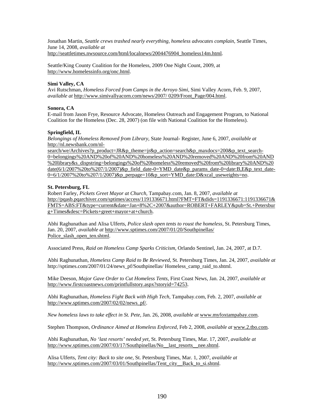Jonathan Martin, *Seattle crews trashed nearly everything, homeless advocates complain*, Seattle Times, June 14, 2008, *available at* http://seattletimes.nwsource.com/html/localnews/2004476904\_homeless14m.html.

Seattle/King County Coalition for the Homeless, 2009 One Night Count, 2009, at http://www.homelessinfo.org/onc.html.

## **Simi Valley, CA**

Avi Rutschman, *Homeless Forced from Camps in the Arroyo Simi*, Simi Valley Acorn, Feb. 9, 2007, *available at* http://www.simivallyacorn.com/news/2007/ 0209/Front\_Page/004.html.

# **Sonora, CA**

E-mail from Jason Frye, Resource Advocate, Homeless Outreach and Engagement Program, to National Coalition for the Homeless (Dec. 28, 2007) (on file with National Coalition for the Homeless).

# **Springfield, IL**

*Belongings of Homeless Removed from Library,* State Journal- Register, June 6, 2007, *available at* http://nl.newsbank.com/nl-

search/we/Archives?p\_product=JR&p\_theme=jr&p\_action=search&p\_maxdocs=200&p\_text\_search-0=belongings%20AND%20of%20AND%20homeless%20AND%20removed%20AND%20from%20AND %20library&s\_dispstring=belongings%20of%20homeless%20removed%20from%20library%20AND%20 date(6/1/2007%20to%207/1/2007)&p\_field\_date-0=YMD\_date&p\_params\_date-0=date:B,E&p\_text\_date-0=6/1/2007%20to%207/1/2007)&p\_perpage=10&p\_sort=YMD\_date:D&xcal\_useweights=no.

# **St. Petersburg, FL**

Robert Farley, *Pickets Greet Mayor at Church,* Tampabay.com, Jan. 8, 2007, *available at*  http://pqasb.pqarchiver.com/sptimes/access/1191336671.html?FMT=FT&dids=1191336671:1191336671& FMTS=ABS:FT&type=current&date=Jan+8%2C+2007&author=ROBERT+FARLEY&pub=St.+Petersbur g+Times&desc=Pickets+greet+mayor+at+church.

Abhi Raghunathan and Alisa Ulferts, *Police slash open tents to roust the homeless,* St. Petersburg Times, Jan. 20, 2007, *available at* http://www.sptimes.com/2007/01/20/Southpinellas/ Police slash open ten.shtml.

Associated Press, *Raid on Homeless Camp Sparks Criticism,* Orlando Sentinel, Jan. 24, 2007, at D.7.

Abhi Raghunathan, *Homeless Camp Raid to Be Reviewed,* St. Petersburg Times, Jan. 24, 2007, *available at*  http://sptimes.com/2007/01/24/news\_pf/Southpinellas/ Homeless\_camp\_raid\_to.shtml.

Mike Deeson, *Major Gave Order to Cut Homeless Tents,* First Coast News, Jan. 24, 2007, *available at* http://www.firstcoastnews.com/printfullstory.aspx?storyid=74253.

Abhi Raghunathan, *Homeless Fight Back with High Tech,* Tampabay.com, Feb. 2, 2007, *available at*  http://www.sptimes.com/2007/02/02/news\_pf/.

*New homeless laws to take effect in St. Pete,* Jan. 26, 2008, *available at* www.myfoxtampabay.com.

Stephen Thompson, *Ordinance Aimed at Homeless Enforced*, Feb 2, 2008, *available at* www.2.tbo.com.

Abhi Raghunathan, *No 'last resorts' needed yet*, St. Petersburg Times, Mar. 17, 2007, *available at* http://www.sptimes.com/2007/03/17/Southpinellas/No\_\_last\_resorts\_\_nee.shtml.

Alisa Ulferts, *Tent city: Back to site one*, St. Petersburg Times, Mar. 1, 2007, *available at*  http://www.sptimes.com/2007/03/01/Southpinellas/Tent\_city\_\_Back\_to\_si.shtml.